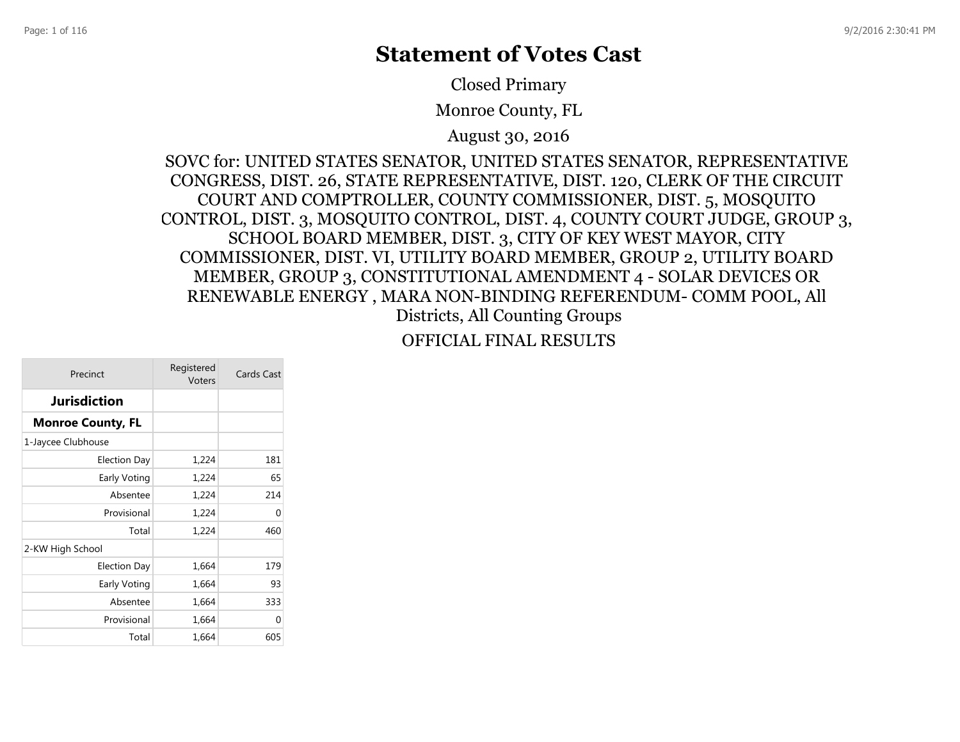# **Statement of Votes Cast**

Closed Primary

Monroe County, FL

August 30, 2016

SOVC for: UNITED STATES SENATOR, UNITED STATES SENATOR, REPRESENTATIVE CONGRESS, DIST. 26, STATE REPRESENTATIVE, DIST. 120, CLERK OF THE CIRCUIT COURT AND COMPTROLLER, COUNTY COMMISSIONER, DIST. 5, MOSQUITO CONTROL, DIST. 3, MOSQUITO CONTROL, DIST. 4, COUNTY COURT JUDGE, GROUP 3, SCHOOL BOARD MEMBER, DIST. 3, CITY OF KEY WEST MAYOR, CITY COMMISSIONER, DIST. VI, UTILITY BOARD MEMBER, GROUP 2, UTILITY BOARD MEMBER, GROUP 3, CONSTITUTIONAL AMENDMENT 4 - SOLAR DEVICES OR RENEWABLE ENERGY , MARA NON-BINDING REFERENDUM- COMM POOL, All Districts, All Counting Groups

OFFICIAL FINAL RESULTS

| Precinct                 | Registered<br>Voters | Cards Cast |
|--------------------------|----------------------|------------|
| <b>Jurisdiction</b>      |                      |            |
| <b>Monroe County, FL</b> |                      |            |
| 1-Jaycee Clubhouse       |                      |            |
| Election Day             | 1,224                | 181        |
| Early Voting             | 1,224                | 65         |
| Absentee                 | 1,224                | 214        |
| Provisional              | 1,224                | 0          |
| Total                    | 1,224                | 460        |
| 2-KW High School         |                      |            |
| <b>Election Day</b>      | 1,664                | 179        |
| Early Voting             | 1,664                | 93         |
| Absentee                 | 1,664                | 333        |
| Provisional              | 1,664                | 0          |
| Total                    | 1,664                | 605        |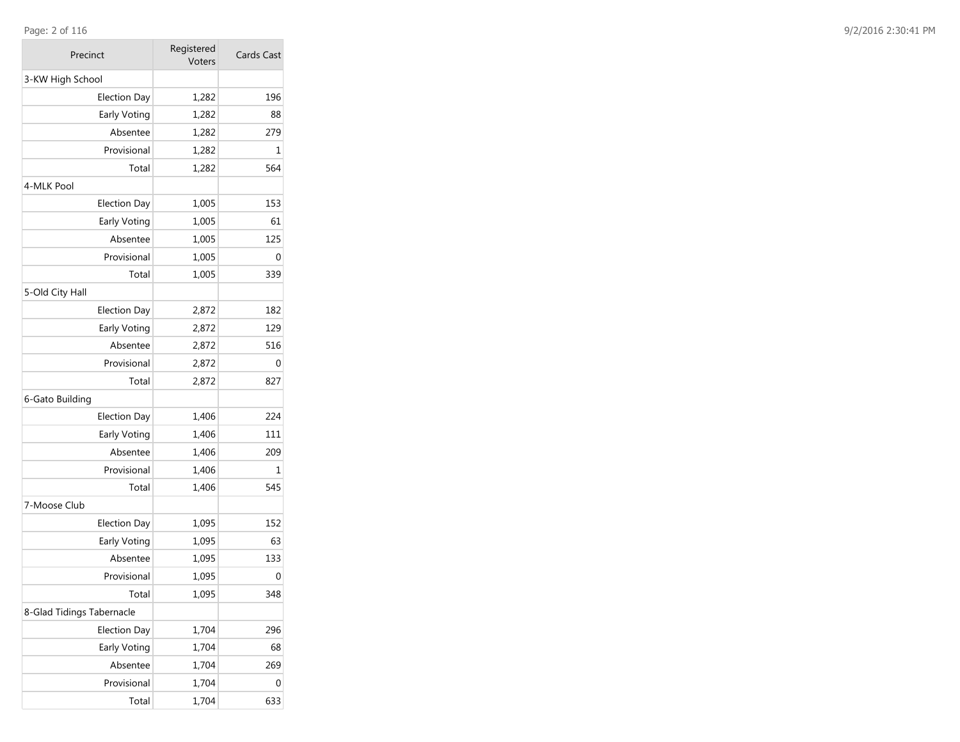### Page: 2 of 116

| Precinct                  | Registered<br>Voters | Cards Cast |
|---------------------------|----------------------|------------|
| 3-KW High School          |                      |            |
| <b>Election Day</b>       | 1,282                | 196        |
| Early Voting              | 1,282                | 88         |
| Absentee                  | 1,282                | 279        |
| Provisional               | 1,282                | 1          |
| Total                     | 1,282                | 564        |
| 4-MLK Pool                |                      |            |
| <b>Election Day</b>       | 1,005                | 153        |
| Early Voting              | 1,005                | 61         |
| Absentee                  | 1,005                | 125        |
| Provisional               | 1,005                | 0          |
| Total                     | 1,005                | 339        |
| 5-Old City Hall           |                      |            |
| <b>Election Day</b>       | 2,872                | 182        |
| Early Voting              | 2,872                | 129        |
| Absentee                  | 2,872                | 516        |
| Provisional               | 2,872                | 0          |
| Total                     | 2,872                | 827        |
| 6-Gato Building           |                      |            |
| <b>Election Day</b>       | 1,406                | 224        |
| Early Voting              | 1,406                | 111        |
| Absentee                  | 1,406                | 209        |
| Provisional               | 1,406                | 1          |
| Total                     | 1,406                | 545        |
| 7-Moose Club              |                      |            |
| <b>Election Day</b>       | 1,095                | 152        |
| Early Voting              | 1,095                | 63         |
| Absentee                  | 1,095                | 133        |
| Provisional               | 1,095                | 0          |
| Total                     | 1,095                | 348        |
| 8-Glad Tidings Tabernacle |                      |            |
| <b>Election Day</b>       | 1,704                | 296        |
| Early Voting              | 1,704                | 68         |
| Absentee                  | 1,704                | 269        |
| Provisional               | 1,704                | 0          |
| Total                     | 1,704                | 633        |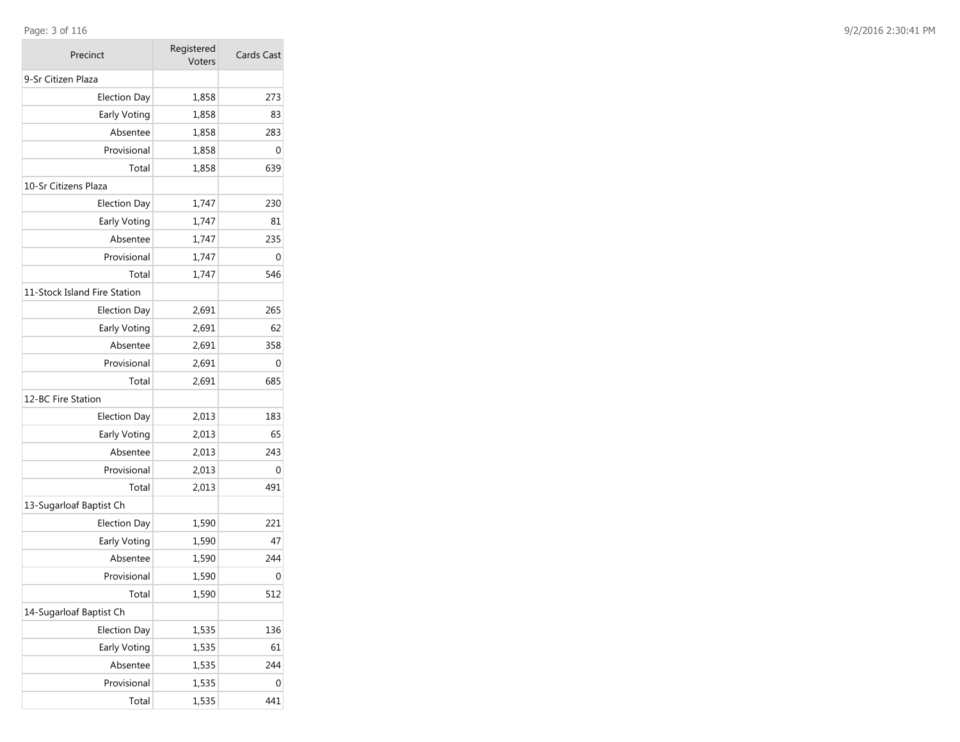### Page: 3 of 116

| Precinct                     | Registered<br>Voters | Cards Cast |
|------------------------------|----------------------|------------|
| 9-Sr Citizen Plaza           |                      |            |
| <b>Election Day</b>          | 1,858                | 273        |
| Early Voting                 | 1,858                | 83         |
| Absentee                     | 1,858                | 283        |
| Provisional                  | 1,858                | 0          |
| Total                        | 1,858                | 639        |
| 10-Sr Citizens Plaza         |                      |            |
| <b>Election Day</b>          | 1,747                | 230        |
| Early Voting                 | 1,747                | 81         |
| Absentee                     | 1,747                | 235        |
| Provisional                  | 1,747                | 0          |
| Total                        | 1,747                | 546        |
| 11-Stock Island Fire Station |                      |            |
| <b>Election Day</b>          | 2,691                | 265        |
| Early Voting                 | 2,691                | 62         |
| Absentee                     | 2,691                | 358        |
| Provisional                  | 2,691                | 0          |
| Total                        | 2,691                | 685        |
| 12-BC Fire Station           |                      |            |
| <b>Election Day</b>          | 2,013                | 183        |
| Early Voting                 | 2,013                | 65         |
| Absentee                     | 2,013                | 243        |
| Provisional                  | 2,013                | 0          |
| Total                        | 2,013                | 491        |
| 13-Sugarloaf Baptist Ch      |                      |            |
| <b>Election Day</b>          | 1,590                | 221        |
| Early Voting                 | 1,590                | 47         |
| Absentee                     | 1,590                | 244        |
| Provisional                  | 1,590                | 0          |
| Total                        | 1,590                | 512        |
| 14-Sugarloaf Baptist Ch      |                      |            |
| <b>Election Day</b>          | 1,535                | 136        |
| Early Voting                 | 1,535                | 61         |
| Absentee                     | 1,535                | 244        |
| Provisional                  | 1,535                | 0          |
| Total                        | 1,535                | 441        |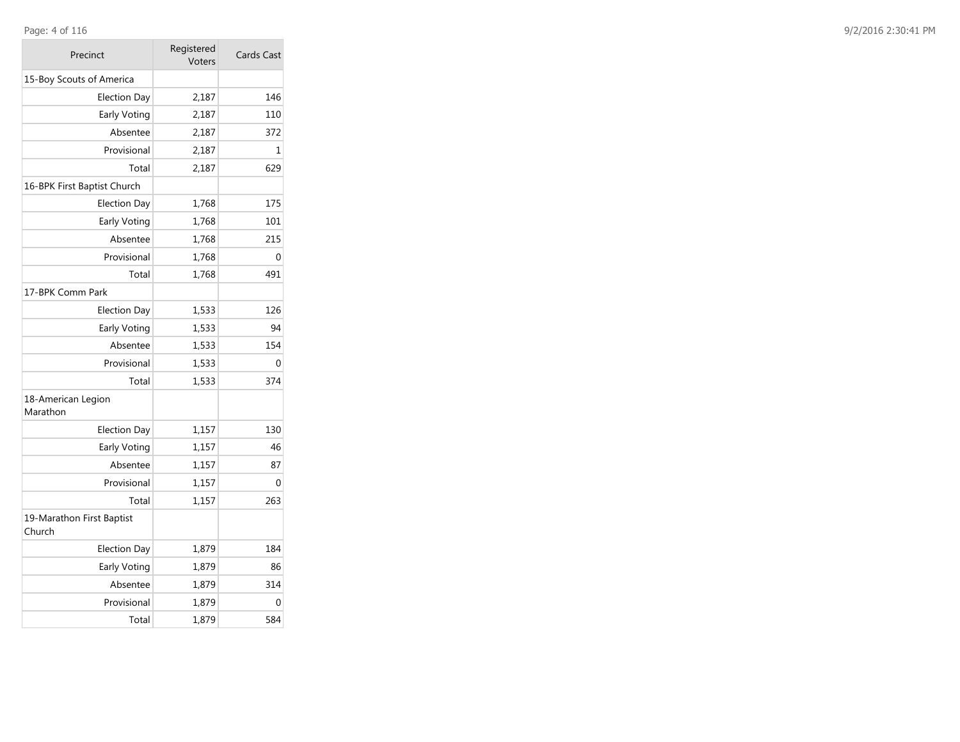### Page: 4 of 116

| Precinct                            | Registered<br>Voters | Cards Cast |  |  |
|-------------------------------------|----------------------|------------|--|--|
| 15-Boy Scouts of America            |                      |            |  |  |
| <b>Election Day</b>                 | 2,187                | 146        |  |  |
| Early Voting                        | 2,187                | 110        |  |  |
| Absentee                            | 2,187                | 372        |  |  |
| Provisional                         | 2,187                | 1          |  |  |
| Total                               | 2,187                | 629        |  |  |
| 16-BPK First Baptist Church         |                      |            |  |  |
| <b>Election Day</b>                 | 1,768                | 175        |  |  |
| Early Voting                        | 1,768                | 101        |  |  |
| Absentee                            | 1,768                | 215        |  |  |
| Provisional                         | 1,768                | 0          |  |  |
| Total                               | 1,768                | 491        |  |  |
| 17-BPK Comm Park                    |                      |            |  |  |
| Election Day                        | 1,533                | 126        |  |  |
| Early Voting                        | 1,533                | 94         |  |  |
| Absentee                            | 1,533                | 154        |  |  |
| Provisional                         | 1,533                | 0          |  |  |
| Total                               | 1,533                | 374        |  |  |
| 18-American Legion<br>Marathon      |                      |            |  |  |
| <b>Election Day</b>                 | 1,157                | 130        |  |  |
| <b>Early Voting</b>                 | 1,157                | 46         |  |  |
| Absentee                            | 1,157                | 87         |  |  |
| Provisional                         | 1,157                | 0          |  |  |
| Total                               | 1,157                | 263        |  |  |
| 19-Marathon First Baptist<br>Church |                      |            |  |  |
| <b>Election Day</b>                 | 1,879                | 184        |  |  |
| Early Voting                        | 1,879                | 86         |  |  |
| Absentee                            | 1,879                | 314        |  |  |
| Provisional                         | 1,879                | 0          |  |  |
| Total                               | 1,879                | 584        |  |  |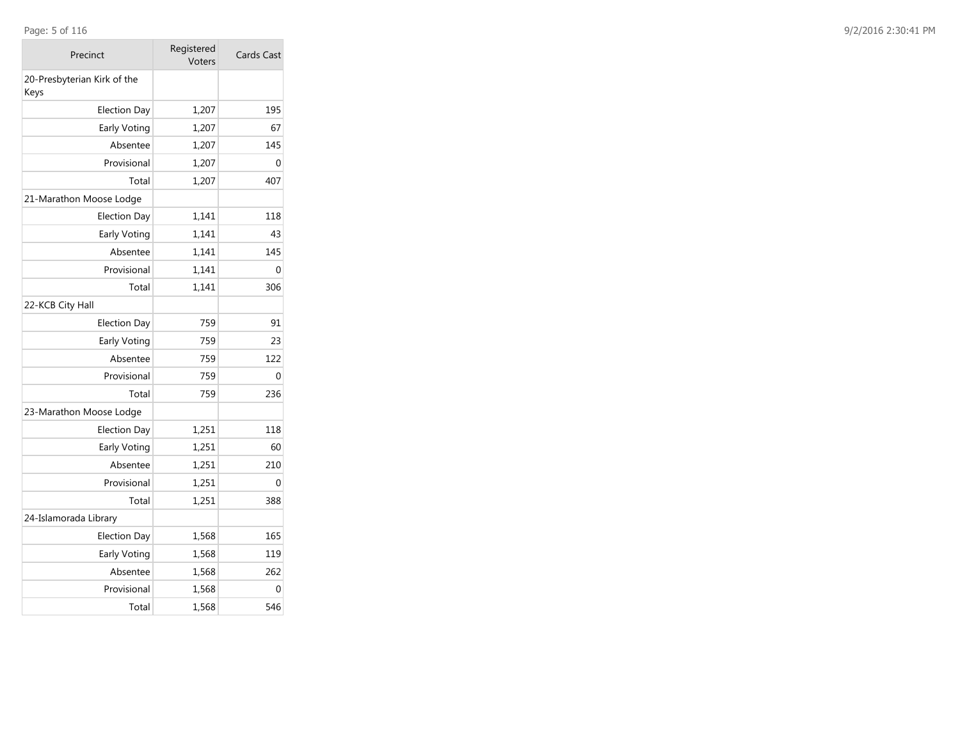## Page: 5 of 116

| Precinct                            | Registered<br>Voters | <b>Cards Cast</b> |
|-------------------------------------|----------------------|-------------------|
| 20-Presbyterian Kirk of the<br>Keys |                      |                   |
| <b>Election Day</b>                 | 1,207                | 195               |
| Early Voting                        | 1,207                | 67                |
| Absentee                            | 1,207                | 145               |
| Provisional                         | 1,207                | 0                 |
| Total                               | 1,207                | 407               |
| 21-Marathon Moose Lodge             |                      |                   |
| <b>Election Day</b>                 | 1,141                | 118               |
| Early Voting                        | 1,141                | 43                |
| Absentee                            | 1,141                | 145               |
| Provisional                         | 1,141                | 0                 |
| Total                               | 1,141                | 306               |
| 22-KCB City Hall                    |                      |                   |
| Election Day                        | 759                  | 91                |
| Early Voting                        | 759                  | 23                |
| Absentee                            | 759                  | 122               |
| Provisional                         | 759                  | $\Omega$          |
| Total                               | 759                  | 236               |
| 23-Marathon Moose Lodge             |                      |                   |
| <b>Election Day</b>                 | 1,251                | 118               |
| Early Voting                        | 1,251                | 60                |
| Absentee                            | 1,251                | 210               |
| Provisional                         | 1,251                | $\Omega$          |
| Total                               | 1,251                | 388               |
| 24-Islamorada Library               |                      |                   |
| <b>Election Day</b>                 | 1,568                | 165               |
| Early Voting                        | 1,568                | 119               |
| Absentee                            | 1,568                | 262               |
| Provisional                         | 1,568                | 0                 |
| Total                               | 1,568                | 546               |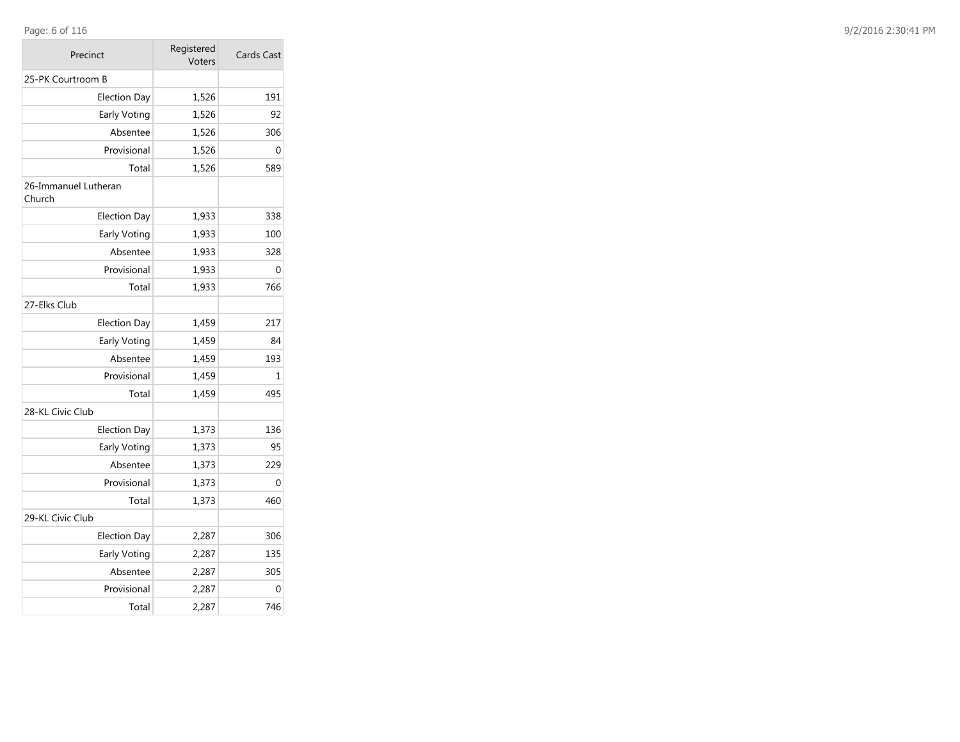## Page: 6 of 116

| 6 of 116 | 9/2/2016 2:30:41 PM |  |
|----------|---------------------|--|
|          |                     |  |

| Precinct                       | Registered<br>Voters | Cards Cast |  |  |
|--------------------------------|----------------------|------------|--|--|
| 25-PK Courtroom B              |                      |            |  |  |
| <b>Election Day</b>            | 1,526                | 191        |  |  |
| Early Voting                   | 1,526                | 92         |  |  |
| Absentee                       | 1,526                | 306        |  |  |
| Provisional                    | 1,526                | $\Omega$   |  |  |
| Total                          | 1,526                | 589        |  |  |
| 26-Immanuel Lutheran<br>Church |                      |            |  |  |
| <b>Election Day</b>            | 1,933                | 338        |  |  |
| Early Voting                   | 1,933                | 100        |  |  |
| Absentee                       | 1,933                | 328        |  |  |
| Provisional                    | 1,933                | 0          |  |  |
| Total                          | 1,933                | 766        |  |  |
| 27-Elks Club                   |                      |            |  |  |
| <b>Election Day</b>            | 1,459                | 217        |  |  |
| Early Voting                   | 1,459                | 84         |  |  |
| Absentee                       | 1,459                | 193        |  |  |
| Provisional                    | 1,459                | 1          |  |  |
| Total                          | 1,459                | 495        |  |  |
| 28-KL Civic Club               |                      |            |  |  |
| <b>Election Day</b>            | 1,373                | 136        |  |  |
| Early Voting                   | 1,373                | 95         |  |  |
| Absentee                       | 1,373                | 229        |  |  |
| Provisional                    | 1,373                | 0          |  |  |
| Total                          | 1,373                | 460        |  |  |
| 29-KL Civic Club               |                      |            |  |  |
| <b>Election Day</b>            | 2,287                | 306        |  |  |
| Early Voting                   | 2,287                | 135        |  |  |
| Absentee                       | 2,287                | 305        |  |  |
| Provisional                    | 2,287                | 0          |  |  |
| Total                          | 2,287                | 746        |  |  |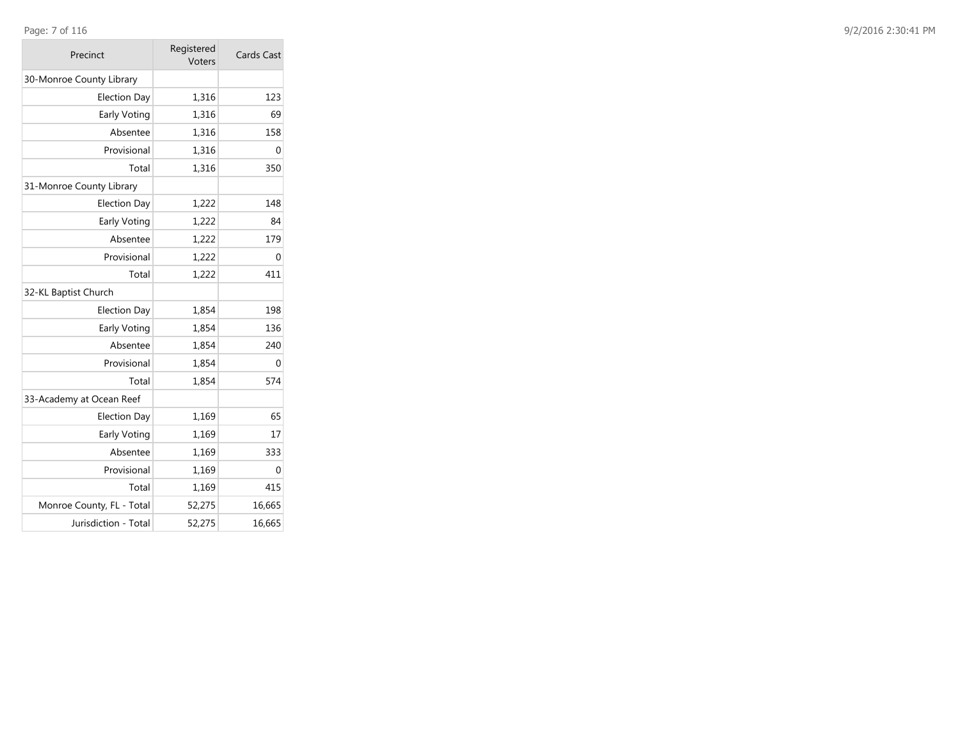### Page: 7 of 116

| Precinct                  | Registered<br>Voters | <b>Cards Cast</b> |  |  |
|---------------------------|----------------------|-------------------|--|--|
| 30-Monroe County Library  |                      |                   |  |  |
| <b>Election Day</b>       | 1,316                | 123               |  |  |
| Early Voting              | 1,316                | 69                |  |  |
| Absentee                  | 1,316                | 158               |  |  |
| Provisional               | 1,316                | 0                 |  |  |
| Total                     | 1,316                | 350               |  |  |
| 31-Monroe County Library  |                      |                   |  |  |
| <b>Election Day</b>       | 1,222                | 148               |  |  |
| Early Voting              | 1,222                | 84                |  |  |
| Absentee                  | 1,222                | 179               |  |  |
| Provisional               | 1,222                | 0                 |  |  |
| Total                     | 1,222                | 411               |  |  |
| 32-KL Baptist Church      |                      |                   |  |  |
| <b>Election Day</b>       | 1,854                | 198               |  |  |
| Early Voting              | 1,854                | 136               |  |  |
| Absentee                  | 1,854                | 240               |  |  |
| Provisional               | 1,854                | 0                 |  |  |
| Total                     | 1,854                | 574               |  |  |
| 33-Academy at Ocean Reef  |                      |                   |  |  |
| <b>Election Day</b>       | 1,169                | 65                |  |  |
| Early Voting              | 1,169                | 17                |  |  |
| Absentee                  | 1,169                | 333               |  |  |
| Provisional               | 1,169                | 0                 |  |  |
| Total                     | 1,169                | 415               |  |  |
| Monroe County, FL - Total | 52,275               | 16,665            |  |  |
| Jurisdiction - Total      | 52,275               | 16,665            |  |  |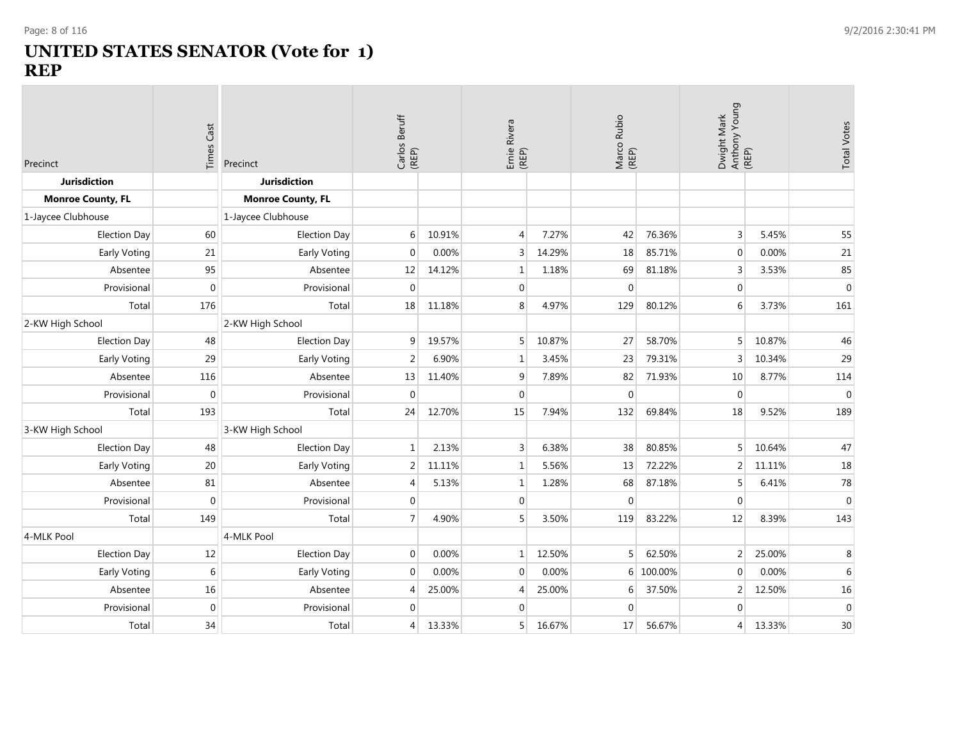$\mathcal{L}_{\text{max}}$ 

# **UNITED STATES SENATOR (Vote for 1) REP**

| Precinct                 | Cast<br>Times | Precinct                 |                |        | Carlos Beruff<br>(REP) |        | Ernie Rivera<br>(REP) |         | Marco Rubio<br>(REP) |        | Anthony Young<br>(REP)<br>Dwight Mark |  | <b>Total Votes</b> |  |
|--------------------------|---------------|--------------------------|----------------|--------|------------------------|--------|-----------------------|---------|----------------------|--------|---------------------------------------|--|--------------------|--|
| <b>Jurisdiction</b>      |               | Jurisdiction             |                |        |                        |        |                       |         |                      |        |                                       |  |                    |  |
| <b>Monroe County, FL</b> |               | <b>Monroe County, FL</b> |                |        |                        |        |                       |         |                      |        |                                       |  |                    |  |
| 1-Jaycee Clubhouse       |               | 1-Jaycee Clubhouse       |                |        |                        |        |                       |         |                      |        |                                       |  |                    |  |
| <b>Election Day</b>      | 60            | <b>Election Day</b>      | 6              | 10.91% | $\overline{4}$         | 7.27%  | 42                    | 76.36%  | 3                    | 5.45%  | 55                                    |  |                    |  |
| Early Voting             | 21            | Early Voting             | $\mathbf 0$    | 0.00%  | 3                      | 14.29% | 18                    | 85.71%  | $\mathbf 0$          | 0.00%  | 21                                    |  |                    |  |
| Absentee                 | 95            | Absentee                 | 12             | 14.12% | 1                      | 1.18%  | 69                    | 81.18%  | 3                    | 3.53%  | 85                                    |  |                    |  |
| Provisional              | $\mathbf{0}$  | Provisional              | $\mathbf 0$    |        | $\mathbf{0}$           |        | $\mathbf{0}$          |         | $\boldsymbol{0}$     |        | $\mathbf 0$                           |  |                    |  |
| Total                    | 176           | Total                    | 18             | 11.18% | 8                      | 4.97%  | 129                   | 80.12%  | 6                    | 3.73%  | 161                                   |  |                    |  |
| 2-KW High School         |               | 2-KW High School         |                |        |                        |        |                       |         |                      |        |                                       |  |                    |  |
| <b>Election Day</b>      | 48            | <b>Election Day</b>      | $\overline{9}$ | 19.57% | 5                      | 10.87% | 27                    | 58.70%  | 5                    | 10.87% | 46                                    |  |                    |  |
| Early Voting             | 29            | Early Voting             | $\overline{2}$ | 6.90%  | $\mathbf{1}$           | 3.45%  | 23                    | 79.31%  | 3                    | 10.34% | 29                                    |  |                    |  |
| Absentee                 | 116           | Absentee                 | 13             | 11.40% | 9                      | 7.89%  | 82                    | 71.93%  | 10                   | 8.77%  | 114                                   |  |                    |  |
| Provisional              | $\mathbf{0}$  | Provisional              | $\mathbf{0}$   |        | $\mathbf{0}$           |        | $\mathbf 0$           |         | $\mathbf 0$          |        | $\mathbf 0$                           |  |                    |  |
| Total                    | 193           | Total                    | 24             | 12.70% | 15                     | 7.94%  | 132                   | 69.84%  | 18                   | 9.52%  | 189                                   |  |                    |  |
| 3-KW High School         |               | 3-KW High School         |                |        |                        |        |                       |         |                      |        |                                       |  |                    |  |
| <b>Election Day</b>      | 48            | <b>Election Day</b>      | $\mathbf 1$    | 2.13%  | 3                      | 6.38%  | 38                    | 80.85%  | 5                    | 10.64% | 47                                    |  |                    |  |
| Early Voting             | 20            | Early Voting             | $\overline{2}$ | 11.11% | 1                      | 5.56%  | 13                    | 72.22%  | $\overline{2}$       | 11.11% | 18                                    |  |                    |  |
| Absentee                 | 81            | Absentee                 | 4              | 5.13%  | $\mathbf 1$            | 1.28%  | 68                    | 87.18%  | 5                    | 6.41%  | 78                                    |  |                    |  |
| Provisional              | $\mathbf{0}$  | Provisional              | $\overline{0}$ |        | $\mathbf{0}$           |        | $\mathbf 0$           |         | $\boldsymbol{0}$     |        | $\mathbf 0$                           |  |                    |  |
| Total                    | 149           | Total                    | $\overline{7}$ | 4.90%  | 5                      | 3.50%  | 119                   | 83.22%  | 12                   | 8.39%  | 143                                   |  |                    |  |
| 4-MLK Pool               |               | 4-MLK Pool               |                |        |                        |        |                       |         |                      |        |                                       |  |                    |  |
| <b>Election Day</b>      | 12            | <b>Election Day</b>      | $\overline{0}$ | 0.00%  | $1\vert$               | 12.50% | 5                     | 62.50%  | 2                    | 25.00% | 8                                     |  |                    |  |
| Early Voting             | 6             | Early Voting             | $\overline{0}$ | 0.00%  | $\mathbf{0}$           | 0.00%  | 6                     | 100.00% | $\mathbf{0}$         | 0.00%  | $6\,$                                 |  |                    |  |
| Absentee                 | 16            | Absentee                 | $\overline{4}$ | 25.00% | $\overline{4}$         | 25.00% | 6                     | 37.50%  | 2                    | 12.50% | 16                                    |  |                    |  |
| Provisional              | $\mathbf 0$   | Provisional              | $\overline{0}$ |        | $\mathbf{0}$           |        | $\mathbf 0$           |         | $\mathbf 0$          |        | $\mathbf 0$                           |  |                    |  |
| Total                    | 34            | Total                    | 4              | 13.33% | 5                      | 16.67% | 17                    | 56.67%  | $\overline{4}$       | 13.33% | 30                                    |  |                    |  |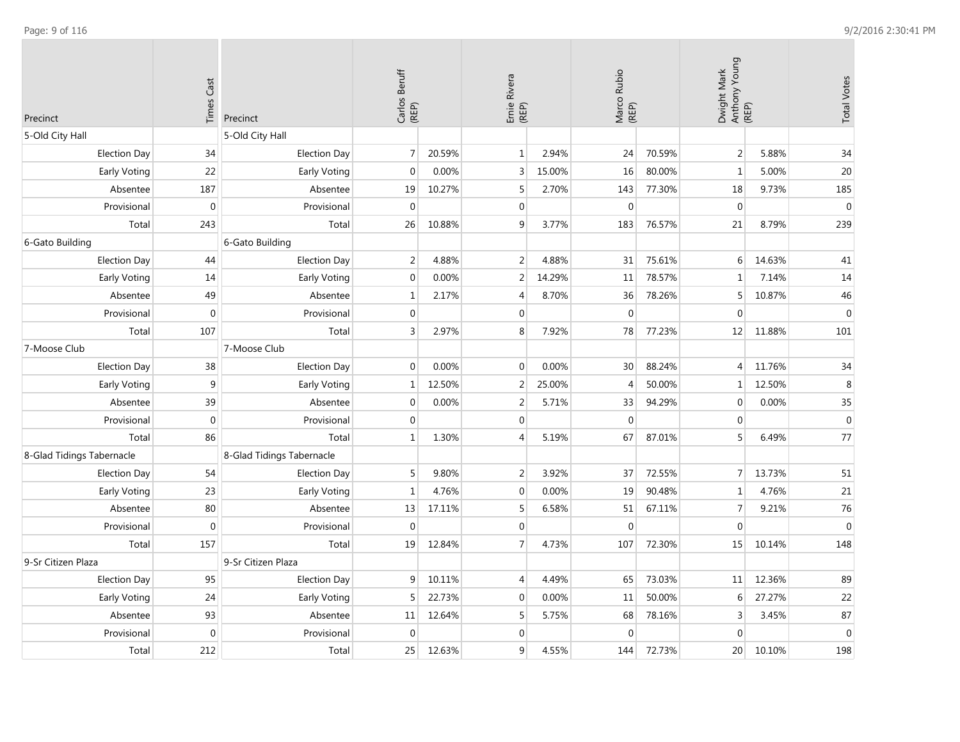| Precinct                  | <b>Times Cast</b> | Precinct                  | Carlos Beruff<br>(REP) |        | Ernie Rivera<br>(REP) |        | Marco Rubio<br>(REP) |        | Dwight Mark<br>Anthony Young<br>(REP) |        | <b>Total Votes</b> |
|---------------------------|-------------------|---------------------------|------------------------|--------|-----------------------|--------|----------------------|--------|---------------------------------------|--------|--------------------|
| 5-Old City Hall           |                   | 5-Old City Hall           |                        |        |                       |        |                      |        |                                       |        |                    |
| <b>Election Day</b>       | 34                | Election Day              | $\overline{7}$         | 20.59% | $\mathbf{1}$          | 2.94%  | 24                   | 70.59% | $\overline{2}$                        | 5.88%  | 34                 |
| Early Voting              | 22                | Early Voting              | $\mathbf 0$            | 0.00%  | $\overline{3}$        | 15.00% | 16                   | 80.00% | $\mathbf{1}$                          | 5.00%  | 20                 |
| Absentee                  | 187               | Absentee                  | 19                     | 10.27% | 5                     | 2.70%  | 143                  | 77.30% | 18                                    | 9.73%  | 185                |
| Provisional               | $\mathbf 0$       | Provisional               | $\mathbf 0$            |        | $\mathbf{0}$          |        | $\mathbf{0}$         |        | $\mathbf{0}$                          |        | $\boldsymbol{0}$   |
| Total                     | 243               | Total                     | 26                     | 10.88% | 9                     | 3.77%  | 183                  | 76.57% | 21                                    | 8.79%  | 239                |
| 6-Gato Building           |                   | 6-Gato Building           |                        |        |                       |        |                      |        |                                       |        |                    |
| Election Day              | 44                | <b>Election Day</b>       | $\overline{2}$         | 4.88%  | $\overline{2}$        | 4.88%  | 31                   | 75.61% | 6                                     | 14.63% | 41                 |
| Early Voting              | 14                | Early Voting              | $\boldsymbol{0}$       | 0.00%  | $\overline{2}$        | 14.29% | 11                   | 78.57% | $\mathbf{1}$                          | 7.14%  | 14                 |
| Absentee                  | 49                | Absentee                  | $\mathbf 1$            | 2.17%  | $\overline{4}$        | 8.70%  | 36                   | 78.26% | 5                                     | 10.87% | 46                 |
| Provisional               | $\mathbf 0$       | Provisional               | $\mathbf 0$            |        | $\mathbf{0}$          |        | $\mathbf 0$          |        | $\mathbf{0}$                          |        | $\mathbf 0$        |
| Total                     | 107               | Total                     | 3                      | 2.97%  | 8                     | 7.92%  | 78                   | 77.23% | 12                                    | 11.88% | 101                |
| 7-Moose Club              |                   | 7-Moose Club              |                        |        |                       |        |                      |        |                                       |        |                    |
| <b>Election Day</b>       | 38                | <b>Election Day</b>       | $\boldsymbol{0}$       | 0.00%  | $\Omega$              | 0.00%  | 30                   | 88.24% | $\overline{4}$                        | 11.76% | 34                 |
| Early Voting              | 9                 | Early Voting              | $\mathbf 1$            | 12.50% | $\overline{2}$        | 25.00% | $\overline{4}$       | 50.00% | $\mathbf{1}$                          | 12.50% | $\,8\,$            |
| Absentee                  | 39                | Absentee                  | 0                      | 0.00%  | $\overline{2}$        | 5.71%  | 33                   | 94.29% | $\mathbf 0$                           | 0.00%  | 35                 |
| Provisional               | $\mathbf{0}$      | Provisional               | $\mathbf 0$            |        | $\mathbf{0}$          |        | $\boldsymbol{0}$     |        | $\mathbf{0}$                          |        | $\boldsymbol{0}$   |
| Total                     | 86                | Total                     | $\mathbf 1$            | 1.30%  | $\overline{4}$        | 5.19%  | 67                   | 87.01% | 5 <sup>1</sup>                        | 6.49%  | 77                 |
| 8-Glad Tidings Tabernacle |                   | 8-Glad Tidings Tabernacle |                        |        |                       |        |                      |        |                                       |        |                    |
| Election Day              | 54                | <b>Election Day</b>       | 5                      | 9.80%  | $\overline{2}$        | 3.92%  | 37                   | 72.55% | 7 <sup>1</sup>                        | 13.73% | 51                 |
| Early Voting              | 23                | Early Voting              | $\mathbf 1$            | 4.76%  | $\mathbf{0}$          | 0.00%  | 19                   | 90.48% | $\mathbf{1}$                          | 4.76%  | $21\,$             |
| Absentee                  | 80                | Absentee                  | 13                     | 17.11% | 5                     | 6.58%  | 51                   | 67.11% | $\overline{7}$                        | 9.21%  | 76                 |
| Provisional               | $\mathbf 0$       | Provisional               | $\mathbf{0}$           |        | $\mathbf 0$           |        | $\mathbf 0$          |        | $\mathbf{0}$                          |        | $\boldsymbol{0}$   |
| Total                     | 157               | Total                     | 19                     | 12.84% | $\overline{7}$        | 4.73%  | 107                  | 72.30% | 15                                    | 10.14% | 148                |
| 9-Sr Citizen Plaza        |                   | 9-Sr Citizen Plaza        |                        |        |                       |        |                      |        |                                       |        |                    |
| <b>Election Day</b>       | 95                | <b>Election Day</b>       | 9                      | 10.11% | $\overline{4}$        | 4.49%  | 65                   | 73.03% | 11                                    | 12.36% | 89                 |
| Early Voting              | 24                | Early Voting              | 5                      | 22.73% | $\Omega$              | 0.00%  | 11                   | 50.00% | 6                                     | 27.27% | 22                 |
| Absentee                  | 93                | Absentee                  | 11                     | 12.64% | 5                     | 5.75%  | 68                   | 78.16% | $\overline{3}$                        | 3.45%  | 87                 |
| Provisional               | $\mathbf 0$       | Provisional               | $\boldsymbol{0}$       |        | $\Omega$              |        | $\boldsymbol{0}$     |        | $\pmb{0}$                             |        | $\boldsymbol{0}$   |
| Total                     | 212               | Total                     | 25                     | 12.63% | 9                     | 4.55%  | 144                  | 72.73% | 20                                    | 10.10% | 198                |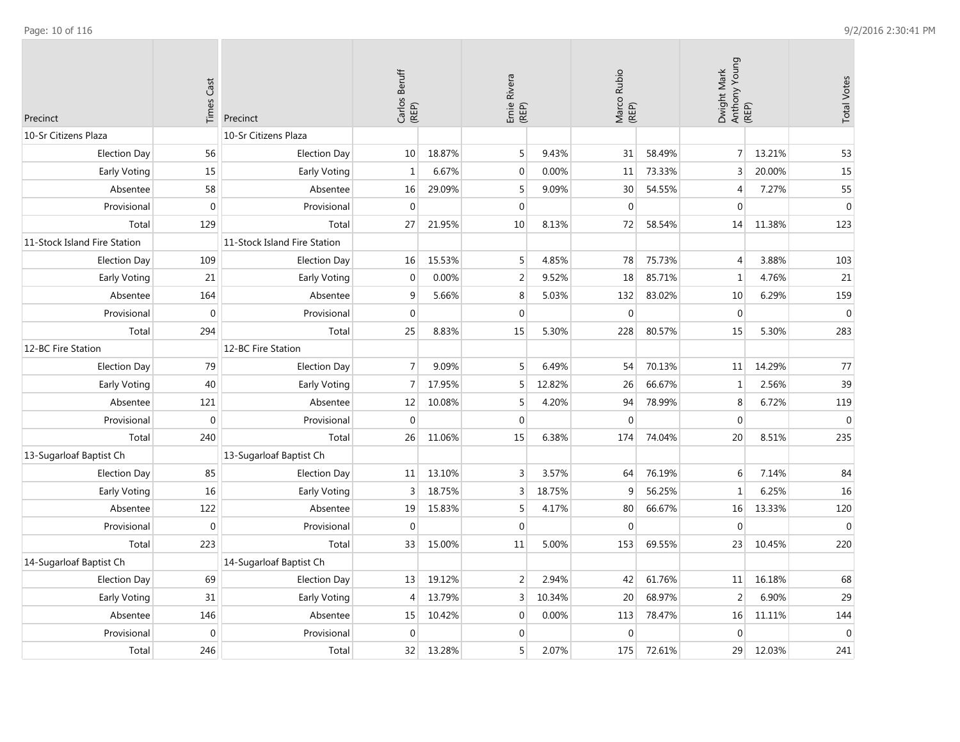| Precinct                     | Cast<br>Times    | Precinct                     | Carlos Beruff<br>(REP) |        | Ernie Rivera<br>(REP) |        | Marco Rubio<br>(REP) |        | Dwight Mark<br>Anthony Young<br>(REP) |        | <b>Total Votes</b> |
|------------------------------|------------------|------------------------------|------------------------|--------|-----------------------|--------|----------------------|--------|---------------------------------------|--------|--------------------|
| 10-Sr Citizens Plaza         |                  | 10-Sr Citizens Plaza         |                        |        |                       |        |                      |        |                                       |        |                    |
| <b>Election Day</b>          | 56               | <b>Election Day</b>          | 10                     | 18.87% | 5                     | 9.43%  | 31                   | 58.49% | 7 <sup>1</sup>                        | 13.21% | 53                 |
| Early Voting                 | 15               | Early Voting                 | $\mathbf{1}$           | 6.67%  | $\mathbf 0$           | 0.00%  | 11                   | 73.33% | 3                                     | 20.00% | 15                 |
| Absentee                     | 58               | Absentee                     | 16                     | 29.09% | 5                     | 9.09%  | 30                   | 54.55% | $\overline{4}$                        | 7.27%  | 55                 |
| Provisional                  | $\mathbf 0$      | Provisional                  | $\boldsymbol{0}$       |        | $\mathbf{0}$          |        | $\mathbf 0$          |        | $\mathbf 0$                           |        | $\pmb{0}$          |
| Total                        | 129              | Total                        | 27                     | 21.95% | 10                    | 8.13%  | 72                   | 58.54% | 14                                    | 11.38% | 123                |
| 11-Stock Island Fire Station |                  | 11-Stock Island Fire Station |                        |        |                       |        |                      |        |                                       |        |                    |
| <b>Election Day</b>          | 109              | <b>Election Day</b>          | 16                     | 15.53% | 5                     | 4.85%  | 78                   | 75.73% | $\overline{4}$                        | 3.88%  | 103                |
| Early Voting                 | 21               | Early Voting                 | $\boldsymbol{0}$       | 0.00%  | 2                     | 9.52%  | 18                   | 85.71% | $\mathbf{1}$                          | 4.76%  | 21                 |
| Absentee                     | 164              | Absentee                     | $\boldsymbol{9}$       | 5.66%  | 8                     | 5.03%  | 132                  | 83.02% | 10                                    | 6.29%  | 159                |
| Provisional                  | $\mathbf 0$      | Provisional                  | $\mathbf{0}$           |        | $\mathbf{0}$          |        | $\mathbf 0$          |        | $\mathbf 0$                           |        | $\boldsymbol{0}$   |
| Total                        | 294              | Total                        | 25                     | 8.83%  | 15                    | 5.30%  | 228                  | 80.57% | 15                                    | 5.30%  | 283                |
| 12-BC Fire Station           |                  | 12-BC Fire Station           |                        |        |                       |        |                      |        |                                       |        |                    |
| <b>Election Day</b>          | 79               | <b>Election Day</b>          | $\overline{7}$         | 9.09%  | 5                     | 6.49%  | 54                   | 70.13% | 11                                    | 14.29% | 77                 |
| Early Voting                 | 40               | Early Voting                 | $\overline{7}$         | 17.95% | 5                     | 12.82% | 26                   | 66.67% | $\mathbf{1}$                          | 2.56%  | 39                 |
| Absentee                     | 121              | Absentee                     | 12                     | 10.08% | 5                     | 4.20%  | 94                   | 78.99% | $\,8\,$                               | 6.72%  | 119                |
| Provisional                  | $\boldsymbol{0}$ | Provisional                  | $\boldsymbol{0}$       |        | $\mathbf{0}$          |        | $\mathbf 0$          |        | $\mathbf{0}$                          |        | $\mathbf 0$        |
| Total                        | 240              | Total                        | 26                     | 11.06% | 15                    | 6.38%  | 174                  | 74.04% | 20                                    | 8.51%  | 235                |
| 13-Sugarloaf Baptist Ch      |                  | 13-Sugarloaf Baptist Ch      |                        |        |                       |        |                      |        |                                       |        |                    |
| <b>Election Day</b>          | 85               | <b>Election Day</b>          | 11                     | 13.10% | 3                     | 3.57%  | 64                   | 76.19% | 6                                     | 7.14%  | 84                 |
| Early Voting                 | 16               | Early Voting                 | 3                      | 18.75% | 3                     | 18.75% | 9                    | 56.25% | $\mathbf{1}$                          | 6.25%  | 16                 |
| Absentee                     | 122              | Absentee                     | 19                     | 15.83% | 5                     | 4.17%  | 80                   | 66.67% | 16                                    | 13.33% | 120                |
| Provisional                  | $\mathbf 0$      | Provisional                  | $\mathbf 0$            |        | $\mathbf{0}$          |        | $\mathbf{0}$         |        | $\mathbf{0}$                          |        | $\boldsymbol{0}$   |
| Total                        | 223              | Total                        | 33                     | 15.00% | 11                    | 5.00%  | 153                  | 69.55% | 23                                    | 10.45% | 220                |
| 14-Sugarloaf Baptist Ch      |                  | 14-Sugarloaf Baptist Ch      |                        |        |                       |        |                      |        |                                       |        |                    |
| <b>Election Day</b>          | 69               | <b>Election Day</b>          | 13                     | 19.12% | 2                     | 2.94%  | 42                   | 61.76% | 11                                    | 16.18% | 68                 |
| Early Voting                 | 31               | Early Voting                 | $\overline{4}$         | 13.79% | 3                     | 10.34% | 20                   | 68.97% | $\overline{2}$                        | 6.90%  | 29                 |
| Absentee                     | 146              | Absentee                     | 15                     | 10.42% | $\mathbf 0$           | 0.00%  | 113                  | 78.47% | 16                                    | 11.11% | 144                |
| Provisional                  | $\mathbf{0}$     | Provisional                  | $\boldsymbol{0}$       |        | $\mathbf 0$           |        | $\boldsymbol{0}$     |        | $\mathbf{0}$                          |        | $\boldsymbol{0}$   |
| Total                        | 246              | Total                        | 32                     | 13.28% | 5                     | 2.07%  | 175                  | 72.61% | 29                                    | 12.03% | 241                |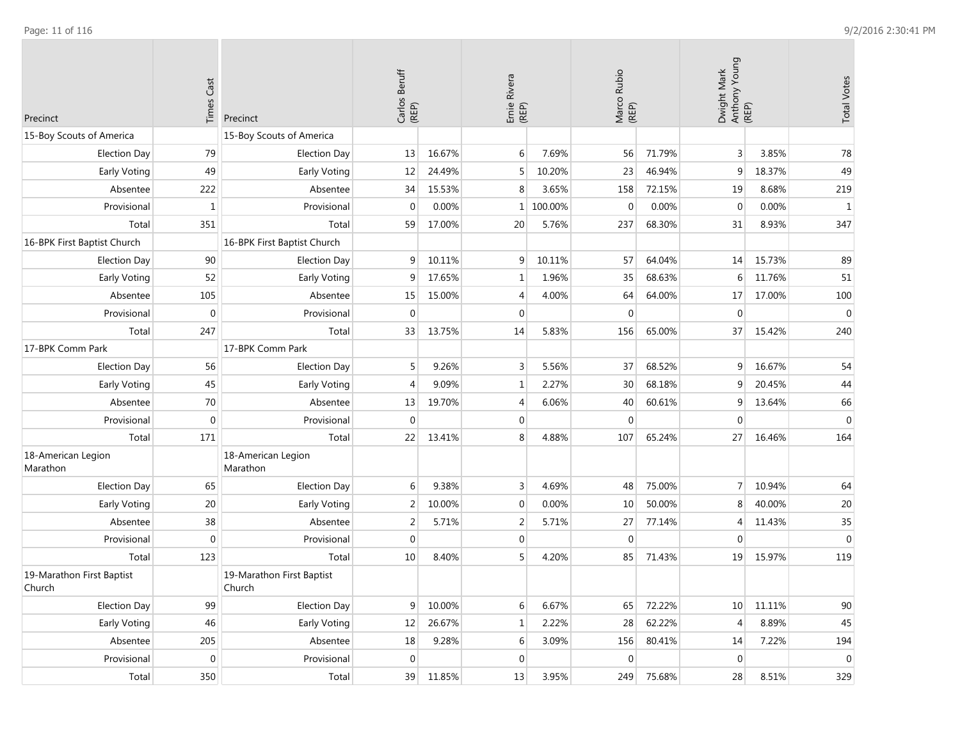| Precinct                            | <b>Times Cast</b> | Precinct                            | Carlos Beruff<br>(REP) |        | Ernie Rivera<br>(REP) |           | Marco Rubio<br>(REP) |        | Dwight Mark<br>Anthony Young<br>(REP) |        | <b>Total Votes</b> |
|-------------------------------------|-------------------|-------------------------------------|------------------------|--------|-----------------------|-----------|----------------------|--------|---------------------------------------|--------|--------------------|
| 15-Boy Scouts of America            |                   | 15-Boy Scouts of America            |                        |        |                       |           |                      |        |                                       |        |                    |
| <b>Election Day</b>                 | 79                | <b>Election Day</b>                 | 13                     | 16.67% | 6                     | 7.69%     | 56                   | 71.79% | 3                                     | 3.85%  | 78                 |
| Early Voting                        | 49                | Early Voting                        | 12                     | 24.49% | 5                     | 10.20%    | 23                   | 46.94% | 9                                     | 18.37% | 49                 |
| Absentee                            | 222               | Absentee                            | 34                     | 15.53% | 8                     | 3.65%     | 158                  | 72.15% | 19                                    | 8.68%  | 219                |
| Provisional                         | $\mathbf{1}$      | Provisional                         | $\mathbf{0}$           | 0.00%  |                       | 1 100.00% | $\mathbf{0}$         | 0.00%  | $\mathbf{0}$                          | 0.00%  | $\mathbf{1}$       |
| Total                               | 351               | Total                               | 59                     | 17.00% | 20                    | 5.76%     | 237                  | 68.30% | 31                                    | 8.93%  | 347                |
| 16-BPK First Baptist Church         |                   | 16-BPK First Baptist Church         |                        |        |                       |           |                      |        |                                       |        |                    |
| <b>Election Day</b>                 | 90                | <b>Election Day</b>                 | $\mathsf 9$            | 10.11% | 9                     | 10.11%    | 57                   | 64.04% | 14                                    | 15.73% | 89                 |
| Early Voting                        | 52                | Early Voting                        | 9                      | 17.65% | 1                     | 1.96%     | 35                   | 68.63% | 6                                     | 11.76% | 51                 |
| Absentee                            | 105               | Absentee                            | 15                     | 15.00% | 4                     | 4.00%     | 64                   | 64.00% | $17\,$                                | 17.00% | 100                |
| Provisional                         | $\mathbf 0$       | Provisional                         | $\Omega$               |        | $\mathbf{0}$          |           | $\mathbf{0}$         |        | $\mathbf{0}$                          |        | $\mathbf{0}$       |
| Total                               | 247               | Total                               | 33                     | 13.75% | 14                    | 5.83%     | 156                  | 65.00% | 37                                    | 15.42% | 240                |
| 17-BPK Comm Park                    |                   | 17-BPK Comm Park                    |                        |        |                       |           |                      |        |                                       |        |                    |
| <b>Election Day</b>                 | 56                | <b>Election Day</b>                 | 5                      | 9.26%  | 3                     | 5.56%     | 37                   | 68.52% | 9                                     | 16.67% | 54                 |
| Early Voting                        | 45                | Early Voting                        | $\overline{4}$         | 9.09%  | 1                     | 2.27%     | 30                   | 68.18% | 9                                     | 20.45% | 44                 |
| Absentee                            | 70                | Absentee                            | 13                     | 19.70% | 4                     | 6.06%     | 40                   | 60.61% | 9                                     | 13.64% | 66                 |
| Provisional                         | $\mathbf 0$       | Provisional                         | $\boldsymbol{0}$       |        | $\mathbf{0}$          |           | $\mathbf 0$          |        | $\mathbf 0$                           |        | $\mathbf 0$        |
| Total                               | 171               | Total                               | 22                     | 13.41% | 8                     | 4.88%     | 107                  | 65.24% | 27                                    | 16.46% | 164                |
| 18-American Legion<br>Marathon      |                   | 18-American Legion<br>Marathon      |                        |        |                       |           |                      |        |                                       |        |                    |
| <b>Election Day</b>                 | 65                | <b>Election Day</b>                 | 6                      | 9.38%  | 3                     | 4.69%     | 48                   | 75.00% | $\overline{7}$                        | 10.94% | 64                 |
| Early Voting                        | 20                | Early Voting                        | $\overline{2}$         | 10.00% | $\mathbf{0}$          | 0.00%     | 10                   | 50.00% | 8                                     | 40.00% | 20                 |
| Absentee                            | 38                | Absentee                            | $\overline{2}$         | 5.71%  | 2                     | 5.71%     | 27                   | 77.14% | 4                                     | 11.43% | 35                 |
| Provisional                         | $\mathbf 0$       | Provisional                         | $\mathbf{0}$           |        | $\mathbf{0}$          |           | $\mathbf 0$          |        | $\mathbf 0$                           |        | $\mathbf 0$        |
| Total                               | 123               | Total                               | 10                     | 8.40%  | 5 <sup>1</sup>        | 4.20%     | 85                   | 71.43% | 19                                    | 15.97% | 119                |
| 19-Marathon First Baptist<br>Church |                   | 19-Marathon First Baptist<br>Church |                        |        |                       |           |                      |        |                                       |        |                    |
| <b>Election Day</b>                 | 99                | <b>Election Day</b>                 | 9 <sup>1</sup>         | 10.00% | 6                     | 6.67%     | 65                   | 72.22% | 10 <sup>°</sup>                       | 11.11% | $90\,$             |
| Early Voting                        | 46                | Early Voting                        | 12                     | 26.67% | 1                     | 2.22%     | 28                   | 62.22% | $\overline{4}$                        | 8.89%  | 45                 |
| Absentee                            | 205               | Absentee                            | $18\,$                 | 9.28%  | 6                     | 3.09%     | 156                  | 80.41% | 14                                    | 7.22%  | 194                |
| Provisional                         | $\boldsymbol{0}$  | Provisional                         | $\boldsymbol{0}$       |        | $\mathbf{0}$          |           | $\boldsymbol{0}$     |        | $\boldsymbol{0}$                      |        | $\mathbf 0$        |
| Total                               | 350               | Total                               | 39                     | 11.85% | 13                    | 3.95%     | 249                  | 75.68% | 28                                    | 8.51%  | 329                |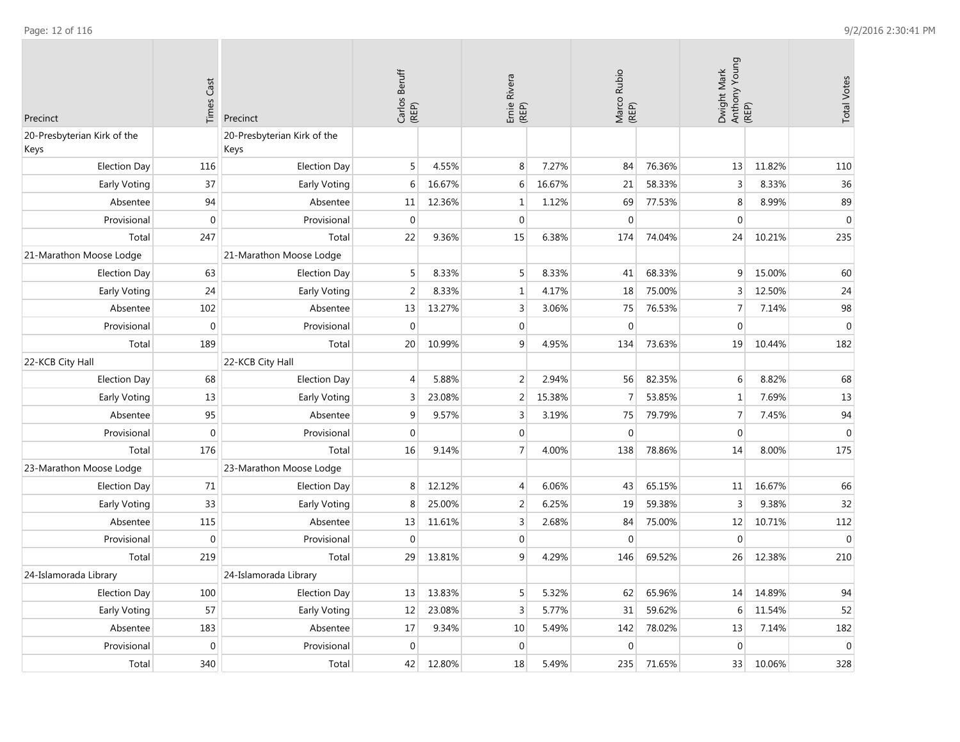**College** 

| Precinct                            | <b>Times Cast</b> | Precinct                            | Carlos Beruff<br>(REP) |        | Ernie Rivera<br>(REP) |        | Marco Rubio<br>(REP) |        | Dwight Mark<br>Anthony Young<br>(REP) |        | <b>Total Votes</b> |
|-------------------------------------|-------------------|-------------------------------------|------------------------|--------|-----------------------|--------|----------------------|--------|---------------------------------------|--------|--------------------|
| 20-Presbyterian Kirk of the<br>Keys |                   | 20-Presbyterian Kirk of the<br>Keys |                        |        |                       |        |                      |        |                                       |        |                    |
| <b>Election Day</b>                 | 116               | <b>Election Day</b>                 | 5                      | 4.55%  | 8                     | 7.27%  | 84                   | 76.36% | 13                                    | 11.82% | 110                |
| Early Voting                        | 37                | Early Voting                        | 6                      | 16.67% | 6                     | 16.67% | 21                   | 58.33% | $\mathsf 3$                           | 8.33%  | 36                 |
| Absentee                            | 94                | Absentee                            | 11                     | 12.36% | 1                     | 1.12%  | 69                   | 77.53% | 8                                     | 8.99%  | 89                 |
| Provisional                         | $\mathbf 0$       | Provisional                         | $\mathbf{0}$           |        | $\mathbf{0}$          |        | $\mathbf{0}$         |        | $\mathbf{0}$                          |        | $\boldsymbol{0}$   |
| Total                               | 247               | Total                               | 22                     | 9.36%  | 15                    | 6.38%  | 174                  | 74.04% | 24                                    | 10.21% | 235                |
| 21-Marathon Moose Lodge             |                   | 21-Marathon Moose Lodge             |                        |        |                       |        |                      |        |                                       |        |                    |
| <b>Election Day</b>                 | 63                | <b>Election Day</b>                 | 5 <sup>1</sup>         | 8.33%  | 5                     | 8.33%  | 41                   | 68.33% | $\overline{9}$                        | 15.00% | 60                 |
| Early Voting                        | 24                | Early Voting                        | $\overline{2}$         | 8.33%  | $\mathbf 1$           | 4.17%  | 18                   | 75.00% | 3                                     | 12.50% | 24                 |
| Absentee                            | 102               | Absentee                            | 13                     | 13.27% | 3                     | 3.06%  | 75                   | 76.53% | $\overline{7}$                        | 7.14%  | 98                 |
| Provisional                         | $\mathbf{0}$      | Provisional                         | $\mathbf{0}$           |        | $\mathbf{0}$          |        | $\mathbf 0$          |        | $\mathbf{0}$                          |        | $\boldsymbol{0}$   |
| Total                               | 189               | Total                               | 20                     | 10.99% | 9                     | 4.95%  | 134                  | 73.63% | 19                                    | 10.44% | 182                |
| 22-KCB City Hall                    |                   | 22-KCB City Hall                    |                        |        |                       |        |                      |        |                                       |        |                    |
| <b>Election Day</b>                 | 68                | <b>Election Day</b>                 | 4                      | 5.88%  | $\overline{2}$        | 2.94%  | 56                   | 82.35% | 6                                     | 8.82%  | 68                 |
| Early Voting                        | 13                | Early Voting                        | 3                      | 23.08% | 2                     | 15.38% | $\overline{7}$       | 53.85% | $\mathbf{1}$                          | 7.69%  | 13                 |
| Absentee                            | 95                | Absentee                            | 9                      | 9.57%  | 3                     | 3.19%  | 75                   | 79.79% | $\overline{7}$                        | 7.45%  | 94                 |
| Provisional                         | $\mathbf 0$       | Provisional                         | $\boldsymbol{0}$       |        | $\mathbf 0$           |        | $\mathbf 0$          |        | $\boldsymbol{0}$                      |        | $\mathbf 0$        |
| Total                               | 176               | Total                               | 16                     | 9.14%  | $\overline{7}$        | 4.00%  | 138                  | 78.86% | 14                                    | 8.00%  | 175                |
| 23-Marathon Moose Lodge             |                   | 23-Marathon Moose Lodge             |                        |        |                       |        |                      |        |                                       |        |                    |
| <b>Election Day</b>                 | 71                | <b>Election Day</b>                 | 8                      | 12.12% | 4                     | 6.06%  | 43                   | 65.15% | 11                                    | 16.67% | 66                 |
| Early Voting                        | 33                | Early Voting                        | 8                      | 25.00% | $\overline{2}$        | 6.25%  | 19                   | 59.38% | $\overline{3}$                        | 9.38%  | 32                 |
| Absentee                            | 115               | Absentee                            | 13                     | 11.61% | 3                     | 2.68%  | 84                   | 75.00% | 12                                    | 10.71% | 112                |
| Provisional                         | $\mathbf 0$       | Provisional                         | $\boldsymbol{0}$       |        | $\overline{0}$        |        | $\mathbf 0$          |        | $\overline{0}$                        |        | $\boldsymbol{0}$   |
| Total                               | 219               | Total                               | 29                     | 13.81% | 9                     | 4.29%  | 146                  | 69.52% | 26                                    | 12.38% | 210                |
| 24-Islamorada Library               |                   | 24-Islamorada Library               |                        |        |                       |        |                      |        |                                       |        |                    |
| <b>Election Day</b>                 | 100               | <b>Election Day</b>                 | 13                     | 13.83% | 5                     | 5.32%  | 62                   | 65.96% | 14                                    | 14.89% | 94                 |
| Early Voting                        | 57                | Early Voting                        | 12                     | 23.08% | 3                     | 5.77%  | 31                   | 59.62% | 6                                     | 11.54% | 52                 |
| Absentee                            | 183               | Absentee                            | 17                     | 9.34%  | 10                    | 5.49%  | 142                  | 78.02% | 13                                    | 7.14%  | 182                |
| Provisional                         | $\mathbf 0$       | Provisional                         | $\boldsymbol{0}$       |        | $\mathbf 0$           |        | $\boldsymbol{0}$     |        | $\boldsymbol{0}$                      |        | $\boldsymbol{0}$   |
| Total                               | 340               | Total                               | 42                     | 12.80% | 18                    | 5.49%  | 235                  | 71.65% | 33                                    | 10.06% | 328                |

 $\overline{\phantom{a}}$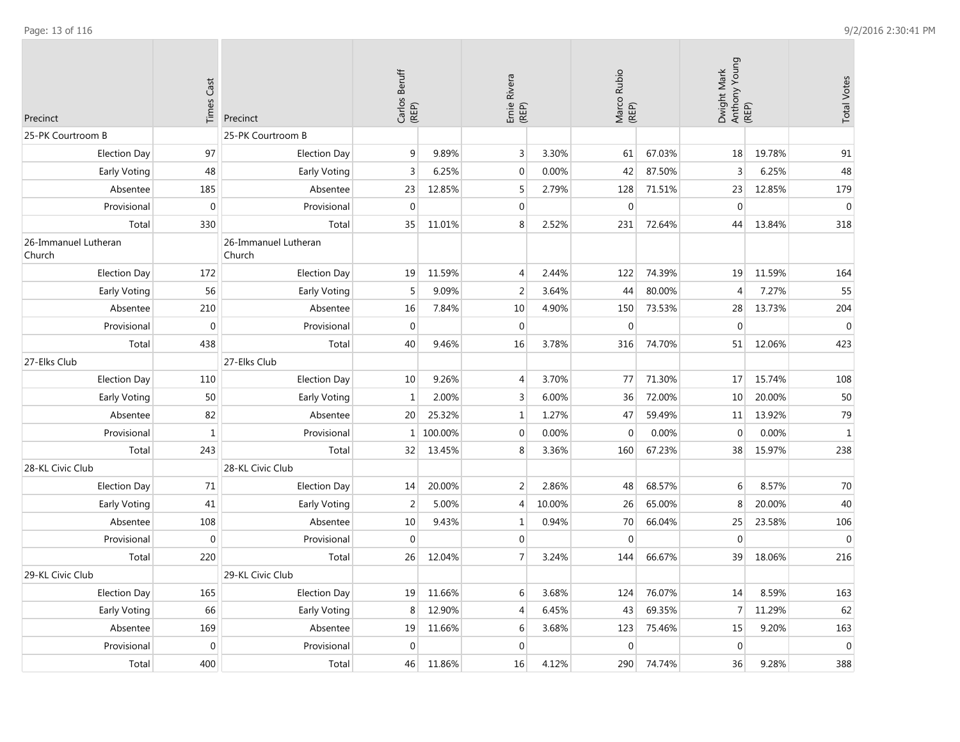| Precinct                       | <b>Times Cast</b> | Precinct                       | Carlos Beruff<br>(REP) |         | Ernie Rivera<br>(REP) |        | Marco Rubio<br>(REP) |        | Dwight Mark<br>Anthony Young<br>(REP) |        | <b>Total Votes</b> |
|--------------------------------|-------------------|--------------------------------|------------------------|---------|-----------------------|--------|----------------------|--------|---------------------------------------|--------|--------------------|
| 25-PK Courtroom B              |                   | 25-PK Courtroom B              |                        |         |                       |        |                      |        |                                       |        |                    |
| <b>Election Day</b>            | 97                | <b>Election Day</b>            | $9\,$                  | 9.89%   | 3                     | 3.30%  | 61                   | 67.03% | 18                                    | 19.78% | 91                 |
| Early Voting                   | 48                | Early Voting                   | $\overline{3}$         | 6.25%   | $\mathbf{0}$          | 0.00%  | 42                   | 87.50% | 3                                     | 6.25%  | 48                 |
| Absentee                       | 185               | Absentee                       | 23                     | 12.85%  | 5                     | 2.79%  | 128                  | 71.51% | 23                                    | 12.85% | 179                |
| Provisional                    | $\overline{0}$    | Provisional                    | $\Omega$               |         | $\overline{0}$        |        | $\Omega$             |        | $\Omega$                              |        | $\mathbf{0}$       |
| Total                          | 330               | Total                          | 35                     | 11.01%  | 8                     | 2.52%  | 231                  | 72.64% | 44                                    | 13.84% | 318                |
| 26-Immanuel Lutheran<br>Church |                   | 26-Immanuel Lutheran<br>Church |                        |         |                       |        |                      |        |                                       |        |                    |
| <b>Election Day</b>            | 172               | <b>Election Day</b>            | 19                     | 11.59%  | $\overline{4}$        | 2.44%  | 122                  | 74.39% | 19                                    | 11.59% | 164                |
| Early Voting                   | 56                | Early Voting                   | 5                      | 9.09%   | $\overline{2}$        | 3.64%  | 44                   | 80.00% | $\overline{4}$                        | 7.27%  | 55                 |
| Absentee                       | 210               | Absentee                       | 16                     | 7.84%   | 10                    | 4.90%  | 150                  | 73.53% | 28                                    | 13.73% | 204                |
| Provisional                    | $\boldsymbol{0}$  | Provisional                    | $\boldsymbol{0}$       |         | $\boldsymbol{0}$      |        | $\mathbf 0$          |        | $\boldsymbol{0}$                      |        | $\pmb{0}$          |
| Total                          | 438               | Total                          | 40                     | 9.46%   | 16                    | 3.78%  | 316                  | 74.70% | 51                                    | 12.06% | 423                |
| 27-Elks Club                   |                   | 27-Elks Club                   |                        |         |                       |        |                      |        |                                       |        |                    |
| <b>Election Day</b>            | 110               | <b>Election Day</b>            | 10                     | 9.26%   | $\overline{4}$        | 3.70%  | 77                   | 71.30% | 17                                    | 15.74% | 108                |
| Early Voting                   | 50                | Early Voting                   | $\mathbf{1}$           | 2.00%   | 3                     | 6.00%  | 36                   | 72.00% | 10                                    | 20.00% | 50                 |
| Absentee                       | 82                | Absentee                       | 20                     | 25.32%  | $\mathbf{1}$          | 1.27%  | 47                   | 59.49% | 11                                    | 13.92% | 79                 |
| Provisional                    | $1\,$             | Provisional                    | $\mathbf{1}$           | 100.00% | $\mathbf 0$           | 0.00%  | $\Omega$             | 0.00%  | $\Omega$                              | 0.00%  | $\mathbf 1$        |
| Total                          | 243               | Total                          | 32                     | 13.45%  | 8                     | 3.36%  | 160                  | 67.23% | 38                                    | 15.97% | 238                |
| 28-KL Civic Club               |                   | 28-KL Civic Club               |                        |         |                       |        |                      |        |                                       |        |                    |
| <b>Election Day</b>            | 71                | <b>Election Day</b>            | 14                     | 20.00%  | 2                     | 2.86%  | 48                   | 68.57% | 6                                     | 8.57%  | 70                 |
| Early Voting                   | 41                | Early Voting                   | $\sqrt{2}$             | 5.00%   | $\overline{4}$        | 10.00% | 26                   | 65.00% | 8                                     | 20.00% | 40                 |
| Absentee                       | 108               | Absentee                       | 10                     | 9.43%   | 1                     | 0.94%  | 70                   | 66.04% | 25                                    | 23.58% | 106                |
| Provisional                    | $\mathbf{0}$      | Provisional                    | $\mathbf{0}$           |         | $\mathbf{0}$          |        | $\mathbf{0}$         |        | $\mathbf{0}$                          |        | $\mathbf{0}$       |
| Total                          | 220               | Total                          | 26                     | 12.04%  | $\overline{7}$        | 3.24%  | 144                  | 66.67% | 39                                    | 18.06% | 216                |
| 29-KL Civic Club               |                   | 29-KL Civic Club               |                        |         |                       |        |                      |        |                                       |        |                    |
| <b>Election Day</b>            | 165               | <b>Election Day</b>            | 19                     | 11.66%  | 6                     | 3.68%  | 124                  | 76.07% | 14                                    | 8.59%  | 163                |
| Early Voting                   | 66                | Early Voting                   | $\,8\,$                | 12.90%  | $\overline{4}$        | 6.45%  | 43                   | 69.35% | $\overline{7}$                        | 11.29% | 62                 |
| Absentee                       | 169               | Absentee                       | 19                     | 11.66%  | 6                     | 3.68%  | 123                  | 75.46% | 15                                    | 9.20%  | 163                |
| Provisional                    | $\mathbf 0$       | Provisional                    | $\boldsymbol{0}$       |         | $\overline{0}$        |        | $\mathbf 0$          |        | $\boldsymbol{0}$                      |        | $\pmb{0}$          |
| Total                          | 400               | Total                          | 46                     | 11.86%  | 16                    | 4.12%  | 290                  | 74.74% | 36                                    | 9.28%  | 388                |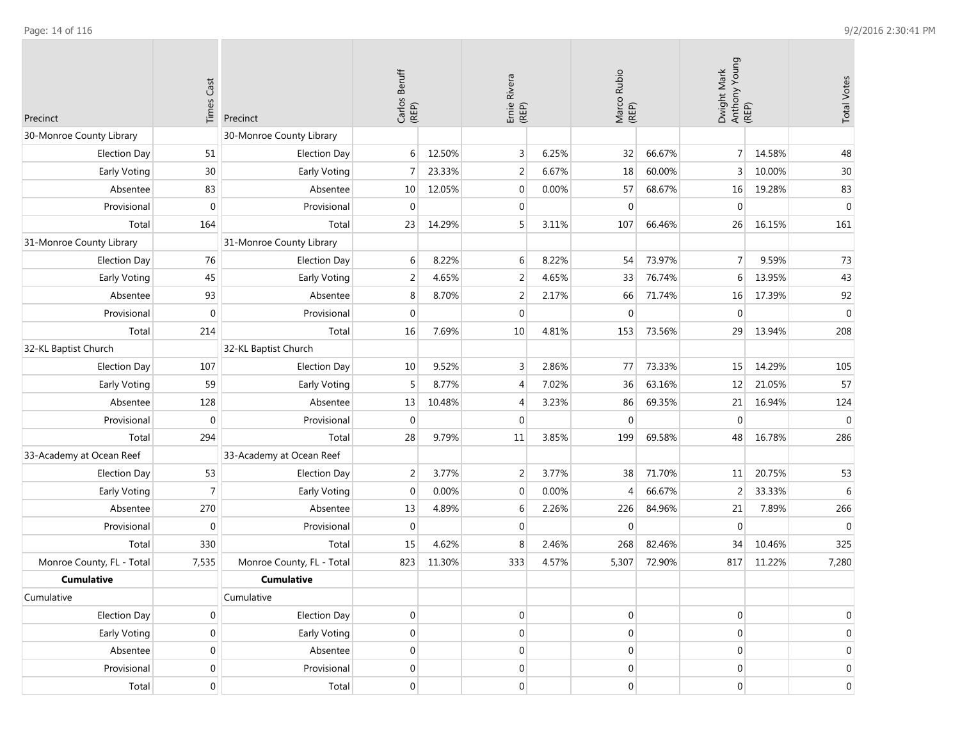| Precinct                  | <b>Times Cast</b> | Precinct                  | Carlos Beruff<br>(REP) |        | Ernie Rivera<br>(REP) |       | Marco Rubio<br>(REP) |        | Dwight Mark<br>Anthony Young<br>(REP) |        | <b>Total Votes</b> |
|---------------------------|-------------------|---------------------------|------------------------|--------|-----------------------|-------|----------------------|--------|---------------------------------------|--------|--------------------|
| 30-Monroe County Library  |                   | 30-Monroe County Library  |                        |        |                       |       |                      |        |                                       |        |                    |
| <b>Election Day</b>       | 51                | <b>Election Day</b>       | 6 <sup>1</sup>         | 12.50% | 3                     | 6.25% | 32                   | 66.67% | 7 <sup>1</sup>                        | 14.58% | 48                 |
| Early Voting              | 30                | Early Voting              | $\overline{7}$         | 23.33% | $\overline{2}$        | 6.67% | 18                   | 60.00% | 3                                     | 10.00% | 30                 |
| Absentee                  | 83                | Absentee                  | 10                     | 12.05% | $\mathbf 0$           | 0.00% | 57                   | 68.67% | 16                                    | 19.28% | 83                 |
| Provisional               | $\mathbf 0$       | Provisional               | $\mathbf 0$            |        | $\overline{0}$        |       | $\mathbf 0$          |        | $\mathbf 0$                           |        | $\mathbf 0$        |
| Total                     | 164               | Total                     | 23                     | 14.29% | 5                     | 3.11% | 107                  | 66.46% | 26                                    | 16.15% | 161                |
| 31-Monroe County Library  |                   | 31-Monroe County Library  |                        |        |                       |       |                      |        |                                       |        |                    |
| <b>Election Day</b>       | 76                | <b>Election Day</b>       | 6                      | 8.22%  | 6                     | 8.22% | 54                   | 73.97% | $\overline{7}$                        | 9.59%  | 73                 |
| Early Voting              | 45                | Early Voting              | $\overline{2}$         | 4.65%  | 2                     | 4.65% | 33                   | 76.74% | 6                                     | 13.95% | 43                 |
| Absentee                  | 93                | Absentee                  | 8                      | 8.70%  | $\overline{2}$        | 2.17% | 66                   | 71.74% | 16                                    | 17.39% | 92                 |
| Provisional               | $\mathbf{0}$      | Provisional               | $\mathbf{0}$           |        | $\mathbf{0}$          |       | $\mathbf{0}$         |        | $\mathbf{0}$                          |        | $\mathbf{0}$       |
| Total                     | 214               | Total                     | 16                     | 7.69%  | 10                    | 4.81% | 153                  | 73.56% | 29                                    | 13.94% | 208                |
| 32-KL Baptist Church      |                   | 32-KL Baptist Church      |                        |        |                       |       |                      |        |                                       |        |                    |
| <b>Election Day</b>       | 107               | <b>Election Day</b>       | 10                     | 9.52%  | 3                     | 2.86% | 77                   | 73.33% | 15                                    | 14.29% | 105                |
| Early Voting              | 59                | Early Voting              | 5                      | 8.77%  | 4                     | 7.02% | 36                   | 63.16% | 12                                    | 21.05% | 57                 |
| Absentee                  | 128               | Absentee                  | 13                     | 10.48% | 4                     | 3.23% | 86                   | 69.35% | 21                                    | 16.94% | 124                |
| Provisional               | $\mathbf 0$       | Provisional               | $\boldsymbol{0}$       |        | $\mathbf{0}$          |       | $\mathbf 0$          |        | $\mathbf 0$                           |        | $\mathbf 0$        |
| Total                     | 294               | Total                     | 28                     | 9.79%  | 11                    | 3.85% | 199                  | 69.58% | 48                                    | 16.78% | 286                |
| 33-Academy at Ocean Reef  |                   | 33-Academy at Ocean Reef  |                        |        |                       |       |                      |        |                                       |        |                    |
| <b>Election Day</b>       | 53                | <b>Election Day</b>       | $\overline{2}$         | 3.77%  | 2                     | 3.77% | 38                   | 71.70% | 11                                    | 20.75% | 53                 |
| Early Voting              | $\overline{7}$    | Early Voting              | $\mathbf 0$            | 0.00%  | $\mathbf 0$           | 0.00% | 4                    | 66.67% | $\overline{2}$                        | 33.33% | 6                  |
| Absentee                  | 270               | Absentee                  | 13                     | 4.89%  | 6                     | 2.26% | 226                  | 84.96% | 21                                    | 7.89%  | 266                |
| Provisional               | $\mathbf 0$       | Provisional               | $\mathbf 0$            |        | $\mathbf{0}$          |       | $\mathbf 0$          |        | $\mathbf 0$                           |        | $\mathbf 0$        |
| Total                     | 330               | Total                     | 15                     | 4.62%  | 8                     | 2.46% | 268                  | 82.46% | 34                                    | 10.46% | 325                |
| Monroe County, FL - Total | 7,535             | Monroe County, FL - Total | 823                    | 11.30% | 333                   | 4.57% | 5,307                | 72.90% | 817                                   | 11.22% | 7,280              |
| <b>Cumulative</b>         |                   | <b>Cumulative</b>         |                        |        |                       |       |                      |        |                                       |        |                    |
| Cumulative                |                   | Cumulative                |                        |        |                       |       |                      |        |                                       |        |                    |
| <b>Election Day</b>       | $\overline{0}$    | Election Day              | $\boldsymbol{0}$       |        | $\overline{0}$        |       | $\boldsymbol{0}$     |        | $\boldsymbol{0}$                      |        | $\mathbf 0$        |
| Early Voting              | $\overline{0}$    | Early Voting              | $\boldsymbol{0}$       |        | $\mathbf 0$           |       | $\boldsymbol{0}$     |        | $\boldsymbol{0}$                      |        | $\mathbf 0$        |
| Absentee                  | $\boldsymbol{0}$  | Absentee                  | $\boldsymbol{0}$       |        | $\mathbf{0}$          |       | $\boldsymbol{0}$     |        | $\mathbf 0$                           |        | $\mathbf 0$        |
| Provisional               | $\boldsymbol{0}$  | Provisional               | $\boldsymbol{0}$       |        | 0                     |       | $\boldsymbol{0}$     |        | $\boldsymbol{0}$                      |        | $\boldsymbol{0}$   |
| Total                     | $\overline{0}$    | Total                     | $\vert 0 \vert$        |        | $\overline{0}$        |       | $\boldsymbol{0}$     |        | $\boldsymbol{0}$                      |        | $\boldsymbol{0}$   |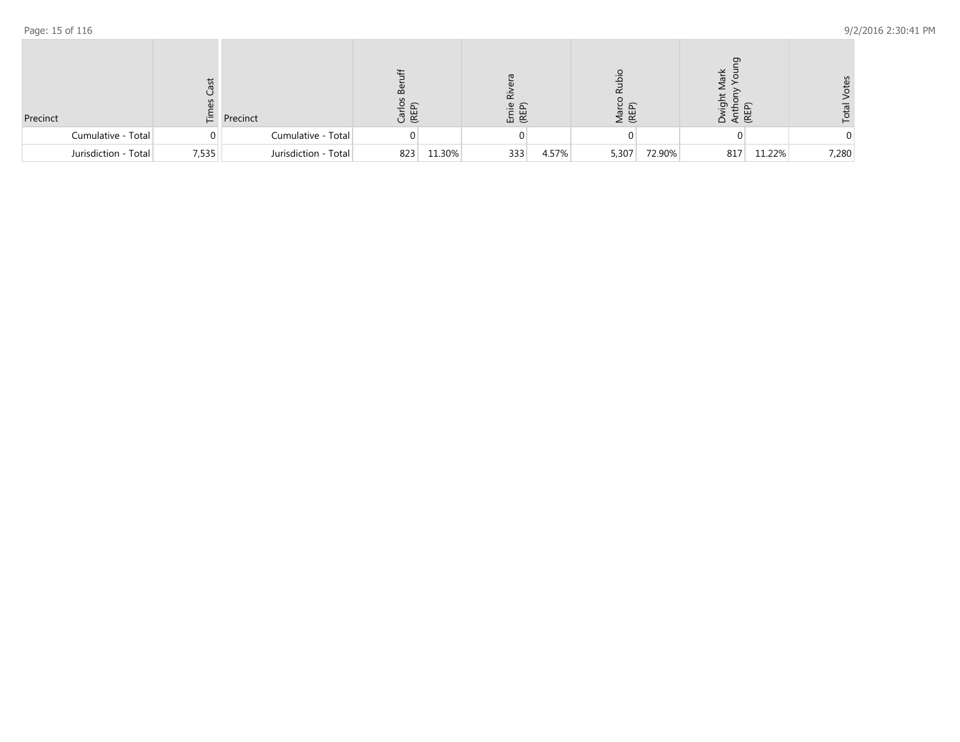| Precinct             |       | <b>上</b> Precinct    | Ja<br>Ca |        | ய<br>고 또 |       | Marc<br>(REP) |        | Ant<br>(RE |        | Ωg    |
|----------------------|-------|----------------------|----------|--------|----------|-------|---------------|--------|------------|--------|-------|
| Cumulative - Total   |       | Cumulative - Total   |          |        |          |       |               |        |            |        |       |
| Jurisdiction - Total | 7,535 | Jurisdiction - Total | 823      | 11.30% | 333      | 4.57% | 5,307         | 72.90% | 817        | 11.22% | 7,280 |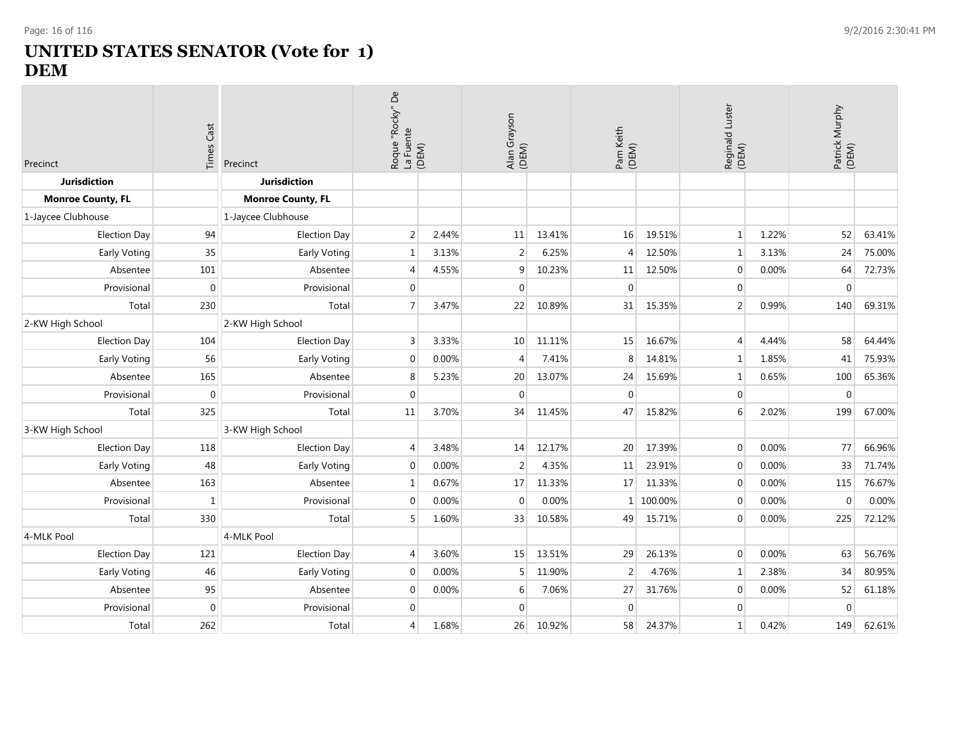# **UNITED STATES SENATOR (Vote for 1) DEM**

| Precinct                 | <b>Times Cast</b> | Precinct                 |                | Roque "Rocky" De<br>La Fuente<br>(DEM) |                  | Alan Grayson<br>(DEM) |                | Pam Keith<br>(DEM) |                  | Reginald Luster<br>(DEM) |                  | Patrick Murphy<br>(DEM) |
|--------------------------|-------------------|--------------------------|----------------|----------------------------------------|------------------|-----------------------|----------------|--------------------|------------------|--------------------------|------------------|-------------------------|
| <b>Jurisdiction</b>      |                   | <b>Jurisdiction</b>      |                |                                        |                  |                       |                |                    |                  |                          |                  |                         |
| <b>Monroe County, FL</b> |                   | <b>Monroe County, FL</b> |                |                                        |                  |                       |                |                    |                  |                          |                  |                         |
| 1-Jaycee Clubhouse       |                   | 1-Jaycee Clubhouse       |                |                                        |                  |                       |                |                    |                  |                          |                  |                         |
| <b>Election Day</b>      | 94                | <b>Election Day</b>      | $\overline{2}$ | 2.44%                                  | 11               | 13.41%                | 16             | 19.51%             | $\mathbf{1}$     | 1.22%                    | 52               | 63.41%                  |
| Early Voting             | 35                | Early Voting             | $\mathbf{1}$   | 3.13%                                  | $\overline{2}$   | 6.25%                 | 4              | 12.50%             | $\mathbf{1}$     | 3.13%                    | 24               | 75.00%                  |
| Absentee                 | 101               | Absentee                 | 4              | 4.55%                                  | 9                | 10.23%                | 11             | 12.50%             | $\boldsymbol{0}$ | 0.00%                    | 64               | 72.73%                  |
| Provisional              | $\mathbf{0}$      | Provisional              | $\overline{0}$ |                                        | $\mathbf{0}$     |                       | $\overline{0}$ |                    | $\overline{0}$   |                          | $\mathbf{0}$     |                         |
| Total                    | 230               | Total                    | $\overline{7}$ | 3.47%                                  | 22               | 10.89%                | 31             | 15.35%             | $\overline{2}$   | 0.99%                    | 140              | 69.31%                  |
| 2-KW High School         |                   | 2-KW High School         |                |                                        |                  |                       |                |                    |                  |                          |                  |                         |
| <b>Election Day</b>      | 104               | <b>Election Day</b>      | 3              | 3.33%                                  | 10               | 11.11%                | 15             | 16.67%             | $\overline{4}$   | 4.44%                    | 58               | 64.44%                  |
| Early Voting             | 56                | Early Voting             | $\mathbf 0$    | 0.00%                                  | $\overline{4}$   | 7.41%                 | 8              | 14.81%             | $\mathbf{1}$     | 1.85%                    | 41               | 75.93%                  |
| Absentee                 | 165               | Absentee                 | 8              | 5.23%                                  | 20               | 13.07%                | 24             | 15.69%             | $\mathbf{1}$     | 0.65%                    | 100              | 65.36%                  |
| Provisional              | $\mathbf{0}$      | Provisional              | $\mathbf 0$    |                                        | $\boldsymbol{0}$ |                       | $\overline{0}$ |                    | $\mathbf{0}$     |                          | $\boldsymbol{0}$ |                         |
| Total                    | 325               | Total                    | 11             | 3.70%                                  | 34               | 11.45%                | 47             | 15.82%             | 6                | 2.02%                    | 199              | 67.00%                  |
| 3-KW High School         |                   | 3-KW High School         |                |                                        |                  |                       |                |                    |                  |                          |                  |                         |
| <b>Election Day</b>      | 118               | <b>Election Day</b>      | 4              | 3.48%                                  | 14               | 12.17%                | 20             | 17.39%             | $\mathbf{0}$     | 0.00%                    | 77               | 66.96%                  |
| Early Voting             | 48                | Early Voting             | $\mathbf 0$    | 0.00%                                  | $\overline{2}$   | 4.35%                 | 11             | 23.91%             | $\mathbf{0}$     | 0.00%                    | 33               | 71.74%                  |
| Absentee                 | 163               | Absentee                 | $\mathbf{1}$   | 0.67%                                  | 17               | 11.33%                | 17             | 11.33%             | $\mathbf 0$      | 0.00%                    | 115              | 76.67%                  |
| Provisional              | 1                 | Provisional              | $\mathbf 0$    | 0.00%                                  | $\mathbf 0$      | 0.00%                 | $\mathbf{1}$   | 100.00%            | $\mathbf{0}$     | 0.00%                    | $\Omega$         | 0.00%                   |
| Total                    | 330               | Total                    | 5              | 1.60%                                  | 33               | 10.58%                | 49             | 15.71%             | $\mathbf 0$      | 0.00%                    | 225              | 72.12%                  |
| 4-MLK Pool               |                   | 4-MLK Pool               |                |                                        |                  |                       |                |                    |                  |                          |                  |                         |
| <b>Election Day</b>      | 121               | <b>Election Day</b>      | 4              | 3.60%                                  | 15               | 13.51%                | 29             | 26.13%             | $\overline{0}$   | 0.00%                    | 63               | 56.76%                  |
| Early Voting             | 46                | Early Voting             | $\overline{0}$ | 0.00%                                  | 5                | 11.90%                | $\overline{2}$ | 4.76%              | $\mathbf{1}$     | 2.38%                    | 34               | 80.95%                  |
| Absentee                 | 95                | Absentee                 | $\overline{0}$ | 0.00%                                  | 6                | 7.06%                 | 27             | 31.76%             | $\overline{0}$   | 0.00%                    | 52               | 61.18%                  |
| Provisional              | $\mathbf{0}$      | Provisional              | $\overline{0}$ |                                        | $\mathbf 0$      |                       | $\Omega$       |                    | $\mathbf 0$      |                          | $\mathbf 0$      |                         |
| Total                    | 262               | Total                    | 4              | 1.68%                                  | 26               | 10.92%                | 58             | 24.37%             | $\mathbf{1}$     | 0.42%                    | 149              | 62.61%                  |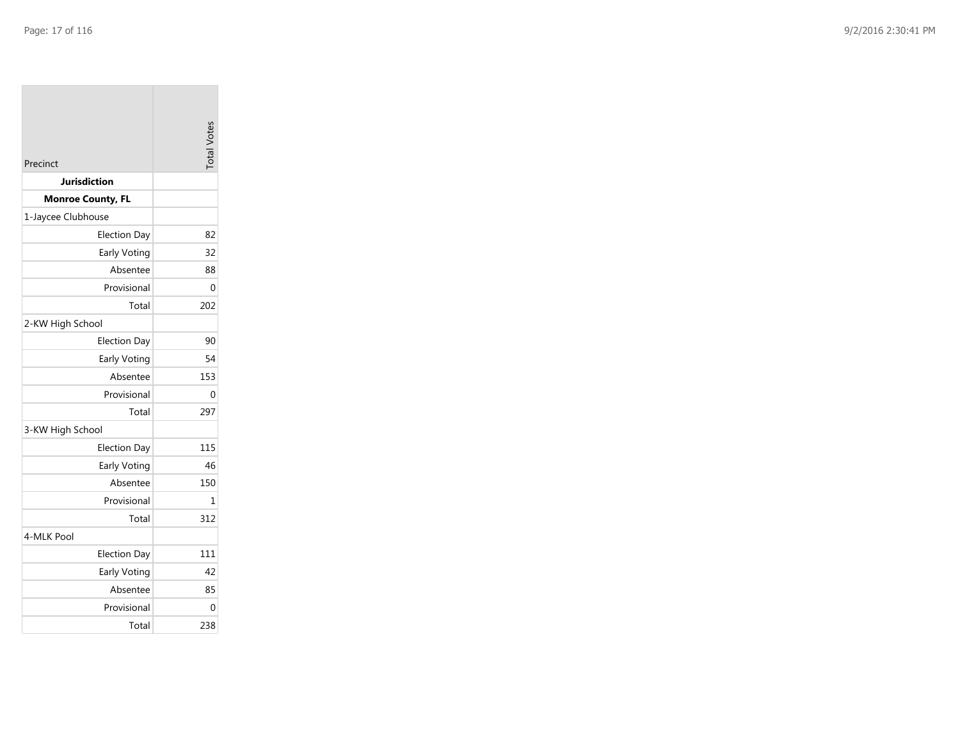| Precinct                 | <b>Total Votes</b> |
|--------------------------|--------------------|
| Jurisdiction             |                    |
| <b>Monroe County, FL</b> |                    |
| 1-Jaycee Clubhouse       |                    |
| <b>Election Day</b>      | 82                 |
| Early Voting             | 32                 |
| Absentee                 | 88                 |
| Provisional              | 0                  |
| Total                    | 202                |
| 2-KW High School         |                    |
| <b>Election Day</b>      | 90                 |
| Early Voting             | 54                 |
| Absentee                 | 153                |
| Provisional              | 0                  |
| Total                    | 297                |
| 3-KW High School         |                    |
| <b>Election Day</b>      | 115                |
| Early Voting             | 46                 |
| Absentee                 | 150                |
| Provisional              | 1                  |
| Total                    | 312                |
| 4-MLK Pool               |                    |
| <b>Election Day</b>      | 111                |
| Early Voting             | 42                 |
| Absentee                 | 85                 |
| Provisional              | 0                  |
| Total                    | 238                |
|                          |                    |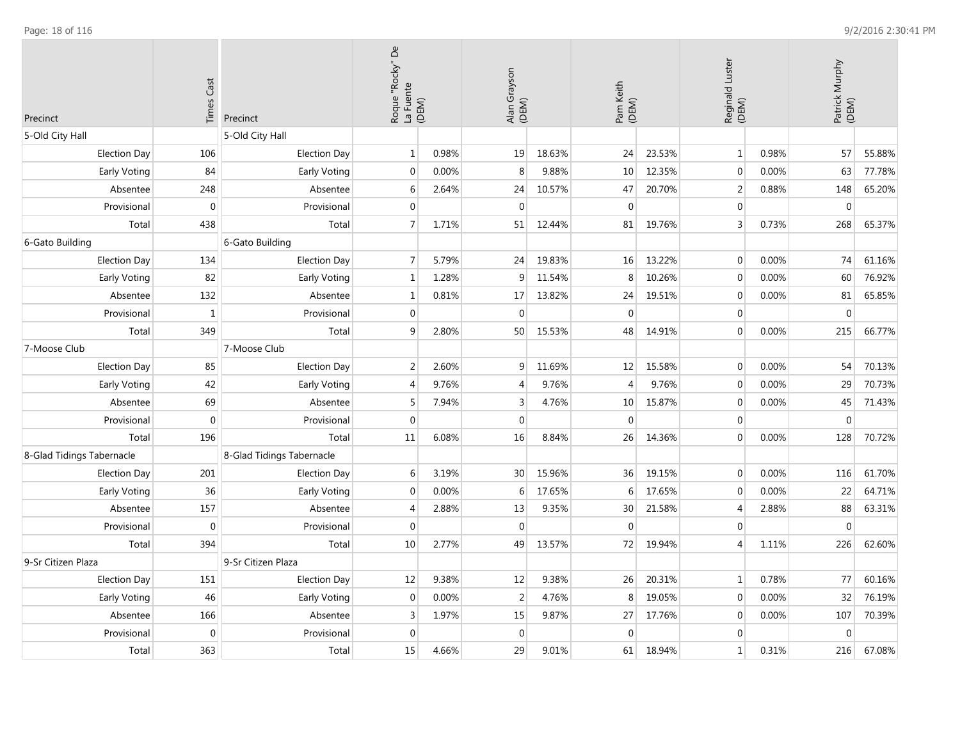| Precinct                  | <b>Times Cast</b> | Precinct                  | Roque "Rocky" De<br>La Fuente<br>(DEM) |       | Alan Grayson<br>(DEM) |        | Pam Keith<br>(DEM) |        | Luster<br>Reginald I<br>(DEM) |       | Patrick Murphy<br>(DEM) |        |
|---------------------------|-------------------|---------------------------|----------------------------------------|-------|-----------------------|--------|--------------------|--------|-------------------------------|-------|-------------------------|--------|
| 5-Old City Hall           |                   | 5-Old City Hall           |                                        |       |                       |        |                    |        |                               |       |                         |        |
| <b>Election Day</b>       | 106               | <b>Election Day</b>       | $1\,$                                  | 0.98% | 19                    | 18.63% | 24                 | 23.53% | $\mathbf 1$                   | 0.98% | 57                      | 55.88% |
| Early Voting              | 84                | Early Voting              | $\mathbf{0}$                           | 0.00% | 8                     | 9.88%  | 10                 | 12.35% | $\mathbf 0$                   | 0.00% | 63                      | 77.78% |
| Absentee                  | 248               | Absentee                  | 6                                      | 2.64% | 24                    | 10.57% | 47                 | 20.70% | 2                             | 0.88% | 148                     | 65.20% |
| Provisional               | $\boldsymbol{0}$  | Provisional               | $\Omega$                               |       | $\mathbf{0}$          |        | $\Omega$           |        | $\mathbf{0}$                  |       | $\mathbf{0}$            |        |
| Total                     | 438               | Total                     | $\overline{7}$                         | 1.71% | 51                    | 12.44% | 81                 | 19.76% | $\overline{3}$                | 0.73% | 268                     | 65.37% |
| 6-Gato Building           |                   | 6-Gato Building           |                                        |       |                       |        |                    |        |                               |       |                         |        |
| <b>Election Day</b>       | 134               | <b>Election Day</b>       | $\overline{7}$                         | 5.79% | 24                    | 19.83% | 16                 | 13.22% | $\mathbf{0}$                  | 0.00% | 74                      | 61.16% |
| Early Voting              | 82                | Early Voting              | $\mathbf{1}$                           | 1.28% | 9                     | 11.54% | 8                  | 10.26% | $\mathbf 0$                   | 0.00% | 60                      | 76.92% |
| Absentee                  | 132               | Absentee                  | $\mathbf{1}$                           | 0.81% | 17                    | 13.82% | 24                 | 19.51% | $\mathbf{0}$                  | 0.00% | 81                      | 65.85% |
| Provisional               | $\mathbf{1}$      | Provisional               | $\boldsymbol{0}$                       |       | $\pmb{0}$             |        | $\Omega$           |        | $\boldsymbol{0}$              |       | $\boldsymbol{0}$        |        |
| Total                     | 349               | Total                     | 9                                      | 2.80% | 50                    | 15.53% | 48                 | 14.91% | $\mathbf{0}$                  | 0.00% | 215                     | 66.77% |
| 7-Moose Club              |                   | 7-Moose Club              |                                        |       |                       |        |                    |        |                               |       |                         |        |
| <b>Election Day</b>       | 85                | <b>Election Day</b>       | $\overline{2}$                         | 2.60% | $\boldsymbol{9}$      | 11.69% | 12                 | 15.58% | $\boldsymbol{0}$              | 0.00% | 54                      | 70.13% |
| Early Voting              | 42                | Early Voting              | $\overline{4}$                         | 9.76% | $\overline{4}$        | 9.76%  | $\overline{4}$     | 9.76%  | $\mathbf 0$                   | 0.00% | 29                      | 70.73% |
| Absentee                  | 69                | Absentee                  | 5                                      | 7.94% | 3                     | 4.76%  | 10                 | 15.87% | $\mathbf 0$                   | 0.00% | 45                      | 71.43% |
| Provisional               | $\boldsymbol{0}$  | Provisional               | $\Omega$                               |       | $\boldsymbol{0}$      |        | $\Omega$           |        | $\boldsymbol{0}$              |       | $\boldsymbol{0}$        |        |
| Total                     | 196               | Total                     | 11                                     | 6.08% | 16                    | 8.84%  | 26                 | 14.36% | $\mathbf 0$                   | 0.00% | 128                     | 70.72% |
| 8-Glad Tidings Tabernacle |                   | 8-Glad Tidings Tabernacle |                                        |       |                       |        |                    |        |                               |       |                         |        |
| <b>Election Day</b>       | 201               | <b>Election Day</b>       | 6                                      | 3.19% | 30                    | 15.96% | 36                 | 19.15% | $\boldsymbol{0}$              | 0.00% | 116                     | 61.70% |
| Early Voting              | 36                | Early Voting              | $\mathbf{0}$                           | 0.00% | 6                     | 17.65% | 6                  | 17.65% | $\mathbf 0$                   | 0.00% | 22                      | 64.71% |
| Absentee                  | 157               | Absentee                  | $\overline{4}$                         | 2.88% | 13                    | 9.35%  | 30                 | 21.58% | $\overline{4}$                | 2.88% | 88                      | 63.31% |
| Provisional               | $\boldsymbol{0}$  | Provisional               | $\mathbf 0$                            |       | $\mathbf 0$           |        | $\overline{0}$     |        | $\mathbf 0$                   |       | $\mathbf 0$             |        |
| Total                     | 394               | Total                     | 10                                     | 2.77% | 49                    | 13.57% | 72                 | 19.94% | $\overline{4}$                | 1.11% | 226                     | 62.60% |
| 9-Sr Citizen Plaza        |                   | 9-Sr Citizen Plaza        |                                        |       |                       |        |                    |        |                               |       |                         |        |
| <b>Election Day</b>       | 151               | <b>Election Day</b>       | 12                                     | 9.38% | 12                    | 9.38%  | 26                 | 20.31% | $\mathbf{1}$                  | 0.78% | 77                      | 60.16% |
| Early Voting              | 46                | Early Voting              | $\mathbf{0}$                           | 0.00% | $\overline{2}$        | 4.76%  | 8                  | 19.05% | $\mathbf 0$                   | 0.00% | 32                      | 76.19% |
| Absentee                  | 166               | Absentee                  | 3                                      | 1.97% | 15                    | 9.87%  | 27                 | 17.76% | $\mathbf{0}$                  | 0.00% | 107                     | 70.39% |
| Provisional               | $\pmb{0}$         | Provisional               | $\mathbf 0$                            |       | $\boldsymbol{0}$      |        | $\overline{0}$     |        | $\mathbf 0$                   |       | $\mathbf 0$             |        |
| Total                     | 363               | Total                     | 15                                     | 4.66% | 29                    | 9.01%  | 61                 | 18.94% | $\mathbf{1}$                  | 0.31% | 216                     | 67.08% |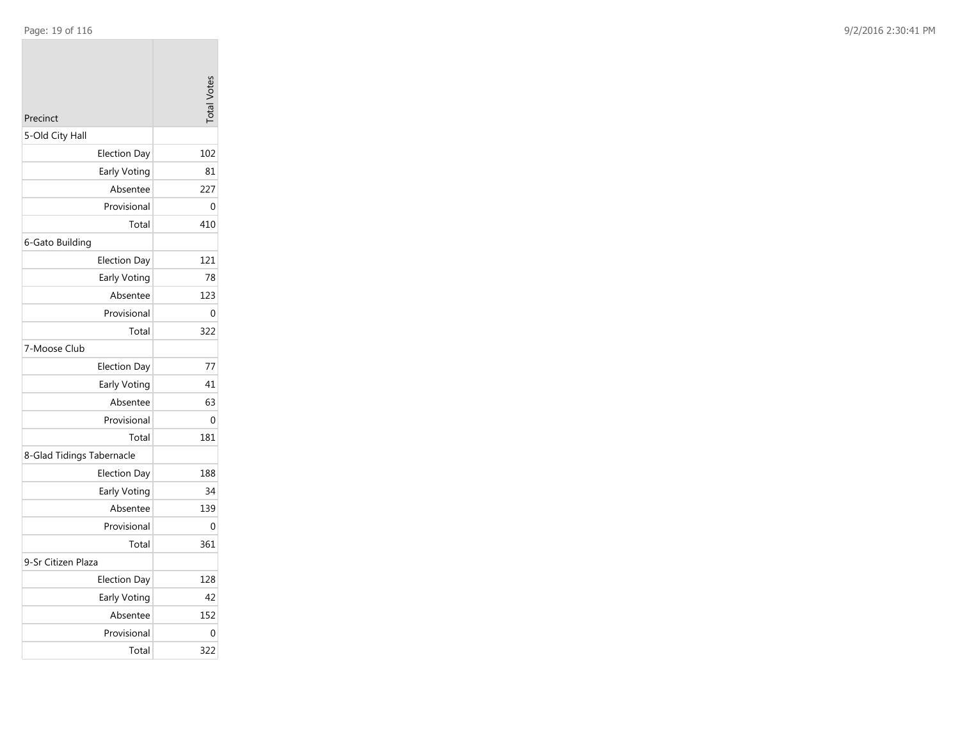| Precinct                  | <b>Total Votes</b> |
|---------------------------|--------------------|
| 5-Old City Hall           |                    |
| <b>Election Day</b>       | 102                |
| Early Voting              | 81                 |
| Absentee                  | 227                |
| Provisional               | 0                  |
| Total                     | 410                |
| 6-Gato Building           |                    |
| <b>Election Day</b>       | 121                |
| Early Voting              | 78                 |
| Absentee                  | 123                |
| Provisional               | 0                  |
| Total                     | 322                |
| 7-Moose Club              |                    |
| <b>Election Day</b>       | 77                 |
| Early Voting              | 41                 |
| Absentee                  | 63                 |
| Provisional               | 0                  |
| Total                     | 181                |
| 8-Glad Tidings Tabernacle |                    |
| <b>Election Day</b>       | 188                |
| Early Voting              | 34                 |
| Absentee                  | 139                |
| Provisional               | 0                  |
| Total                     | 361                |
| 9-Sr Citizen Plaza        |                    |
| <b>Election Day</b>       | 128                |
| Early Voting              | 42                 |
| Absentee                  | 152                |
| Provisional               | 0                  |
| Total                     | 322                |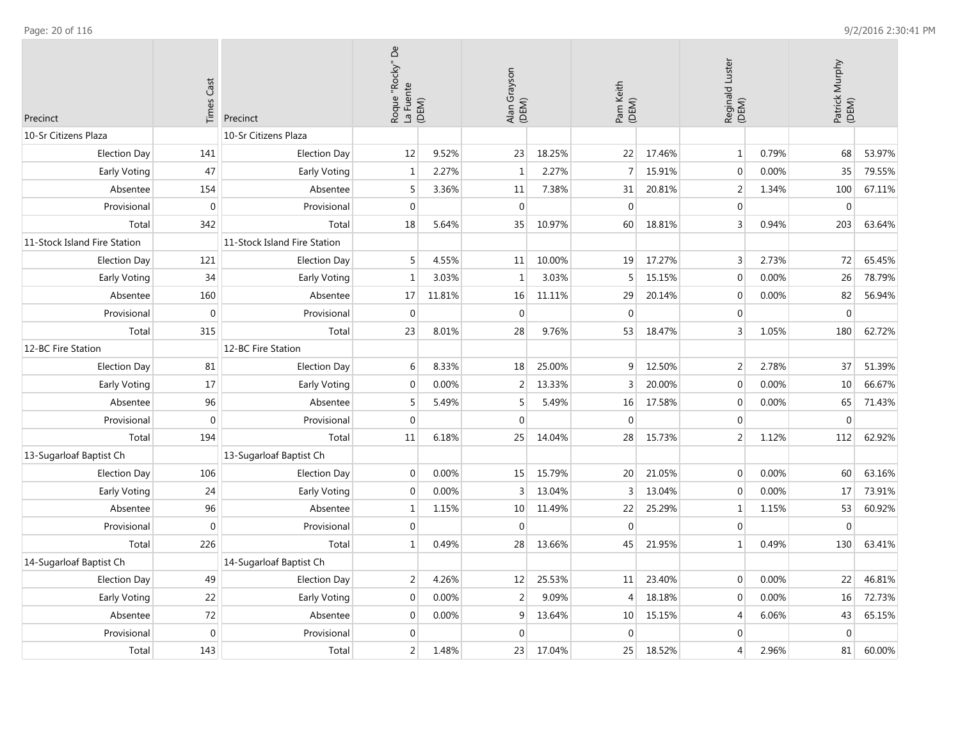| Precinct                     | <b>Times Cast</b> | Precinct                     | $\mathsf{D}^{\mathsf{e}}$<br>Roque "Rocky" [<br>La Fuente | (DEM)  | Alan Grayson<br>(DEM) |        | Pam Keith<br>(DEM) |        | Luster<br>Reginald I<br>(DEM) |       | Patrick Murphy<br>(DEM) |        |
|------------------------------|-------------------|------------------------------|-----------------------------------------------------------|--------|-----------------------|--------|--------------------|--------|-------------------------------|-------|-------------------------|--------|
| 10-Sr Citizens Plaza         |                   | 10-Sr Citizens Plaza         |                                                           |        |                       |        |                    |        |                               |       |                         |        |
| <b>Election Day</b>          | 141               | <b>Election Day</b>          | 12                                                        | 9.52%  | 23                    | 18.25% | 22                 | 17.46% | $\mathbf{1}$                  | 0.79% | 68                      | 53.97% |
| Early Voting                 | 47                | Early Voting                 | $\mathbf{1}$                                              | 2.27%  | $\mathbf{1}$          | 2.27%  | $\overline{7}$     | 15.91% | $\mathbf 0$                   | 0.00% | 35                      | 79.55% |
| Absentee                     | 154               | Absentee                     | 5                                                         | 3.36%  | 11                    | 7.38%  | 31                 | 20.81% | $\overline{2}$                | 1.34% | 100                     | 67.11% |
| Provisional                  | $\mathbf 0$       | Provisional                  | $\mathbf{0}$                                              |        | $\boldsymbol{0}$      |        | $\mathbf 0$        |        | $\mathbf{0}$                  |       | $\mathbf{0}$            |        |
| Total                        | 342               | Total                        | 18                                                        | 5.64%  | 35                    | 10.97% | 60                 | 18.81% | $\overline{3}$                | 0.94% | 203                     | 63.64% |
| 11-Stock Island Fire Station |                   | 11-Stock Island Fire Station |                                                           |        |                       |        |                    |        |                               |       |                         |        |
| <b>Election Day</b>          | 121               | <b>Election Day</b>          | 5                                                         | 4.55%  | 11                    | 10.00% | 19                 | 17.27% | 3                             | 2.73% | 72                      | 65.45% |
| <b>Early Voting</b>          | 34                | Early Voting                 | $\mathbf{1}$                                              | 3.03%  | $\mathbf{1}$          | 3.03%  | 5                  | 15.15% | $\mathbf{0}$                  | 0.00% | 26                      | 78.79% |
| Absentee                     | 160               | Absentee                     | 17                                                        | 11.81% | 16                    | 11.11% | 29                 | 20.14% | $\mathbf 0$                   | 0.00% | 82                      | 56.94% |
| Provisional                  | $\mathbf 0$       | Provisional                  | $\boldsymbol{0}$                                          |        | $\boldsymbol{0}$      |        | $\mathbf 0$        |        | $\mathbf 0$                   |       | $\mathbf 0$             |        |
| Total                        | 315               | Total                        | 23                                                        | 8.01%  | 28                    | 9.76%  | 53                 | 18.47% | $\mathsf 3$                   | 1.05% | 180                     | 62.72% |
| 12-BC Fire Station           |                   | 12-BC Fire Station           |                                                           |        |                       |        |                    |        |                               |       |                         |        |
| <b>Election Day</b>          | 81                | <b>Election Day</b>          | 6                                                         | 8.33%  | 18                    | 25.00% | 9                  | 12.50% | $\overline{2}$                | 2.78% | 37                      | 51.39% |
| <b>Early Voting</b>          | 17                | Early Voting                 | $\mathbf{0}$                                              | 0.00%  | $\overline{2}$        | 13.33% | 3                  | 20.00% | $\mathbf{0}$                  | 0.00% | 10                      | 66.67% |
| Absentee                     | 96                | Absentee                     | 5                                                         | 5.49%  | 5                     | 5.49%  | 16                 | 17.58% | $\mathbf 0$                   | 0.00% | 65                      | 71.43% |
| Provisional                  | $\mathbf 0$       | Provisional                  | $\mathbf 0$                                               |        | $\mathbf 0$           |        | $\mathbf 0$        |        | $\mathbf{0}$                  |       | $\mathbf 0$             |        |
| Total                        | 194               | Total                        | 11                                                        | 6.18%  | 25                    | 14.04% | 28                 | 15.73% | $\overline{2}$                | 1.12% | 112                     | 62.92% |
| 13-Sugarloaf Baptist Ch      |                   | 13-Sugarloaf Baptist Ch      |                                                           |        |                       |        |                    |        |                               |       |                         |        |
| <b>Election Day</b>          | 106               | <b>Election Day</b>          | $\mathbf 0$                                               | 0.00%  | 15                    | 15.79% | 20                 | 21.05% | $\mathbf 0$                   | 0.00% | 60                      | 63.16% |
| Early Voting                 | 24                | Early Voting                 | $\mathbf 0$                                               | 0.00%  | $\overline{3}$        | 13.04% | 3                  | 13.04% | $\mathbf{0}$                  | 0.00% | 17                      | 73.91% |
| Absentee                     | 96                | Absentee                     | $\mathbf{1}$                                              | 1.15%  | 10                    | 11.49% | 22                 | 25.29% | $\mathbf{1}$                  | 1.15% | 53                      | 60.92% |
| Provisional                  | $\boldsymbol{0}$  | Provisional                  | $\mathbf 0$                                               |        | $\mathbf 0$           |        | $\mathbf 0$        |        | $\mathbf{0}$                  |       | $\mathbf 0$             |        |
| Total                        | 226               | Total                        | $\mathbf{1}$                                              | 0.49%  | 28                    | 13.66% | 45                 | 21.95% | $\mathbf{1}$                  | 0.49% | 130                     | 63.41% |
| 14-Sugarloaf Baptist Ch      |                   | 14-Sugarloaf Baptist Ch      |                                                           |        |                       |        |                    |        |                               |       |                         |        |
| <b>Election Day</b>          | 49                | <b>Election Day</b>          | 2                                                         | 4.26%  | 12                    | 25.53% | 11                 | 23.40% | $\mathbf{0}$                  | 0.00% | 22                      | 46.81% |
| Early Voting                 | 22                | Early Voting                 | $\mathbf 0$                                               | 0.00%  | $\overline{2}$        | 9.09%  | $\overline{4}$     | 18.18% | $\mathbf{0}$                  | 0.00% | 16                      | 72.73% |
| Absentee                     | 72                | Absentee                     | $\mathbf{0}$                                              | 0.00%  | 9                     | 13.64% | 10                 | 15.15% | $\overline{4}$                | 6.06% | 43                      | 65.15% |
| Provisional                  | $\mathbf 0$       | Provisional                  | $\mathbf 0$                                               |        | $\mathbf 0$           |        | $\mathbf{0}$       |        | $\mathbf{0}$                  |       | $\mathbf 0$             |        |
| Total                        | 143               | Total                        | 2                                                         | 1.48%  | 23                    | 17.04% | 25                 | 18.52% | $\overline{4}$                | 2.96% | 81                      | 60.00% |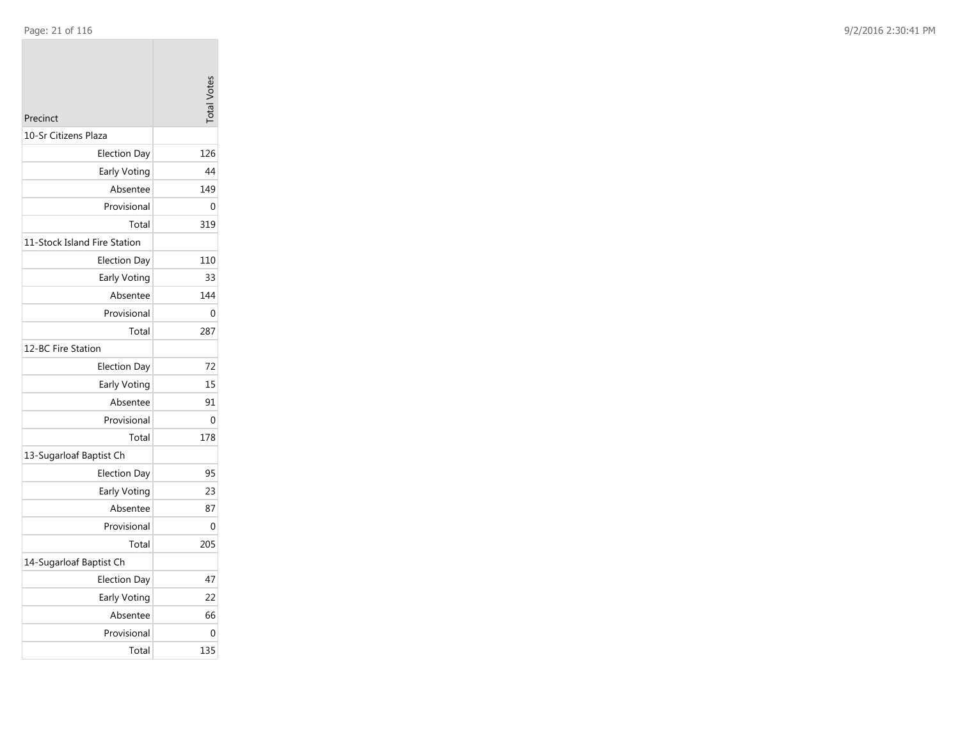| Precinct                     | <b>Total Votes</b> |
|------------------------------|--------------------|
| 10-Sr Citizens Plaza         |                    |
| <b>Election Day</b>          | 126                |
| Early Voting                 | 44                 |
| Absentee                     | 149                |
| Provisional                  | 0                  |
| Total                        | 319                |
| 11-Stock Island Fire Station |                    |
| <b>Election Day</b>          | 110                |
| Early Voting                 | 33                 |
| Absentee                     | 144                |
| Provisional                  | 0                  |
| Total                        | 287                |
| 12-BC Fire Station           |                    |
| <b>Election Day</b>          | 72                 |
| Early Voting                 | 15                 |
| Absentee                     | 91                 |
| Provisional                  | 0                  |
| Total                        | 178                |
| 13-Sugarloaf Baptist Ch      |                    |
| <b>Election Day</b>          | 95                 |
| Early Voting                 | 23                 |
| Absentee                     | 87                 |
| Provisional                  | 0                  |
| Total                        | 205                |
| 14-Sugarloaf Baptist Ch      |                    |
| Election Day                 | 47                 |
| Early Voting                 | 22                 |
| Absentee                     | 66                 |
| Provisional                  | 0                  |
| Total                        | 135                |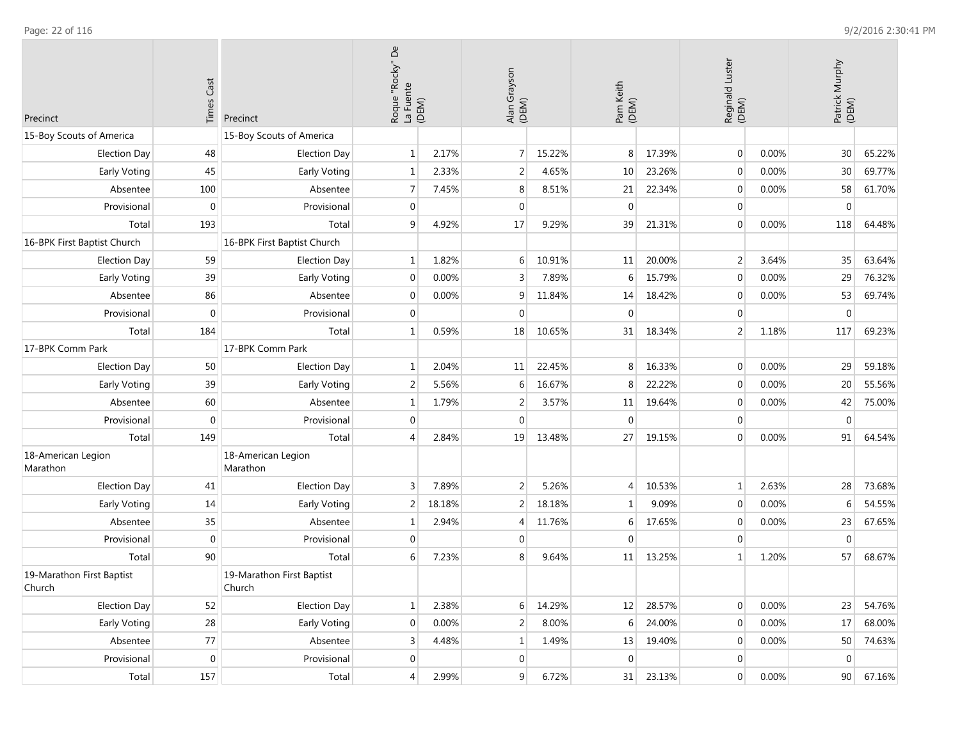| Precinct                            | <b>Times Cast</b> | Precinct                            | Roque "Rocky" De<br>La Fuente<br>(DEM) |        | Alan Grayson<br>(DEM) |        | Pam Keith<br>(DEM) |           | Reginald Luster<br>(DEM) |       | Patrick Murphy<br>(DEM) |           |
|-------------------------------------|-------------------|-------------------------------------|----------------------------------------|--------|-----------------------|--------|--------------------|-----------|--------------------------|-------|-------------------------|-----------|
| 15-Boy Scouts of America            |                   | 15-Boy Scouts of America            |                                        |        |                       |        |                    |           |                          |       |                         |           |
| <b>Election Day</b>                 | 48                | <b>Election Day</b>                 | $\mathbf 1$                            | 2.17%  | $\overline{7}$        | 15.22% | 8                  | 17.39%    | $\boldsymbol{0}$         | 0.00% | 30 <sup>°</sup>         | 65.22%    |
| Early Voting                        | 45                | Early Voting                        | 1                                      | 2.33%  | 2                     | 4.65%  | 10                 | 23.26%    | $\mathbf 0$              | 0.00% | 30                      | 69.77%    |
| Absentee                            | 100               | Absentee                            | 7                                      | 7.45%  | 8                     | 8.51%  | 21                 | 22.34%    | $\overline{0}$           | 0.00% | 58                      | 61.70%    |
| Provisional                         | $\mathbf 0$       | Provisional                         | $\overline{0}$                         |        | $\mathbf 0$           |        | $\mathbf{0}$       |           | $\overline{0}$           |       | $\mathbf 0$             |           |
| Total                               | 193               | Total                               | 9                                      | 4.92%  | 17                    | 9.29%  | 39                 | 21.31%    | $\overline{0}$           | 0.00% | 118                     | 64.48%    |
| 16-BPK First Baptist Church         |                   | 16-BPK First Baptist Church         |                                        |        |                       |        |                    |           |                          |       |                         |           |
| <b>Election Day</b>                 | 59                | <b>Election Day</b>                 | 1                                      | 1.82%  | 6                     | 10.91% | 11                 | 20.00%    | $\overline{2}$           | 3.64% | 35                      | 63.64%    |
| Early Voting                        | 39                | Early Voting                        | $\mathbf 0$                            | 0.00%  | 3                     | 7.89%  | 6                  | 15.79%    | $\overline{0}$           | 0.00% | 29                      | 76.32%    |
| Absentee                            | 86                | Absentee                            | $\mathbf{0}$                           | 0.00%  | 9                     | 11.84% | 14                 | 18.42%    | $\mathbf 0$              | 0.00% | 53                      | 69.74%    |
| Provisional                         | $\mathbf 0$       | Provisional                         | $\mathbf{0}$                           |        | $\mathbf{0}$          |        | $\mathbf{0}$       |           | $\mathbf 0$              |       | $\mathbf{0}$            |           |
| Total                               | 184               | Total                               | $\mathbf{1}$                           | 0.59%  | 18                    | 10.65% | 31                 | 18.34%    | $\overline{2}$           | 1.18% | 117                     | 69.23%    |
| 17-BPK Comm Park                    |                   | 17-BPK Comm Park                    |                                        |        |                       |        |                    |           |                          |       |                         |           |
| <b>Election Day</b>                 | 50                | <b>Election Day</b>                 | 1                                      | 2.04%  | 11                    | 22.45% | 8                  | 16.33%    | $\overline{0}$           | 0.00% | 29                      | 59.18%    |
| Early Voting                        | 39                | Early Voting                        | 2                                      | 5.56%  | 6                     | 16.67% |                    | 22.22%    | $\overline{0}$           | 0.00% | 20 <sup>1</sup>         | 55.56%    |
| Absentee                            | 60                | Absentee                            | 1                                      | 1.79%  | $\overline{2}$        | 3.57%  | 11                 | 19.64%    | $\overline{0}$           | 0.00% | 42                      | 75.00%    |
| Provisional                         | $\mathbf 0$       | Provisional                         | $\mathbf{0}$                           |        | $\mathbf 0$           |        | $\Omega$           |           | $\overline{0}$           |       | $\mathbf 0$             |           |
| Total                               | 149               | Total                               | 4                                      | 2.84%  | 19                    | 13.48% | 27                 | 19.15%    | $\overline{0}$           | 0.00% | 91                      | 64.54%    |
| 18-American Legion<br>Marathon      |                   | 18-American Legion<br>Marathon      |                                        |        |                       |        |                    |           |                          |       |                         |           |
| <b>Election Day</b>                 | 41                | <b>Election Day</b>                 | 3                                      | 7.89%  | $\overline{2}$        | 5.26%  | $\overline{A}$     | 10.53%    | $1\vert$                 | 2.63% | 28                      | 73.68%    |
| Early Voting                        | 14                | Early Voting                        | 2                                      | 18.18% | 2                     | 18.18% |                    | 9.09%     | $\overline{0}$           | 0.00% | 6                       | 54.55%    |
| Absentee                            | 35                | Absentee                            | $\mathbf{1}$                           | 2.94%  | $\overline{4}$        | 11.76% | 6                  | 17.65%    | $\overline{0}$           | 0.00% | 23                      | 67.65%    |
| Provisional                         | $\pmb{0}$         | Provisional                         | $\mathbf{0}$                           |        | $\mathbf 0$           |        | $\Omega$           |           | $\overline{0}$           |       | $\overline{0}$          |           |
| Total                               | 90                | Total                               | 6                                      | 7.23%  | 8                     | 9.64%  | 11                 | 13.25%    | $1\,$                    | 1.20% | 57                      | 68.67%    |
| 19-Marathon First Baptist<br>Church |                   | 19-Marathon First Baptist<br>Church |                                        |        |                       |        |                    |           |                          |       |                         |           |
| Election Day                        | 52                | Election Day                        | 1                                      | 2.38%  | 6                     | 14.29% | 12                 | 28.57%    | $\overline{0}$           | 0.00% | 23                      | 54.76%    |
| Early Voting                        | 28                | Early Voting                        | $\mathbf{0}$                           | 0.00%  | $\overline{2}$        | 8.00%  | 6                  | 24.00%    | $\overline{0}$           | 0.00% | 17                      | 68.00%    |
| Absentee                            | 77                | Absentee                            | 3                                      | 4.48%  | $1\,$                 | 1.49%  | 13                 | 19.40%    | $\overline{0}$           | 0.00% |                         | 50 74.63% |
| Provisional                         | $\overline{0}$    | Provisional                         | 0                                      |        | $\mathbf 0$           |        | $\overline{0}$     |           | $\overline{0}$           |       | $\overline{0}$          |           |
| Total                               | 157               | Total                               | 4                                      | 2.99%  | 9                     | 6.72%  |                    | 31 23.13% | $\vert 0 \vert$          | 0.00% | 90                      | 67.16%    |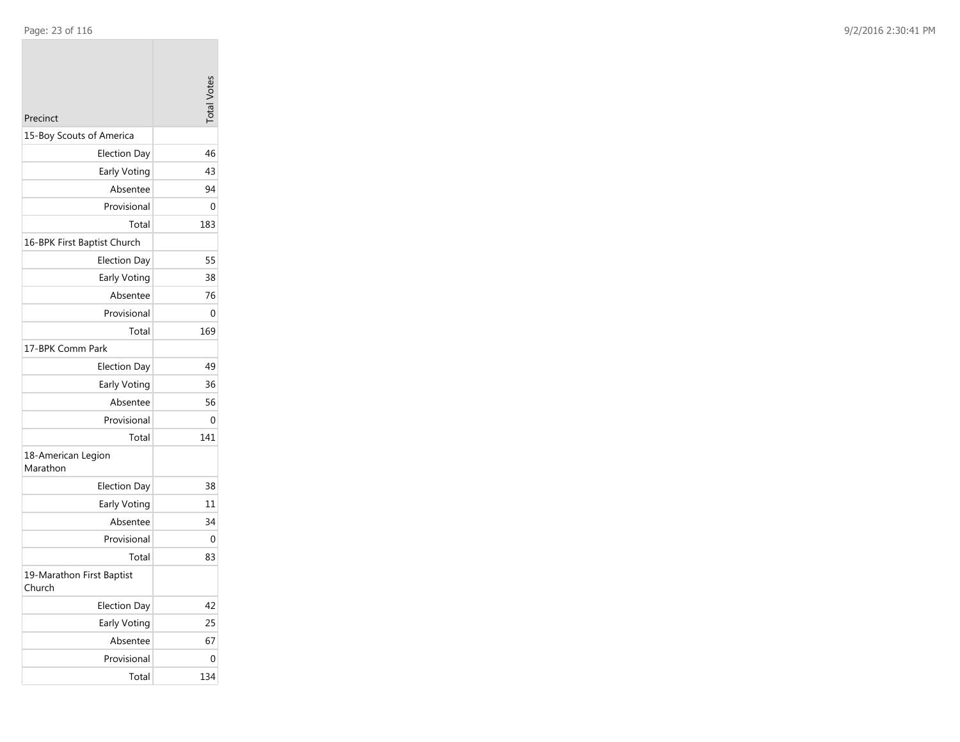| Precinct                            | <b>Total Votes</b> |
|-------------------------------------|--------------------|
| 15-Boy Scouts of America            |                    |
| <b>Election Day</b>                 | 46                 |
| Early Voting                        | 43                 |
| Absentee                            | 94                 |
| Provisional                         | 0                  |
| Total                               | 183                |
| 16-BPK First Baptist Church         |                    |
| <b>Election Day</b>                 | 55                 |
| Early Voting                        | 38                 |
| Absentee                            | 76                 |
| Provisional                         | 0                  |
| Total                               | 169                |
| 17-BPK Comm Park                    |                    |
| <b>Election Day</b>                 | 49                 |
| Early Voting                        | 36                 |
| Absentee                            | 56                 |
| Provisional                         | 0                  |
| Total                               | 141                |
| 18-American Legion<br>Marathon      |                    |
| <b>Election Day</b>                 | 38                 |
| Early Voting                        | 11                 |
| Absentee                            | 34                 |
| Provisional                         | 0                  |
| Total                               | 83                 |
| 19-Marathon First Baptist<br>Church |                    |
| <b>Election Day</b>                 | 42                 |
| Early Voting                        | 25                 |
| Absentee                            | 67                 |
| Provisional                         | 0                  |
| Total                               | 134                |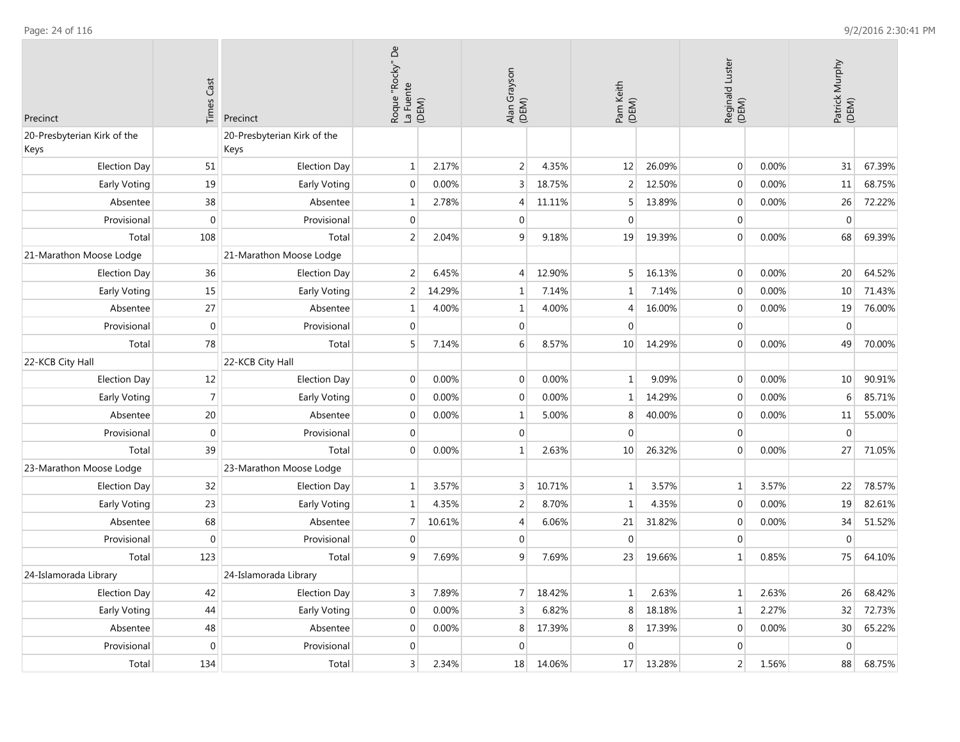| <b>Times Cast</b><br>Precinct<br>Precinct |                  |                                     | Roque "Rocky" De<br>La Fuente<br>(DEM) |        | Alan Grayson<br>(DEM) |        | Pam Keith<br>(DEM) |        | Reginald Luster<br>(DEM) |       | Patrick Murphy<br>(DEM) |        |
|-------------------------------------------|------------------|-------------------------------------|----------------------------------------|--------|-----------------------|--------|--------------------|--------|--------------------------|-------|-------------------------|--------|
| 20-Presbyterian Kirk of the<br>Keys       |                  | 20-Presbyterian Kirk of the<br>Keys |                                        |        |                       |        |                    |        |                          |       |                         |        |
| <b>Election Day</b>                       | 51               | <b>Election Day</b>                 | $\mathbf{1}$                           | 2.17%  | 2                     | 4.35%  | 12                 | 26.09% | $\boldsymbol{0}$         | 0.00% | 31                      | 67.39% |
| Early Voting                              | 19               | Early Voting                        | $\mathbf 0$                            | 0.00%  | 3                     | 18.75% | $\overline{2}$     | 12.50% | $\mathbf 0$              | 0.00% | 11                      | 68.75% |
| Absentee                                  | 38               | Absentee                            | $\mathbf{1}$                           | 2.78%  | $\overline{4}$        | 11.11% | 5                  | 13.89% | $\mathbf 0$              | 0.00% | 26                      | 72.22% |
| Provisional                               | $\mathbf 0$      | Provisional                         | $\mathbf 0$                            |        | $\mathbf 0$           |        | $\mathbf{0}$       |        | $\mathbf{0}$             |       | $\mathbf 0$             |        |
| Total                                     | 108              | Total                               | $\overline{2}$                         | 2.04%  | 9                     | 9.18%  | 19                 | 19.39% | $\mathbf 0$              | 0.00% | 68                      | 69.39% |
| 21-Marathon Moose Lodge                   |                  | 21-Marathon Moose Lodge             |                                        |        |                       |        |                    |        |                          |       |                         |        |
| <b>Election Day</b>                       | 36               | <b>Election Day</b>                 | $\overline{2}$                         | 6.45%  | $\overline{4}$        | 12.90% | 5                  | 16.13% | $\boldsymbol{0}$         | 0.00% | 20                      | 64.52% |
| <b>Early Voting</b>                       | 15               | Early Voting                        | $\overline{2}$                         | 14.29% | $\mathbf{1}$          | 7.14%  | $\mathbf{1}$       | 7.14%  | $\boldsymbol{0}$         | 0.00% | 10                      | 71.43% |
| Absentee                                  | 27               | Absentee                            | $\mathbf{1}$                           | 4.00%  | 1                     | 4.00%  | $\overline{4}$     | 16.00% | $\mathbf 0$              | 0.00% | 19                      | 76.00% |
| Provisional                               | $\boldsymbol{0}$ | Provisional                         | $\mathbf 0$                            |        | $\mathbf 0$           |        | $\mathbf 0$        |        | $\mathbf{0}$             |       | $\mathbf 0$             |        |
| Total                                     | 78               | Total                               | 5                                      | 7.14%  | 6                     | 8.57%  | 10                 | 14.29% | $\boldsymbol{0}$         | 0.00% | 49                      | 70.00% |
| 22-KCB City Hall                          |                  | 22-KCB City Hall                    |                                        |        |                       |        |                    |        |                          |       |                         |        |
| <b>Election Day</b>                       | 12               | <b>Election Day</b>                 | $\mathbf{0}$                           | 0.00%  | $\mathbf{0}$          | 0.00%  | $\mathbf{1}$       | 9.09%  | $\mathbf 0$              | 0.00% | 10                      | 90.91% |
| Early Voting                              | $\overline{7}$   | Early Voting                        | $\mathbf 0$                            | 0.00%  | $\mathbf{0}$          | 0.00%  | $\mathbf{1}$       | 14.29% | $\mathbf{0}$             | 0.00% | 6                       | 85.71% |
| Absentee                                  | 20               | Absentee                            | $\mathbf{0}$                           | 0.00%  | $\mathbf{1}$          | 5.00%  | 8                  | 40.00% | $\mathbf 0$              | 0.00% | 11                      | 55.00% |
| Provisional                               | $\mathbf 0$      | Provisional                         | $\mathbf{0}$                           |        | $\boldsymbol{0}$      |        | $\Omega$           |        | $\mathbf{0}$             |       | $\mathbf{0}$            |        |
| Total                                     | 39               | Total                               | $\Omega$                               | 0.00%  | $\mathbf{1}$          | 2.63%  | 10                 | 26.32% | $\Omega$                 | 0.00% | 27                      | 71.05% |
| 23-Marathon Moose Lodge                   |                  | 23-Marathon Moose Lodge             |                                        |        |                       |        |                    |        |                          |       |                         |        |
| <b>Election Day</b>                       | 32               | <b>Election Day</b>                 | $\mathbf{1}$                           | 3.57%  | $\mathsf{3}$          | 10.71% | $\mathbf{1}$       | 3.57%  | $\mathbf 1$              | 3.57% | 22                      | 78.57% |
| Early Voting                              | 23               | Early Voting                        | $\mathbf{1}$                           | 4.35%  | $\overline{2}$        | 8.70%  | 1                  | 4.35%  | $\boldsymbol{0}$         | 0.00% | 19                      | 82.61% |
| Absentee                                  | 68               | Absentee                            | $\overline{7}$                         | 10.61% | 4                     | 6.06%  | 21                 | 31.82% | $\boldsymbol{0}$         | 0.00% | 34                      | 51.52% |
| Provisional                               | $\mathbf 0$      | Provisional                         | $\mathbf{0}$                           |        | $\mathbf 0$           |        | $\overline{0}$     |        | $\mathbf 0$              |       | $\mathbf 0$             |        |
| Total                                     | 123              | Total                               | 9                                      | 7.69%  | 9                     | 7.69%  | 23                 | 19.66% | $\mathbf{1}$             | 0.85% | 75                      | 64.10% |
| 24-Islamorada Library                     |                  | 24-Islamorada Library               |                                        |        |                       |        |                    |        |                          |       |                         |        |
| <b>Election Day</b>                       | 42               | <b>Election Day</b>                 | 3                                      | 7.89%  | $\overline{7}$        | 18.42% | $\mathbf{1}$       | 2.63%  | $\mathbf{1}$             | 2.63% | 26                      | 68.42% |
| Early Voting                              | 44               | Early Voting                        | $\mathbf 0$                            | 0.00%  | 3                     | 6.82%  | 8                  | 18.18% | $1\,$                    | 2.27% | 32                      | 72.73% |
| Absentee                                  | 48               | Absentee                            | $\mathbf 0$                            | 0.00%  | 8                     | 17.39% | 8                  | 17.39% | $\mathbf 0$              | 0.00% | 30                      | 65.22% |
| Provisional                               | $\mathbf 0$      | Provisional                         | 0                                      |        | $\mathbf 0$           |        | $\Omega$           |        | $\boldsymbol{0}$         |       | $\mathbf 0$             |        |
| Total                                     | 134              | Total                               | $\overline{3}$                         | 2.34%  | 18                    | 14.06% | 17                 | 13.28% | $\overline{2}$           | 1.56% | 88                      | 68.75% |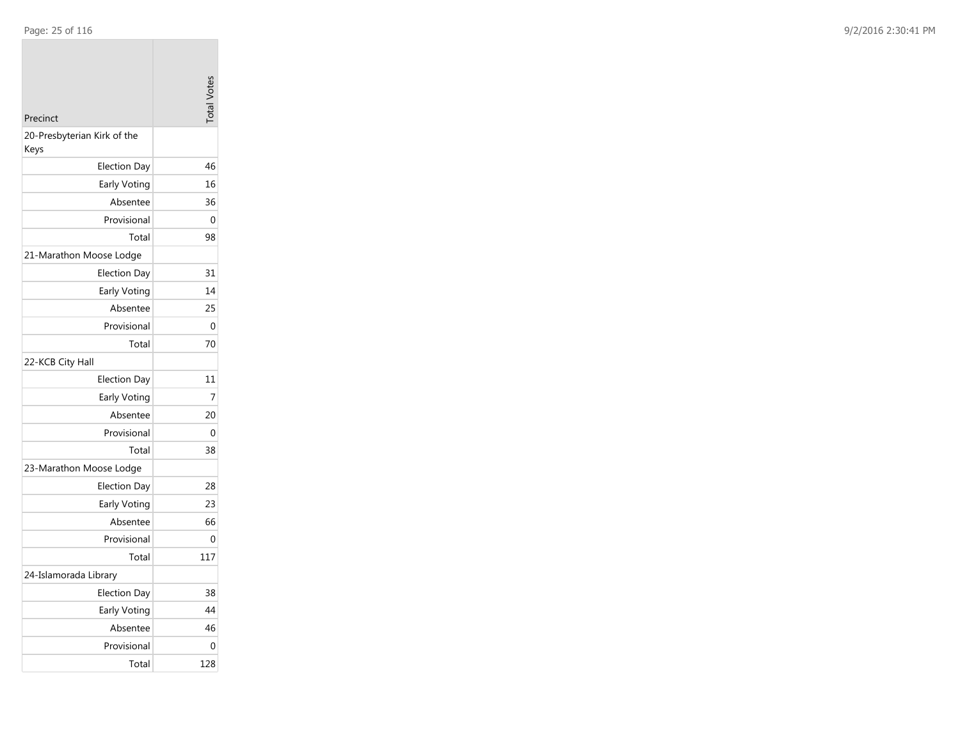| Precinct                            | <b>Total Votes</b> |
|-------------------------------------|--------------------|
| 20-Presbyterian Kirk of the<br>Keys |                    |
| <b>Election Day</b>                 | 46                 |
| Early Voting                        | 16                 |
| Absentee                            | 36                 |
| Provisional                         | 0                  |
| Total                               | 98                 |
| 21-Marathon Moose Lodge             |                    |
| <b>Election Day</b>                 | 31                 |
| Early Voting                        | 14                 |
| Absentee                            | 25                 |
| Provisional                         | 0                  |
| Total                               | 70                 |
| 22-KCB City Hall                    |                    |
| <b>Election Day</b>                 | 11                 |
| Early Voting                        | 7                  |
| Absentee                            | 20                 |
| Provisional                         | 0                  |
| Total                               | 38                 |
| 23-Marathon Moose Lodge             |                    |
| <b>Election Day</b>                 | 28                 |
| Early Voting                        | 23                 |
| Absentee                            | 66                 |
| Provisional                         | 0                  |
| Total                               | 117                |
| 24-Islamorada Library               |                    |
| <b>Election Day</b>                 | 38                 |
| Early Voting                        | 44                 |
| Absentee                            | 46                 |
| Provisional                         | 0                  |
| Total                               | 128                |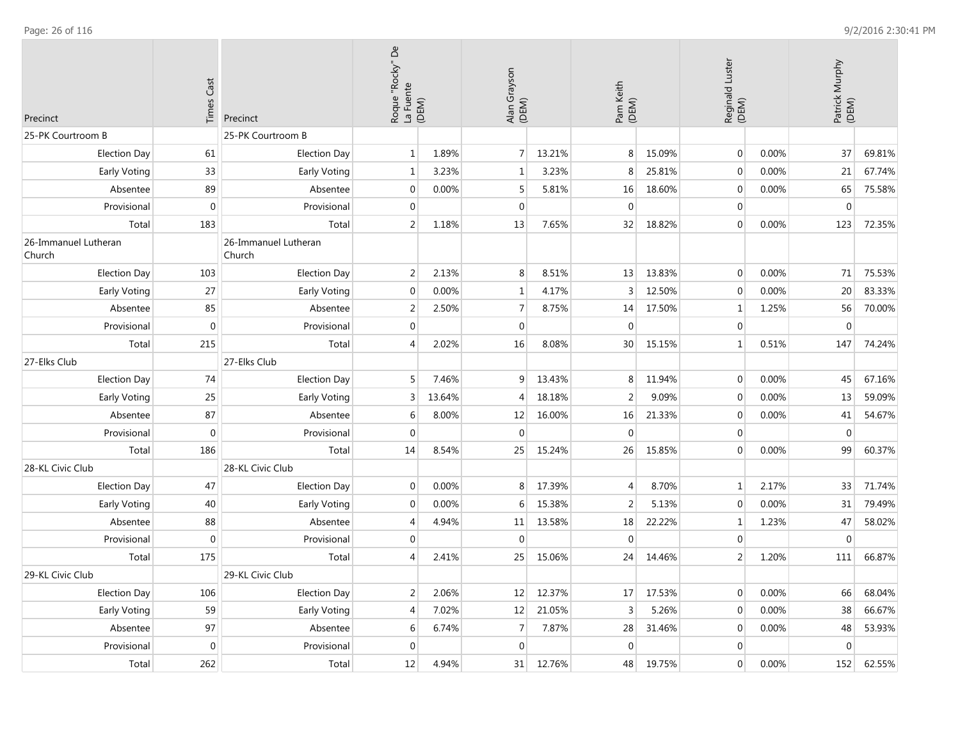**College** 

| <b>Times Cast</b><br>Precinct<br>Precinct |                  | Roque "Rocky" De<br>La Fuente<br>(DEM) |                | Alan Grayson<br>(DEM) |                  | Pam Keith<br>(DEM) |                | Reginald Luster<br>(DEM) |                | Patrick Murphy<br>(DEM) |                  |        |
|-------------------------------------------|------------------|----------------------------------------|----------------|-----------------------|------------------|--------------------|----------------|--------------------------|----------------|-------------------------|------------------|--------|
| 25-PK Courtroom B                         |                  | 25-PK Courtroom B                      |                |                       |                  |                    |                |                          |                |                         |                  |        |
| <b>Election Day</b>                       | 61               | <b>Election Day</b>                    | $1\vert$       | 1.89%                 | $\overline{7}$   | 13.21%             | 8              | 15.09%                   | $\overline{0}$ | 0.00%                   | 37               | 69.81% |
| Early Voting                              | 33               | Early Voting                           | $\mathbf{1}$   | 3.23%                 | $\mathbf{1}$     | 3.23%              | 8              | 25.81%                   | $\mathbf{0}$   | 0.00%                   | 21               | 67.74% |
| Absentee                                  | 89               | Absentee                               | $\Omega$       | 0.00%                 | 5                | 5.81%              | 16             | 18.60%                   | $\mathbf 0$    | 0.00%                   | 65               | 75.58% |
| Provisional                               | $\boldsymbol{0}$ | Provisional                            | $\Omega$       |                       | $\pmb{0}$        |                    | $\Omega$       |                          | $\mathbf 0$    |                         | $\boldsymbol{0}$ |        |
| Total                                     | 183              | Total                                  | $\overline{2}$ | 1.18%                 | 13               | 7.65%              | 32             | 18.82%                   | $\Omega$       | 0.00%                   | 123              | 72.35% |
| 26-Immanuel Lutheran<br>Church            |                  | 26-Immanuel Lutheran<br>Church         |                |                       |                  |                    |                |                          |                |                         |                  |        |
| <b>Election Day</b>                       | 103              | <b>Election Day</b>                    | $\overline{2}$ | 2.13%                 | 8                | 8.51%              | 13             | 13.83%                   | $\mathbf{0}$   | 0.00%                   | 71               | 75.53% |
| Early Voting                              | 27               | Early Voting                           | $\mathbf 0$    | 0.00%                 | $\mathbf{1}$     | 4.17%              | 3              | 12.50%                   | $\overline{0}$ | 0.00%                   | 20               | 83.33% |
| Absentee                                  | 85               | Absentee                               | $\overline{2}$ | 2.50%                 | $\overline{7}$   | 8.75%              | 14             | 17.50%                   | 1              | 1.25%                   | 56               | 70.00% |
| Provisional                               | $\boldsymbol{0}$ | Provisional                            | $\mathbf 0$    |                       | $\mathbf 0$      |                    | $\mathbf{0}$   |                          | $\mathbf{0}$   |                         | $\boldsymbol{0}$ |        |
| Total                                     | 215              | Total                                  | $\overline{4}$ | 2.02%                 | 16               | 8.08%              | 30             | 15.15%                   | $\mathbf{1}$   | 0.51%                   | 147              | 74.24% |
| 27-Elks Club                              |                  | 27-Elks Club                           |                |                       |                  |                    |                |                          |                |                         |                  |        |
| <b>Election Day</b>                       | 74               | <b>Election Day</b>                    | 5              | 7.46%                 | 9                | 13.43%             | 8              | 11.94%                   | $\overline{0}$ | 0.00%                   | 45               | 67.16% |
| Early Voting                              | 25               | Early Voting                           | 3              | 13.64%                | $\overline{4}$   | 18.18%             | $\overline{2}$ | 9.09%                    | $\mathbf{0}$   | 0.00%                   | 13               | 59.09% |
| Absentee                                  | 87               | Absentee                               | 6              | 8.00%                 | 12               | 16.00%             | 16             | 21.33%                   | $\mathbf{0}$   | 0.00%                   | 41               | 54.67% |
| Provisional                               | $\mathbf{0}$     | Provisional                            | $\mathbf 0$    |                       | $\mathbf 0$      |                    | $\mathbf 0$    |                          | $\overline{0}$ |                         | $\mathbf{0}$     |        |
| Total                                     | 186              | Total                                  | 14             | 8.54%                 | 25               | 15.24%             | 26             | 15.85%                   | $\Omega$       | 0.00%                   | 99               | 60.37% |
| 28-KL Civic Club                          |                  | 28-KL Civic Club                       |                |                       |                  |                    |                |                          |                |                         |                  |        |
| <b>Election Day</b>                       | 47               | <b>Election Day</b>                    | $\mathbf 0$    | 0.00%                 | $\,8\,$          | 17.39%             | $\overline{4}$ | 8.70%                    | $\mathbf{1}$   | 2.17%                   | 33               | 71.74% |
| Early Voting                              | 40               | Early Voting                           | $\mathbf 0$    | 0.00%                 | 6                | 15.38%             | $\overline{2}$ | 5.13%                    | $\pmb{0}$      | 0.00%                   | 31               | 79.49% |
| Absentee                                  | 88               | Absentee                               | 4              | 4.94%                 | 11               | 13.58%             | 18             | 22.22%                   | $\mathbf{1}$   | 1.23%                   | 47               | 58.02% |
| Provisional                               | $\mathbf 0$      | Provisional                            | 0              |                       | $\mathbf 0$      |                    | $\mathbf{0}$   |                          | $\mathbf 0$    |                         | $\mathbf 0$      |        |
| Total                                     | 175              | Total                                  | 4              | 2.41%                 | 25               | 15.06%             | 24             | 14.46%                   | $\overline{2}$ | 1.20%                   | 111              | 66.87% |
| 29-KL Civic Club                          |                  | 29-KL Civic Club                       |                |                       |                  |                    |                |                          |                |                         |                  |        |
| <b>Election Day</b>                       | 106              | <b>Election Day</b>                    | 2              | 2.06%                 | 12               | 12.37%             | 17             | 17.53%                   | $\mathbf 0$    | 0.00%                   | 66               | 68.04% |
| Early Voting                              | 59               | Early Voting                           | 4              | 7.02%                 | 12               | 21.05%             | $\overline{3}$ | 5.26%                    | $\mathbf 0$    | 0.00%                   | 38               | 66.67% |
| Absentee                                  | 97               | Absentee                               | 6              | 6.74%                 | $\overline{7}$   | 7.87%              | 28             | 31.46%                   | $\mathbf 0$    | 0.00%                   | 48               | 53.93% |
| Provisional                               | $\mathbf 0$      | Provisional                            | $\mathbf 0$    |                       | $\boldsymbol{0}$ |                    | $\mathbf 0$    |                          | $\mathbf 0$    |                         | $\mathbf 0$      |        |
| Total                                     | 262              | Total                                  | 12             | 4.94%                 | 31               | 12.76%             | 48             | 19.75%                   | $\overline{0}$ | 0.00%                   | 152              | 62.55% |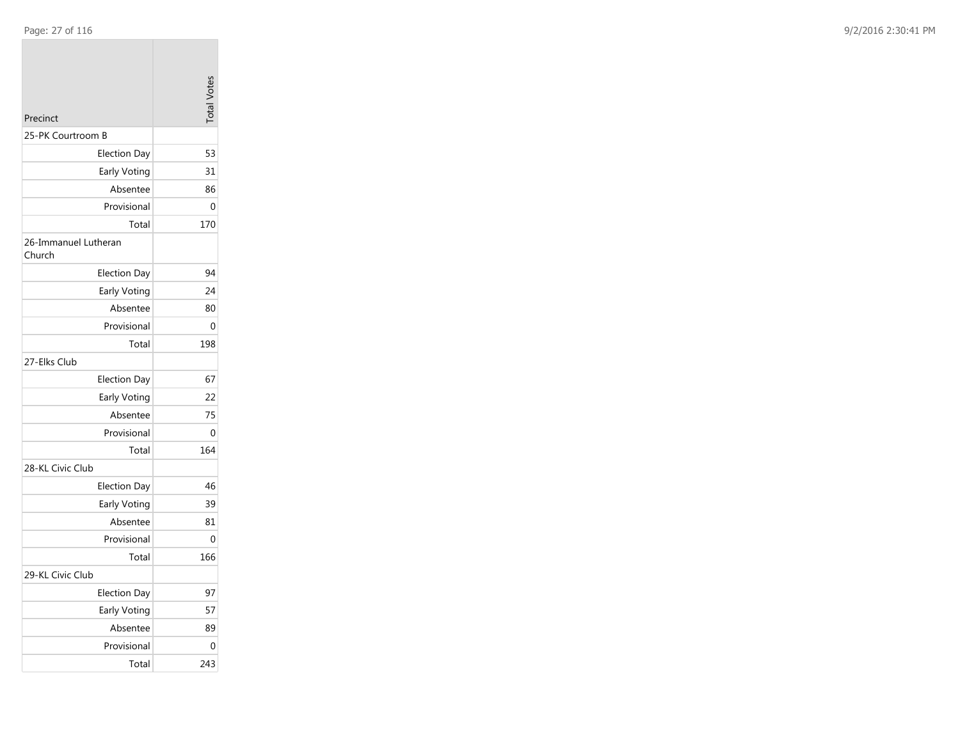| Precinct                       | $\frac{1}{2}$ |
|--------------------------------|---------------|
| 25-PK Courtroom B              |               |
| <b>Election Day</b>            | 53            |
| Early Voting                   | 31            |
| Absentee                       | 86            |
| Provisional                    | 0             |
| Total                          | 170           |
| 26-Immanuel Lutheran<br>Church |               |
| <b>Election Day</b>            | 94            |
| Early Voting                   | 24            |
| Absentee                       | 80            |
| Provisional                    | 0             |
| Total                          | 198           |
| 27-Elks Club                   |               |
| <b>Election Day</b>            | 67            |
| Early Voting                   | 22            |
| Absentee                       | 75            |
| Provisional                    | 0             |
| Total                          | 164           |
| 28-KL Civic Club               |               |
| <b>Election Day</b>            | 46            |
| Early Voting                   | 39            |
| Absentee                       | 81            |
| Provisional                    | 0             |
| Total                          | 166           |
| 29-KL Civic Club               |               |
| <b>Election Day</b>            | 97            |
| Early Voting                   | 57            |
| Absentee                       | 89            |
| Provisional                    | 0             |
| Total                          | 243           |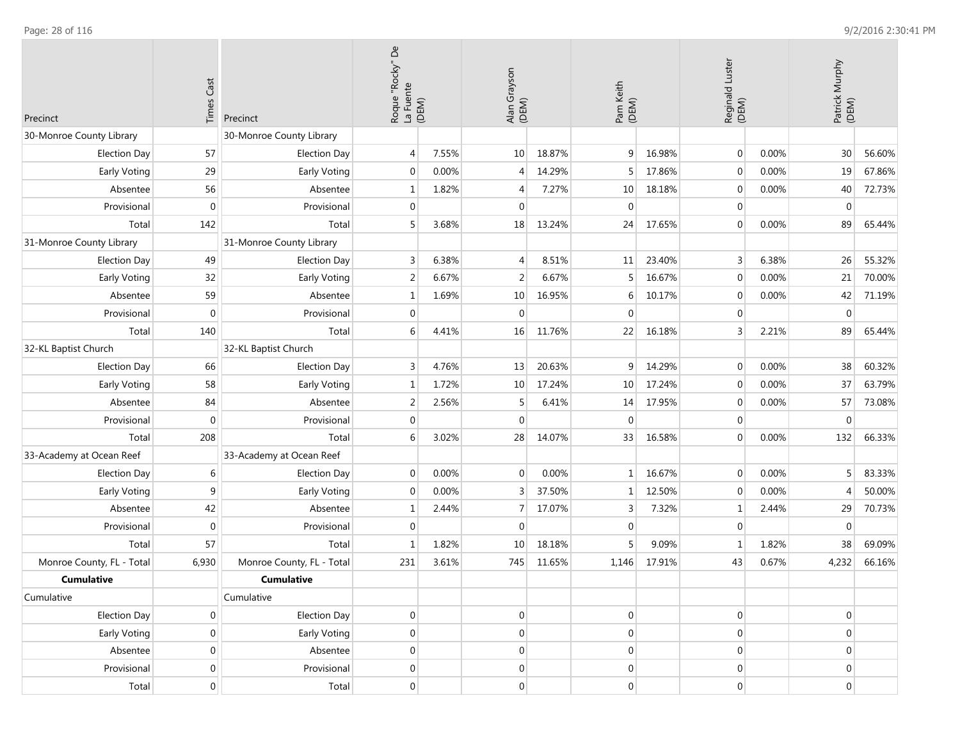**College** 

| Precinct                  | <b>Times Cast</b><br>Precinct |                           | $\mathsf{D}\mathsf{e}$<br>Roque "Rocky" [<br>La Fuente<br>(DEM) |       | Alan Grayson<br>(DEM) |        | Pam Keith<br>(DEM) |        | Reginald Luster<br>(DEM) |       | Patrick Murphy<br>(DEM) |        |
|---------------------------|-------------------------------|---------------------------|-----------------------------------------------------------------|-------|-----------------------|--------|--------------------|--------|--------------------------|-------|-------------------------|--------|
| 30-Monroe County Library  |                               | 30-Monroe County Library  |                                                                 |       |                       |        |                    |        |                          |       |                         |        |
| <b>Election Day</b>       | 57                            | <b>Election Day</b>       | $\overline{4}$                                                  | 7.55% | 10                    | 18.87% | 9                  | 16.98% | $\overline{0}$           | 0.00% | 30 <sup>°</sup>         | 56.60% |
| Early Voting              | 29                            | Early Voting              | $\mathbf{0}$                                                    | 0.00% | $\overline{4}$        | 14.29% | .5                 | 17.86% | $\mathbf 0$              | 0.00% | 19                      | 67.86% |
| Absentee                  | 56                            | Absentee                  | $\mathbf 1$                                                     | 1.82% | 4                     | 7.27%  | 10                 | 18.18% | $\overline{0}$           | 0.00% | 40                      | 72.73% |
| Provisional               | $\mathbf 0$                   | Provisional               | $\overline{0}$                                                  |       | $\mathbf 0$           |        | $\mathbf{0}$       |        | $\overline{0}$           |       | $\mathbf 0$             |        |
| Total                     | 142                           | Total                     | 5                                                               | 3.68% | 18                    | 13.24% | 24                 | 17.65% | $\overline{0}$           | 0.00% | 89                      | 65.44% |
| 31-Monroe County Library  |                               | 31-Monroe County Library  |                                                                 |       |                       |        |                    |        |                          |       |                         |        |
| <b>Election Day</b>       | 49                            | <b>Election Day</b>       | 3                                                               | 6.38% | 4                     | 8.51%  | 11                 | 23.40% | $\overline{3}$           | 6.38% | 26                      | 55.32% |
| Early Voting              | 32                            | Early Voting              | $\overline{2}$                                                  | 6.67% | $\overline{2}$        | 6.67%  |                    | 16.67% | $\boldsymbol{0}$         | 0.00% | 21                      | 70.00% |
| Absentee                  | 59                            | Absentee                  | 1                                                               | 1.69% | 10                    | 16.95% | 6                  | 10.17% | $\mathbf 0$              | 0.00% | 42                      | 71.19% |
| Provisional               | $\mathbf 0$                   | Provisional               | $\mathbf{0}$                                                    |       | $\mathbf{0}$          |        | $\Omega$           |        | $\overline{0}$           |       | $\overline{0}$          |        |
| Total                     | 140                           | Total                     | 6                                                               | 4.41% | 16                    | 11.76% | 22                 | 16.18% | $\overline{3}$           | 2.21% | 89                      | 65.44% |
| 32-KL Baptist Church      |                               | 32-KL Baptist Church      |                                                                 |       |                       |        |                    |        |                          |       |                         |        |
| <b>Election Day</b>       | 66                            | <b>Election Day</b>       | 3                                                               | 4.76% | 13                    | 20.63% | 9                  | 14.29% | $\overline{0}$           | 0.00% | 38                      | 60.32% |
| Early Voting              | 58                            | Early Voting              | 1                                                               | 1.72% | 10                    | 17.24% | 10                 | 17.24% | $\overline{0}$           | 0.00% | 37                      | 63.79% |
| Absentee                  | 84<br>Absentee                |                           | 2                                                               | 2.56% | 5                     | 6.41%  | 14                 | 17.95% | $\overline{0}$           | 0.00% | 57                      | 73.08% |
| Provisional               | $\mathbf 0$                   | Provisional               |                                                                 |       | $\mathbf 0$           |        | $\Omega$           |        | $\overline{0}$           |       | $\mathbf 0$             |        |
| Total                     | 208                           | Total                     | 6                                                               | 3.02% | 28                    | 14.07% | 33                 | 16.58% | $\boldsymbol{0}$         | 0.00% | 132                     | 66.33% |
| 33-Academy at Ocean Reef  |                               | 33-Academy at Ocean Reef  |                                                                 |       |                       |        |                    |        |                          |       |                         |        |
| <b>Election Day</b>       | 6                             | <b>Election Day</b>       | $\mathbf 0$                                                     | 0.00% | $\mathbf 0$           | 0.00%  | $\mathbf{1}$       | 16.67% | $\overline{0}$           | 0.00% | 5 <sup>1</sup>          | 83.33% |
| Early Voting              | 9                             | Early Voting              | $\mathbf{0}$                                                    | 0.00% | 3                     | 37.50% | 1                  | 12.50% | $\overline{0}$           | 0.00% | $\overline{4}$          | 50.00% |
| Absentee                  | 42                            | Absentee                  | $\mathbf 1$                                                     | 2.44% | 7                     | 17.07% | 3                  | 7.32%  | $\mathbf 1$              | 2.44% | 29                      | 70.73% |
| Provisional               | $\pmb{0}$                     | Provisional               | $\overline{0}$                                                  |       | $\mathbf 0$           |        | $\overline{0}$     |        | $\overline{0}$           |       | $\mathbf 0$             |        |
| Total                     | 57                            | Total                     | 1                                                               | 1.82% | 10                    | 18.18% |                    | 9.09%  | $\mathbf{1}$             | 1.82% | 38                      | 69.09% |
| Monroe County, FL - Total | 6,930                         | Monroe County, FL - Total | 231                                                             | 3.61% | 745                   | 11.65% | 1,146              | 17.91% | 43                       | 0.67% | 4,232                   | 66.16% |
| <b>Cumulative</b>         |                               | <b>Cumulative</b>         |                                                                 |       |                       |        |                    |        |                          |       |                         |        |
| Cumulative                |                               | Cumulative                |                                                                 |       |                       |        |                    |        |                          |       |                         |        |
| <b>Election Day</b>       | $\overline{0}$                | <b>Election Day</b>       | $\overline{0}$                                                  |       | $\boldsymbol{0}$      |        | $\boldsymbol{0}$   |        | $\vert 0 \vert$          |       | $\overline{0}$          |        |
| <b>Early Voting</b>       | $\boldsymbol{0}$              | Early Voting              | $\overline{0}$                                                  |       | $\boldsymbol{0}$      |        | $\boldsymbol{0}$   |        | $\boldsymbol{0}$         |       | $\vert 0 \vert$         |        |
| Absentee                  | $\overline{0}$                | Absentee                  | $\overline{0}$                                                  |       | $\boldsymbol{0}$      |        | $\overline{0}$     |        | $\boldsymbol{0}$         |       | $\overline{0}$          |        |
| Provisional               | $\pmb{0}$                     | Provisional               | $\overline{0}$                                                  |       | $\boldsymbol{0}$      |        | $\overline{0}$     |        | $\boldsymbol{0}$         |       | $\overline{0}$          |        |
| Total                     | $\overline{0}$                | Total                     | $\overline{0}$                                                  |       | $\mathbf 0$           |        | $\overline{0}$     |        | $\overline{0}$           |       | $\mathbf 0$             |        |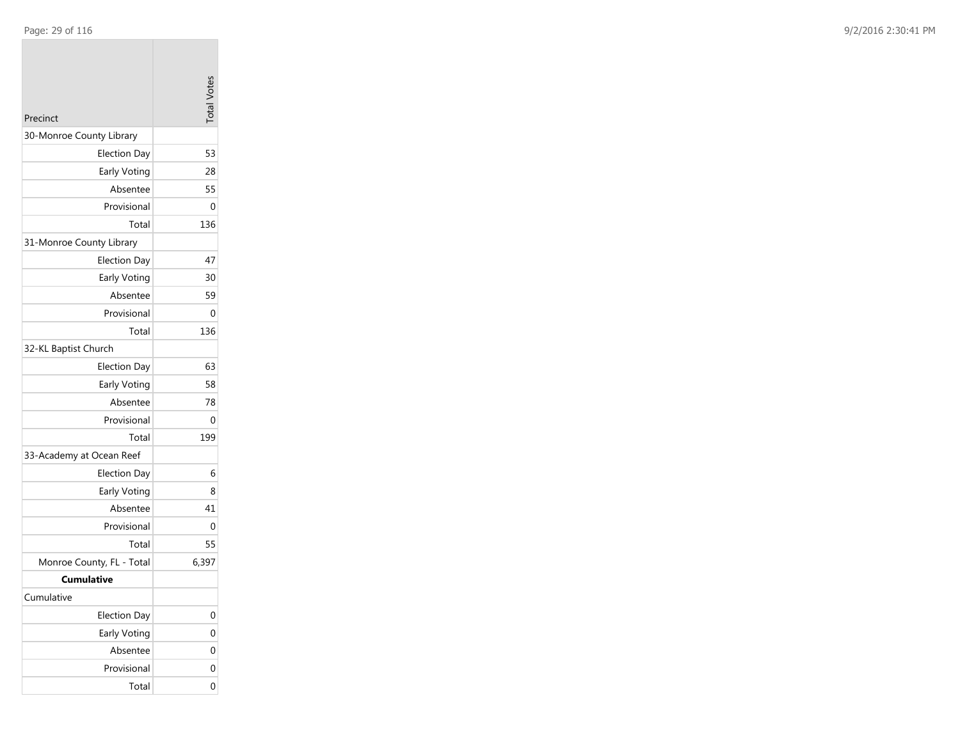| Precinct                  | <b>Total Votes</b> |
|---------------------------|--------------------|
| 30-Monroe County Library  |                    |
| <b>Election Day</b>       | 53                 |
| Early Voting              | 28                 |
| Absentee                  | 55                 |
| Provisional               | 0                  |
| Total                     | 136                |
| 31-Monroe County Library  |                    |
| <b>Election Day</b>       | 47                 |
| Early Voting              | 30                 |
| Absentee                  | 59                 |
| Provisional               | 0                  |
| Total                     | 136                |
| 32-KL Baptist Church      |                    |
| <b>Election Day</b>       | 63                 |
| Early Voting              | 58                 |
| Absentee                  | 78                 |
| Provisional               | 0                  |
| Total                     | 199                |
| 33-Academy at Ocean Reef  |                    |
| <b>Election Day</b>       | 6                  |
| Early Voting              | 8                  |
| Absentee                  | 41                 |
| Provisional               | 0                  |
| Total                     | 55                 |
| Monroe County, FL - Total | 6,397              |
| <b>Cumulative</b>         |                    |
| Cumulative                |                    |
| <b>Election Day</b>       | 0                  |
| Early Voting              | 0                  |
| Absentee                  | 0                  |
| Provisional               | 0                  |
| Total                     | 0                  |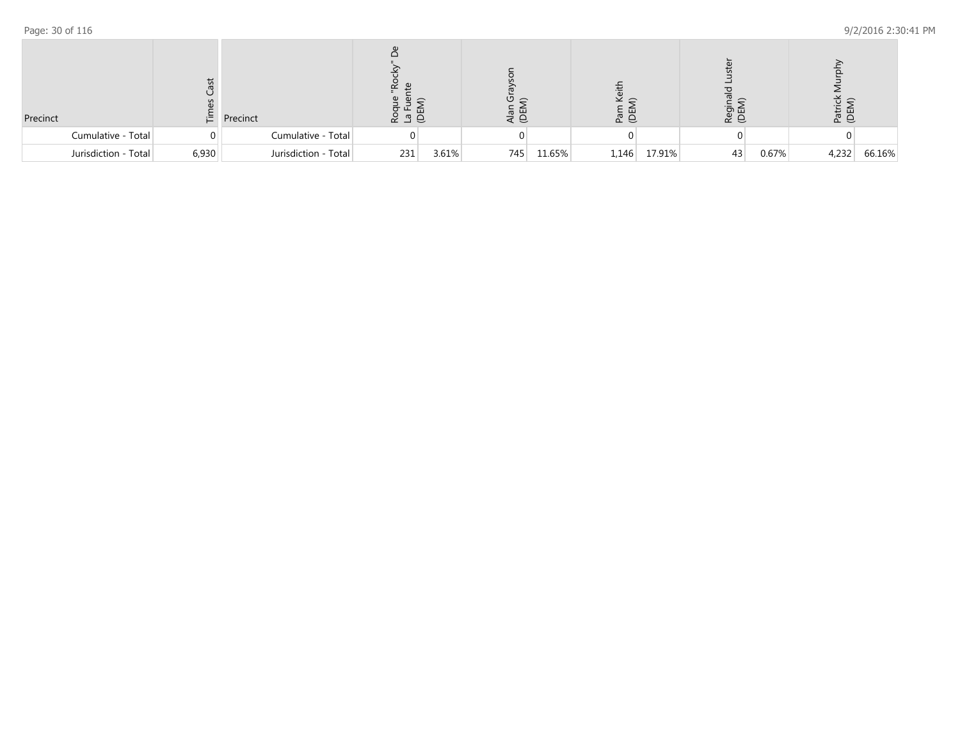| Precinct |                      | 仁     | Precinct             | <u>ದ ಇಲ</u> | ш     |     |        | e g   |        | ា ក<br>$\propto$ $\approx$ |       | na b  |        |
|----------|----------------------|-------|----------------------|-------------|-------|-----|--------|-------|--------|----------------------------|-------|-------|--------|
|          | Cumulative - Total   | 0     | Cumulative - Total   |             |       |     |        |       |        |                            |       |       |        |
|          | Jurisdiction - Total | 6,930 | Jurisdiction - Total | 231         | 3.61% | 745 | 11.65% | 1,146 | 17.91% | 43                         | 0.67% | 4,232 | 66.16% |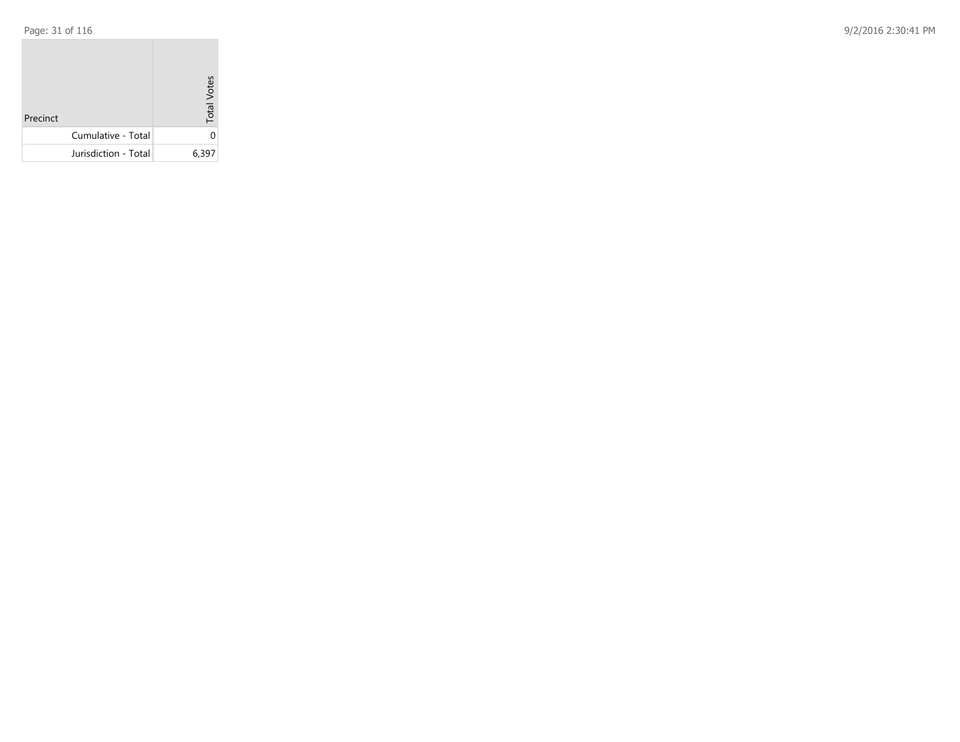|  | Page: 31 of 116 |  |  |  |  |
|--|-----------------|--|--|--|--|
|--|-----------------|--|--|--|--|

| Precinct             | <b>Total Votes</b> |
|----------------------|--------------------|
| Cumulative - Total   | ი                  |
| Jurisdiction - Total | 6,397              |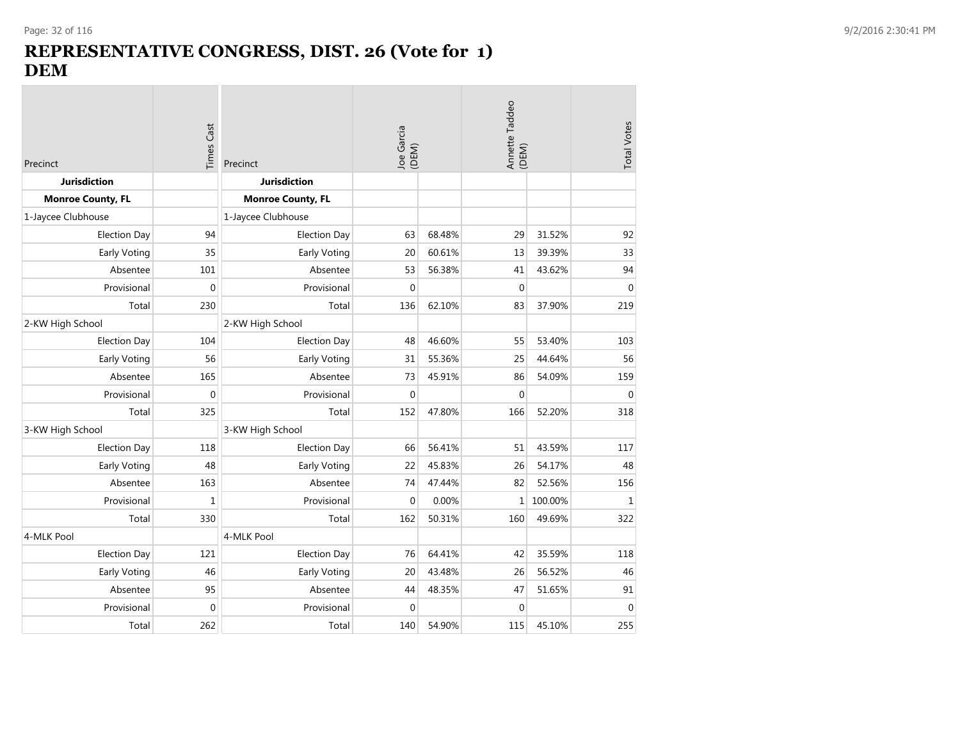# **REPRESENTATIVE CONGRESS, DIST. 26 (Vote for 1) DEM**

| Precinct                 | Times Cast  | Precinct                 | Joe Garcia<br>(DEM) |        | Annette Taddeo<br>(DEM) | <b>Total Votes</b> |              |
|--------------------------|-------------|--------------------------|---------------------|--------|-------------------------|--------------------|--------------|
| <b>Jurisdiction</b>      |             | <b>Jurisdiction</b>      |                     |        |                         |                    |              |
| <b>Monroe County, FL</b> |             | <b>Monroe County, FL</b> |                     |        |                         |                    |              |
| 1-Jaycee Clubhouse       |             | 1-Jaycee Clubhouse       |                     |        |                         |                    |              |
| <b>Election Day</b>      | 94          | <b>Election Day</b>      | 63                  | 68.48% | 29                      | 31.52%             | 92           |
| Early Voting             | 35          | Early Voting             | 20                  | 60.61% | 13                      | 39.39%             | 33           |
| Absentee                 | 101         | Absentee                 | 53                  | 56.38% | 41                      | 43.62%             | 94           |
| Provisional              | $\mathbf 0$ | Provisional              | $\mathbf 0$         |        | $\mathbf{0}$            |                    | $\mathbf{0}$ |
| Total                    | 230         | Total                    | 136                 | 62.10% | 83                      | 37.90%             | 219          |
| 2-KW High School         |             | 2-KW High School         |                     |        |                         |                    |              |
| <b>Election Day</b>      | 104         | <b>Election Day</b>      | 48                  | 46.60% | 55                      | 53.40%             | 103          |
| Early Voting             | 56          | Early Voting             | 31                  | 55.36% | 25                      | 44.64%             | 56           |
| Absentee                 | 165         | Absentee                 | 73                  | 45.91% | 86                      | 54.09%             | 159          |
| Provisional              | $\mathbf 0$ | Provisional              | $\mathbf 0$         |        | $\mathbf{0}$            |                    | $\mathbf 0$  |
| Total                    | 325         | Total                    | 152                 | 47.80% | 166                     | 52.20%             | 318          |
| 3-KW High School         |             | 3-KW High School         |                     |        |                         |                    |              |
| <b>Election Day</b>      | 118         | <b>Election Day</b>      | 66                  | 56.41% | 51                      | 43.59%             | 117          |
| Early Voting             | 48          | Early Voting             | 22                  | 45.83% | 26                      | 54.17%             | 48           |
| Absentee                 | 163         | Absentee                 | 74                  | 47.44% | 82                      | 52.56%             | 156          |
| Provisional              | $\mathbf 1$ | Provisional              | $\boldsymbol{0}$    | 0.00%  | $\mathbf{1}$            | 100.00%            | $\,1\,$      |
| Total                    | 330         | Total                    | 162                 | 50.31% | 160                     | 49.69%             | 322          |
| 4-MLK Pool               |             | 4-MLK Pool               |                     |        |                         |                    |              |
| <b>Election Day</b>      | 121         | <b>Election Day</b>      | 76                  | 64.41% | 42                      | 35.59%             | 118          |
| Early Voting             | 46          | Early Voting             | 20                  | 43.48% | 26                      | 56.52%             | 46           |
| Absentee                 | 95          | Absentee                 | 44                  | 48.35% | 47                      | 51.65%             | 91           |
| Provisional              | $\mathbf 0$ | Provisional              | $\Omega$            |        | $\mathbf{0}$            |                    | $\mathbf 0$  |
| Total                    | 262         | Total                    | 140                 | 54.90% | 115                     | 45.10%             | 255          |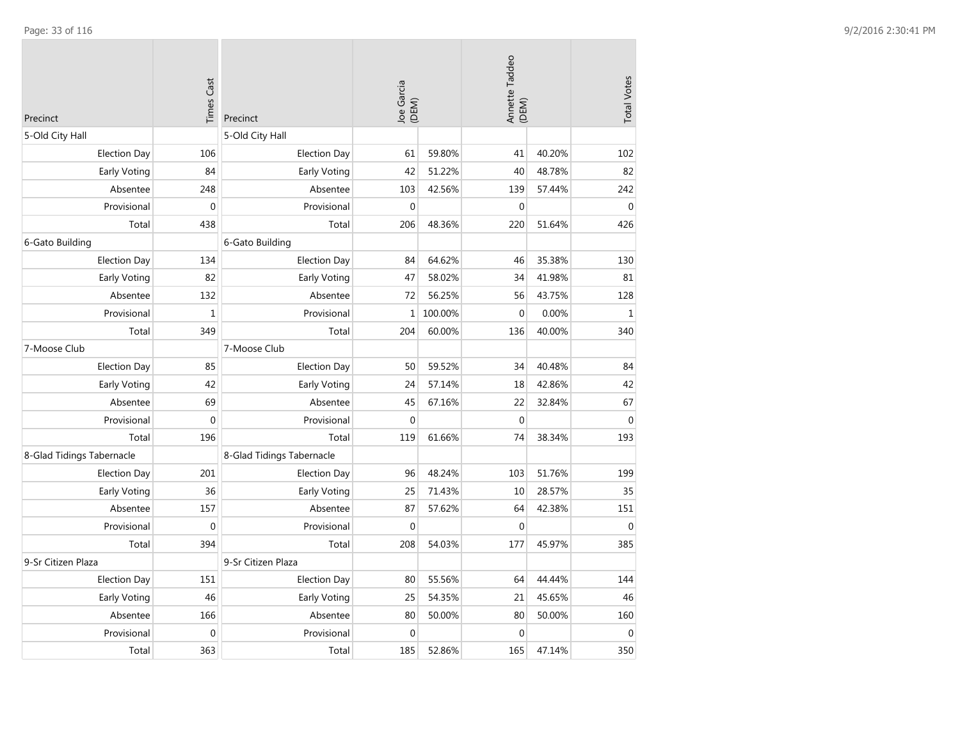| Precinct                  | <b>Times Cast</b> | Precinct                  | Joe Garcia<br>(DEM) |         | Annette Taddeo<br>(DEM) |        | <b>Total Votes</b> |
|---------------------------|-------------------|---------------------------|---------------------|---------|-------------------------|--------|--------------------|
| 5-Old City Hall           |                   | 5-Old City Hall           |                     |         |                         |        |                    |
| <b>Election Day</b>       | 106               | <b>Election Day</b>       | 61                  | 59.80%  | 41                      | 40.20% | 102                |
| Early Voting              | 84                | Early Voting              | 42                  | 51.22%  | 40                      | 48.78% | 82                 |
| Absentee                  | 248               | Absentee                  | 103                 | 42.56%  | 139                     | 57.44% | 242                |
| Provisional               | $\mathbf 0$       | Provisional               | $\mathbf 0$         |         | $\mathbf 0$             |        | $\mathbf{0}$       |
| Total                     | 438               | Total                     | 206                 | 48.36%  | 220                     | 51.64% | 426                |
| 6-Gato Building           |                   | 6-Gato Building           |                     |         |                         |        |                    |
| <b>Election Day</b>       | 134               | <b>Election Day</b>       | 84                  | 64.62%  | 46                      | 35.38% | 130                |
| Early Voting              | 82                | Early Voting              | 47                  | 58.02%  | 34                      | 41.98% | 81                 |
| Absentee                  | 132               | Absentee                  | 72                  | 56.25%  | 56                      | 43.75% | 128                |
| Provisional               | $\mathbf 1$       | Provisional               | $\mathbf{1}$        | 100.00% | $\boldsymbol{0}$        | 0.00%  | $\mathbf{1}$       |
| Total                     | 349               | Total                     | 204                 | 60.00%  | 136                     | 40.00% | 340                |
| 7-Moose Club              |                   | 7-Moose Club              |                     |         |                         |        |                    |
| <b>Election Day</b>       | 85                | <b>Election Day</b>       | 50                  | 59.52%  | 34                      | 40.48% | 84                 |
| Early Voting              | 42                | Early Voting              | 24                  | 57.14%  | 18                      | 42.86% | 42                 |
| Absentee                  | 69                | Absentee                  | 45                  | 67.16%  | 22                      | 32.84% | 67                 |
| Provisional               | $\mathbf 0$       | Provisional               | $\mathbf{0}$        |         | $\mathbf 0$             |        | $\mathbf{0}$       |
| Total                     | 196               | Total                     | 119                 | 61.66%  | 74                      | 38.34% | 193                |
| 8-Glad Tidings Tabernacle |                   | 8-Glad Tidings Tabernacle |                     |         |                         |        |                    |
| <b>Election Day</b>       | 201               | <b>Election Day</b>       | 96                  | 48.24%  | 103                     | 51.76% | 199                |
| Early Voting              | 36                | Early Voting              | 25                  | 71.43%  | 10                      | 28.57% | 35                 |
| Absentee                  | 157               | Absentee                  | 87                  | 57.62%  | 64                      | 42.38% | 151                |
| Provisional               | $\mathbf 0$       | Provisional               | $\mathbf{0}$        |         | $\mathbf 0$             |        | $\mathbf{0}$       |
| Total                     | 394               | Total                     | 208                 | 54.03%  | 177                     | 45.97% | 385                |
| 9-Sr Citizen Plaza        |                   | 9-Sr Citizen Plaza        |                     |         |                         |        |                    |
| <b>Election Day</b>       | 151               | <b>Election Day</b>       | 80                  | 55.56%  | 64                      | 44.44% | 144                |
| Early Voting              | 46                | Early Voting              | 25                  | 54.35%  | 21                      | 45.65% | 46                 |
| Absentee                  | 166               | Absentee                  | 80                  | 50.00%  | 80                      | 50.00% | 160                |
| Provisional               | $\mathbf 0$       | Provisional               | $\mathbf{0}$        |         | $\boldsymbol{0}$        |        | $\mathbf 0$        |
| Total                     | 363               | Total                     | 185                 | 52.86%  | 165                     | 47.14% | 350                |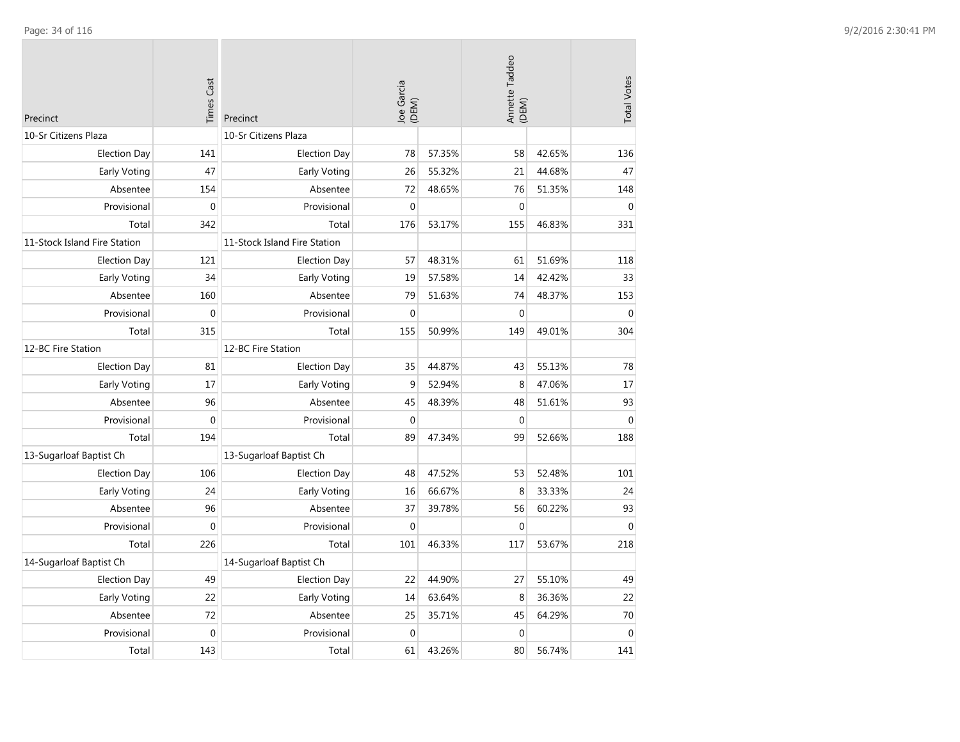| Precinct                     | <b>Times Cast</b> | Precinct                     | Joe Garcia<br>(DEM) |        | Annette Taddeo<br>(DEM) |        | <b>Total Votes</b> |
|------------------------------|-------------------|------------------------------|---------------------|--------|-------------------------|--------|--------------------|
| 10-Sr Citizens Plaza         |                   | 10-Sr Citizens Plaza         |                     |        |                         |        |                    |
| <b>Election Day</b>          | 141               | <b>Election Day</b>          | 78                  | 57.35% | 58                      | 42.65% | 136                |
| Early Voting                 | 47                | Early Voting                 | 26                  | 55.32% | 21                      | 44.68% | 47                 |
| Absentee                     | 154               | Absentee                     | 72                  | 48.65% | 76                      | 51.35% | 148                |
| Provisional                  | $\mathbf 0$       | Provisional                  | $\theta$            |        | $\mathbf{0}$            |        | $\mathbf{0}$       |
| Total                        | 342               | Total                        | 176                 | 53.17% | 155                     | 46.83% | 331                |
| 11-Stock Island Fire Station |                   | 11-Stock Island Fire Station |                     |        |                         |        |                    |
| <b>Election Day</b>          | 121               | <b>Election Day</b>          | 57                  | 48.31% | 61                      | 51.69% | 118                |
| Early Voting                 | 34                | Early Voting                 | 19                  | 57.58% | 14                      | 42.42% | 33                 |
| Absentee                     | 160               | Absentee                     | 79                  | 51.63% | 74                      | 48.37% | 153                |
| Provisional                  | $\boldsymbol{0}$  | Provisional                  | $\Omega$            |        | $\boldsymbol{0}$        |        | $\Omega$           |
| Total                        | 315               | Total                        | 155                 | 50.99% | 149                     | 49.01% | 304                |
| 12-BC Fire Station           |                   | 12-BC Fire Station           |                     |        |                         |        |                    |
| <b>Election Day</b>          | 81                | <b>Election Day</b>          | 35                  | 44.87% | 43                      | 55.13% | 78                 |
| Early Voting                 | 17                | Early Voting                 | 9                   | 52.94% | 8                       | 47.06% | 17                 |
| Absentee                     | 96                | Absentee                     | 45                  | 48.39% | 48                      | 51.61% | 93                 |
| Provisional                  | $\mathbf 0$       | Provisional                  | $\mathbf{0}$        |        | $\boldsymbol{0}$        |        | $\boldsymbol{0}$   |
| Total                        | 194               | Total                        | 89                  | 47.34% | 99                      | 52.66% | 188                |
| 13-Sugarloaf Baptist Ch      |                   | 13-Sugarloaf Baptist Ch      |                     |        |                         |        |                    |
| <b>Election Day</b>          | 106               | <b>Election Day</b>          | 48                  | 47.52% | 53                      | 52.48% | 101                |
| Early Voting                 | 24                | Early Voting                 | 16                  | 66.67% | 8                       | 33.33% | 24                 |
| Absentee                     | 96                | Absentee                     | 37                  | 39.78% | 56                      | 60.22% | 93                 |
| Provisional                  | $\mathbf{0}$      | Provisional                  | $\mathbf{0}$        |        | $\mathbf{0}$            |        | $\mathbf{0}$       |
| Total                        | 226               | Total                        | 101                 | 46.33% | 117                     | 53.67% | 218                |
| 14-Sugarloaf Baptist Ch      |                   | 14-Sugarloaf Baptist Ch      |                     |        |                         |        |                    |
| <b>Election Day</b>          | 49                | <b>Election Day</b>          | 22                  | 44.90% | 27                      | 55.10% | 49                 |
| Early Voting                 | 22                | Early Voting                 | 14                  | 63.64% | 8                       | 36.36% | 22                 |
| Absentee                     | 72                | Absentee                     | 25                  | 35.71% | 45                      | 64.29% | 70                 |
| Provisional                  | $\mathbf 0$       | Provisional                  | $\mathbf{0}$        |        | $\mathbf 0$             |        | $\mathbf 0$        |
| Total                        | 143               | Total                        | 61                  | 43.26% | 80                      | 56.74% | 141                |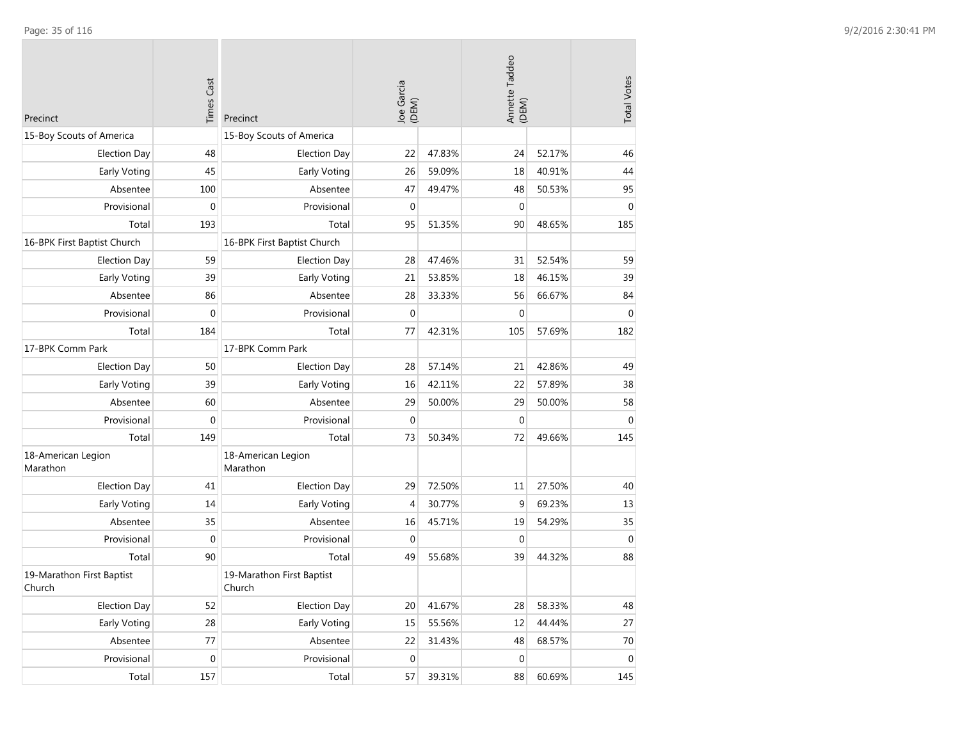| Precinct                            | <b>Times Cast</b> | Precinct                            | Joe Garcia<br>(DEM) |        | Annette Taddeo<br>(DEM) |        | <b>Total Votes</b> |
|-------------------------------------|-------------------|-------------------------------------|---------------------|--------|-------------------------|--------|--------------------|
| 15-Boy Scouts of America            |                   | 15-Boy Scouts of America            |                     |        |                         |        |                    |
| <b>Election Day</b>                 | 48                | <b>Election Day</b>                 | 22                  | 47.83% | 24                      | 52.17% | 46                 |
| <b>Early Voting</b>                 | 45                | Early Voting                        | 26                  | 59.09% | 18                      | 40.91% | 44                 |
| Absentee                            | 100               | Absentee                            | 47                  | 49.47% | 48                      | 50.53% | 95                 |
| Provisional                         | $\mathbf 0$       | Provisional                         | $\mathbf{0}$        |        | $\mathbf 0$             |        | $\mathbf{0}$       |
| Total                               | 193               | Total                               | 95                  | 51.35% | 90                      | 48.65% | 185                |
| 16-BPK First Baptist Church         |                   | 16-BPK First Baptist Church         |                     |        |                         |        |                    |
| <b>Election Day</b>                 | 59                | <b>Election Day</b>                 | 28                  | 47.46% | 31                      | 52.54% | 59                 |
| Early Voting                        | 39                | Early Voting                        | 21                  | 53.85% | 18                      | 46.15% | 39                 |
| Absentee                            | 86                | Absentee                            | 28                  | 33.33% | 56                      | 66.67% | 84                 |
| Provisional                         | $\mathbf 0$       | Provisional                         | $\mathbf 0$         |        | 0                       |        | $\mathbf{0}$       |
| Total                               | 184               | Total                               | 77                  | 42.31% | 105                     | 57.69% | 182                |
| 17-BPK Comm Park                    |                   | 17-BPK Comm Park                    |                     |        |                         |        |                    |
| <b>Election Day</b>                 | 50                | <b>Election Day</b>                 | 28                  | 57.14% | 21                      | 42.86% | 49                 |
| Early Voting                        | 39                | Early Voting                        | 16                  | 42.11% | 22                      | 57.89% | 38                 |
| Absentee                            | 60                | Absentee                            | 29                  | 50.00% | 29                      | 50.00% | 58                 |
| Provisional                         | $\mathbf{0}$      | Provisional                         | $\mathbf 0$         |        | 0                       |        | $\mathbf 0$        |
| Total                               | 149               | Total                               | 73                  | 50.34% | 72                      | 49.66% | 145                |
| 18-American Legion<br>Marathon      |                   | 18-American Legion<br>Marathon      |                     |        |                         |        |                    |
| <b>Election Day</b>                 | 41                | <b>Election Day</b>                 | 29                  | 72.50% | 11                      | 27.50% | 40                 |
| <b>Early Voting</b>                 | 14                | Early Voting                        | 4                   | 30.77% | 9                       | 69.23% | 13                 |
| Absentee                            | 35                | Absentee                            | 16                  | 45.71% | 19                      | 54.29% | 35                 |
| Provisional                         | $\mathbf 0$       | Provisional                         | $\mathbf 0$         |        | $\mathbf 0$             |        | $\mathbf 0$        |
| Total                               | 90                | Total                               | 49                  | 55.68% | 39                      | 44.32% | 88                 |
| 19-Marathon First Baptist<br>Church |                   | 19-Marathon First Baptist<br>Church |                     |        |                         |        |                    |
| <b>Election Day</b>                 | 52                | Election Day                        | 20                  | 41.67% | 28                      | 58.33% | 48                 |
| Early Voting                        | 28                | Early Voting                        | 15                  | 55.56% | $12\,$                  | 44.44% | 27                 |
| Absentee                            | 77                | Absentee                            | 22                  | 31.43% | 48                      | 68.57% | $70\,$             |
| Provisional                         | $\pmb{0}$         | Provisional                         | $\mathbf 0$         |        | 0                       |        | $\pmb{0}$          |
| Total                               | 157               | Total                               | 57                  | 39.31% | 88                      | 60.69% | 145                |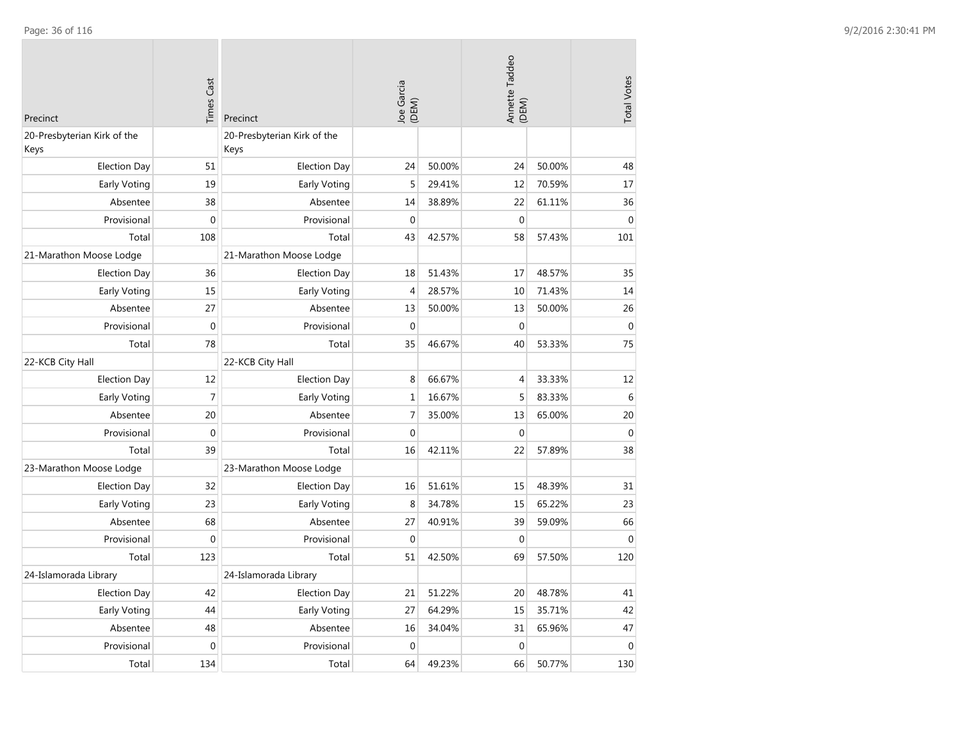| Precinct                            | <b>Times Cast</b> | Precinct                            | Joe Garcia<br>(DEM) |        | Annette Taddeo<br>(DEM) |        | <b>Total Votes</b> |
|-------------------------------------|-------------------|-------------------------------------|---------------------|--------|-------------------------|--------|--------------------|
| 20-Presbyterian Kirk of the<br>Keys |                   | 20-Presbyterian Kirk of the<br>Keys |                     |        |                         |        |                    |
| <b>Election Day</b>                 | 51                | <b>Election Day</b>                 | 24                  | 50.00% | 24                      | 50.00% | 48                 |
| Early Voting                        | 19                | Early Voting                        | 5                   | 29.41% | 12                      | 70.59% | 17                 |
| Absentee                            | 38                | Absentee                            | 14                  | 38.89% | 22                      | 61.11% | 36                 |
| Provisional                         | $\mathbf{0}$      | Provisional                         | $\mathbf 0$         |        | $\mathbf{0}$            |        | $\mathbf{0}$       |
| Total                               | 108               | Total                               | 43                  | 42.57% | 58                      | 57.43% | 101                |
| 21-Marathon Moose Lodge             |                   | 21-Marathon Moose Lodge             |                     |        |                         |        |                    |
| <b>Election Day</b>                 | 36                | <b>Election Day</b>                 | 18                  | 51.43% | 17                      | 48.57% | 35                 |
| Early Voting                        | 15                | Early Voting                        | 4                   | 28.57% | 10                      | 71.43% | 14                 |
| Absentee                            | 27                | Absentee                            | 13                  | 50.00% | 13                      | 50.00% | 26                 |
| Provisional                         | $\mathbf{0}$      | Provisional                         | $\mathbf 0$         |        | $\mathbf 0$             |        | $\mathbf 0$        |
| Total                               | 78                | Total                               | 35                  | 46.67% | 40                      | 53.33% | 75                 |
| 22-KCB City Hall                    |                   | 22-KCB City Hall                    |                     |        |                         |        |                    |
| <b>Election Day</b>                 | 12                | <b>Election Day</b>                 | 8                   | 66.67% | $\overline{4}$          | 33.33% | 12                 |
| Early Voting                        | 7                 | Early Voting                        | $\mathbf 1$         | 16.67% | 5                       | 83.33% | $\,6\,$            |
| Absentee                            | 20                | Absentee                            | $\overline{7}$      | 35.00% | 13                      | 65.00% | 20                 |
| Provisional                         | $\pmb{0}$         | Provisional                         | $\mathbf 0$         |        | $\boldsymbol{0}$        |        | $\mathbf 0$        |
| Total                               | 39                | Total                               | 16                  | 42.11% | 22                      | 57.89% | 38                 |
| 23-Marathon Moose Lodge             |                   | 23-Marathon Moose Lodge             |                     |        |                         |        |                    |
| <b>Election Day</b>                 | 32                | <b>Election Day</b>                 | 16                  | 51.61% | 15                      | 48.39% | 31                 |
| Early Voting                        | 23                | Early Voting                        | 8                   | 34.78% | 15                      | 65.22% | 23                 |
| Absentee                            | 68                | Absentee                            | 27                  | 40.91% | 39                      | 59.09% | 66                 |
| Provisional                         | $\mathbf 0$       | Provisional                         | $\mathbf{0}$        |        | $\mathbf 0$             |        | $\mathbf{0}$       |
| Total                               | 123               | Total                               | 51                  | 42.50% | 69                      | 57.50% | 120                |
| 24-Islamorada Library               |                   | 24-Islamorada Library               |                     |        |                         |        |                    |
| <b>Election Day</b>                 | 42                | <b>Election Day</b>                 | 21                  | 51.22% | 20                      | 48.78% | 41                 |
| Early Voting                        | 44                | Early Voting                        | 27                  | 64.29% | 15                      | 35.71% | 42                 |
| Absentee                            | 48                | Absentee                            | 16                  | 34.04% | 31                      | 65.96% | 47                 |
| Provisional                         | $\mathbf 0$       | Provisional                         | $\mathbf 0$         |        | $\boldsymbol{0}$        |        | $\mathbf 0$        |
| Total                               | 134               | Total                               | 64                  | 49.23% | 66                      | 50.77% | 130                |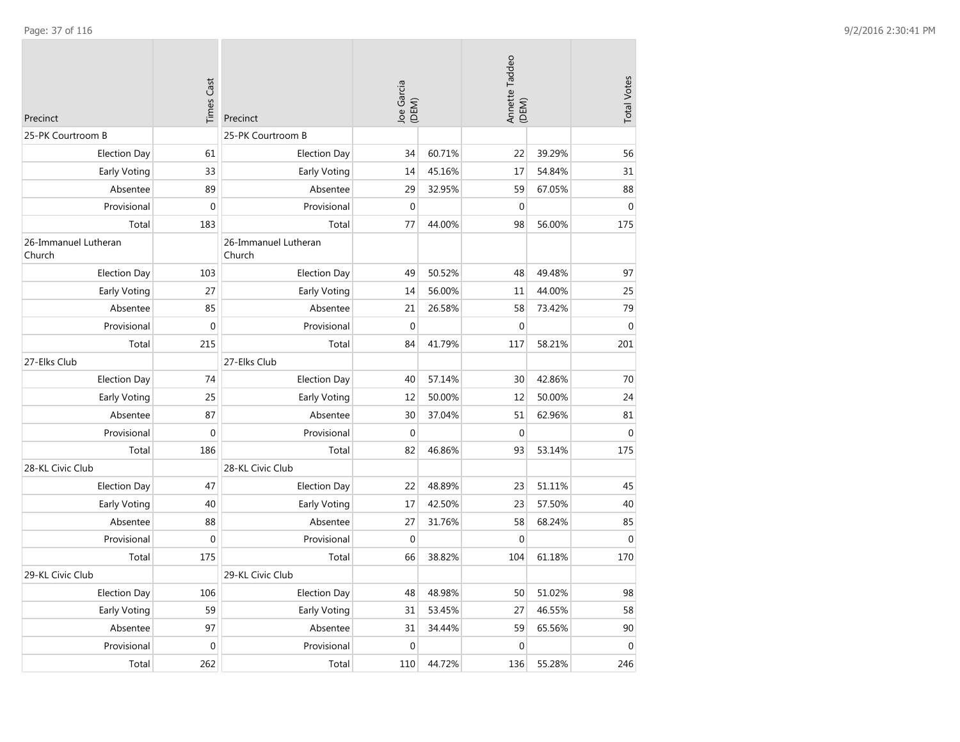| Precinct                       | <b>Times Cast</b> | Precinct                       | Joe Garcia<br>(DEM) |        | Annette Taddeo<br>(DEM) |        | <b>Total Votes</b> |
|--------------------------------|-------------------|--------------------------------|---------------------|--------|-------------------------|--------|--------------------|
| 25-PK Courtroom B              |                   | 25-PK Courtroom B              |                     |        |                         |        |                    |
| <b>Election Day</b>            | 61                | <b>Election Day</b>            | 34                  | 60.71% | 22                      | 39.29% | 56                 |
| Early Voting                   | 33                | <b>Early Voting</b>            | 14                  | 45.16% | 17                      | 54.84% | 31                 |
| Absentee                       | 89                | Absentee                       | 29                  | 32.95% | 59                      | 67.05% | 88                 |
| Provisional                    | $\mathbf{0}$      | Provisional                    | $\mathbf{0}$        |        | $\mathbf 0$             |        | $\mathbf{0}$       |
| Total                          | 183               | Total                          | 77                  | 44.00% | 98                      | 56.00% | 175                |
| 26-Immanuel Lutheran<br>Church |                   | 26-Immanuel Lutheran<br>Church |                     |        |                         |        |                    |
| <b>Election Day</b>            | 103               | <b>Election Day</b>            | 49                  | 50.52% | 48                      | 49.48% | 97                 |
| Early Voting                   | 27                | Early Voting                   | 14                  | 56.00% | 11                      | 44.00% | 25                 |
| Absentee                       | 85                | Absentee                       | 21                  | 26.58% | 58                      | 73.42% | 79                 |
| Provisional                    | $\boldsymbol{0}$  | Provisional                    | $\mathbf 0$         |        | $\boldsymbol{0}$        |        | $\pmb{0}$          |
| Total                          | 215               | Total                          | 84                  | 41.79% | 117                     | 58.21% | 201                |
| 27-Elks Club                   |                   | 27-Elks Club                   |                     |        |                         |        |                    |
| <b>Election Day</b>            | 74                | <b>Election Day</b>            | 40                  | 57.14% | 30                      | 42.86% | 70                 |
| <b>Early Voting</b>            | 25                | Early Voting                   | 12                  | 50.00% | 12                      | 50.00% | 24                 |
| Absentee                       | 87                | Absentee                       | 30                  | 37.04% | 51                      | 62.96% | 81                 |
| Provisional                    | $\mathbf{0}$      | Provisional                    | $\mathbf{0}$        |        | $\mathbf 0$             |        | $\mathbf{0}$       |
| Total                          | 186               | Total                          | 82                  | 46.86% | 93                      | 53.14% | 175                |
| 28-KL Civic Club               |                   | 28-KL Civic Club               |                     |        |                         |        |                    |
| <b>Election Day</b>            | 47                | <b>Election Day</b>            | 22                  | 48.89% | 23                      | 51.11% | 45                 |
| Early Voting                   | 40                | <b>Early Voting</b>            | 17                  | 42.50% | 23                      | 57.50% | 40                 |
| Absentee                       | 88                | Absentee                       | 27                  | 31.76% | 58                      | 68.24% | 85                 |
| Provisional                    | $\mathbf{0}$      | Provisional                    | $\mathbf{0}$        |        | $\mathbf{0}$            |        | $\mathbf{0}$       |
| Total                          | 175               | Total                          | 66                  | 38.82% | 104                     | 61.18% | 170                |
| 29-KL Civic Club               |                   | 29-KL Civic Club               |                     |        |                         |        |                    |
| <b>Election Day</b>            | 106               | <b>Election Day</b>            | 48                  | 48.98% | 50                      | 51.02% | 98                 |
| Early Voting                   | 59                | Early Voting                   | 31                  | 53.45% | 27                      | 46.55% | 58                 |
| Absentee                       | 97                | Absentee                       | 31                  | 34.44% | 59                      | 65.56% | 90                 |
| Provisional                    | $\mathbf 0$       | Provisional                    | $\mathbf 0$         |        | $\mathbf 0$             |        | $\boldsymbol{0}$   |
| Total                          | 262               | Total                          | 110                 | 44.72% | 136                     | 55.28% | 246                |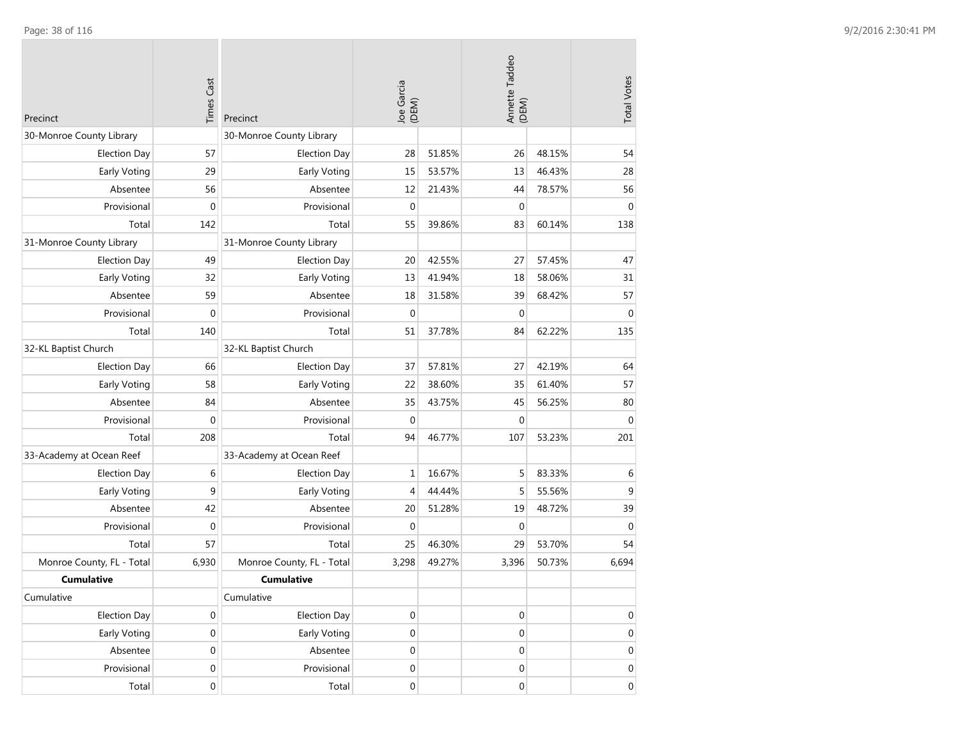| Precinct                  | <b>Times Cast</b> | Precinct                  | Joe Garcia<br>(DEM) |        | Annette Taddeo<br>(DEM) |        | <b>Total Votes</b> |
|---------------------------|-------------------|---------------------------|---------------------|--------|-------------------------|--------|--------------------|
| 30-Monroe County Library  |                   | 30-Monroe County Library  |                     |        |                         |        |                    |
| <b>Election Day</b>       | 57                | <b>Election Day</b>       | 28                  | 51.85% | 26                      | 48.15% | 54                 |
| Early Voting              | 29                | Early Voting              | 15                  | 53.57% | 13                      | 46.43% | 28                 |
| Absentee                  | 56                | Absentee                  | 12                  | 21.43% | 44                      | 78.57% | 56                 |
| Provisional               | $\mathbf 0$       | Provisional               | $\mathbf 0$         |        | $\mathbf 0$             |        | $\mathbf 0$        |
| Total                     | 142               | Total                     | 55                  | 39.86% | 83                      | 60.14% | 138                |
| 31-Monroe County Library  |                   | 31-Monroe County Library  |                     |        |                         |        |                    |
| <b>Election Day</b>       | 49                | <b>Election Day</b>       | 20                  | 42.55% | 27                      | 57.45% | 47                 |
| Early Voting              | 32                | Early Voting              | 13                  | 41.94% | 18                      | 58.06% | 31                 |
| Absentee                  | 59                | Absentee                  | 18                  | 31.58% | 39                      | 68.42% | 57                 |
| Provisional               | $\mathbf{0}$      | Provisional               | $\mathbf{0}$        |        | $\mathbf{0}$            |        | $\mathbf{0}$       |
| Total                     | 140               | Total                     | 51                  | 37.78% | 84                      | 62.22% | 135                |
| 32-KL Baptist Church      |                   | 32-KL Baptist Church      |                     |        |                         |        |                    |
| <b>Election Day</b>       | 66                | <b>Election Day</b>       | 37                  | 57.81% | 27                      | 42.19% | 64                 |
| Early Voting              | 58                | Early Voting              | 22                  | 38.60% | 35                      | 61.40% | 57                 |
| Absentee                  | 84                | Absentee                  | 35                  | 43.75% | 45                      | 56.25% | 80                 |
| Provisional               | $\mathbf{0}$      | Provisional               | $\mathbf 0$         |        | $\mathbf{0}$            |        | $\mathbf{0}$       |
| Total                     | 208               | Total                     | 94                  | 46.77% | 107                     | 53.23% | 201                |
| 33-Academy at Ocean Reef  |                   | 33-Academy at Ocean Reef  |                     |        |                         |        |                    |
| <b>Election Day</b>       | 6                 | <b>Election Day</b>       | 1                   | 16.67% | 5                       | 83.33% | 6                  |
| Early Voting              | 9                 | Early Voting              | 4                   | 44.44% | 5                       | 55.56% | 9                  |
| Absentee                  | 42                | Absentee                  | 20                  | 51.28% | 19                      | 48.72% | 39                 |
| Provisional               | $\mathbf 0$       | Provisional               | $\mathbf 0$         |        | $\mathbf 0$             |        | $\mathbf 0$        |
| Total                     | 57                | Total                     | 25                  | 46.30% | 29                      | 53.70% | 54                 |
| Monroe County, FL - Total | 6,930             | Monroe County, FL - Total | 3,298               | 49.27% | 3,396                   | 50.73% | 6,694              |
| <b>Cumulative</b>         |                   | <b>Cumulative</b>         |                     |        |                         |        |                    |
| Cumulative                |                   | Cumulative                |                     |        |                         |        |                    |
| <b>Election Day</b>       | $\pmb{0}$         | <b>Election Day</b>       | $\boldsymbol{0}$    |        | $\boldsymbol{0}$        |        | $\mathbf 0$        |
| Early Voting              | $\boldsymbol{0}$  | Early Voting              | $\boldsymbol{0}$    |        | 0                       |        | $\overline{0}$     |
| Absentee                  | 0                 | Absentee                  | $\mathbf 0$         |        | $\boldsymbol{0}$        |        | $\mathbf 0$        |
| Provisional               | $\boldsymbol{0}$  | Provisional               | 0                   |        | 0                       |        | $\overline{0}$     |
| Total                     | 0                 | Total                     | $\boldsymbol{0}$    |        | 0                       |        | $\overline{0}$     |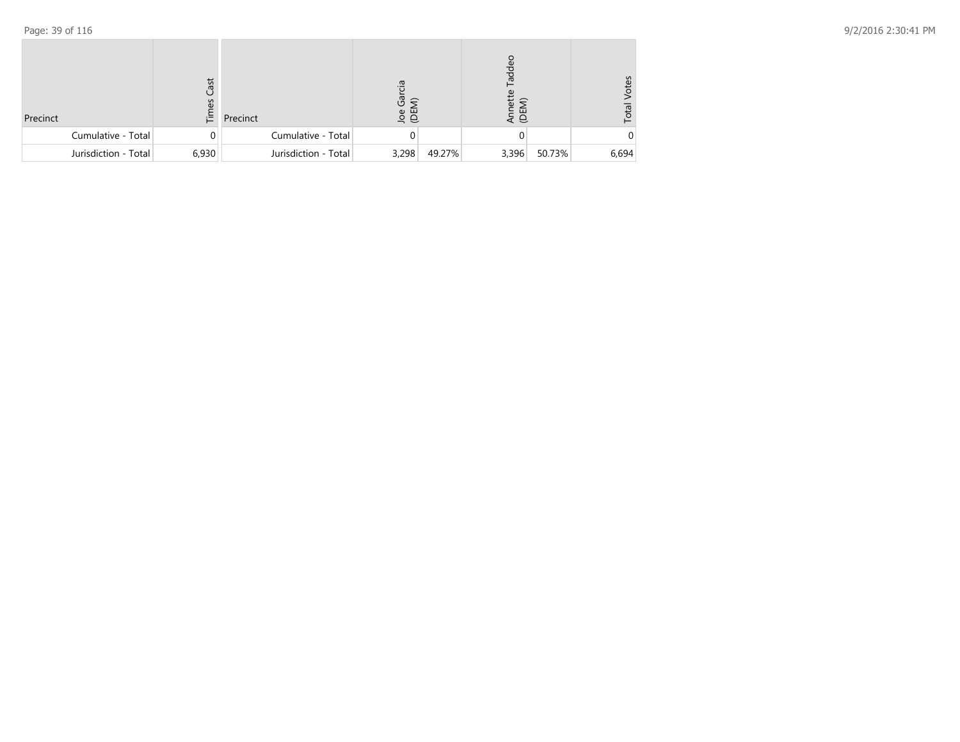| Precinct             | ast<br>辷 | Precinct             | 으.<br>$\bar{c}$ $\bar{c}$<br>g g |        | Tadde<br>ĚΣ<br>ш<br>$\Theta$ |        | /otes<br>Total |
|----------------------|----------|----------------------|----------------------------------|--------|------------------------------|--------|----------------|
| Cumulative - Total   |          | Cumulative - Total   |                                  |        |                              |        |                |
| Jurisdiction - Total | 6,930    | Jurisdiction - Total | 3,298                            | 49.27% | 3,396                        | 50.73% | 6,694          |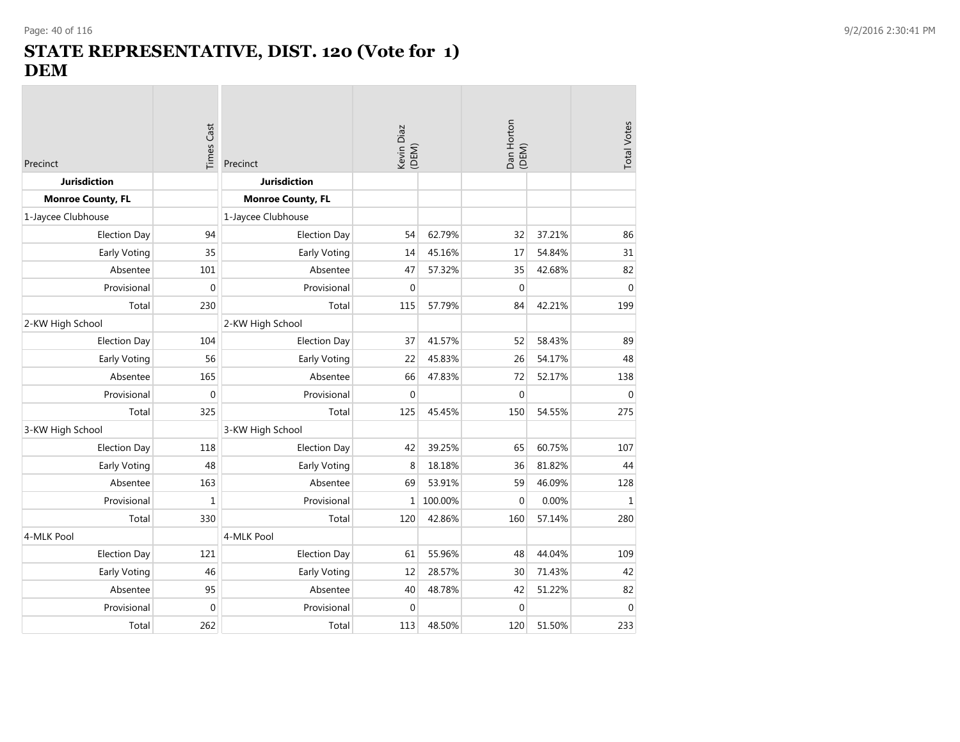**College** 

## **STATE REPRESENTATIVE, DIST. 120 (Vote for 1) DEM**

| Precinct                 | Times Cast   | Precinct                 | Kevin Diaz<br>(DEM) |         | Dan Horton<br>(DEM) |        | <b>Total Votes</b> |
|--------------------------|--------------|--------------------------|---------------------|---------|---------------------|--------|--------------------|
| <b>Jurisdiction</b>      |              | <b>Jurisdiction</b>      |                     |         |                     |        |                    |
| <b>Monroe County, FL</b> |              | <b>Monroe County, FL</b> |                     |         |                     |        |                    |
| 1-Jaycee Clubhouse       |              | 1-Jaycee Clubhouse       |                     |         |                     |        |                    |
| <b>Election Day</b>      | 94           | <b>Election Day</b>      | 54                  | 62.79%  | 32                  | 37.21% | 86                 |
| Early Voting             | 35           | Early Voting             | 14                  | 45.16%  | 17                  | 54.84% | 31                 |
| Absentee                 | 101          | Absentee                 | 47                  | 57.32%  | 35                  | 42.68% | 82                 |
| Provisional              | $\mathbf 0$  | Provisional              | $\mathbf 0$         |         | $\mathbf{0}$        |        | $\mathbf{0}$       |
| Total                    | 230          | Total                    | 115                 | 57.79%  | 84                  | 42.21% | 199                |
| 2-KW High School         |              | 2-KW High School         |                     |         |                     |        |                    |
| <b>Election Day</b>      | 104          | <b>Election Day</b>      | 37                  | 41.57%  | 52                  | 58.43% | 89                 |
| Early Voting             | 56           | Early Voting             | 22                  | 45.83%  | 26                  | 54.17% | 48                 |
| Absentee                 | 165          | Absentee                 | 66                  | 47.83%  | 72                  | 52.17% | 138                |
| Provisional              | $\mathbf 0$  | Provisional              | $\mathbf 0$         |         | $\mathbf{0}$        |        | $\mathbf{0}$       |
| Total                    | 325          | Total                    | 125                 | 45.45%  | 150                 | 54.55% | 275                |
| 3-KW High School         |              | 3-KW High School         |                     |         |                     |        |                    |
| <b>Election Day</b>      | 118          | <b>Election Day</b>      | 42                  | 39.25%  | 65                  | 60.75% | 107                |
| Early Voting             | 48           | Early Voting             | 8                   | 18.18%  | 36                  | 81.82% | 44                 |
| Absentee                 | 163          | Absentee                 | 69                  | 53.91%  | 59                  | 46.09% | 128                |
| Provisional              | $\mathbf{1}$ | Provisional              | 1                   | 100.00% | $\mathbf 0$         | 0.00%  | $\mathbf{1}$       |
| Total                    | 330          | Total                    | 120                 | 42.86%  | 160                 | 57.14% | 280                |
| 4-MLK Pool               |              | 4-MLK Pool               |                     |         |                     |        |                    |
| <b>Election Day</b>      | 121          | <b>Election Day</b>      | 61                  | 55.96%  | 48                  | 44.04% | 109                |
| Early Voting             | 46           | Early Voting             | 12                  | 28.57%  | 30                  | 71.43% | 42                 |
| Absentee                 | 95           | Absentee                 | 40                  | 48.78%  | 42                  | 51.22% | 82                 |
| Provisional              | $\mathbf 0$  | Provisional              | $\Omega$            |         | $\mathbf 0$         |        | $\mathbf 0$        |
| Total                    | 262          | Total                    | 113                 | 48.50%  | 120                 | 51.50% | 233                |

the control of the control of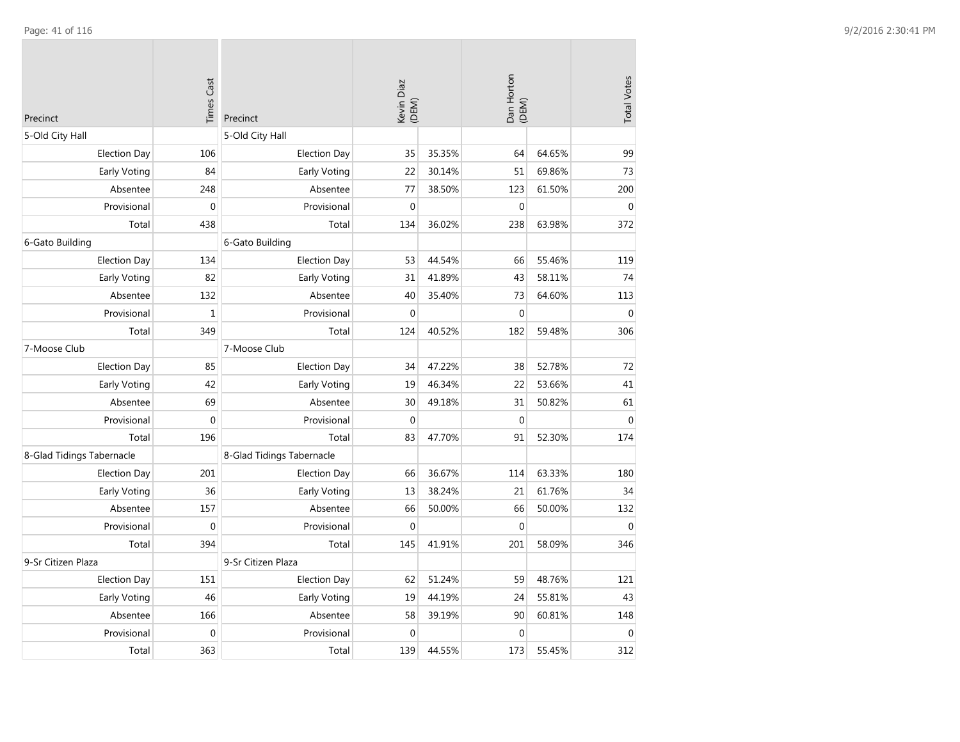| Precinct                  | <b>Times Cast</b> | Precinct                  | Kevin Diaz<br>(DEM) |        | Dan Horton<br>(DEM) |        | <b>Total Votes</b> |
|---------------------------|-------------------|---------------------------|---------------------|--------|---------------------|--------|--------------------|
| 5-Old City Hall           |                   | 5-Old City Hall           |                     |        |                     |        |                    |
| <b>Election Day</b>       | 106               | <b>Election Day</b>       | 35                  | 35.35% | 64                  | 64.65% | 99                 |
| Early Voting              | 84                | Early Voting              | 22                  | 30.14% | 51                  | 69.86% | 73                 |
| Absentee                  | 248               | Absentee                  | 77                  | 38.50% | 123                 | 61.50% | 200                |
| Provisional               | $\mathbf 0$       | Provisional               | $\mathbf 0$         |        | $\mathbf 0$         |        | $\boldsymbol{0}$   |
| Total                     | 438               | Total                     | 134                 | 36.02% | 238                 | 63.98% | 372                |
| 6-Gato Building           |                   | 6-Gato Building           |                     |        |                     |        |                    |
| <b>Election Day</b>       | 134               | <b>Election Day</b>       | 53                  | 44.54% | 66                  | 55.46% | 119                |
| Early Voting              | 82                | Early Voting              | 31                  | 41.89% | 43                  | 58.11% | 74                 |
| Absentee                  | 132               | Absentee                  | 40                  | 35.40% | 73                  | 64.60% | 113                |
| Provisional               | $1\,$             | Provisional               | $\mathbf 0$         |        | $\mathbf 0$         |        | $\boldsymbol{0}$   |
| Total                     | 349               | Total                     | 124                 | 40.52% | 182                 | 59.48% | 306                |
| 7-Moose Club              |                   | 7-Moose Club              |                     |        |                     |        |                    |
| <b>Election Day</b>       | 85                | <b>Election Day</b>       | 34                  | 47.22% | 38                  | 52.78% | 72                 |
| Early Voting              | 42                | Early Voting              | 19                  | 46.34% | 22                  | 53.66% | 41                 |
| Absentee                  | 69                | Absentee                  | 30                  | 49.18% | 31                  | 50.82% | 61                 |
| Provisional               | $\mathbf 0$       | Provisional               | 0                   |        | $\mathbf 0$         |        | $\boldsymbol{0}$   |
| Total                     | 196               | Total                     | 83                  | 47.70% | 91                  | 52.30% | 174                |
| 8-Glad Tidings Tabernacle |                   | 8-Glad Tidings Tabernacle |                     |        |                     |        |                    |
| <b>Election Day</b>       | 201               | <b>Election Day</b>       | 66                  | 36.67% | 114                 | 63.33% | 180                |
| Early Voting              | 36                | Early Voting              | 13                  | 38.24% | 21                  | 61.76% | 34                 |
| Absentee                  | 157               | Absentee                  | 66                  | 50.00% | 66                  | 50.00% | 132                |
| Provisional               | $\boldsymbol{0}$  | Provisional               | 0                   |        | $\boldsymbol{0}$    |        | $\mathbf 0$        |
| Total                     | 394               | Total                     | 145                 | 41.91% | 201                 | 58.09% | 346                |
| 9-Sr Citizen Plaza        |                   | 9-Sr Citizen Plaza        |                     |        |                     |        |                    |
| <b>Election Day</b>       | 151               | <b>Election Day</b>       | 62                  | 51.24% | 59                  | 48.76% | 121                |
| Early Voting              | 46                | Early Voting              | 19                  | 44.19% | 24                  | 55.81% | 43                 |
| Absentee                  | 166               | Absentee                  | 58                  | 39.19% | 90                  | 60.81% | 148                |
| Provisional               | $\mathbf 0$       | Provisional               | $\mathbf 0$         |        | $\mathbf 0$         |        | $\mathbf 0$        |
| Total                     | 363               | Total                     | 139                 | 44.55% | 173                 | 55.45% | 312                |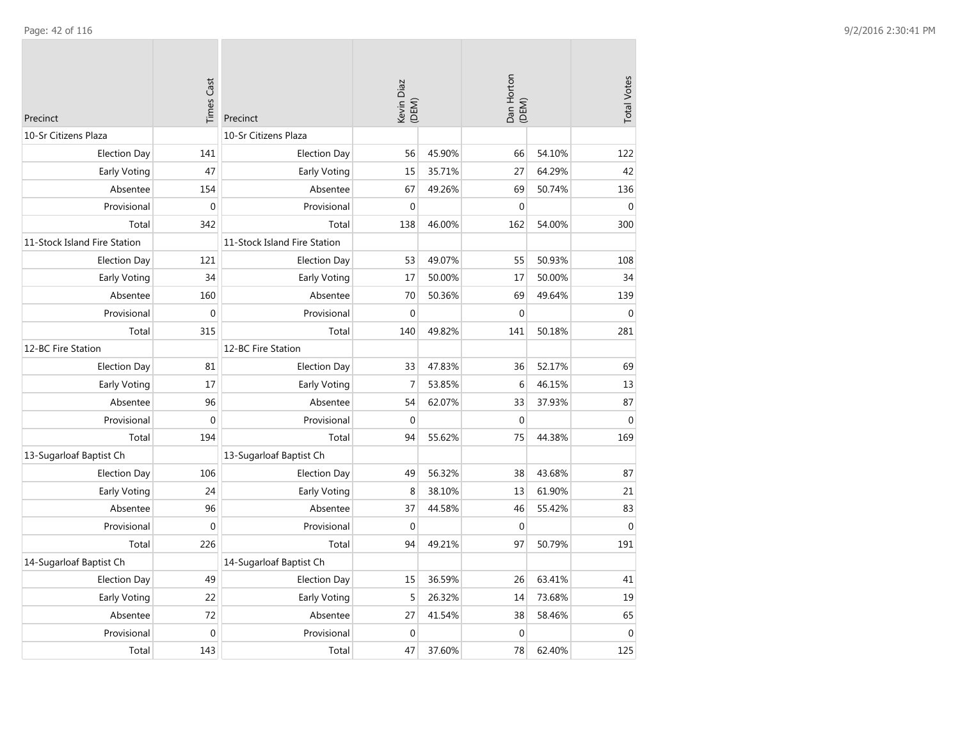| Precinct                     | <b>Times Cast</b> | Precinct                     | Kevin Diaz<br>(DEM) |        | Dan Horton<br>(DEM) |        | <b>Total Votes</b> |
|------------------------------|-------------------|------------------------------|---------------------|--------|---------------------|--------|--------------------|
| 10-Sr Citizens Plaza         |                   | 10-Sr Citizens Plaza         |                     |        |                     |        |                    |
| <b>Election Day</b>          | 141               | <b>Election Day</b>          | 56                  | 45.90% | 66                  | 54.10% | 122                |
| Early Voting                 | 47                | Early Voting                 | 15                  | 35.71% | 27                  | 64.29% | 42                 |
| Absentee                     | 154               | Absentee                     | 67                  | 49.26% | 69                  | 50.74% | 136                |
| Provisional                  | $\boldsymbol{0}$  | Provisional                  | $\mathbf{0}$        |        | $\mathbf{0}$        |        | $\mathbf{0}$       |
| Total                        | 342               | Total                        | 138                 | 46.00% | 162                 | 54.00% | 300                |
| 11-Stock Island Fire Station |                   | 11-Stock Island Fire Station |                     |        |                     |        |                    |
| <b>Election Day</b>          | 121               | <b>Election Day</b>          | 53                  | 49.07% | 55                  | 50.93% | 108                |
| Early Voting                 | 34                | Early Voting                 | 17                  | 50.00% | 17                  | 50.00% | 34                 |
| Absentee                     | 160               | Absentee                     | 70                  | 50.36% | 69                  | 49.64% | 139                |
| Provisional                  | $\boldsymbol{0}$  | Provisional                  | $\mathbf{0}$        |        | $\mathbf{0}$        |        | $\mathbf{0}$       |
| Total                        | 315               | Total                        | 140                 | 49.82% | 141                 | 50.18% | 281                |
| 12-BC Fire Station           |                   | 12-BC Fire Station           |                     |        |                     |        |                    |
| <b>Election Day</b>          | 81                | <b>Election Day</b>          | 33                  | 47.83% | 36                  | 52.17% | 69                 |
| Early Voting                 | 17                | Early Voting                 | $\overline{7}$      | 53.85% | 6                   | 46.15% | 13                 |
| Absentee                     | 96                | Absentee                     | 54                  | 62.07% | 33                  | 37.93% | 87                 |
| Provisional                  | $\mathbf 0$       | Provisional                  | $\mathbf{0}$        |        | $\boldsymbol{0}$    |        | $\mathbf{0}$       |
| Total                        | 194               | Total                        | 94                  | 55.62% | 75                  | 44.38% | 169                |
| 13-Sugarloaf Baptist Ch      |                   | 13-Sugarloaf Baptist Ch      |                     |        |                     |        |                    |
| <b>Election Day</b>          | 106               | <b>Election Day</b>          | 49                  | 56.32% | 38                  | 43.68% | 87                 |
| Early Voting                 | 24                | Early Voting                 | 8                   | 38.10% | 13                  | 61.90% | 21                 |
| Absentee                     | 96                | Absentee                     | 37                  | 44.58% | 46                  | 55.42% | 83                 |
| Provisional                  | $\mathbf 0$       | Provisional                  | $\mathbf{0}$        |        | $\mathbf 0$         |        | $\mathbf{0}$       |
| Total                        | 226               | Total                        | 94                  | 49.21% | 97                  | 50.79% | 191                |
| 14-Sugarloaf Baptist Ch      |                   | 14-Sugarloaf Baptist Ch      |                     |        |                     |        |                    |
| <b>Election Day</b>          | 49                | <b>Election Day</b>          | 15                  | 36.59% | 26                  | 63.41% | 41                 |
| Early Voting                 | 22                | Early Voting                 | 5                   | 26.32% | 14                  | 73.68% | 19                 |
| Absentee                     | 72                | Absentee                     | 27                  | 41.54% | 38                  | 58.46% | 65                 |
| Provisional                  | $\mathbf 0$       | Provisional                  | $\mathbf{0}$        |        | $\mathbf 0$         |        | $\mathbf{0}$       |
| Total                        | 143               | Total                        | 47                  | 37.60% | 78                  | 62.40% | 125                |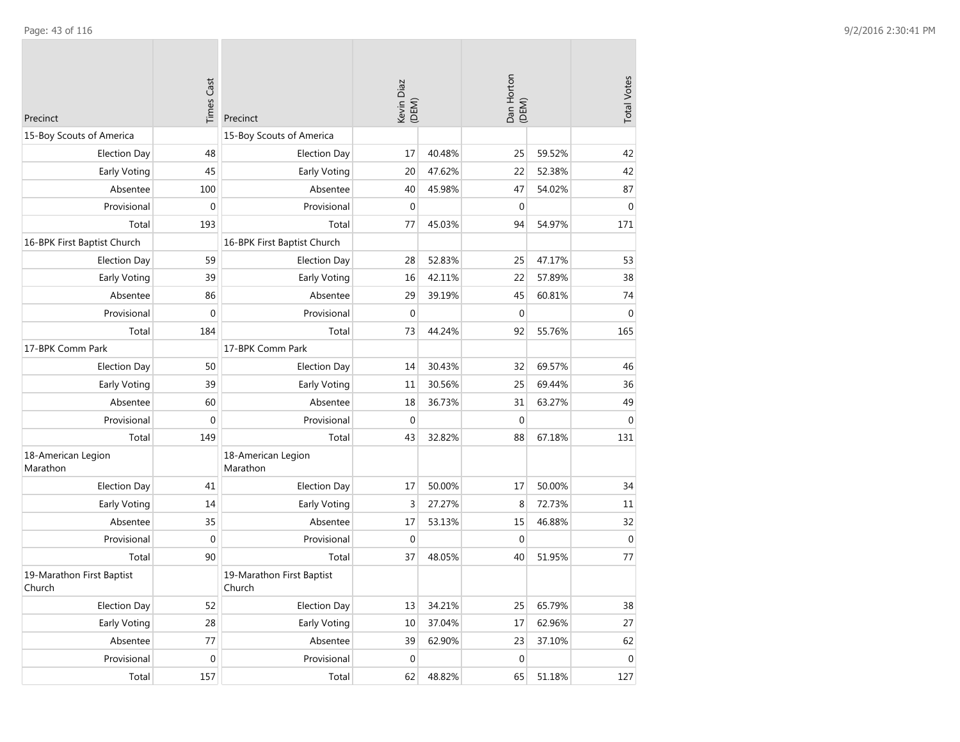| Precinct                            | <b>Times Cast</b> | Precinct                            | Kevin Diaz<br>(DEM) |        | Dan Horton<br>(DEM) |        | <b>Total Votes</b> |
|-------------------------------------|-------------------|-------------------------------------|---------------------|--------|---------------------|--------|--------------------|
| 15-Boy Scouts of America            |                   | 15-Boy Scouts of America            |                     |        |                     |        |                    |
| <b>Election Day</b>                 | 48                | <b>Election Day</b>                 | 17                  | 40.48% | 25                  | 59.52% | 42                 |
| Early Voting                        | 45                | Early Voting                        | 20                  | 47.62% | 22                  | 52.38% | 42                 |
| Absentee                            | 100               | Absentee                            | 40                  | 45.98% | 47                  | 54.02% | 87                 |
| Provisional                         | 0                 | Provisional                         | $\mathbf 0$         |        | $\pmb{0}$           |        | $\mathbf 0$        |
| Total                               | 193               | Total                               | 77                  | 45.03% | 94                  | 54.97% | 171                |
| 16-BPK First Baptist Church         |                   | 16-BPK First Baptist Church         |                     |        |                     |        |                    |
| <b>Election Day</b>                 | 59                | <b>Election Day</b>                 | 28                  | 52.83% | 25                  | 47.17% | 53                 |
| Early Voting                        | 39                | Early Voting                        | 16                  | 42.11% | 22                  | 57.89% | 38                 |
| Absentee                            | 86                | Absentee                            | 29                  | 39.19% | 45                  | 60.81% | 74                 |
| Provisional                         | 0                 | Provisional                         | $\mathbf 0$         |        | $\mathbf{0}$        |        | $\mathbf{0}$       |
| Total                               | 184               | Total                               | 73                  | 44.24% | 92                  | 55.76% | 165                |
| 17-BPK Comm Park                    |                   | 17-BPK Comm Park                    |                     |        |                     |        |                    |
| <b>Election Day</b>                 | 50                | <b>Election Day</b>                 | 14                  | 30.43% | 32                  | 69.57% | 46                 |
| Early Voting                        | 39                | Early Voting                        | 11                  | 30.56% | 25                  | 69.44% | 36                 |
| Absentee                            | 60                | Absentee                            | 18                  | 36.73% | 31                  | 63.27% | 49                 |
| Provisional                         | $\mathbf 0$       | Provisional                         | $\mathbf 0$         |        | $\boldsymbol{0}$    |        | $\boldsymbol{0}$   |
| Total                               | 149               | Total                               | 43                  | 32.82% | 88                  | 67.18% | 131                |
| 18-American Legion<br>Marathon      |                   | 18-American Legion<br>Marathon      |                     |        |                     |        |                    |
| <b>Election Day</b>                 | 41                | <b>Election Day</b>                 | 17                  | 50.00% | 17                  | 50.00% | 34                 |
| Early Voting                        | 14                | Early Voting                        | 3                   | 27.27% | 8                   | 72.73% | 11                 |
| Absentee                            | 35                | Absentee                            | 17                  | 53.13% | 15                  | 46.88% | 32                 |
| Provisional                         | $\mathbf 0$       | Provisional                         | $\mathbf 0$         |        | $\mathbf 0$         |        | $\mathbf 0$        |
| Total                               | 90                | Total                               | 37                  | 48.05% | 40                  | 51.95% | 77                 |
| 19-Marathon First Baptist<br>Church |                   | 19-Marathon First Baptist<br>Church |                     |        |                     |        |                    |
| <b>Election Day</b>                 | 52                | <b>Election Day</b>                 | 13                  | 34.21% | 25                  | 65.79% | 38                 |
| Early Voting                        | 28                | Early Voting                        | 10                  | 37.04% | 17                  | 62.96% | 27                 |
| Absentee                            | 77                | Absentee                            | 39                  | 62.90% | 23                  | 37.10% | 62                 |
| Provisional                         | 0                 | Provisional                         | $\mathbf 0$         |        | $\pmb{0}$           |        | $\pmb{0}$          |
| Total                               | 157               | Total                               | 62                  | 48.82% | 65                  | 51.18% | 127                |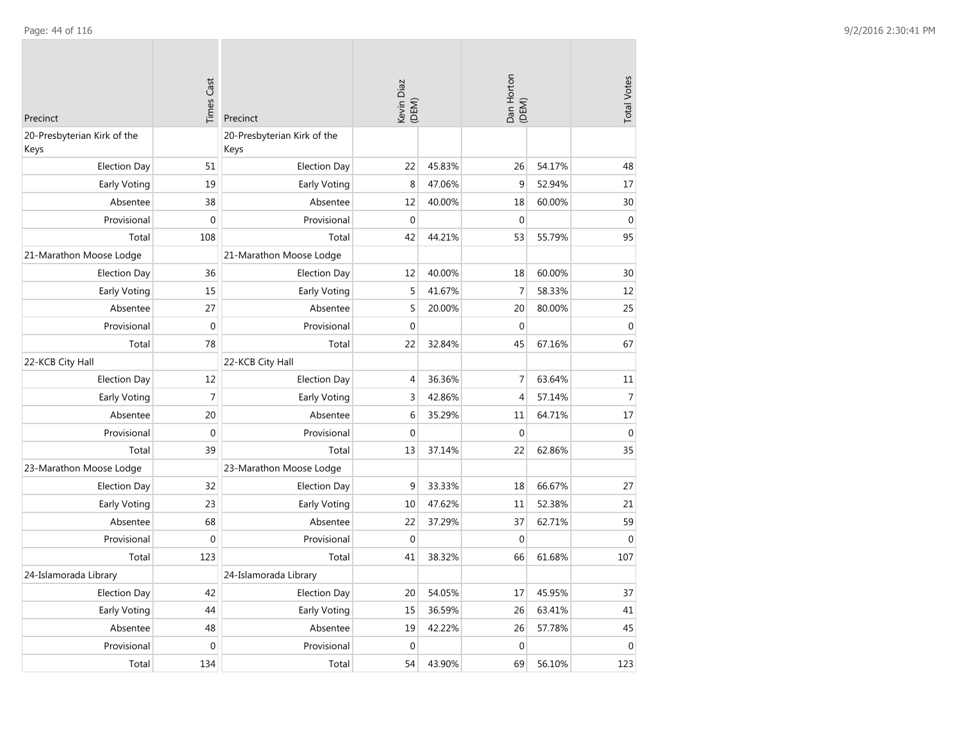| Precinct                            | <b>Times Cast</b> | Precinct                            | Kevin Diaz<br>(DEM) |        | Dan Horton<br>(DEM) |        | <b>Total Votes</b> |
|-------------------------------------|-------------------|-------------------------------------|---------------------|--------|---------------------|--------|--------------------|
| 20-Presbyterian Kirk of the<br>Keys |                   | 20-Presbyterian Kirk of the<br>Keys |                     |        |                     |        |                    |
| <b>Election Day</b>                 | 51                | <b>Election Day</b>                 | 22                  | 45.83% | 26                  | 54.17% | 48                 |
| Early Voting                        | 19                | Early Voting                        | 8                   | 47.06% | $\boldsymbol{9}$    | 52.94% | 17                 |
| Absentee                            | 38                | Absentee                            | 12                  | 40.00% | 18                  | 60.00% | 30                 |
| Provisional                         | $\mathbf{0}$      | Provisional                         | $\mathbf{0}$        |        | $\mathbf{0}$        |        | $\mathbf 0$        |
| Total                               | 108               | Total                               | 42                  | 44.21% | 53                  | 55.79% | 95                 |
| 21-Marathon Moose Lodge             |                   | 21-Marathon Moose Lodge             |                     |        |                     |        |                    |
| <b>Election Day</b>                 | 36                | <b>Election Day</b>                 | 12                  | 40.00% | 18                  | 60.00% | 30                 |
| Early Voting                        | 15                | Early Voting                        | 5                   | 41.67% | $\overline{7}$      | 58.33% | 12                 |
| Absentee                            | 27                | Absentee                            | 5                   | 20.00% | 20                  | 80.00% | 25                 |
| Provisional                         | $\boldsymbol{0}$  | Provisional                         | $\mathbf 0$         |        | $\mathbf{0}$        |        | $\boldsymbol{0}$   |
| Total                               | 78                | Total                               | 22                  | 32.84% | 45                  | 67.16% | 67                 |
| 22-KCB City Hall                    |                   | 22-KCB City Hall                    |                     |        |                     |        |                    |
| <b>Election Day</b>                 | 12                | <b>Election Day</b>                 | $\overline{4}$      | 36.36% | $\overline{7}$      | 63.64% | 11                 |
| Early Voting                        | $\overline{7}$    | Early Voting                        | 3                   | 42.86% | $\overline{4}$      | 57.14% | $\overline{7}$     |
| Absentee                            | 20                | Absentee                            | 6                   | 35.29% | 11                  | 64.71% | 17                 |
| Provisional                         | $\boldsymbol{0}$  | Provisional                         | $\Omega$            |        | $\mathbf 0$         |        | $\theta$           |
| Total                               | 39                | Total                               | 13                  | 37.14% | 22                  | 62.86% | 35                 |
| 23-Marathon Moose Lodge             |                   | 23-Marathon Moose Lodge             |                     |        |                     |        |                    |
| <b>Election Day</b>                 | 32                | <b>Election Day</b>                 | 9                   | 33.33% | 18                  | 66.67% | 27                 |
| Early Voting                        | 23                | Early Voting                        | 10                  | 47.62% | 11                  | 52.38% | 21                 |
| Absentee                            | 68                | Absentee                            | 22                  | 37.29% | 37                  | 62.71% | 59                 |
| Provisional                         | $\mathbf 0$       | Provisional                         | $\mathbf 0$         |        | $\mathbf 0$         |        | $\mathbf 0$        |
| Total                               | 123               | Total                               | 41                  | 38.32% | 66                  | 61.68% | 107                |
| 24-Islamorada Library               |                   | 24-Islamorada Library               |                     |        |                     |        |                    |
| <b>Election Day</b>                 | 42                | <b>Election Day</b>                 | 20                  | 54.05% | 17                  | 45.95% | 37                 |
| Early Voting                        | 44                | Early Voting                        | 15                  | 36.59% | 26                  | 63.41% | 41                 |
| Absentee                            | 48                | Absentee                            | 19                  | 42.22% | 26                  | 57.78% | 45                 |
| Provisional                         | $\boldsymbol{0}$  | Provisional                         | $\mathbf 0$         |        | $\mathbf 0$         |        | $\mathbf 0$        |
| Total                               | 134               | Total                               | 54                  | 43.90% | 69                  | 56.10% | 123                |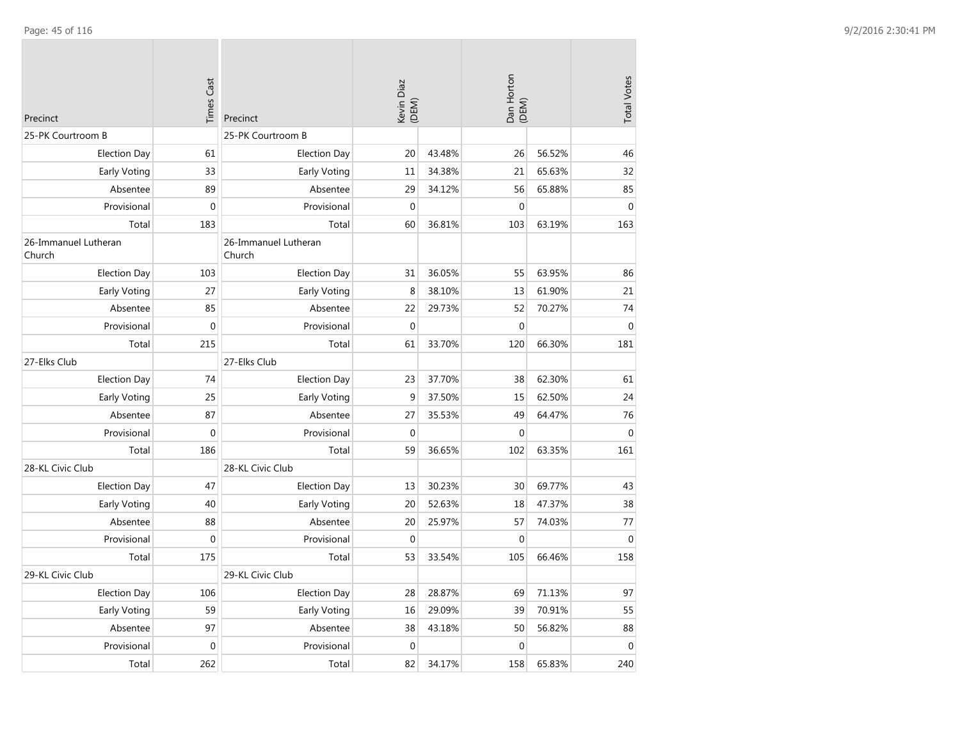| Precinct                       | <b>Times Cast</b> | Precinct                       | Kevin Diaz<br>(DEM) |        | Dan Horton<br>(DEM) |        | <b>Total Votes</b> |
|--------------------------------|-------------------|--------------------------------|---------------------|--------|---------------------|--------|--------------------|
| 25-PK Courtroom B              |                   | 25-PK Courtroom B              |                     |        |                     |        |                    |
| <b>Election Day</b>            | 61                | <b>Election Day</b>            | 20                  | 43.48% | 26                  | 56.52% | 46                 |
| <b>Early Voting</b>            | 33                | Early Voting                   | 11                  | 34.38% | 21                  | 65.63% | 32                 |
| Absentee                       | 89                | Absentee                       | 29                  | 34.12% | 56                  | 65.88% | 85                 |
| Provisional                    | $\mathbf{0}$      | Provisional                    | $\mathbf 0$         |        | $\mathbf 0$         |        | $\mathbf{0}$       |
| Total                          | 183               | Total                          | 60                  | 36.81% | 103                 | 63.19% | 163                |
| 26-Immanuel Lutheran<br>Church |                   | 26-Immanuel Lutheran<br>Church |                     |        |                     |        |                    |
| <b>Election Day</b>            | 103               | <b>Election Day</b>            | 31                  | 36.05% | 55                  | 63.95% | 86                 |
| Early Voting                   | 27                | Early Voting                   | 8                   | 38.10% | 13                  | 61.90% | 21                 |
| Absentee                       | 85                | Absentee                       | 22                  | 29.73% | 52                  | 70.27% | 74                 |
| Provisional                    | $\mathbf 0$       | Provisional                    | $\mathbf 0$         |        | $\mathbf 0$         |        | $\boldsymbol{0}$   |
| Total                          | 215               | Total                          | 61                  | 33.70% | 120                 | 66.30% | 181                |
| 27-Elks Club                   |                   | 27-Elks Club                   |                     |        |                     |        |                    |
| <b>Election Day</b>            | 74                | <b>Election Day</b>            | 23                  | 37.70% | 38                  | 62.30% | 61                 |
| Early Voting                   | 25                | Early Voting                   | 9                   | 37.50% | 15                  | 62.50% | 24                 |
| Absentee                       | 87                | Absentee                       | 27                  | 35.53% | 49                  | 64.47% | 76                 |
| Provisional                    | $\pmb{0}$         | Provisional                    | $\boldsymbol{0}$    |        | $\boldsymbol{0}$    |        | $\boldsymbol{0}$   |
| Total                          | 186               | Total                          | 59                  | 36.65% | 102                 | 63.35% | 161                |
| 28-KL Civic Club               |                   | 28-KL Civic Club               |                     |        |                     |        |                    |
| <b>Election Day</b>            | 47                | <b>Election Day</b>            | 13                  | 30.23% | 30                  | 69.77% | 43                 |
| Early Voting                   | 40                | Early Voting                   | 20                  | 52.63% | 18                  | 47.37% | 38                 |
| Absentee                       | 88                | Absentee                       | 20                  | 25.97% | 57                  | 74.03% | 77                 |
| Provisional                    | $\mathbf{0}$      | Provisional                    | $\mathbf{0}$        |        | $\mathbf{0}$        |        | $\mathbf{0}$       |
| Total                          | 175               | Total                          | 53                  | 33.54% | 105                 | 66.46% | 158                |
| 29-KL Civic Club               |                   | 29-KL Civic Club               |                     |        |                     |        |                    |
| <b>Election Day</b>            | 106               | <b>Election Day</b>            | 28                  | 28.87% | 69                  | 71.13% | 97                 |
| Early Voting                   | 59                | Early Voting                   | 16                  | 29.09% | 39                  | 70.91% | 55                 |
| Absentee                       | 97                | Absentee                       | 38                  | 43.18% | 50                  | 56.82% | 88                 |
| Provisional                    | $\mathbf 0$       | Provisional                    | 0                   |        | $\mathbf 0$         |        | $\mathbf{0}$       |
| Total                          | 262               | Total                          | 82                  | 34.17% | 158                 | 65.83% | 240                |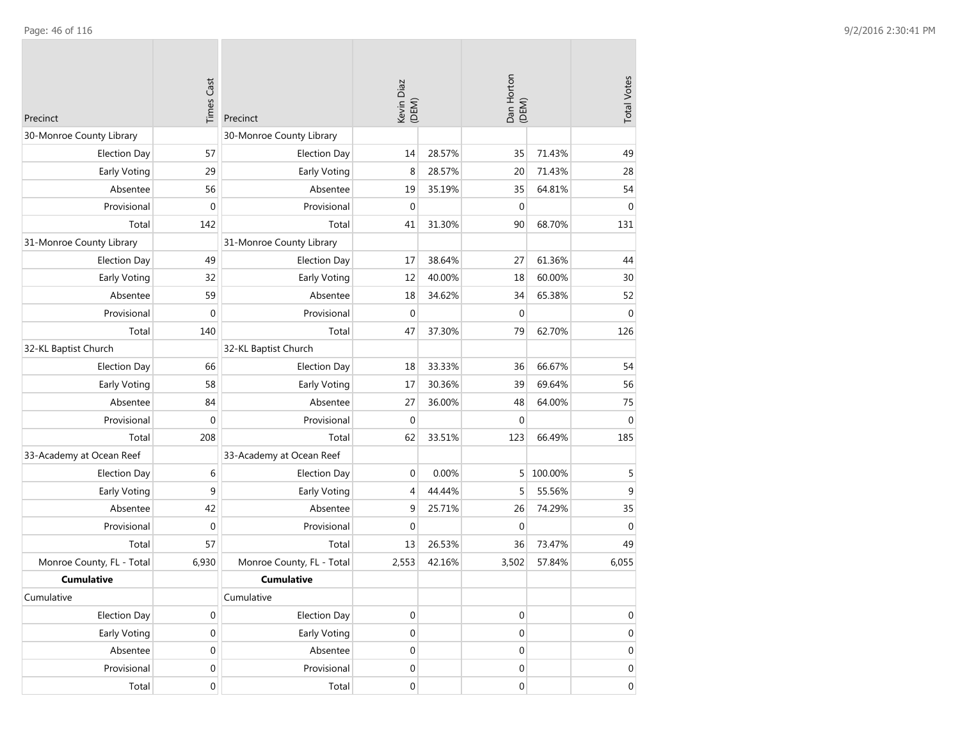|                           | <b>Times Cast</b> |                           |                     |        |                     |         |                    |
|---------------------------|-------------------|---------------------------|---------------------|--------|---------------------|---------|--------------------|
| Precinct                  |                   | Precinct                  | Kevin Diaz<br>(DEM) |        | Dan Horton<br>(DEM) |         | <b>Total Votes</b> |
| 30-Monroe County Library  |                   | 30-Monroe County Library  |                     |        |                     |         |                    |
| <b>Election Day</b>       | 57                | <b>Election Day</b>       | 14                  | 28.57% | 35                  | 71.43%  | 49                 |
| Early Voting              | 29                | Early Voting              | 8                   | 28.57% | 20                  | 71.43%  | 28                 |
| Absentee                  | 56                | Absentee                  | 19                  | 35.19% | 35                  | 64.81%  | 54                 |
| Provisional               | $\mathbf{0}$      | Provisional               | $\mathbf{0}$        |        | $\mathbf 0$         |         | $\mathbf{0}$       |
| Total                     | 142               | Total                     | 41                  | 31.30% | 90                  | 68.70%  | 131                |
| 31-Monroe County Library  |                   | 31-Monroe County Library  |                     |        |                     |         |                    |
| <b>Election Day</b>       | 49                | <b>Election Day</b>       | 17                  | 38.64% | 27                  | 61.36%  | 44                 |
| Early Voting              | 32                | Early Voting              | 12                  | 40.00% | 18                  | 60.00%  | 30                 |
| Absentee                  | 59                | Absentee                  | 18                  | 34.62% | 34                  | 65.38%  | 52                 |
| Provisional               | $\mathbf{0}$      | Provisional               | $\mathbf 0$         |        | $\mathbf 0$         |         | $\mathbf 0$        |
| Total                     | 140               | Total                     | 47                  | 37.30% | 79                  | 62.70%  | 126                |
| 32-KL Baptist Church      |                   | 32-KL Baptist Church      |                     |        |                     |         |                    |
| <b>Election Day</b>       | 66                | <b>Election Day</b>       | 18                  | 33.33% | 36                  | 66.67%  | 54                 |
| Early Voting              | 58                | Early Voting              | 17                  | 30.36% | 39                  | 69.64%  | 56                 |
| Absentee                  | 84                | Absentee                  | 27                  | 36.00% | 48                  | 64.00%  | 75                 |
| Provisional               | $\mathbf 0$       | Provisional               | $\mathbf{0}$        |        | $\mathbf 0$         |         | $\boldsymbol{0}$   |
| Total                     | 208               | Total                     | 62                  | 33.51% | 123                 | 66.49%  | 185                |
| 33-Academy at Ocean Reef  |                   | 33-Academy at Ocean Reef  |                     |        |                     |         |                    |
| <b>Election Day</b>       | 6                 | <b>Election Day</b>       | $\mathbf 0$         | 0.00%  | 5                   | 100.00% | 5                  |
| <b>Early Voting</b>       | 9                 | Early Voting              | 4                   | 44.44% | 5                   | 55.56%  | 9                  |
| Absentee                  | 42                | Absentee                  | 9                   | 25.71% | 26                  | 74.29%  | 35                 |
| Provisional               | $\mathbf 0$       | Provisional               | $\mathbf{0}$        |        | $\mathbf 0$         |         | $\mathbf 0$        |
| Total                     | 57                | Total                     | 13                  | 26.53% | 36                  | 73.47%  | 49                 |
| Monroe County, FL - Total | 6,930             | Monroe County, FL - Total | 2,553               | 42.16% | 3,502               | 57.84%  | 6,055              |
| <b>Cumulative</b>         |                   | <b>Cumulative</b>         |                     |        |                     |         |                    |
| Cumulative                |                   | Cumulative                |                     |        |                     |         |                    |
| <b>Election Day</b>       | 0                 | <b>Election Day</b>       | $\boldsymbol{0}$    |        | 0                   |         | 0                  |
| Early Voting              | $\boldsymbol{0}$  | Early Voting              | $\boldsymbol{0}$    |        | $\boldsymbol{0}$    |         | $\mathbf 0$        |
| Absentee                  | $\mathbf 0$       | Absentee                  | $\boldsymbol{0}$    |        | $\boldsymbol{0}$    |         | $\mathbf 0$        |
| Provisional               | $\boldsymbol{0}$  | Provisional               | $\boldsymbol{0}$    |        | $\boldsymbol{0}$    |         | $\mathbf 0$        |
| Total                     | $\boldsymbol{0}$  | Total                     | $\boldsymbol{0}$    |        | $\boldsymbol{0}$    |         | $\overline{0}$     |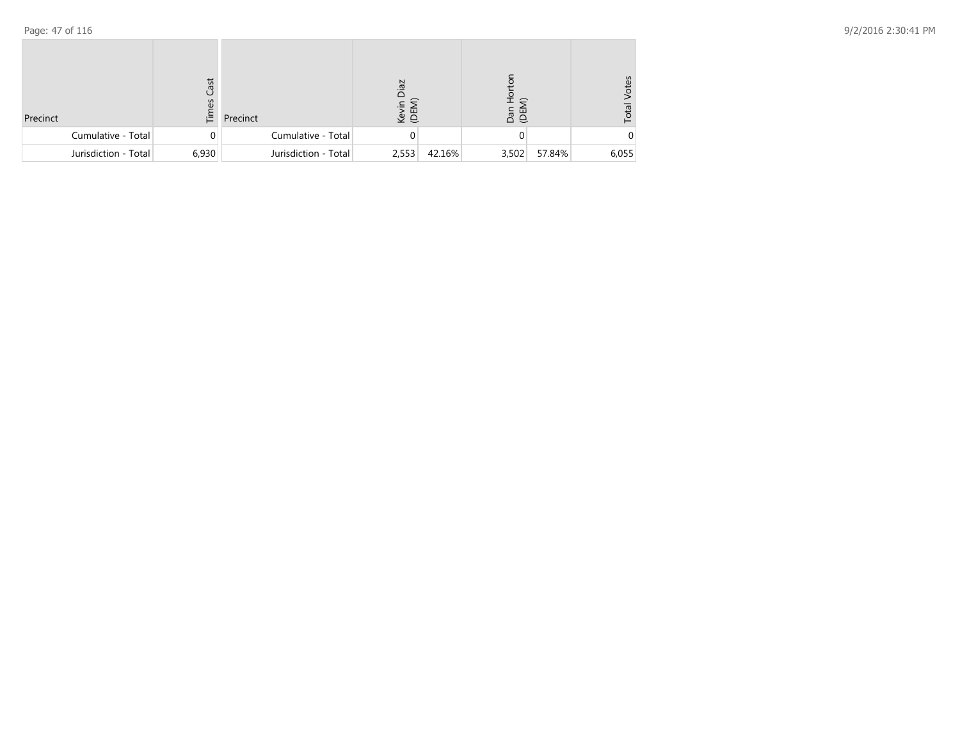| Precinct             | Cast<br>3<br>ιΞ. | Precinct             | Zej<br>Kevin<br>(DEM) |        | $\widehat{=}$<br>na n<br>G |        | /otes<br>Total |
|----------------------|------------------|----------------------|-----------------------|--------|----------------------------|--------|----------------|
| Cumulative - Total   | $\Omega$         | Cumulative - Total   |                       |        |                            |        |                |
| Jurisdiction - Total | 6,930            | Jurisdiction - Total | 2,553                 | 42.16% | 3,502                      | 57.84% | 6,055          |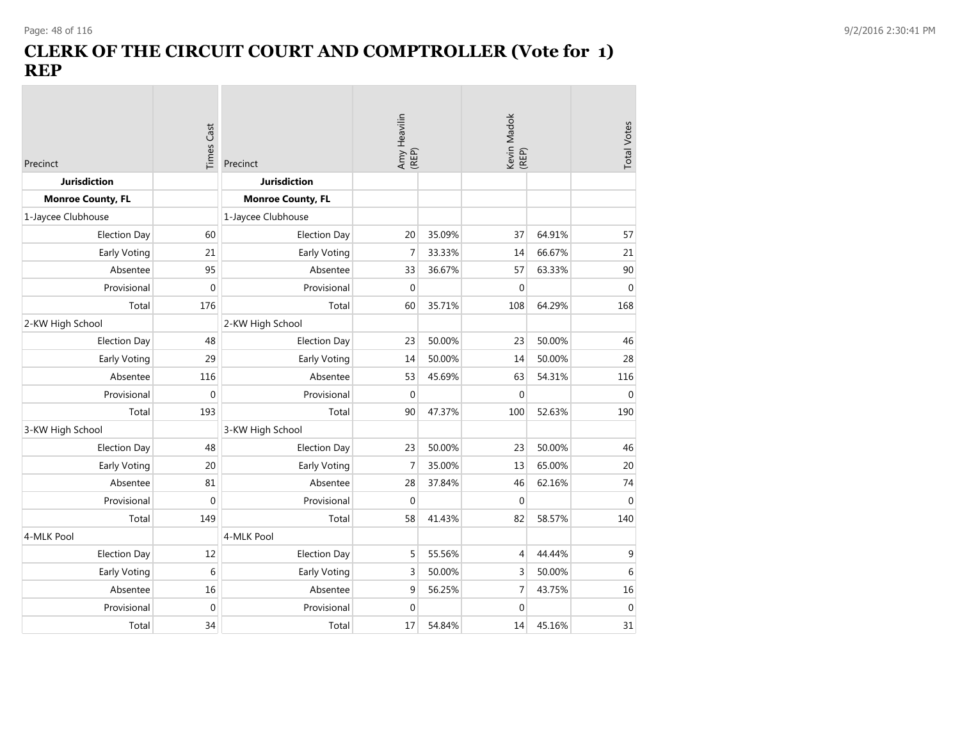**COL** 

### **CLERK OF THE CIRCUIT COURT AND COMPTROLLER (Vote for 1) REP**

| Precinct                 | <b>Times Cast</b> | Precinct                 | Amy Heavilin<br>(REP) |        | Kevin Madok<br>(REP) |        | <b>Total Votes</b> |
|--------------------------|-------------------|--------------------------|-----------------------|--------|----------------------|--------|--------------------|
| <b>Jurisdiction</b>      |                   | <b>Jurisdiction</b>      |                       |        |                      |        |                    |
| <b>Monroe County, FL</b> |                   | <b>Monroe County, FL</b> |                       |        |                      |        |                    |
| 1-Jaycee Clubhouse       |                   | 1-Jaycee Clubhouse       |                       |        |                      |        |                    |
| <b>Election Day</b>      | 60                | <b>Election Day</b>      | 20                    | 35.09% | 37                   | 64.91% | 57                 |
| Early Voting             | 21                | Early Voting             | $\overline{7}$        | 33.33% | 14                   | 66.67% | 21                 |
| Absentee                 | 95                | Absentee                 | 33                    | 36.67% | 57                   | 63.33% | 90                 |
| Provisional              | 0                 | Provisional              | $\mathbf{0}$          |        | $\mathbf 0$          |        | $\mathbf 0$        |
| Total                    | 176               | Total                    | 60                    | 35.71% | 108                  | 64.29% | 168                |
| 2-KW High School         |                   | 2-KW High School         |                       |        |                      |        |                    |
| <b>Election Day</b>      | 48                | <b>Election Day</b>      | 23                    | 50.00% | 23                   | 50.00% | 46                 |
| Early Voting             | 29                | Early Voting             | 14                    | 50.00% | 14                   | 50.00% | 28                 |
| Absentee                 | 116               | Absentee                 | 53                    | 45.69% | 63                   | 54.31% | 116                |
| Provisional              | 0                 | Provisional              | $\Omega$              |        | $\mathbf 0$          |        | $\mathbf{0}$       |
| Total                    | 193               | Total                    | 90                    | 47.37% | 100                  | 52.63% | 190                |
| 3-KW High School         |                   | 3-KW High School         |                       |        |                      |        |                    |
| <b>Election Day</b>      | 48                | <b>Election Day</b>      | 23                    | 50.00% | 23                   | 50.00% | 46                 |
| Early Voting             | 20                | Early Voting             | $\overline{7}$        | 35.00% | 13                   | 65.00% | 20                 |
| Absentee                 | 81                | Absentee                 | 28                    | 37.84% | 46                   | 62.16% | 74                 |
| Provisional              | 0                 | Provisional              | $\Omega$              |        | $\mathbf{0}$         |        | $\mathbf 0$        |
| Total                    | 149               | Total                    | 58                    | 41.43% | 82                   | 58.57% | 140                |
| 4-MLK Pool               |                   | 4-MLK Pool               |                       |        |                      |        |                    |
| <b>Election Day</b>      | 12                | <b>Election Day</b>      | 5                     | 55.56% | 4                    | 44.44% | 9                  |
| Early Voting             | 6                 | Early Voting             | 3                     | 50.00% | 3                    | 50.00% | 6                  |
| Absentee                 | 16                | Absentee                 | 9                     | 56.25% | 7                    | 43.75% | 16                 |
| Provisional              | 0                 | Provisional              | $\mathbf 0$           |        | $\mathbf 0$          |        | $\mathbf 0$        |
| Total                    | 34                | Total                    | 17                    | 54.84% | 14                   | 45.16% | 31                 |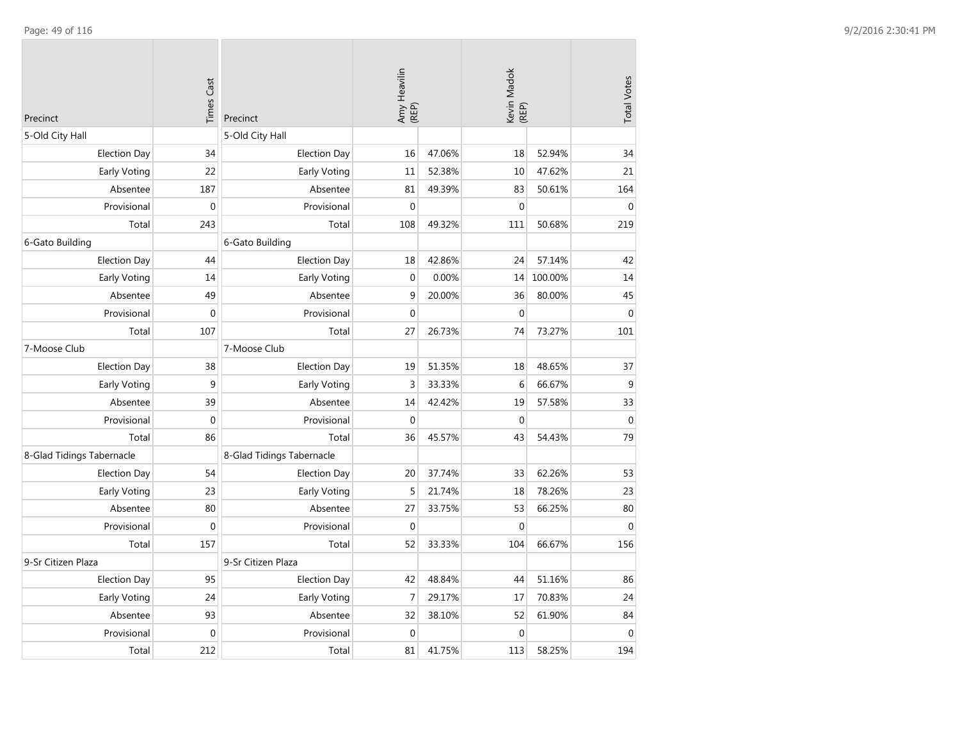| Precinct                  | <b>Times Cast</b> | Precinct                  | Amy Heavilin<br>(REP) |        | Kevin Madok<br>(REP) |         | <b>Total Votes</b> |
|---------------------------|-------------------|---------------------------|-----------------------|--------|----------------------|---------|--------------------|
| 5-Old City Hall           |                   | 5-Old City Hall           |                       |        |                      |         |                    |
| <b>Election Day</b>       | 34                | <b>Election Day</b>       | 16                    | 47.06% | 18                   | 52.94%  | 34                 |
| Early Voting              | 22                | Early Voting              | 11                    | 52.38% | 10                   | 47.62%  | 21                 |
| Absentee                  | 187               | Absentee                  | 81                    | 49.39% | 83                   | 50.61%  | 164                |
| Provisional               | $\mathbf 0$       | Provisional               | $\Omega$              |        | $\mathbf 0$          |         | $\Omega$           |
| Total                     | 243               | Total                     | 108                   | 49.32% | 111                  | 50.68%  | 219                |
| 6-Gato Building           |                   | 6-Gato Building           |                       |        |                      |         |                    |
| <b>Election Day</b>       | 44                | <b>Election Day</b>       | 18                    | 42.86% | 24                   | 57.14%  | 42                 |
| Early Voting              | 14                | Early Voting              | $\mathbf{0}$          | 0.00%  | 14                   | 100.00% | 14                 |
| Absentee                  | 49                | Absentee                  | 9                     | 20.00% | 36                   | 80.00%  | 45                 |
| Provisional               | $\mathbf 0$       | Provisional               | $\mathbf 0$           |        | $\mathbf 0$          |         | $\mathbf 0$        |
| Total                     | 107               | Total                     | 27                    | 26.73% | 74                   | 73.27%  | 101                |
| 7-Moose Club              |                   | 7-Moose Club              |                       |        |                      |         |                    |
| <b>Election Day</b>       | 38                | <b>Election Day</b>       | 19                    | 51.35% | 18                   | 48.65%  | 37                 |
| Early Voting              | 9                 | Early Voting              | 3                     | 33.33% | 6                    | 66.67%  | $\mathsf 9$        |
| Absentee                  | 39                | Absentee                  | 14                    | 42.42% | 19                   | 57.58%  | 33                 |
| Provisional               | $\boldsymbol{0}$  | Provisional               | $\mathbf{0}$          |        | $\boldsymbol{0}$     |         | $\mathbf 0$        |
| Total                     | 86                | Total                     | 36                    | 45.57% | 43                   | 54.43%  | 79                 |
| 8-Glad Tidings Tabernacle |                   | 8-Glad Tidings Tabernacle |                       |        |                      |         |                    |
| <b>Election Day</b>       | 54                | <b>Election Day</b>       | 20                    | 37.74% | 33                   | 62.26%  | 53                 |
| Early Voting              | 23                | Early Voting              | 5                     | 21.74% | 18                   | 78.26%  | 23                 |
| Absentee                  | 80                | Absentee                  | 27                    | 33.75% | 53                   | 66.25%  | 80                 |
| Provisional               | $\boldsymbol{0}$  | Provisional               | $\mathbf 0$           |        | $\boldsymbol{0}$     |         | $\boldsymbol{0}$   |
| Total                     | 157               | Total                     | 52                    | 33.33% | 104                  | 66.67%  | 156                |
| 9-Sr Citizen Plaza        |                   | 9-Sr Citizen Plaza        |                       |        |                      |         |                    |
| <b>Election Day</b>       | 95                | <b>Election Day</b>       | 42                    | 48.84% | 44                   | 51.16%  | 86                 |
| Early Voting              | 24                | Early Voting              | $\overline{7}$        | 29.17% | 17                   | 70.83%  | 24                 |
| Absentee                  | 93                | Absentee                  | 32                    | 38.10% | 52                   | 61.90%  | 84                 |
| Provisional               | $\boldsymbol{0}$  | Provisional               | $\mathbf{0}$          |        | $\mathbf 0$          |         | $\mathbf{0}$       |
| Total                     | 212               | Total                     | 81                    | 41.75% | 113                  | 58.25%  | 194                |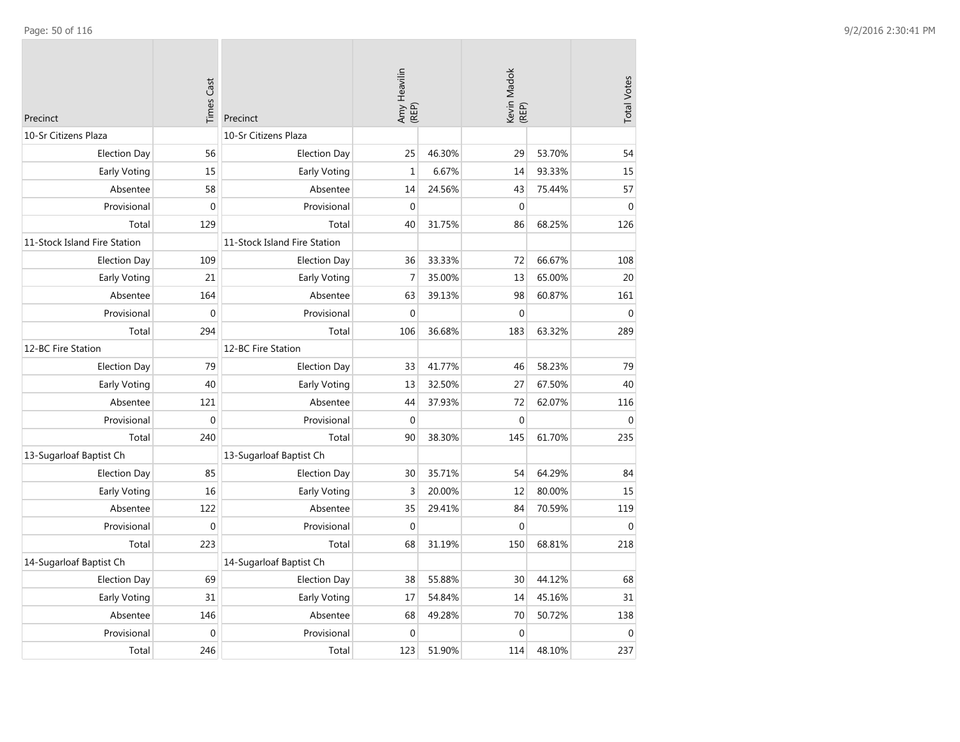| Precinct                     | <b>Times Cast</b> | Precinct                     | Amy Heavilin<br>(REP) |        | Kevin Madok<br>(REP) |        | <b>Total Votes</b> |
|------------------------------|-------------------|------------------------------|-----------------------|--------|----------------------|--------|--------------------|
| 10-Sr Citizens Plaza         |                   | 10-Sr Citizens Plaza         |                       |        |                      |        |                    |
| <b>Election Day</b>          | 56                | <b>Election Day</b>          | 25                    | 46.30% | 29                   | 53.70% | 54                 |
| Early Voting                 | 15                | Early Voting                 | $\mathbf{1}$          | 6.67%  | 14                   | 93.33% | 15                 |
| Absentee                     | 58                | Absentee                     | 14                    | 24.56% | 43                   | 75.44% | 57                 |
| Provisional                  | $\overline{0}$    | Provisional                  | $\Omega$              |        | $\mathbf{0}$         |        | $\mathbf{0}$       |
| Total                        | 129               | Total                        | 40                    | 31.75% | 86                   | 68.25% | 126                |
| 11-Stock Island Fire Station |                   | 11-Stock Island Fire Station |                       |        |                      |        |                    |
| <b>Election Day</b>          | 109               | <b>Election Day</b>          | 36                    | 33.33% | 72                   | 66.67% | 108                |
| Early Voting                 | 21                | Early Voting                 | $\overline{7}$        | 35.00% | 13                   | 65.00% | 20                 |
| Absentee                     | 164               | Absentee                     | 63                    | 39.13% | 98                   | 60.87% | 161                |
| Provisional                  | $\mathbf 0$       | Provisional                  | $\mathbf 0$           |        | $\mathbf{0}$         |        | $\mathbf 0$        |
| Total                        | 294               | Total                        | 106                   | 36.68% | 183                  | 63.32% | 289                |
| 12-BC Fire Station           |                   | 12-BC Fire Station           |                       |        |                      |        |                    |
| <b>Election Day</b>          | 79                | <b>Election Day</b>          | 33                    | 41.77% | 46                   | 58.23% | 79                 |
| Early Voting                 | 40                | Early Voting                 | 13                    | 32.50% | 27                   | 67.50% | 40                 |
| Absentee                     | 121               | Absentee                     | 44                    | 37.93% | 72                   | 62.07% | 116                |
| Provisional                  | $\mathbf{0}$      | Provisional                  | $\mathbf 0$           |        | $\mathbf{0}$         |        | $\mathbf 0$        |
| Total                        | 240               | Total                        | 90                    | 38.30% | 145                  | 61.70% | 235                |
| 13-Sugarloaf Baptist Ch      |                   | 13-Sugarloaf Baptist Ch      |                       |        |                      |        |                    |
| <b>Election Day</b>          | 85                | <b>Election Day</b>          | 30                    | 35.71% | 54                   | 64.29% | 84                 |
| Early Voting                 | 16                | Early Voting                 | 3                     | 20.00% | 12                   | 80.00% | 15                 |
| Absentee                     | 122               | Absentee                     | 35                    | 29.41% | 84                   | 70.59% | 119                |
| Provisional                  | $\Omega$          | Provisional                  | $\Omega$              |        | $\Omega$             |        | $\Omega$           |
| Total                        | 223               | Total                        | 68                    | 31.19% | 150                  | 68.81% | 218                |
| 14-Sugarloaf Baptist Ch      |                   | 14-Sugarloaf Baptist Ch      |                       |        |                      |        |                    |
| <b>Election Day</b>          | 69                | <b>Election Day</b>          | 38                    | 55.88% | 30                   | 44.12% | 68                 |
| Early Voting                 | 31                | Early Voting                 | 17                    | 54.84% | 14                   | 45.16% | 31                 |
| Absentee                     | 146               | Absentee                     | 68                    | 49.28% | 70                   | 50.72% | 138                |
| Provisional                  | $\mathbf{0}$      | Provisional                  | $\mathbf 0$           |        | $\mathbf{0}$         |        | $\mathbf{0}$       |
| Total                        | 246               | Total                        | 123                   | 51.90% | 114                  | 48.10% | 237                |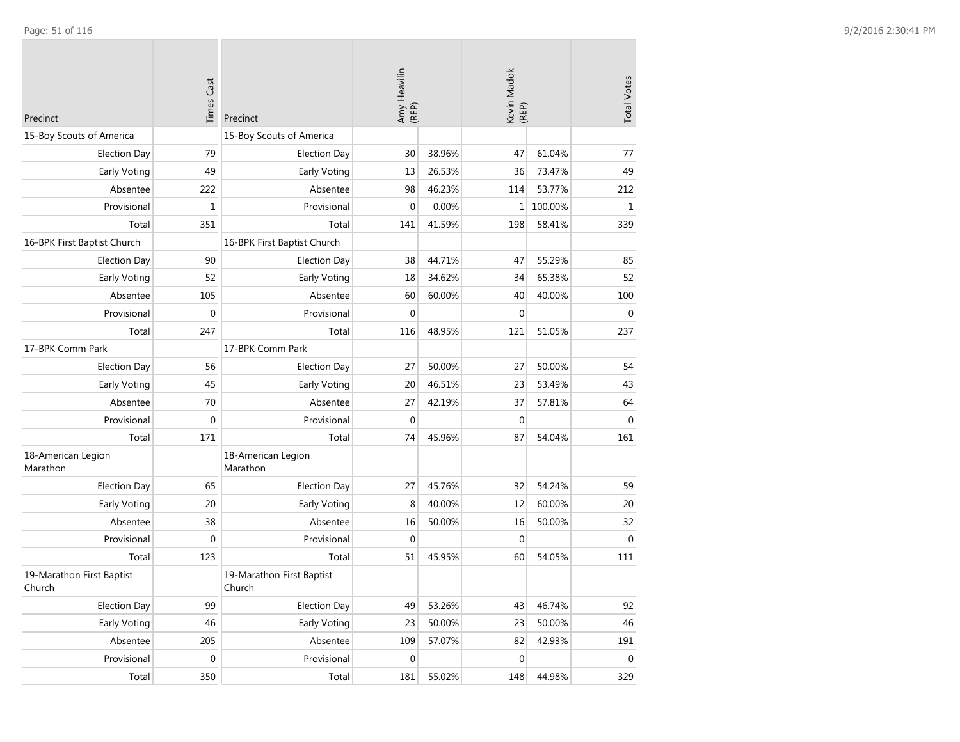| Precinct                            | <b>Times Cast</b> | Precinct                            | Amy Heavilin<br>(REP) |        | Kevin Madok<br>(REP) |         | <b>Total Votes</b> |
|-------------------------------------|-------------------|-------------------------------------|-----------------------|--------|----------------------|---------|--------------------|
| 15-Boy Scouts of America            |                   | 15-Boy Scouts of America            |                       |        |                      |         |                    |
| <b>Election Day</b>                 | 79                | <b>Election Day</b>                 | 30                    | 38.96% | 47                   | 61.04%  | 77                 |
| Early Voting                        | 49                | Early Voting                        | 13                    | 26.53% | 36                   | 73.47%  | 49                 |
| Absentee                            | 222               | Absentee                            | 98                    | 46.23% | 114                  | 53.77%  | 212                |
| Provisional                         | $\mathbf{1}$      | Provisional                         | $\mathbf{0}$          | 0.00%  | $\mathbf{1}$         | 100.00% | $\mathbf{1}$       |
| Total                               | 351               | Total                               | 141                   | 41.59% | 198                  | 58.41%  | 339                |
| 16-BPK First Baptist Church         |                   | 16-BPK First Baptist Church         |                       |        |                      |         |                    |
| <b>Election Day</b>                 | 90                | <b>Election Day</b>                 | 38                    | 44.71% | 47                   | 55.29%  | 85                 |
| <b>Early Voting</b>                 | 52                | Early Voting                        | 18                    | 34.62% | 34                   | 65.38%  | 52                 |
| Absentee                            | 105               | Absentee                            | 60                    | 60.00% | 40                   | 40.00%  | 100                |
| Provisional                         | 0                 | Provisional                         | $\mathbf{0}$          |        | $\mathbf 0$          |         | $\mathbf{0}$       |
| Total                               | 247               | Total                               | 116                   | 48.95% | 121                  | 51.05%  | 237                |
| 17-BPK Comm Park                    |                   | 17-BPK Comm Park                    |                       |        |                      |         |                    |
| <b>Election Day</b>                 | 56                | <b>Election Day</b>                 | 27                    | 50.00% | 27                   | 50.00%  | 54                 |
| <b>Early Voting</b>                 | 45                | Early Voting                        | 20                    | 46.51% | 23                   | 53.49%  | 43                 |
| Absentee                            | 70                | Absentee                            | 27                    | 42.19% | 37                   | 57.81%  | 64                 |
| Provisional                         | $\mathbf{0}$      | Provisional                         | $\mathbf{0}$          |        | $\mathbf 0$          |         | $\mathbf{0}$       |
| Total                               | 171               | Total                               | 74                    | 45.96% | 87                   | 54.04%  | 161                |
| 18-American Legion<br>Marathon      |                   | 18-American Legion<br>Marathon      |                       |        |                      |         |                    |
| <b>Election Day</b>                 | 65                | <b>Election Day</b>                 | 27                    | 45.76% | 32                   | 54.24%  | 59                 |
| Early Voting                        | 20                | Early Voting                        | 8                     | 40.00% | 12                   | 60.00%  | 20                 |
| Absentee                            | 38                | Absentee                            | 16                    | 50.00% | 16                   | 50.00%  | 32                 |
| Provisional                         | 0                 | Provisional                         | 0                     |        | $\mathbf 0$          |         | $\mathbf 0$        |
| Total                               | 123               | Total                               | 51                    | 45.95% | 60                   | 54.05%  | 111                |
| 19-Marathon First Baptist<br>Church |                   | 19-Marathon First Baptist<br>Church |                       |        |                      |         |                    |
| <b>Election Day</b>                 | 99                | <b>Election Day</b>                 | 49                    | 53.26% | 43                   | 46.74%  | 92                 |
| Early Voting                        | 46                | Early Voting                        | 23                    | 50.00% | 23                   | 50.00%  | 46                 |
| Absentee                            | 205               | Absentee                            | 109                   | 57.07% | 82                   | 42.93%  | 191                |
| Provisional                         | $\boldsymbol{0}$  | Provisional                         | $\mathbf 0$           |        | $\boldsymbol{0}$     |         | $\boldsymbol{0}$   |
| Total                               | 350               | Total                               | 181                   | 55.02% | 148                  | 44.98%  | 329                |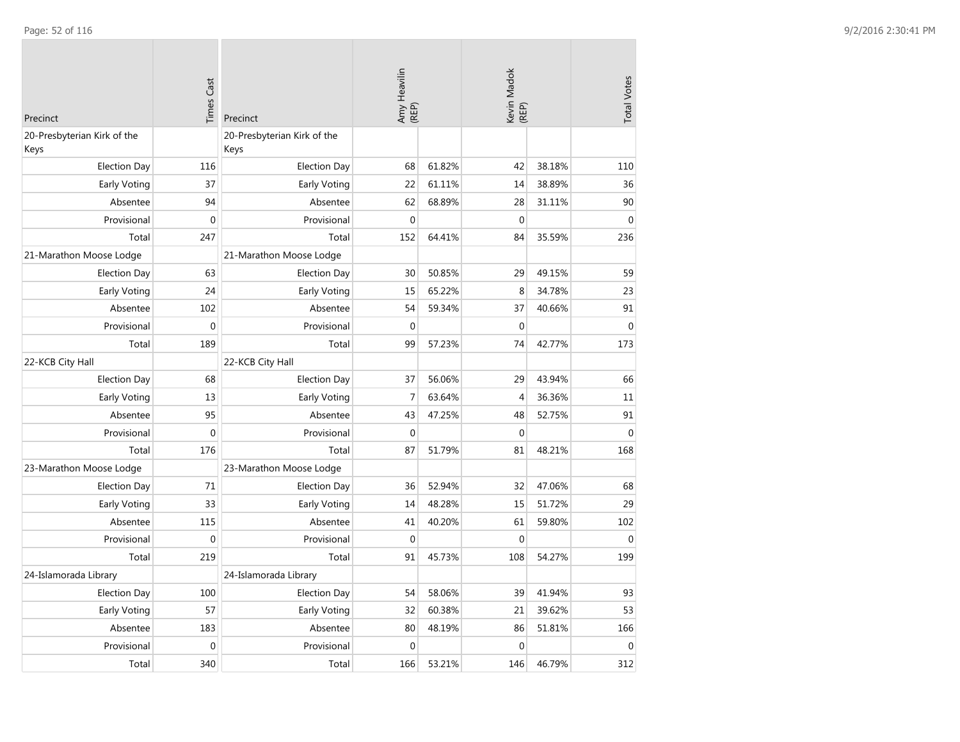| Precinct                            | <b>Times Cast</b> | Precinct                            | Amy Heavilin<br>(REP) |        | Kevin Madok<br>(REP) |        | <b>Total Votes</b> |
|-------------------------------------|-------------------|-------------------------------------|-----------------------|--------|----------------------|--------|--------------------|
| 20-Presbyterian Kirk of the<br>Keys |                   | 20-Presbyterian Kirk of the<br>Keys |                       |        |                      |        |                    |
| <b>Election Day</b>                 | 116               | <b>Election Day</b>                 | 68                    | 61.82% | 42                   | 38.18% | 110                |
| Early Voting                        | 37                | Early Voting                        | 22                    | 61.11% | 14                   | 38.89% | 36                 |
| Absentee                            | 94                | Absentee                            | 62                    | 68.89% | 28                   | 31.11% | 90                 |
| Provisional                         | $\pmb{0}$         | Provisional                         | $\Omega$              |        | $\mathbf 0$          |        | $\mathbf 0$        |
| Total                               | 247               | Total                               | 152                   | 64.41% | 84                   | 35.59% | 236                |
| 21-Marathon Moose Lodge             |                   | 21-Marathon Moose Lodge             |                       |        |                      |        |                    |
| <b>Election Day</b>                 | 63                | <b>Election Day</b>                 | 30                    | 50.85% | 29                   | 49.15% | 59                 |
| Early Voting                        | 24                | Early Voting                        | 15                    | 65.22% | 8                    | 34.78% | 23                 |
| Absentee                            | 102               | Absentee                            | 54                    | 59.34% | 37                   | 40.66% | 91                 |
| Provisional                         | $\mathbf{0}$      | Provisional                         | $\mathbf 0$           |        | $\mathbf 0$          |        | $\mathbf{0}$       |
| Total                               | 189               | Total                               | 99                    | 57.23% | 74                   | 42.77% | 173                |
| 22-KCB City Hall                    |                   | 22-KCB City Hall                    |                       |        |                      |        |                    |
| <b>Election Day</b>                 | 68                | <b>Election Day</b>                 | 37                    | 56.06% | 29                   | 43.94% | 66                 |
| Early Voting                        | 13                | Early Voting                        | $\overline{7}$        | 63.64% | $\overline{4}$       | 36.36% | 11                 |
| Absentee                            | 95                | Absentee                            | 43                    | 47.25% | 48                   | 52.75% | 91                 |
| Provisional                         | $\pmb{0}$         | Provisional                         | $\mathbf{0}$          |        | $\boldsymbol{0}$     |        | $\boldsymbol{0}$   |
| Total                               | 176               | Total                               | 87                    | 51.79% | 81                   | 48.21% | 168                |
| 23-Marathon Moose Lodge             |                   | 23-Marathon Moose Lodge             |                       |        |                      |        |                    |
| <b>Election Day</b>                 | 71                | <b>Election Day</b>                 | 36                    | 52.94% | 32                   | 47.06% | 68                 |
| <b>Early Voting</b>                 | 33                | Early Voting                        | 14                    | 48.28% | 15                   | 51.72% | 29                 |
| Absentee                            | 115               | Absentee                            | 41                    | 40.20% | 61                   | 59.80% | 102                |
| Provisional                         | $\mathbf{0}$      | Provisional                         | $\mathbf{0}$          |        | $\mathbf 0$          |        | $\overline{0}$     |
| Total                               | 219               | Total                               | 91                    | 45.73% | 108                  | 54.27% | 199                |
| 24-Islamorada Library               |                   | 24-Islamorada Library               |                       |        |                      |        |                    |
| <b>Election Day</b>                 | 100               | <b>Election Day</b>                 | 54                    | 58.06% | 39                   | 41.94% | 93                 |
| Early Voting                        | 57                | Early Voting                        | 32                    | 60.38% | 21                   | 39.62% | 53                 |
| Absentee                            | 183               | Absentee                            | 80                    | 48.19% | 86                   | 51.81% | 166                |
| Provisional                         | $\mathbf 0$       | Provisional                         | $\mathbf 0$           |        | $\boldsymbol{0}$     |        | $\mathbf 0$        |
| Total                               | 340               | Total                               | 166                   | 53.21% | 146                  | 46.79% | 312                |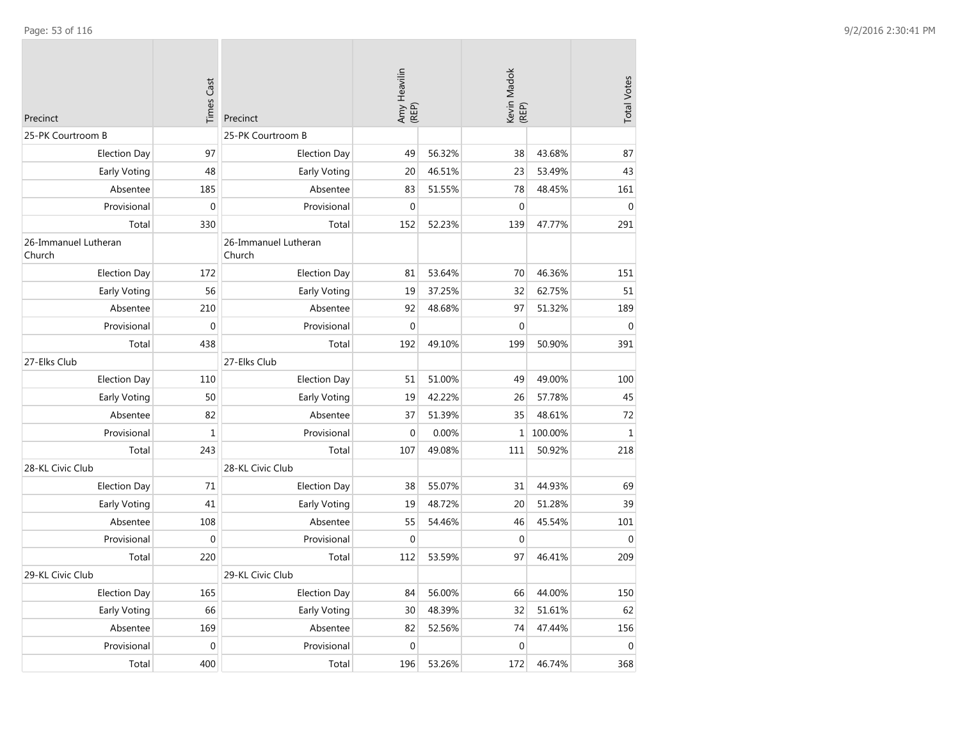| Precinct                       | <b>Times Cast</b> | Precinct                       | Amy Heavilin<br>(REP) |        | Kevin Madok<br>(REP) |         | <b>Total Votes</b> |
|--------------------------------|-------------------|--------------------------------|-----------------------|--------|----------------------|---------|--------------------|
| 25-PK Courtroom B              |                   | 25-PK Courtroom B              |                       |        |                      |         |                    |
| <b>Election Day</b>            | 97                | <b>Election Day</b>            | 49                    | 56.32% | 38                   | 43.68%  | 87                 |
| Early Voting                   | 48                | Early Voting                   | 20                    | 46.51% | 23                   | 53.49%  | 43                 |
| Absentee                       | 185               | Absentee                       | 83                    | 51.55% | 78                   | 48.45%  | 161                |
| Provisional                    | $\pmb{0}$         | Provisional                    | $\boldsymbol{0}$      |        | $\mathbf 0$          |         | $\mathbf{0}$       |
| Total                          | 330               | Total                          | 152                   | 52.23% | 139                  | 47.77%  | 291                |
| 26-Immanuel Lutheran<br>Church |                   | 26-Immanuel Lutheran<br>Church |                       |        |                      |         |                    |
| <b>Election Day</b>            | 172               | <b>Election Day</b>            | 81                    | 53.64% | 70                   | 46.36%  | 151                |
| Early Voting                   | 56                | Early Voting                   | 19                    | 37.25% | 32                   | 62.75%  | 51                 |
| Absentee                       | 210               | Absentee                       | 92                    | 48.68% | 97                   | 51.32%  | 189                |
| Provisional                    | $\mathbf{0}$      | Provisional                    | $\mathbf 0$           |        | $\mathbf 0$          |         | $\mathbf{0}$       |
| Total                          | 438               | Total                          | 192                   | 49.10% | 199                  | 50.90%  | 391                |
| 27-Elks Club                   |                   | 27-Elks Club                   |                       |        |                      |         |                    |
| <b>Election Day</b>            | 110               | <b>Election Day</b>            | 51                    | 51.00% | 49                   | 49.00%  | 100                |
| Early Voting                   | 50                | Early Voting                   | 19                    | 42.22% | 26                   | 57.78%  | 45                 |
| Absentee                       | 82                | Absentee                       | 37                    | 51.39% | 35                   | 48.61%  | 72                 |
| Provisional                    | $\mathbf 1$       | Provisional                    | $\mathbf 0$           | 0.00%  | $\mathbf{1}$         | 100.00% | $\mathbf{1}$       |
| Total                          | 243               | Total                          | 107                   | 49.08% | 111                  | 50.92%  | 218                |
| 28-KL Civic Club               |                   | 28-KL Civic Club               |                       |        |                      |         |                    |
| <b>Election Day</b>            | 71                | <b>Election Day</b>            | 38                    | 55.07% | 31                   | 44.93%  | 69                 |
| Early Voting                   | 41                | Early Voting                   | 19                    | 48.72% | 20                   | 51.28%  | 39                 |
| Absentee                       | 108               | Absentee                       | 55                    | 54.46% | 46                   | 45.54%  | 101                |
| Provisional                    | $\mathbf{0}$      | Provisional                    | $\mathbf 0$           |        | $\mathbf 0$          |         | $\mathbf{0}$       |
| Total                          | 220               | Total                          | 112                   | 53.59% | 97                   | 46.41%  | 209                |
| 29-KL Civic Club               |                   | 29-KL Civic Club               |                       |        |                      |         |                    |
| <b>Election Day</b>            | 165               | <b>Election Day</b>            | 84                    | 56.00% | 66                   | 44.00%  | 150                |
| Early Voting                   | 66                | Early Voting                   | 30                    | 48.39% | 32                   | 51.61%  | 62                 |
| Absentee                       | 169               | Absentee                       | 82                    | 52.56% | 74                   | 47.44%  | 156                |
| Provisional                    | $\mathbf 0$       | Provisional                    | $\mathbf 0$           |        | $\mathbf 0$          |         | $\mathbf 0$        |
| Total                          | 400               | Total                          | 196                   | 53.26% | 172                  | 46.74%  | 368                |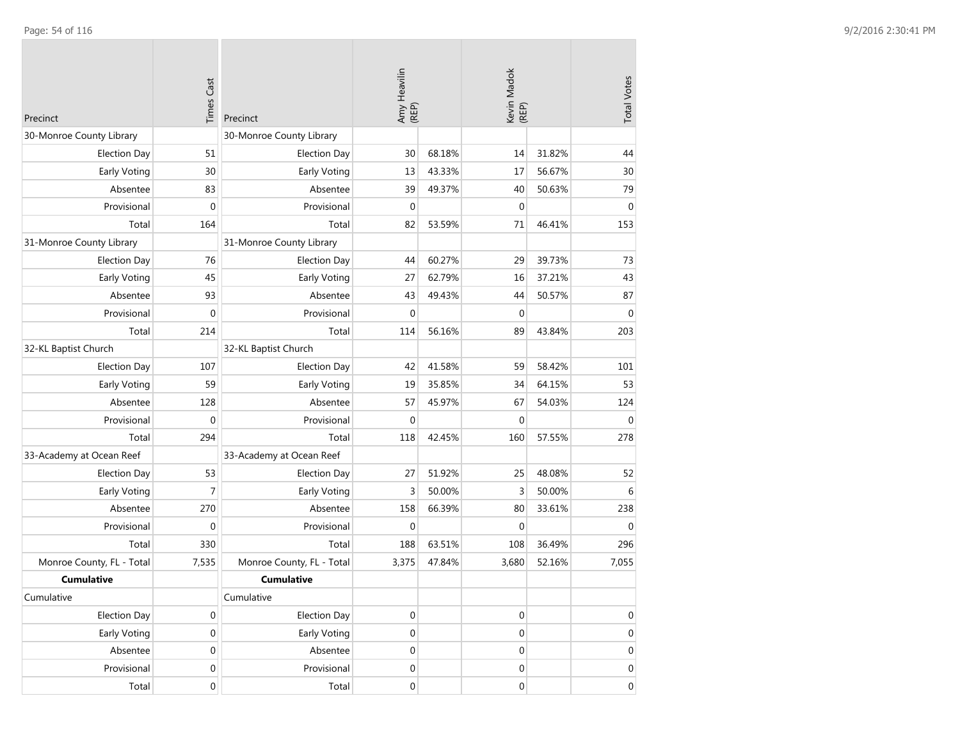| Precinct                  | <b>Times Cast</b> | Precinct                  | Amy Heavilin<br>(REP) |        | Kevin Madok<br>(REP) |        | <b>Total Votes</b> |
|---------------------------|-------------------|---------------------------|-----------------------|--------|----------------------|--------|--------------------|
| 30-Monroe County Library  |                   | 30-Monroe County Library  |                       |        |                      |        |                    |
| <b>Election Day</b>       | 51                | <b>Election Day</b>       | 30                    | 68.18% | 14                   | 31.82% | 44                 |
| Early Voting              | 30                | Early Voting              | 13                    | 43.33% | 17                   | 56.67% | 30                 |
| Absentee                  | 83                | Absentee                  | 39                    | 49.37% | 40                   | 50.63% | 79                 |
| Provisional               | $\mathbf 0$       | Provisional               | $\mathbf 0$           |        | $\mathbf 0$          |        | $\mathbf 0$        |
| Total                     | 164               | Total                     | 82                    | 53.59% | 71                   | 46.41% | 153                |
| 31-Monroe County Library  |                   | 31-Monroe County Library  |                       |        |                      |        |                    |
| <b>Election Day</b>       | 76                | <b>Election Day</b>       | 44                    | 60.27% | 29                   | 39.73% | 73                 |
| Early Voting              | 45                | Early Voting              | 27                    | 62.79% | 16                   | 37.21% | 43                 |
| Absentee                  | 93                | Absentee                  | 43                    | 49.43% | 44                   | 50.57% | 87                 |
| Provisional               | $\mathbf{0}$      | Provisional               | $\mathbf 0$           |        | $\mathbf 0$          |        | $\mathbf 0$        |
| Total                     | 214               | Total                     | 114                   | 56.16% | 89                   | 43.84% | 203                |
| 32-KL Baptist Church      |                   | 32-KL Baptist Church      |                       |        |                      |        |                    |
| <b>Election Day</b>       | 107               | <b>Election Day</b>       | 42                    | 41.58% | 59                   | 58.42% | 101                |
| Early Voting              | 59                | Early Voting              | 19                    | 35.85% | 34                   | 64.15% | 53                 |
| Absentee                  | 128               | Absentee                  | 57                    | 45.97% | 67                   | 54.03% | 124                |
| Provisional               | $\mathbf{0}$      | Provisional               | $\mathbf 0$           |        | $\mathbf{0}$         |        | $\mathbf 0$        |
| Total                     | 294               | Total                     | 118                   | 42.45% | 160                  | 57.55% | 278                |
| 33-Academy at Ocean Reef  |                   | 33-Academy at Ocean Reef  |                       |        |                      |        |                    |
| <b>Election Day</b>       | 53                | <b>Election Day</b>       | 27                    | 51.92% | 25                   | 48.08% | 52                 |
| Early Voting              | $\overline{7}$    | Early Voting              | 3                     | 50.00% | $\overline{3}$       | 50.00% | 6                  |
| Absentee                  | 270               | Absentee                  | 158                   | 66.39% | 80                   | 33.61% | 238                |
| Provisional               | $\mathbf 0$       | Provisional               | 0                     |        | $\mathbf 0$          |        | $\mathbf 0$        |
| Total                     | 330               | Total                     | 188                   | 63.51% | 108                  | 36.49% | 296                |
| Monroe County, FL - Total | 7,535             | Monroe County, FL - Total | 3,375                 | 47.84% | 3,680                | 52.16% | 7,055              |
| <b>Cumulative</b>         |                   | <b>Cumulative</b>         |                       |        |                      |        |                    |
| Cumulative                |                   | Cumulative                |                       |        |                      |        |                    |
| <b>Election Day</b>       | $\mathbf 0$       | <b>Election Day</b>       | 0                     |        | $\boldsymbol{0}$     |        | 0                  |
| Early Voting              | $\boldsymbol{0}$  | Early Voting              | 0                     |        | $\boldsymbol{0}$     |        | $\boldsymbol{0}$   |
| Absentee                  | $\boldsymbol{0}$  | Absentee                  | 0                     |        | $\mathbf 0$          |        | $\boldsymbol{0}$   |
| Provisional               | $\boldsymbol{0}$  | Provisional               | 0                     |        | $\boldsymbol{0}$     |        | 0                  |
| Total                     | $\boldsymbol{0}$  | Total                     | 0                     |        | $\boldsymbol{0}$     |        | 0                  |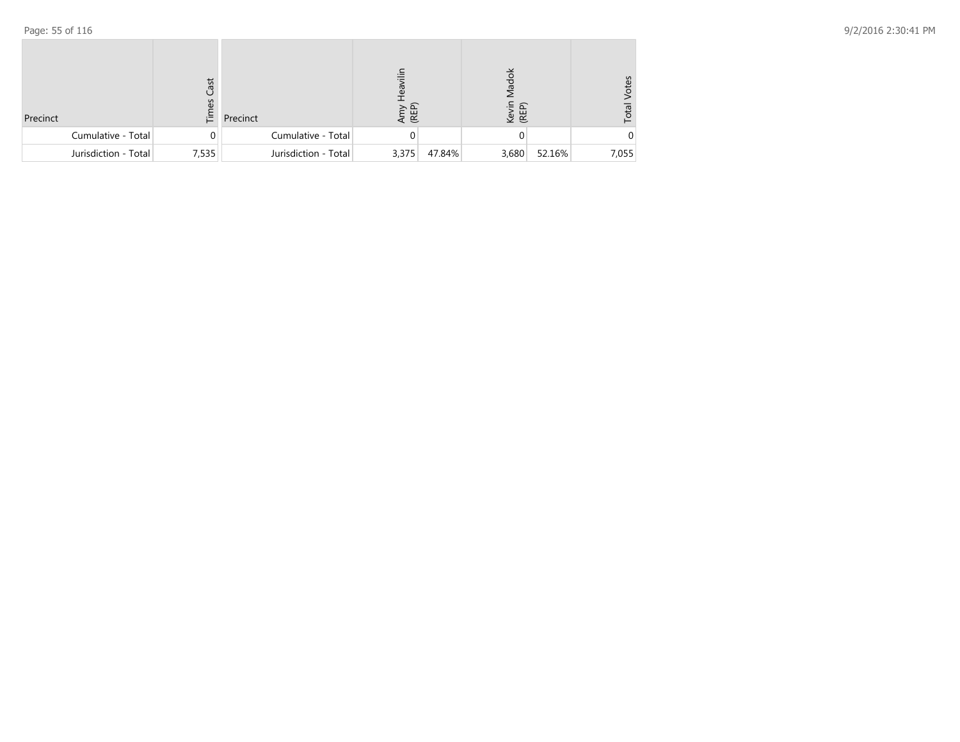| Precinct             | Cast<br>3<br>ίĒ. | Precinct             | Amy<br>(REP) |        | Aadok<br>Kevin<br>(REP) |        | /otes<br>Total |
|----------------------|------------------|----------------------|--------------|--------|-------------------------|--------|----------------|
| Cumulative - Total   | 0                | Cumulative - Total   |              |        |                         |        |                |
| Jurisdiction - Total | 7,535            | Jurisdiction - Total | 3,375        | 47.84% | 3,680                   | 52.16% | 7,055          |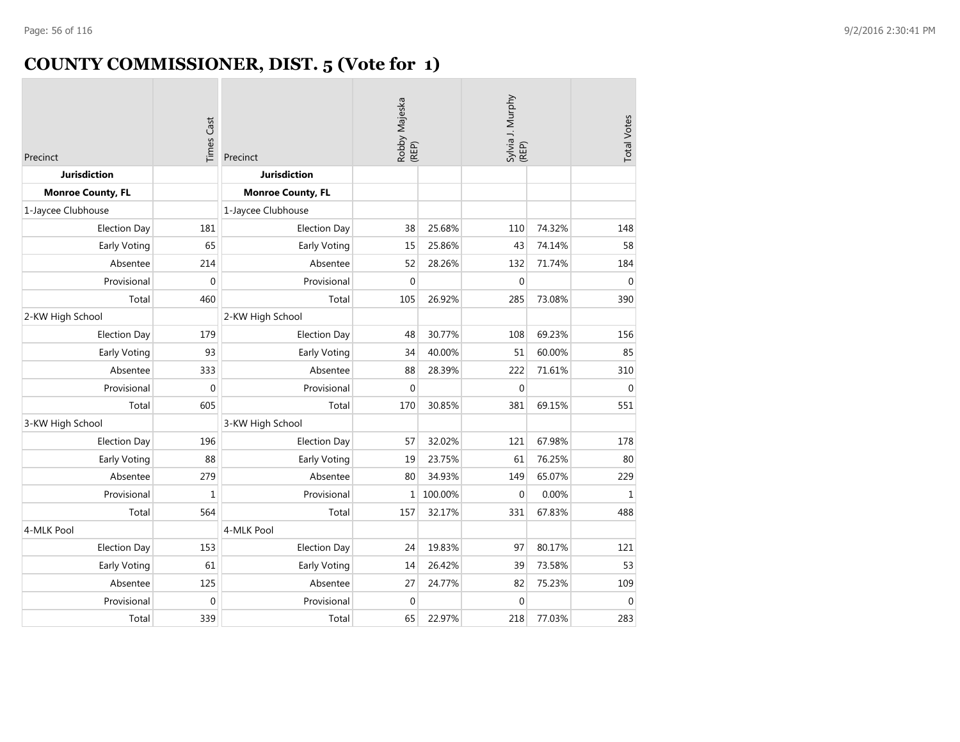# **COUNTY COMMISSIONER, DIST. 5 (Vote for 1)**

| Precinct                 | <b>Times Cast</b> | Precinct                 | Robby Majeska<br>(REP) |         | Sylvia J. Murphy<br>(REP) |        | <b>Total Votes</b> |
|--------------------------|-------------------|--------------------------|------------------------|---------|---------------------------|--------|--------------------|
| <b>Jurisdiction</b>      |                   | <b>Jurisdiction</b>      |                        |         |                           |        |                    |
| <b>Monroe County, FL</b> |                   | <b>Monroe County, FL</b> |                        |         |                           |        |                    |
| 1-Jaycee Clubhouse       |                   | 1-Jaycee Clubhouse       |                        |         |                           |        |                    |
| <b>Election Day</b>      | 181               | <b>Election Day</b>      | 38                     | 25.68%  | 110                       | 74.32% | 148                |
| Early Voting             | 65                | Early Voting             | 15                     | 25.86%  | 43                        | 74.14% | 58                 |
| Absentee                 | 214               | Absentee                 | 52                     | 28.26%  | 132                       | 71.74% | 184                |
| Provisional              | $\Omega$          | Provisional              | $\Omega$               |         | $\Omega$                  |        | $\Omega$           |
| Total                    | 460               | Total                    | 105                    | 26.92%  | 285                       | 73.08% | 390                |
| 2-KW High School         |                   | 2-KW High School         |                        |         |                           |        |                    |
| <b>Election Day</b>      | 179               | <b>Election Day</b>      | 48                     | 30.77%  | 108                       | 69.23% | 156                |
| Early Voting             | 93                | Early Voting             | 34                     | 40.00%  | 51                        | 60.00% | 85                 |
| Absentee                 | 333               | Absentee                 | 88                     | 28.39%  | 222                       | 71.61% | 310                |
| Provisional              | $\mathbf 0$       | Provisional              | $\mathbf 0$            |         | $\mathbf 0$               |        | $\mathbf 0$        |
| Total                    | 605               | Total                    | 170                    | 30.85%  | 381                       | 69.15% | 551                |
| 3-KW High School         |                   | 3-KW High School         |                        |         |                           |        |                    |
| <b>Election Day</b>      | 196               | <b>Election Day</b>      | 57                     | 32.02%  | 121                       | 67.98% | 178                |
| Early Voting             | 88                | Early Voting             | 19                     | 23.75%  | 61                        | 76.25% | 80                 |
| Absentee                 | 279               | Absentee                 | 80                     | 34.93%  | 149                       | 65.07% | 229                |
| Provisional              | $\mathbf{1}$      | Provisional              | $\mathbf{1}$           | 100.00% | 0                         | 0.00%  | $\mathbf{1}$       |
| Total                    | 564               | Total                    | 157                    | 32.17%  | 331                       | 67.83% | 488                |
| 4-MLK Pool               |                   | 4-MLK Pool               |                        |         |                           |        |                    |
| <b>Election Day</b>      | 153               | <b>Election Day</b>      | 24                     | 19.83%  | 97                        | 80.17% | 121                |
| Early Voting             | 61                | Early Voting             | 14                     | 26.42%  | 39                        | 73.58% | 53                 |
| Absentee                 | 125               | Absentee                 | 27                     | 24.77%  | 82                        | 75.23% | 109                |
| Provisional              | $\mathbf{0}$      | Provisional              | $\mathbf{0}$           |         | $\mathbf 0$               |        | $\mathbf{0}$       |
| Total                    | 339               | Total                    | 65                     | 22.97%  | 218                       | 77.03% | 283                |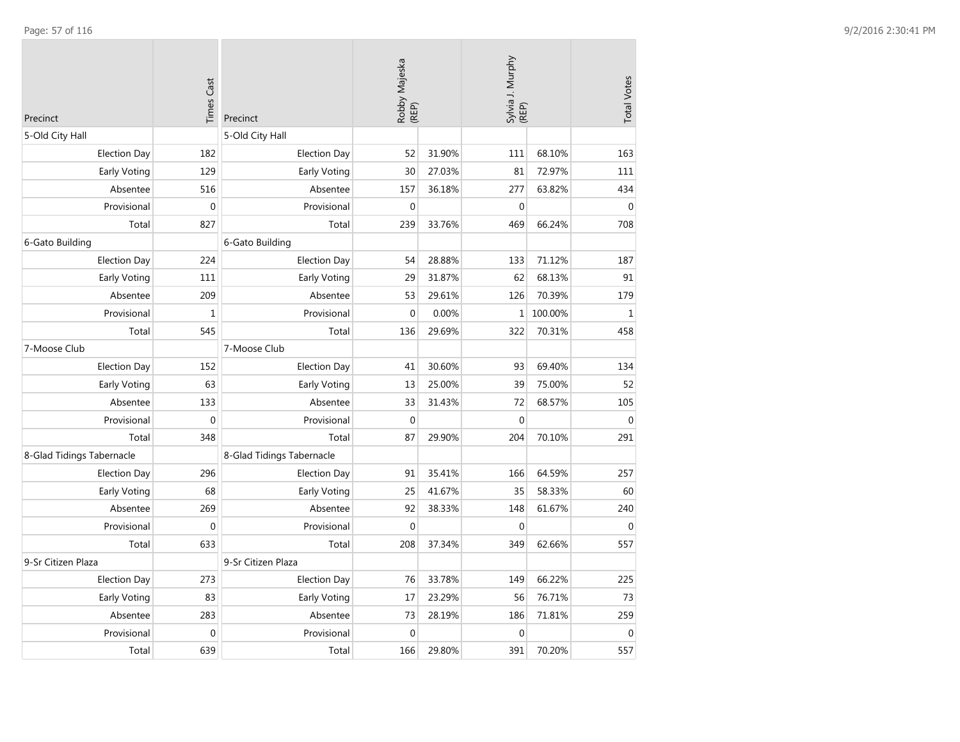| Precinct                  | <b>Times Cast</b> | Precinct                  | Robby Majeska<br>(REP) |        | Sylvia J. Murphy<br>(REP) |         | <b>Total Votes</b> |
|---------------------------|-------------------|---------------------------|------------------------|--------|---------------------------|---------|--------------------|
| 5-Old City Hall           |                   | 5-Old City Hall           |                        |        |                           |         |                    |
| <b>Election Day</b>       | 182               | <b>Election Day</b>       | 52                     | 31.90% | 111                       | 68.10%  | 163                |
| <b>Early Voting</b>       | 129               | Early Voting              | 30                     | 27.03% | 81                        | 72.97%  | 111                |
| Absentee                  | 516               | Absentee                  | 157                    | 36.18% | 277                       | 63.82%  | 434                |
| Provisional               | $\mathbf 0$       | Provisional               | $\mathbf 0$            |        | $\mathbf{0}$              |         | $\mathbf{0}$       |
| Total                     | 827               | Total                     | 239                    | 33.76% | 469                       | 66.24%  | 708                |
| 6-Gato Building           |                   | 6-Gato Building           |                        |        |                           |         |                    |
| <b>Election Day</b>       | 224               | <b>Election Day</b>       | 54                     | 28.88% | 133                       | 71.12%  | 187                |
| Early Voting              | 111               | Early Voting              | 29                     | 31.87% | 62                        | 68.13%  | 91                 |
| Absentee                  | 209               | Absentee                  | 53                     | 29.61% | 126                       | 70.39%  | 179                |
| Provisional               | $\mathbf 1$       | Provisional               | $\boldsymbol{0}$       | 0.00%  | $\mathbf{1}$              | 100.00% | $\mathbf 1$        |
| Total                     | 545               | Total                     | 136                    | 29.69% | 322                       | 70.31%  | 458                |
| 7-Moose Club              |                   | 7-Moose Club              |                        |        |                           |         |                    |
| <b>Election Day</b>       | 152               | <b>Election Day</b>       | 41                     | 30.60% | 93                        | 69.40%  | 134                |
| Early Voting              | 63                | Early Voting              | 13                     | 25.00% | 39                        | 75.00%  | 52                 |
| Absentee                  | 133               | Absentee                  | 33                     | 31.43% | 72                        | 68.57%  | 105                |
| Provisional               | $\mathbf 0$       | Provisional               | $\mathbf{0}$           |        | $\mathbf 0$               |         | $\mathbf{0}$       |
| Total                     | 348               | Total                     | 87                     | 29.90% | 204                       | 70.10%  | 291                |
| 8-Glad Tidings Tabernacle |                   | 8-Glad Tidings Tabernacle |                        |        |                           |         |                    |
| <b>Election Day</b>       | 296               | <b>Election Day</b>       | 91                     | 35.41% | 166                       | 64.59%  | 257                |
| Early Voting              | 68                | Early Voting              | 25                     | 41.67% | 35                        | 58.33%  | 60                 |
| Absentee                  | 269               | Absentee                  | 92                     | 38.33% | 148                       | 61.67%  | 240                |
| Provisional               | $\boldsymbol{0}$  | Provisional               | $\mathbf 0$            |        | $\boldsymbol{0}$          |         | $\mathbf 0$        |
| Total                     | 633               | Total                     | 208                    | 37.34% | 349                       | 62.66%  | 557                |
| 9-Sr Citizen Plaza        |                   | 9-Sr Citizen Plaza        |                        |        |                           |         |                    |
| <b>Election Day</b>       | 273               | <b>Election Day</b>       | 76                     | 33.78% | 149                       | 66.22%  | 225                |
| <b>Early Voting</b>       | 83                | Early Voting              | 17                     | 23.29% | 56                        | 76.71%  | 73                 |
| Absentee                  | 283               | Absentee                  | 73                     | 28.19% | 186                       | 71.81%  | 259                |
| Provisional               | $\mathbf 0$       | Provisional               | $\mathbf 0$            |        | $\mathbf 0$               |         | $\Omega$           |
| Total                     | 639               | Total                     | 166                    | 29.80% | 391                       | 70.20%  | 557                |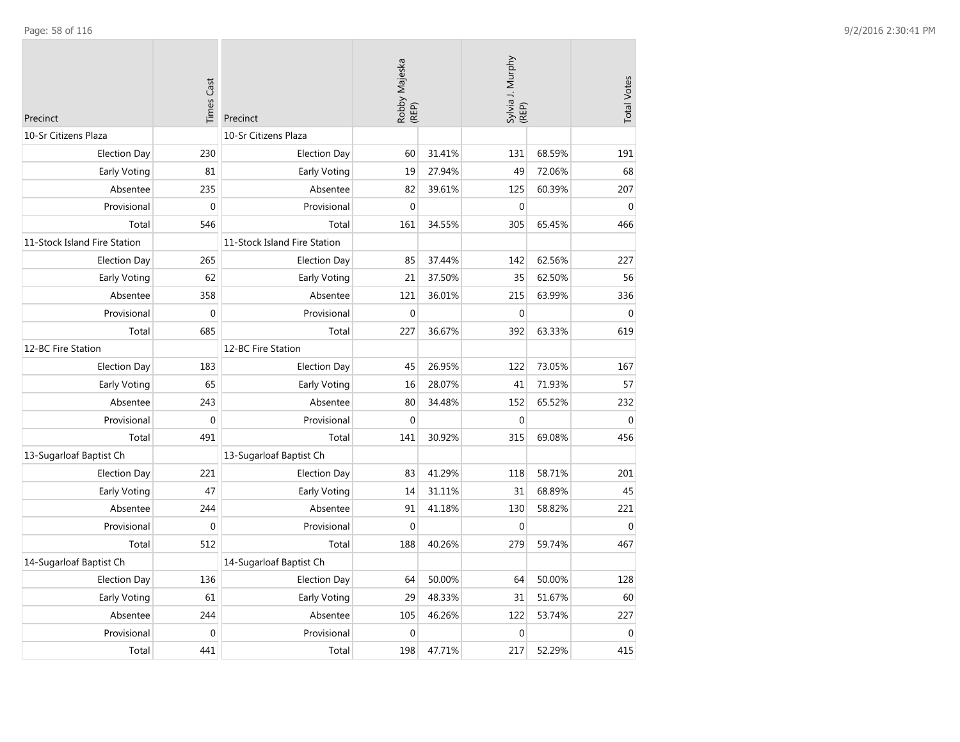| Precinct                     | <b>Times Cast</b> | Precinct                     | Robby Majeska<br>(REP) |        | Sylvia J. Murphy<br>(REP) |        | <b>Total Votes</b> |
|------------------------------|-------------------|------------------------------|------------------------|--------|---------------------------|--------|--------------------|
| 10-Sr Citizens Plaza         |                   | 10-Sr Citizens Plaza         |                        |        |                           |        |                    |
| <b>Election Day</b>          | 230               | <b>Election Day</b>          | 60                     | 31.41% | 131                       | 68.59% | 191                |
| Early Voting                 | 81                | Early Voting                 | 19                     | 27.94% | 49                        | 72.06% | 68                 |
| Absentee                     | 235               | Absentee                     | 82                     | 39.61% | 125                       | 60.39% | 207                |
| Provisional                  | $\mathbf 0$       | Provisional                  | $\mathbf{0}$           |        | $\boldsymbol{0}$          |        | $\mathbf 0$        |
| Total                        | 546               | Total                        | 161                    | 34.55% | 305                       | 65.45% | 466                |
| 11-Stock Island Fire Station |                   | 11-Stock Island Fire Station |                        |        |                           |        |                    |
| <b>Election Day</b>          | 265               | <b>Election Day</b>          | 85                     | 37.44% | 142                       | 62.56% | 227                |
| Early Voting                 | 62                | Early Voting                 | 21                     | 37.50% | 35                        | 62.50% | 56                 |
| Absentee                     | 358               | Absentee                     | 121                    | 36.01% | 215                       | 63.99% | 336                |
| Provisional                  | $\mathbf 0$       | Provisional                  | $\mathbf{0}$           |        | $\boldsymbol{0}$          |        | $\mathbf{0}$       |
| Total                        | 685               | Total                        | 227                    | 36.67% | 392                       | 63.33% | 619                |
| 12-BC Fire Station           |                   | 12-BC Fire Station           |                        |        |                           |        |                    |
| <b>Election Day</b>          | 183               | <b>Election Day</b>          | 45                     | 26.95% | 122                       | 73.05% | 167                |
| Early Voting                 | 65                | Early Voting                 | 16                     | 28.07% | 41                        | 71.93% | 57                 |
| Absentee                     | 243               | Absentee                     | 80                     | 34.48% | 152                       | 65.52% | 232                |
| Provisional                  | $\mathbf 0$       | Provisional                  | $\Omega$               |        | $\mathbf 0$               |        | $\mathbf{0}$       |
| Total                        | 491               | Total                        | 141                    | 30.92% | 315                       | 69.08% | 456                |
| 13-Sugarloaf Baptist Ch      |                   | 13-Sugarloaf Baptist Ch      |                        |        |                           |        |                    |
| <b>Election Day</b>          | 221               | <b>Election Day</b>          | 83                     | 41.29% | 118                       | 58.71% | 201                |
| Early Voting                 | 47                | Early Voting                 | 14                     | 31.11% | 31                        | 68.89% | 45                 |
| Absentee                     | 244               | Absentee                     | 91                     | 41.18% | 130                       | 58.82% | 221                |
| Provisional                  | $\mathbf{0}$      | Provisional                  | $\theta$               |        | $\mathbf 0$               |        | $\mathbf{0}$       |
| Total                        | 512               | Total                        | 188                    | 40.26% | 279                       | 59.74% | 467                |
| 14-Sugarloaf Baptist Ch      |                   | 14-Sugarloaf Baptist Ch      |                        |        |                           |        |                    |
| <b>Election Day</b>          | 136               | <b>Election Day</b>          | 64                     | 50.00% | 64                        | 50.00% | 128                |
| Early Voting                 | 61                | Early Voting                 | 29                     | 48.33% | 31                        | 51.67% | 60                 |
| Absentee                     | 244               | Absentee                     | 105                    | 46.26% | 122                       | 53.74% | 227                |
| Provisional                  | $\mathbf 0$       | Provisional                  | $\mathbf{0}$           |        | $\boldsymbol{0}$          |        | $\mathbf{0}$       |
| Total                        | 441               | Total                        | 198                    | 47.71% | 217                       | 52.29% | 415                |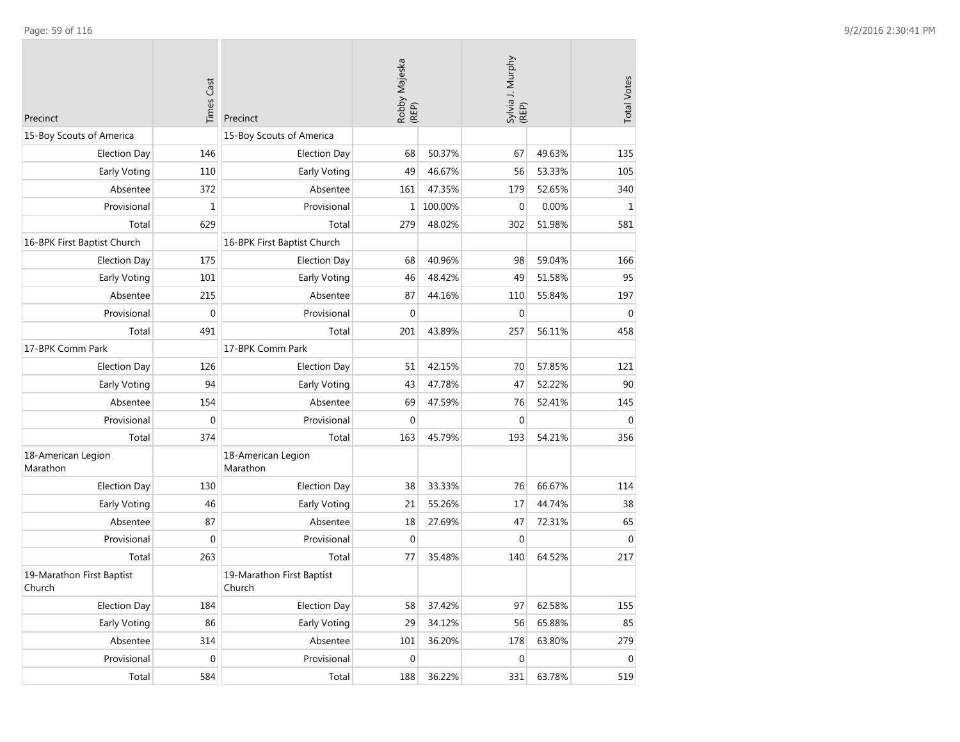| Precinct                            | <b>Times Cast</b> | Precinct                            | Robby Majeska<br>(REP) |         | Sylvia J. Murphy<br>(REP) |        | <b>Total Votes</b> |
|-------------------------------------|-------------------|-------------------------------------|------------------------|---------|---------------------------|--------|--------------------|
| 15-Boy Scouts of America            |                   | 15-Boy Scouts of America            |                        |         |                           |        |                    |
| <b>Election Day</b>                 | 146               | <b>Election Day</b>                 | 68                     | 50.37%  | 67                        | 49.63% | 135                |
| Early Voting                        | 110               | Early Voting                        | 49                     | 46.67%  | 56                        | 53.33% | 105                |
| Absentee                            | 372               | Absentee                            | 161                    | 47.35%  | 179                       | 52.65% | 340                |
| Provisional                         | $\mathbf{1}$      | Provisional                         | 1                      | 100.00% | $\mathbf 0$               | 0.00%  | $1\,$              |
| Total                               | 629               | Total                               | 279                    | 48.02%  | 302                       | 51.98% | 581                |
| 16-BPK First Baptist Church         |                   | 16-BPK First Baptist Church         |                        |         |                           |        |                    |
| Election Day                        | 175               | <b>Election Day</b>                 | 68                     | 40.96%  | 98                        | 59.04% | 166                |
| Early Voting                        | 101               | Early Voting                        | 46                     | 48.42%  | 49                        | 51.58% | 95                 |
| Absentee                            | 215               | Absentee                            | 87                     | 44.16%  | 110                       | 55.84% | 197                |
| Provisional                         | 0                 | Provisional                         | $\mathbf 0$            |         | $\mathbf{0}$              |        | $\mathbf{0}$       |
| Total                               | 491               | Total                               | 201                    | 43.89%  | 257                       | 56.11% | 458                |
| 17-BPK Comm Park                    |                   | 17-BPK Comm Park                    |                        |         |                           |        |                    |
| <b>Election Day</b>                 | 126               | <b>Election Day</b>                 | 51                     | 42.15%  | 70                        | 57.85% | 121                |
| Early Voting                        | 94                | Early Voting                        | 43                     | 47.78%  | 47                        | 52.22% | 90                 |
| Absentee                            | 154               | Absentee                            | 69                     | 47.59%  | 76                        | 52.41% | 145                |
| Provisional                         | $\mathbf 0$       | Provisional                         | $\mathbf{0}$           |         | $\mathbf{0}$              |        | $\mathbf{0}$       |
| Total                               | 374               | Total                               | 163                    | 45.79%  | 193                       | 54.21% | 356                |
| 18-American Legion<br>Marathon      |                   | 18-American Legion<br>Marathon      |                        |         |                           |        |                    |
| <b>Election Day</b>                 | 130               | <b>Election Day</b>                 | 38                     | 33.33%  | 76                        | 66.67% | 114                |
| Early Voting                        | 46                | Early Voting                        | 21                     | 55.26%  | 17                        | 44.74% | 38                 |
| Absentee                            | 87                | Absentee                            | 18                     | 27.69%  | 47                        | 72.31% | 65                 |
| Provisional                         | 0                 | Provisional                         | $\mathbf 0$            |         | 0                         |        | $\mathbf 0$        |
| Total                               | 263               | Total                               | 77                     | 35.48%  | 140                       | 64.52% | 217                |
| 19-Marathon First Baptist<br>Church |                   | 19-Marathon First Baptist<br>Church |                        |         |                           |        |                    |
| <b>Election Day</b>                 | 184               | <b>Election Day</b>                 | 58                     | 37.42%  | 97                        | 62.58% | 155                |
| Early Voting                        | 86                | Early Voting                        | 29                     | 34.12%  | 56                        | 65.88% | 85                 |
| Absentee                            | 314               | Absentee                            | 101                    | 36.20%  | 178                       | 63.80% | 279                |
| Provisional                         | $\boldsymbol{0}$  | Provisional                         | $\mathbf 0$            |         | $\mathbf 0$               |        | $\boldsymbol{0}$   |
| Total                               | 584               | Total                               | 188                    | 36.22%  | 331                       | 63.78% | 519                |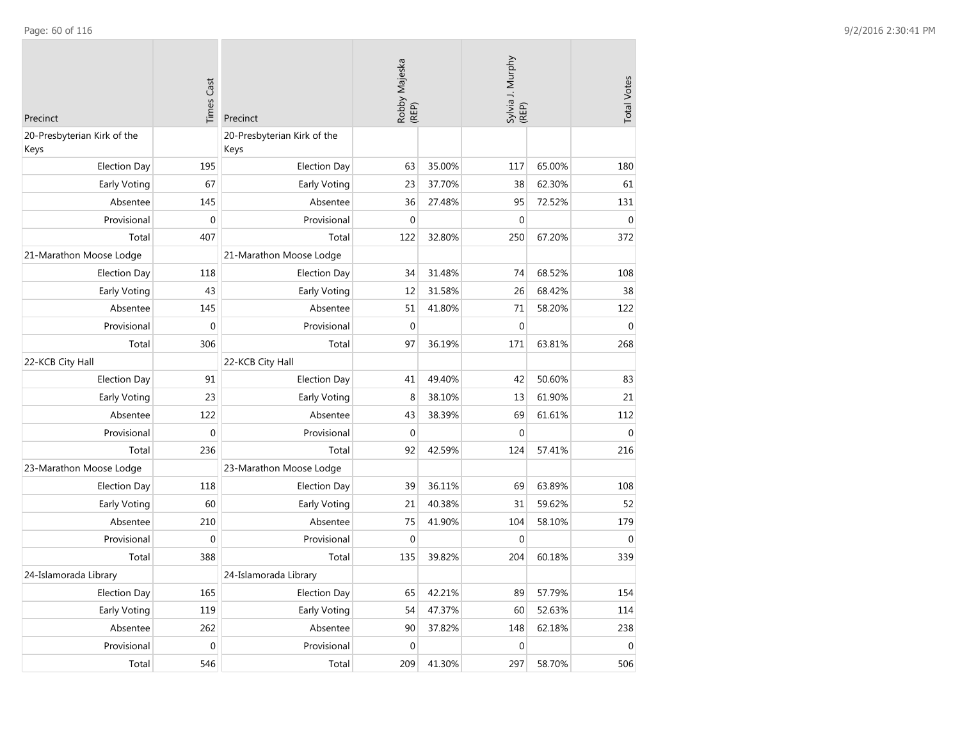| Precinct                            | <b>Times Cast</b> | Precinct                            | Robby Majeska<br>(REP) |        | Sylvia J. Murphy<br>(REP) |        | <b>Total Votes</b> |
|-------------------------------------|-------------------|-------------------------------------|------------------------|--------|---------------------------|--------|--------------------|
| 20-Presbyterian Kirk of the<br>Keys |                   | 20-Presbyterian Kirk of the<br>Keys |                        |        |                           |        |                    |
| <b>Election Day</b>                 | 195               | <b>Election Day</b>                 | 63                     | 35.00% | 117                       | 65.00% | 180                |
| Early Voting                        | 67                | Early Voting                        | 23                     | 37.70% | 38                        | 62.30% | 61                 |
| Absentee                            | 145               | Absentee                            | 36                     | 27.48% | 95                        | 72.52% | 131                |
| Provisional                         | $\mathbf{0}$      | Provisional                         | $\mathbf{0}$           |        | $\mathbf{0}$              |        | $\mathbf{0}$       |
| Total                               | 407               | Total                               | 122                    | 32.80% | 250                       | 67.20% | 372                |
| 21-Marathon Moose Lodge             |                   | 21-Marathon Moose Lodge             |                        |        |                           |        |                    |
| <b>Election Day</b>                 | 118               | <b>Election Day</b>                 | 34                     | 31.48% | 74                        | 68.52% | 108                |
| Early Voting                        | 43                | Early Voting                        | 12                     | 31.58% | 26                        | 68.42% | 38                 |
| Absentee                            | 145               | Absentee                            | 51                     | 41.80% | 71                        | 58.20% | 122                |
| Provisional                         | 0                 | Provisional                         | $\mathbf{0}$           |        | $\boldsymbol{0}$          |        | $\pmb{0}$          |
| Total                               | 306               | Total                               | 97                     | 36.19% | 171                       | 63.81% | 268                |
| 22-KCB City Hall                    |                   | 22-KCB City Hall                    |                        |        |                           |        |                    |
| <b>Election Day</b>                 | 91                | <b>Election Day</b>                 | 41                     | 49.40% | 42                        | 50.60% | 83                 |
| Early Voting                        | 23                | Early Voting                        | 8                      | 38.10% | 13                        | 61.90% | 21                 |
| Absentee                            | 122               | Absentee                            | 43                     | 38.39% | 69                        | 61.61% | 112                |
| Provisional                         | 0                 | Provisional                         | $\mathbf 0$            |        | $\mathbf 0$               |        | $\mathbf 0$        |
| Total                               | 236               | Total                               | 92                     | 42.59% | 124                       | 57.41% | 216                |
| 23-Marathon Moose Lodge             |                   | 23-Marathon Moose Lodge             |                        |        |                           |        |                    |
| <b>Election Day</b>                 | 118               | <b>Election Day</b>                 | 39                     | 36.11% | 69                        | 63.89% | 108                |
| Early Voting                        | 60                | Early Voting                        | 21                     | 40.38% | 31                        | 59.62% | 52                 |
| Absentee                            | 210               | Absentee                            | 75                     | 41.90% | 104                       | 58.10% | 179                |
| Provisional                         | $\boldsymbol{0}$  | Provisional                         | $\mathbf 0$            |        | $\mathbf 0$               |        | $\mathbf 0$        |
| Total                               | 388               | Total                               | 135                    | 39.82% | 204                       | 60.18% | 339                |
| 24-Islamorada Library               |                   | 24-Islamorada Library               |                        |        |                           |        |                    |
| <b>Election Day</b>                 | 165               | <b>Election Day</b>                 | 65                     | 42.21% | 89                        | 57.79% | 154                |
| Early Voting                        | 119               | Early Voting                        | 54                     | 47.37% | 60                        | 52.63% | 114                |
| Absentee                            | 262               | Absentee                            | 90                     | 37.82% | 148                       | 62.18% | 238                |
| Provisional                         | $\mathbf{0}$      | Provisional                         | $\mathbf{0}$           |        | $\boldsymbol{0}$          |        | $\mathbf{0}$       |
| Total                               | 546               | Total                               | 209                    | 41.30% | 297                       | 58.70% | 506                |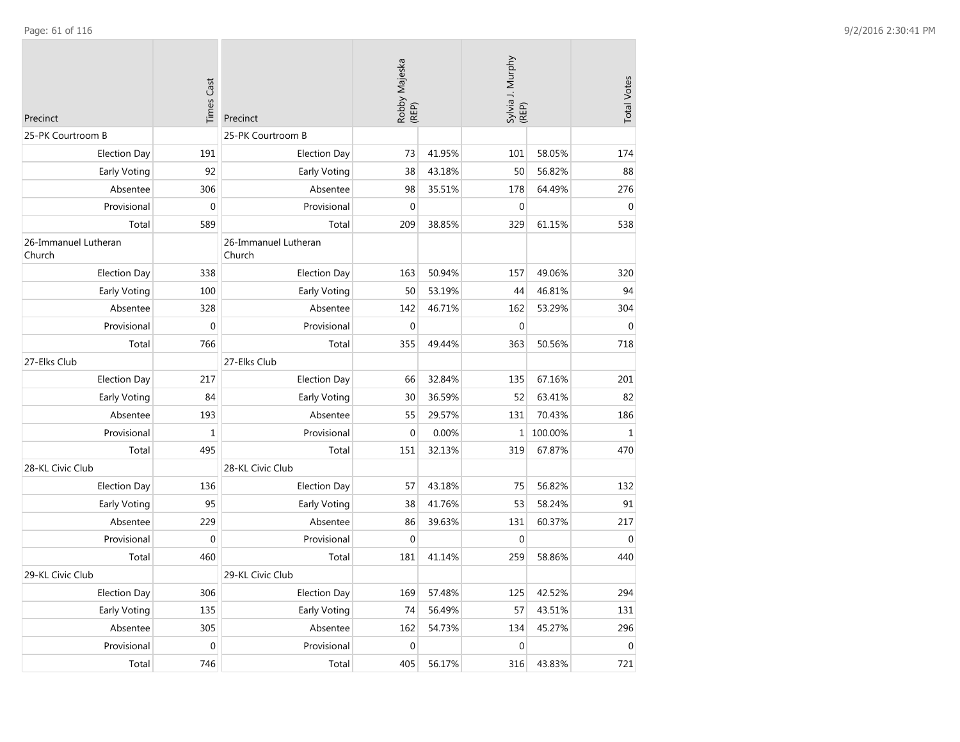| Precinct                       | <b>Times Cast</b> | Precinct                       | Robby Majeska<br>(REP) |        | Sylvia J. Murphy<br>(REP) |         | <b>Total Votes</b> |
|--------------------------------|-------------------|--------------------------------|------------------------|--------|---------------------------|---------|--------------------|
| 25-PK Courtroom B              |                   | 25-PK Courtroom B              |                        |        |                           |         |                    |
| <b>Election Day</b>            | 191               | <b>Election Day</b>            | 73                     | 41.95% | 101                       | 58.05%  | 174                |
| Early Voting                   | 92                | Early Voting                   | 38                     | 43.18% | 50                        | 56.82%  | 88                 |
| Absentee                       | 306               | Absentee                       | 98                     | 35.51% | 178                       | 64.49%  | 276                |
| Provisional                    | 0                 | Provisional                    | $\mathbf 0$            |        | $\boldsymbol{0}$          |         | $\Omega$           |
| Total                          | 589               | Total                          | 209                    | 38.85% | 329                       | 61.15%  | 538                |
| 26-Immanuel Lutheran<br>Church |                   | 26-Immanuel Lutheran<br>Church |                        |        |                           |         |                    |
| <b>Election Day</b>            | 338               | <b>Election Day</b>            | 163                    | 50.94% | 157                       | 49.06%  | 320                |
| Early Voting                   | 100               | Early Voting                   | 50                     | 53.19% | 44                        | 46.81%  | 94                 |
| Absentee                       | 328               | Absentee                       | 142                    | 46.71% | 162                       | 53.29%  | 304                |
| Provisional                    | $\boldsymbol{0}$  | Provisional                    | $\mathbf{0}$           |        | 0                         |         | $\mathbf{0}$       |
| Total                          | 766               | Total                          | 355                    | 49.44% | 363                       | 50.56%  | 718                |
| 27-Elks Club                   |                   | 27-Elks Club                   |                        |        |                           |         |                    |
| <b>Election Day</b>            | 217               | <b>Election Day</b>            | 66                     | 32.84% | 135                       | 67.16%  | 201                |
| Early Voting                   | 84                | Early Voting                   | 30                     | 36.59% | 52                        | 63.41%  | 82                 |
| Absentee                       | 193               | Absentee                       | 55                     | 29.57% | 131                       | 70.43%  | 186                |
| Provisional                    | $\mathbf 1$       | Provisional                    | $\mathbf{0}$           | 0.00%  | $\mathbf{1}$              | 100.00% | $\mathbf{1}$       |
| Total                          | 495               | Total                          | 151                    | 32.13% | 319                       | 67.87%  | 470                |
| 28-KL Civic Club               |                   | 28-KL Civic Club               |                        |        |                           |         |                    |
| <b>Election Day</b>            | 136               | <b>Election Day</b>            | 57                     | 43.18% | 75                        | 56.82%  | 132                |
| Early Voting                   | 95                | Early Voting                   | 38                     | 41.76% | 53                        | 58.24%  | 91                 |
| Absentee                       | 229               | Absentee                       | 86                     | 39.63% | 131                       | 60.37%  | 217                |
| Provisional                    | 0                 | Provisional                    | $\Omega$               |        | $\Omega$                  |         | $\Omega$           |
| Total                          | 460               | Total                          | 181                    | 41.14% | 259                       | 58.86%  | 440                |
| 29-KL Civic Club               |                   | 29-KL Civic Club               |                        |        |                           |         |                    |
| <b>Election Day</b>            | 306               | <b>Election Day</b>            | 169                    | 57.48% | 125                       | 42.52%  | 294                |
| Early Voting                   | 135               | Early Voting                   | 74                     | 56.49% | 57                        | 43.51%  | 131                |
| Absentee                       | 305               | Absentee                       | 162                    | 54.73% | 134                       | 45.27%  | 296                |
| Provisional                    | 0                 | Provisional                    | $\mathbf{0}$           |        | $\mathbf 0$               |         | $\mathbf{0}$       |
| Total                          | 746               | Total                          | 405                    | 56.17% | 316                       | 43.83%  | 721                |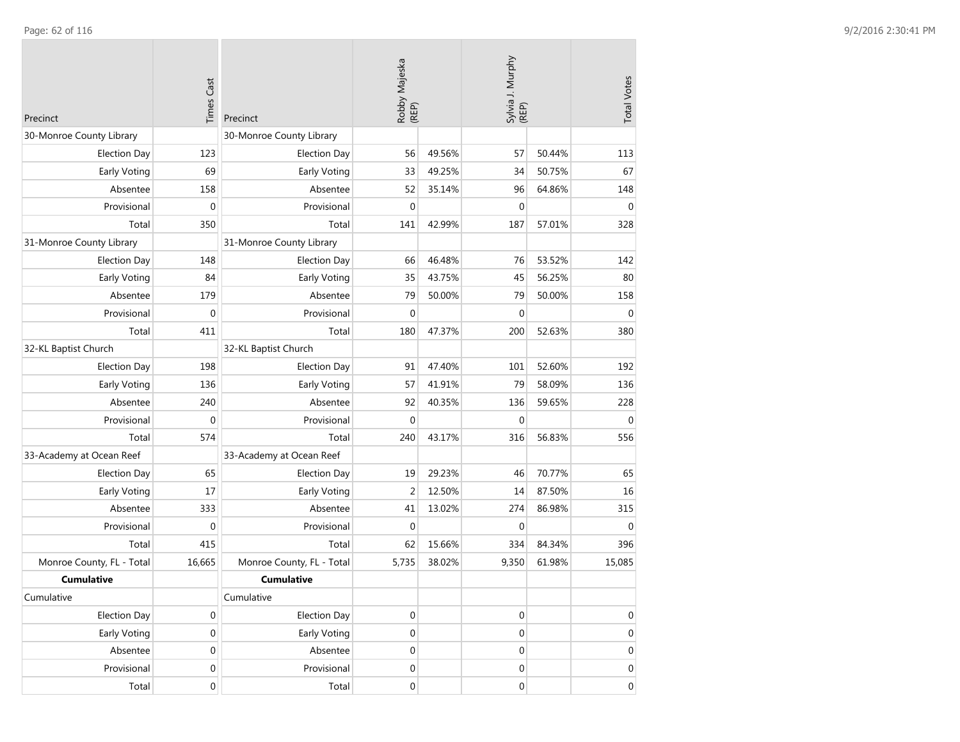| Precinct                  | <b>Times Cast</b> | Precinct                  | Robby Majeska<br>(REP) |        | Sylvia J. Murphy<br>(REP) |        | <b>Total Votes</b> |
|---------------------------|-------------------|---------------------------|------------------------|--------|---------------------------|--------|--------------------|
| 30-Monroe County Library  |                   | 30-Monroe County Library  |                        |        |                           |        |                    |
| <b>Election Day</b>       | 123               | <b>Election Day</b>       | 56                     | 49.56% | 57                        | 50.44% | 113                |
| Early Voting              | 69                | Early Voting              | 33                     | 49.25% | 34                        | 50.75% | 67                 |
| Absentee                  | 158               | Absentee                  | 52                     | 35.14% | 96                        | 64.86% | 148                |
| Provisional               | $\mathbf 0$       | Provisional               | $\mathbf 0$            |        | $\mathbf 0$               |        | $\mathbf 0$        |
| Total                     | 350               | Total                     | 141                    | 42.99% | 187                       | 57.01% | 328                |
| 31-Monroe County Library  |                   | 31-Monroe County Library  |                        |        |                           |        |                    |
| <b>Election Day</b>       | 148               | <b>Election Day</b>       | 66                     | 46.48% | 76                        | 53.52% | 142                |
| Early Voting              | 84                | Early Voting              | 35                     | 43.75% | 45                        | 56.25% | 80                 |
| Absentee                  | 179               | Absentee                  | 79                     | 50.00% | 79                        | 50.00% | 158                |
| Provisional               | $\mathbf{0}$      | Provisional               | $\mathbf{0}$           |        | $\mathbf{0}$              |        | $\overline{0}$     |
| Total                     | 411               | Total                     | 180                    | 47.37% | 200                       | 52.63% | 380                |
| 32-KL Baptist Church      |                   | 32-KL Baptist Church      |                        |        |                           |        |                    |
| <b>Election Day</b>       | 198               | <b>Election Day</b>       | 91                     | 47.40% | 101                       | 52.60% | 192                |
| Early Voting              | 136               | Early Voting              | 57                     | 41.91% | 79                        | 58.09% | 136                |
| Absentee                  | 240               | Absentee                  | 92                     | 40.35% | 136                       | 59.65% | 228                |
| Provisional               | $\mathbf 0$       | Provisional               | $\mathbf{0}$           |        | $\mathbf{0}$              |        | $\mathbf 0$        |
| Total                     | 574               | Total                     | 240                    | 43.17% | 316                       | 56.83% | 556                |
| 33-Academy at Ocean Reef  |                   | 33-Academy at Ocean Reef  |                        |        |                           |        |                    |
| <b>Election Day</b>       | 65                | <b>Election Day</b>       | 19                     | 29.23% | 46                        | 70.77% | 65                 |
| Early Voting              | 17                | Early Voting              | $\overline{2}$         | 12.50% | 14                        | 87.50% | 16                 |
| Absentee                  | 333               | Absentee                  | 41                     | 13.02% | 274                       | 86.98% | 315                |
| Provisional               | $\mathbf 0$       | Provisional               | $\mathbf 0$            |        | 0                         |        | $\overline{0}$     |
| Total                     | 415               | Total                     | 62                     | 15.66% | 334                       | 84.34% | 396                |
| Monroe County, FL - Total | 16,665            | Monroe County, FL - Total | 5,735                  | 38.02% | 9,350                     | 61.98% | 15,085             |
| <b>Cumulative</b>         |                   | <b>Cumulative</b>         |                        |        |                           |        |                    |
| Cumulative                |                   | Cumulative                |                        |        |                           |        |                    |
| <b>Election Day</b>       | 0                 | <b>Election Day</b>       | $\mathbf 0$            |        | $\boldsymbol{0}$          |        | $\mathbf 0$        |
| Early Voting              | $\boldsymbol{0}$  | Early Voting              | $\boldsymbol{0}$       |        | $\mathbf 0$               |        | $\mathbf 0$        |
| Absentee                  | $\boldsymbol{0}$  | Absentee                  | $\boldsymbol{0}$       |        | $\boldsymbol{0}$          |        | $\mathbf 0$        |
| Provisional               | $\boldsymbol{0}$  | Provisional               | $\boldsymbol{0}$       |        | 0                         |        | 0                  |
| Total                     | $\mathbf 0$       | Total                     | $\boldsymbol{0}$       |        | $\overline{0}$            |        | $\overline{0}$     |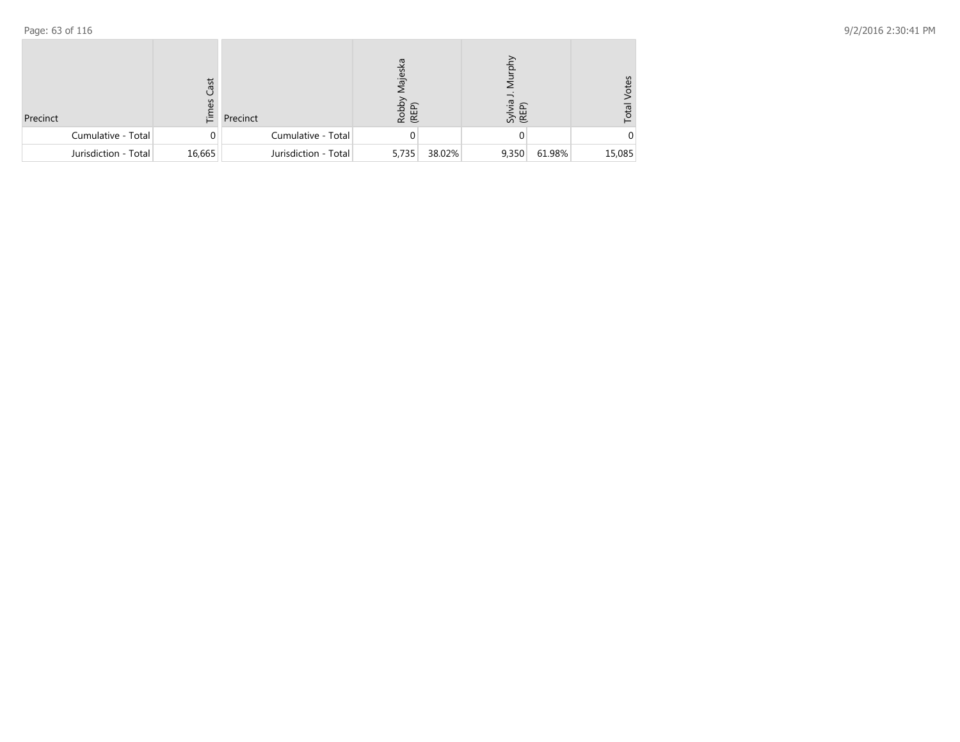| Precinct             | Cast<br>3<br>ίĒ. | Precinct             | lajes<br>Robby<br>(REP) |        | Sylvia<br>(REP) |        | otes<br>Total |
|----------------------|------------------|----------------------|-------------------------|--------|-----------------|--------|---------------|
| Cumulative - Total   | 0                | Cumulative - Total   |                         |        |                 |        |               |
| Jurisdiction - Total | 16,665           | Jurisdiction - Total | 5,735                   | 38.02% | 9,350           | 61.98% | 15,085        |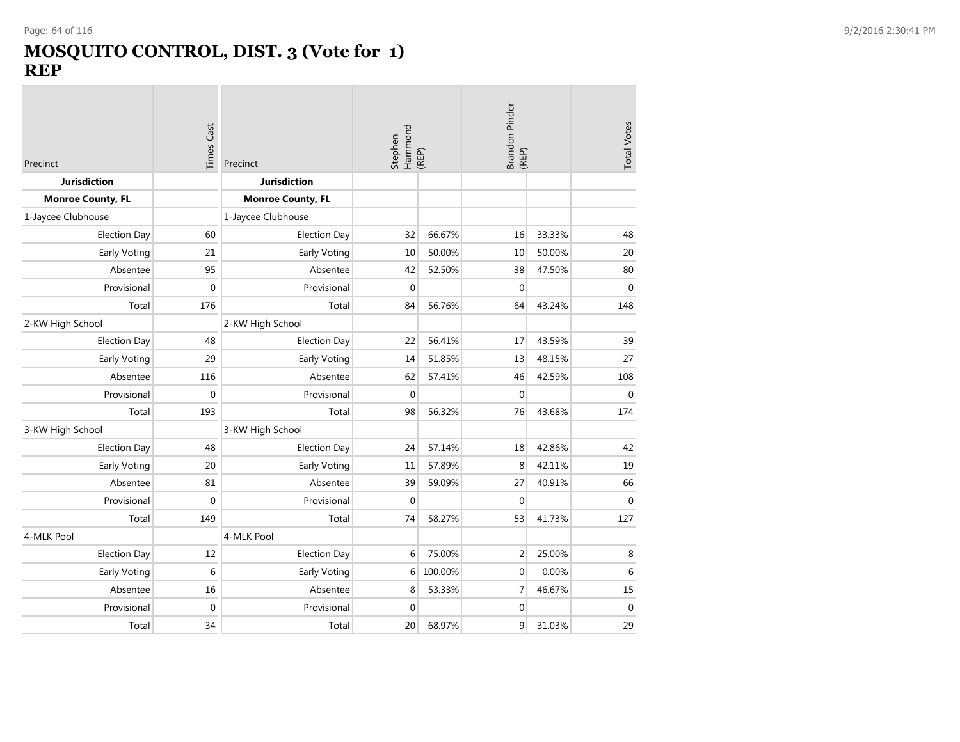### **MOSQUITO CONTROL, DIST. 3 (Vote for 1) REP**

| Precinct                 | Times Cast       | Precinct                 | Stephen      | Hammond<br>(REP) |                | Brandon Pinder<br>(REP) |                  |
|--------------------------|------------------|--------------------------|--------------|------------------|----------------|-------------------------|------------------|
| <b>Jurisdiction</b>      |                  | <b>Jurisdiction</b>      |              |                  |                |                         |                  |
| <b>Monroe County, FL</b> |                  | <b>Monroe County, FL</b> |              |                  |                |                         |                  |
| 1-Jaycee Clubhouse       |                  | 1-Jaycee Clubhouse       |              |                  |                |                         |                  |
| <b>Election Day</b>      | 60               | <b>Election Day</b>      | 32           | 66.67%           | 16             | 33.33%                  | 48               |
| Early Voting             | 21               | Early Voting             | 10           | 50.00%           | 10             | 50.00%                  | 20               |
| Absentee                 | 95               | Absentee                 | 42           | 52.50%           | 38             | 47.50%                  | 80               |
| Provisional              | $\mathbf 0$      | Provisional              | $\mathbf 0$  |                  | $\mathbf 0$    |                         | $\mathbf 0$      |
| Total                    | 176              | Total                    | 84           | 56.76%           | 64             | 43.24%                  | 148              |
| 2-KW High School         |                  | 2-KW High School         |              |                  |                |                         |                  |
| <b>Election Day</b>      | 48               | <b>Election Day</b>      | 22           | 56.41%           | 17             | 43.59%                  | 39               |
| Early Voting             | 29               | Early Voting             | 14           | 51.85%           | 13             | 48.15%                  | 27               |
| Absentee                 | 116              | Absentee                 | 62           | 57.41%           | 46             | 42.59%                  | 108              |
| Provisional              | $\mathbf 0$      | Provisional              | $\mathbf{0}$ |                  | $\mathbf{0}$   |                         | $\mathbf 0$      |
| Total                    | 193              | Total                    | 98           | 56.32%           | 76             | 43.68%                  | 174              |
| 3-KW High School         |                  | 3-KW High School         |              |                  |                |                         |                  |
| <b>Election Day</b>      | 48               | <b>Election Day</b>      | 24           | 57.14%           | 18             | 42.86%                  | 42               |
| <b>Early Voting</b>      | 20               | Early Voting             | 11           | 57.89%           | 8              | 42.11%                  | 19               |
| Absentee                 | 81               | Absentee                 | 39           | 59.09%           | 27             | 40.91%                  | 66               |
| Provisional              | $\boldsymbol{0}$ | Provisional              | $\mathbf{0}$ |                  | $\mathbf{0}$   |                         | $\mathbf{0}$     |
| Total                    | 149              | Total                    | 74           | 58.27%           | 53             | 41.73%                  | 127              |
| 4-MLK Pool               |                  | 4-MLK Pool               |              |                  |                |                         |                  |
| <b>Election Day</b>      | 12               | <b>Election Day</b>      | 6            | 75.00%           | $\overline{2}$ | 25.00%                  | 8                |
| Early Voting             | 6                | Early Voting             | 6            | 100.00%          | $\mathbf{0}$   | 0.00%                   | 6                |
| Absentee                 | 16               | Absentee                 | 8            | 53.33%           | 7              | 46.67%                  | 15               |
| Provisional              | $\mathbf 0$      | Provisional              | $\mathbf 0$  |                  | $\mathbf 0$    |                         | $\boldsymbol{0}$ |
| Total                    | 34               | Total                    | 20           | 68.97%           | 9              | 31.03%                  | 29               |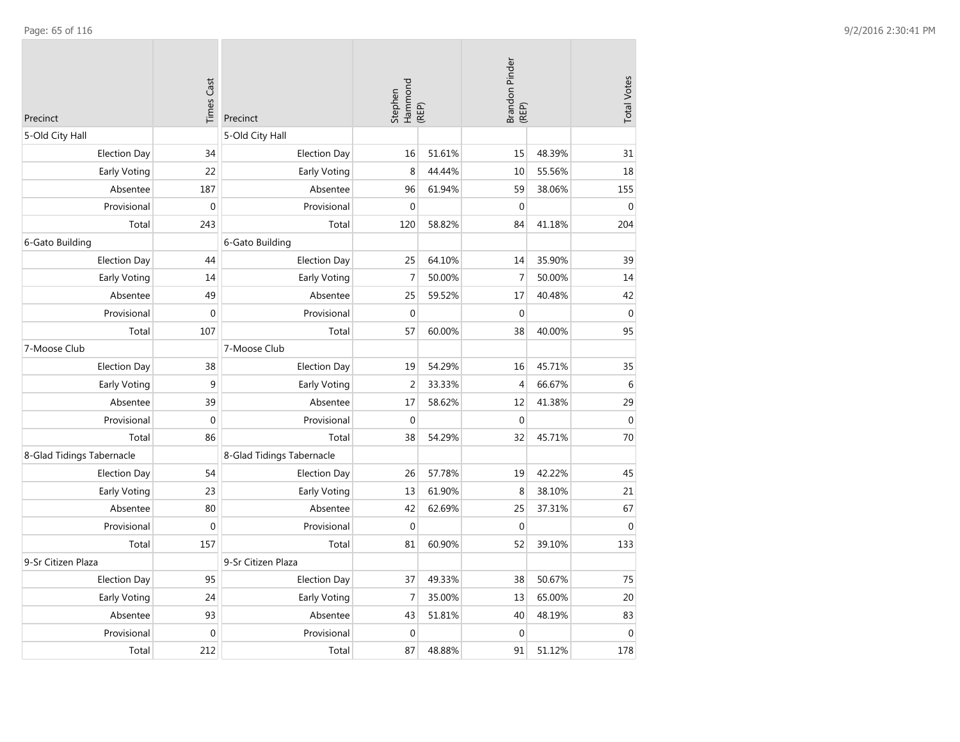| Precinct                  | <b>Times Cast</b> | Precinct                  | Hammond<br>Stephen | (REP)  | Brandon Pinder<br>(REP) |        | <b>Total Votes</b> |
|---------------------------|-------------------|---------------------------|--------------------|--------|-------------------------|--------|--------------------|
| 5-Old City Hall           |                   | 5-Old City Hall           |                    |        |                         |        |                    |
| <b>Election Day</b>       | 34                | <b>Election Day</b>       | 16                 | 51.61% | 15                      | 48.39% | 31                 |
| <b>Early Voting</b>       | 22                | Early Voting              | 8                  | 44.44% | 10                      | 55.56% | 18                 |
| Absentee                  | 187               | Absentee                  | 96                 | 61.94% | 59                      | 38.06% | 155                |
| Provisional               | $\boldsymbol{0}$  | Provisional               | $\mathbf{0}$       |        | $\mathbf 0$             |        | $\mathbf 0$        |
| Total                     | 243               | Total                     | 120                | 58.82% | 84                      | 41.18% | 204                |
| 6-Gato Building           |                   | 6-Gato Building           |                    |        |                         |        |                    |
| <b>Election Day</b>       | 44                | <b>Election Day</b>       | 25                 | 64.10% | 14                      | 35.90% | 39                 |
| Early Voting              | 14                | Early Voting              | $\overline{7}$     | 50.00% | $\overline{7}$          | 50.00% | 14                 |
| Absentee                  | 49                | Absentee                  | 25                 | 59.52% | 17                      | 40.48% | 42                 |
| Provisional               | $\boldsymbol{0}$  | Provisional               | $\boldsymbol{0}$   |        | $\boldsymbol{0}$        |        | $\boldsymbol{0}$   |
| Total                     | 107               | Total                     | 57                 | 60.00% | 38                      | 40.00% | 95                 |
| 7-Moose Club              |                   | 7-Moose Club              |                    |        |                         |        |                    |
| <b>Election Day</b>       | 38                | <b>Election Day</b>       | 19                 | 54.29% | 16                      | 45.71% | 35                 |
| Early Voting              | 9                 | Early Voting              | $\overline{2}$     | 33.33% | $\overline{4}$          | 66.67% | $\,6\,$            |
| Absentee                  | 39                | Absentee                  | 17                 | 58.62% | 12                      | 41.38% | 29                 |
| Provisional               | $\boldsymbol{0}$  | Provisional               | $\Omega$           |        | $\boldsymbol{0}$        |        | $\boldsymbol{0}$   |
| Total                     | 86                | Total                     | 38                 | 54.29% | 32                      | 45.71% | 70                 |
| 8-Glad Tidings Tabernacle |                   | 8-Glad Tidings Tabernacle |                    |        |                         |        |                    |
| <b>Election Day</b>       | 54                | <b>Election Day</b>       | 26                 | 57.78% | 19                      | 42.22% | 45                 |
| <b>Early Voting</b>       | 23                | Early Voting              | 13                 | 61.90% | 8                       | 38.10% | 21                 |
| Absentee                  | 80                | Absentee                  | 42                 | 62.69% | 25                      | 37.31% | 67                 |
| Provisional               | $\mathbf 0$       | Provisional               | $\Omega$           |        | $\mathbf 0$             |        | $\mathbf{0}$       |
| Total                     | 157               | Total                     | 81                 | 60.90% | 52                      | 39.10% | 133                |
| 9-Sr Citizen Plaza        |                   | 9-Sr Citizen Plaza        |                    |        |                         |        |                    |
| <b>Election Day</b>       | 95                | <b>Election Day</b>       | 37                 | 49.33% | 38                      | 50.67% | 75                 |
| Early Voting              | 24                | Early Voting              | $\overline{7}$     | 35.00% | 13                      | 65.00% | 20                 |
| Absentee                  | 93                | Absentee                  | 43                 | 51.81% | 40                      | 48.19% | 83                 |
| Provisional               | $\mathbf 0$       | Provisional               | $\mathbf{0}$       |        | $\mathbf{0}$            |        | $\mathbf{0}$       |
| Total                     | 212               | Total                     | 87                 | 48.88% | 91                      | 51.12% | 178                |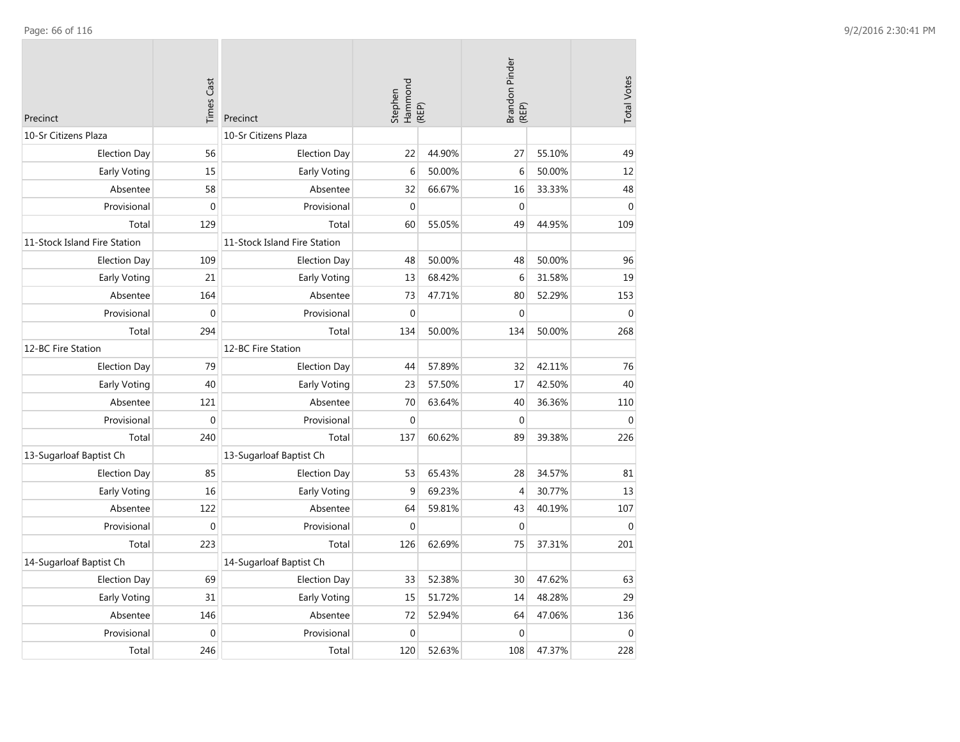| Precinct                     | <b>Times Cast</b> | Precinct                     | Hammond<br>Stephen | (REP)  | Brandon Pinder<br>(REP) |        | <b>Total Votes</b> |
|------------------------------|-------------------|------------------------------|--------------------|--------|-------------------------|--------|--------------------|
| 10-Sr Citizens Plaza         |                   | 10-Sr Citizens Plaza         |                    |        |                         |        |                    |
| <b>Election Day</b>          | 56                | <b>Election Day</b>          | 22                 | 44.90% | 27                      | 55.10% | 49                 |
| Early Voting                 | 15                | Early Voting                 | 6                  | 50.00% | 6                       | 50.00% | 12                 |
| Absentee                     | 58                | Absentee                     | 32                 | 66.67% | 16                      | 33.33% | 48                 |
| Provisional                  | $\mathbf 0$       | Provisional                  | $\mathbf{0}$       |        | $\boldsymbol{0}$        |        | $\mathbf 0$        |
| Total                        | 129               | Total                        | 60                 | 55.05% | 49                      | 44.95% | 109                |
| 11-Stock Island Fire Station |                   | 11-Stock Island Fire Station |                    |        |                         |        |                    |
| <b>Election Day</b>          | 109               | <b>Election Day</b>          | 48                 | 50.00% | 48                      | 50.00% | 96                 |
| Early Voting                 | 21                | Early Voting                 | 13                 | 68.42% | 6                       | 31.58% | 19                 |
| Absentee                     | 164               | Absentee                     | 73                 | 47.71% | 80                      | 52.29% | 153                |
| Provisional                  | $\mathbf 0$       | Provisional                  | $\mathbf{0}$       |        | $\boldsymbol{0}$        |        | $\mathbf{0}$       |
| Total                        | 294               | Total                        | 134                | 50.00% | 134                     | 50.00% | 268                |
| 12-BC Fire Station           |                   | 12-BC Fire Station           |                    |        |                         |        |                    |
| <b>Election Day</b>          | 79                | <b>Election Day</b>          | 44                 | 57.89% | 32                      | 42.11% | 76                 |
| Early Voting                 | 40                | Early Voting                 | 23                 | 57.50% | 17                      | 42.50% | 40                 |
| Absentee                     | 121               | Absentee                     | 70                 | 63.64% | 40                      | 36.36% | 110                |
| Provisional                  | $\mathbf 0$       | Provisional                  | $\mathbf{0}$       |        | $\mathbf 0$             |        | $\mathbf{0}$       |
| Total                        | 240               | Total                        | 137                | 60.62% | 89                      | 39.38% | 226                |
| 13-Sugarloaf Baptist Ch      |                   | 13-Sugarloaf Baptist Ch      |                    |        |                         |        |                    |
| <b>Election Day</b>          | 85                | <b>Election Day</b>          | 53                 | 65.43% | 28                      | 34.57% | 81                 |
| Early Voting                 | 16                | Early Voting                 | 9                  | 69.23% | 4                       | 30.77% | 13                 |
| Absentee                     | 122               | Absentee                     | 64                 | 59.81% | 43                      | 40.19% | 107                |
| Provisional                  | $\mathbf{0}$      | Provisional                  | $\mathbf{0}$       |        | $\mathbf 0$             |        | $\mathbf{0}$       |
| Total                        | 223               | Total                        | 126                | 62.69% | 75                      | 37.31% | 201                |
| 14-Sugarloaf Baptist Ch      |                   | 14-Sugarloaf Baptist Ch      |                    |        |                         |        |                    |
| <b>Election Day</b>          | 69                | <b>Election Day</b>          | 33                 | 52.38% | 30                      | 47.62% | 63                 |
| Early Voting                 | 31                | Early Voting                 | 15                 | 51.72% | 14                      | 48.28% | 29                 |
| Absentee                     | 146               | Absentee                     | 72                 | 52.94% | 64                      | 47.06% | 136                |
| Provisional                  | $\mathbf 0$       | Provisional                  | $\mathbf{0}$       |        | $\mathbf 0$             |        | $\mathbf 0$        |
| Total                        | 246               | Total                        | 120                | 52.63% | 108                     | 47.37% | 228                |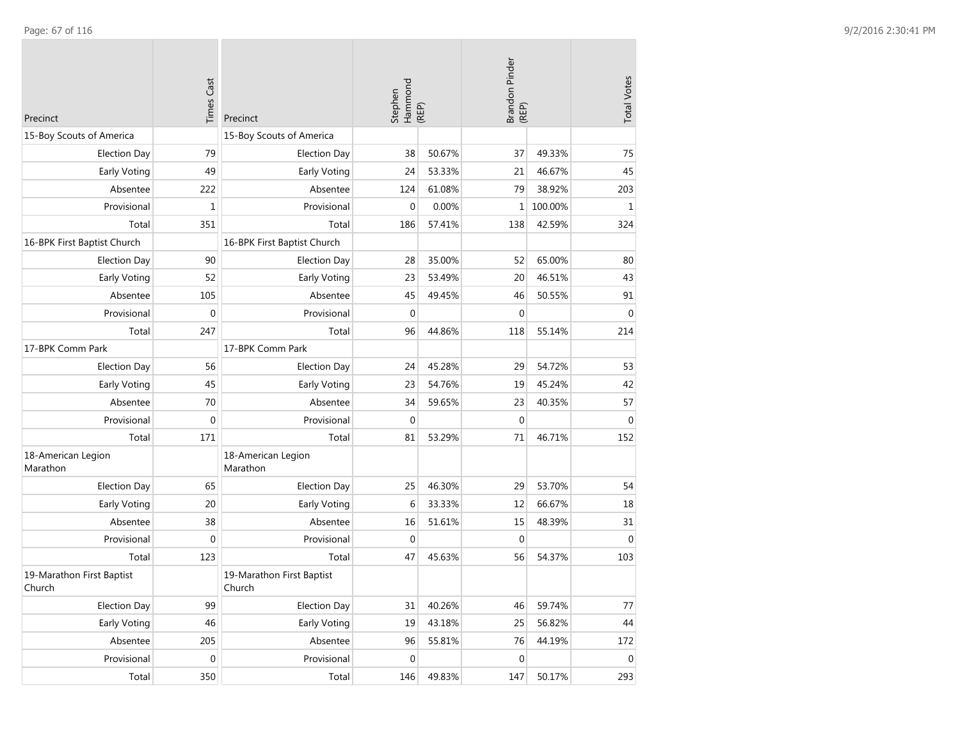| Precinct                            | <b>Times Cast</b> | Precinct                            | Stephen<br>Hammond<br>(REP) |        | Brandon Pinder<br>(REP) |         | <b>Total Votes</b> |
|-------------------------------------|-------------------|-------------------------------------|-----------------------------|--------|-------------------------|---------|--------------------|
| 15-Boy Scouts of America            |                   | 15-Boy Scouts of America            |                             |        |                         |         |                    |
| <b>Election Day</b>                 | 79                | <b>Election Day</b>                 | 38                          | 50.67% | 37                      | 49.33%  | 75                 |
| Early Voting                        | 49                | Early Voting                        | 24                          | 53.33% | 21                      | 46.67%  | 45                 |
| Absentee                            | 222               | Absentee                            | 124                         | 61.08% | 79                      | 38.92%  | 203                |
| Provisional                         | $\mathbf 1$       | Provisional                         | $\mathbf 0$                 | 0.00%  | 1                       | 100.00% | $\mathbf 1$        |
| Total                               | 351               | Total                               | 186                         | 57.41% | 138                     | 42.59%  | 324                |
| 16-BPK First Baptist Church         |                   | 16-BPK First Baptist Church         |                             |        |                         |         |                    |
| <b>Election Day</b>                 | 90                | <b>Election Day</b>                 | 28                          | 35.00% | 52                      | 65.00%  | 80                 |
| Early Voting                        | 52                | Early Voting                        | 23                          | 53.49% | 20                      | 46.51%  | 43                 |
| Absentee                            | 105               | Absentee                            | 45                          | 49.45% | 46                      | 50.55%  | 91                 |
| Provisional                         | 0                 | Provisional                         | $\mathbf{0}$                |        | $\mathbf{0}$            |         | $\mathbf 0$        |
| Total                               | 247               | Total                               | 96                          | 44.86% | 118                     | 55.14%  | 214                |
| 17-BPK Comm Park                    |                   | 17-BPK Comm Park                    |                             |        |                         |         |                    |
| <b>Election Day</b>                 | 56                | <b>Election Day</b>                 | 24                          | 45.28% | 29                      | 54.72%  | 53                 |
| Early Voting                        | 45                | Early Voting                        | 23                          | 54.76% | 19                      | 45.24%  | 42                 |
| Absentee                            | 70                | Absentee                            | 34                          | 59.65% | 23                      | 40.35%  | 57                 |
| Provisional                         | $\mathbf{0}$      | Provisional                         | $\mathbf{0}$                |        | $\mathbf 0$             |         | $\mathbf 0$        |
| Total                               | 171               | Total                               | 81                          | 53.29% | 71                      | 46.71%  | 152                |
| 18-American Legion<br>Marathon      |                   | 18-American Legion<br>Marathon      |                             |        |                         |         |                    |
| <b>Election Day</b>                 | 65                | <b>Election Day</b>                 | 25                          | 46.30% | 29                      | 53.70%  | 54                 |
| Early Voting                        | 20                | Early Voting                        | 6                           | 33.33% | 12                      | 66.67%  | 18                 |
| Absentee                            | 38                | Absentee                            | 16                          | 51.61% | 15                      | 48.39%  | 31                 |
| Provisional                         | 0                 | Provisional                         | $\mathbf 0$                 |        | $\mathbf 0$             |         | $\mathbf 0$        |
| Total                               | 123               | Total                               | 47                          | 45.63% | 56                      | 54.37%  | 103                |
| 19-Marathon First Baptist<br>Church |                   | 19-Marathon First Baptist<br>Church |                             |        |                         |         |                    |
| <b>Election Day</b>                 | 99                | <b>Election Day</b>                 | 31                          | 40.26% | 46                      | 59.74%  | 77                 |
| Early Voting                        | 46                | Early Voting                        | 19                          | 43.18% | 25                      | 56.82%  | 44                 |
| Absentee                            | 205               | Absentee                            | 96                          | 55.81% | 76                      | 44.19%  | 172                |
| Provisional                         | $\boldsymbol{0}$  | Provisional                         | $\mathbf 0$                 |        | $\mathbf 0$             |         | $\,0\,$            |
| Total                               | 350               | Total                               | 146                         | 49.83% | 147                     | 50.17%  | 293                |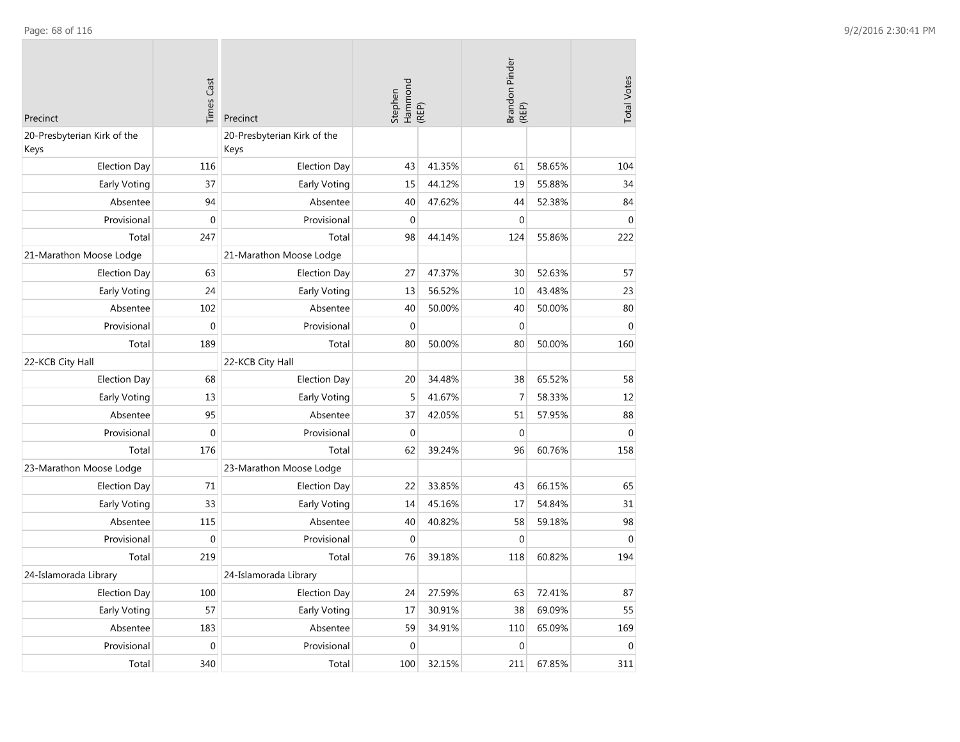| Precinct                            | <b>Times Cast</b> | Precinct                            | Stephen<br>Hammond<br>(REP) |        | Brandon Pinder<br>(REP) |        | <b>Total Votes</b> |
|-------------------------------------|-------------------|-------------------------------------|-----------------------------|--------|-------------------------|--------|--------------------|
| 20-Presbyterian Kirk of the<br>Keys |                   | 20-Presbyterian Kirk of the<br>Keys |                             |        |                         |        |                    |
| <b>Election Day</b>                 | 116               | <b>Election Day</b>                 | 43                          | 41.35% | 61                      | 58.65% | 104                |
| Early Voting                        | 37                | Early Voting                        | 15                          | 44.12% | 19                      | 55.88% | 34                 |
| Absentee                            | 94                | Absentee                            | 40                          | 47.62% | 44                      | 52.38% | 84                 |
| Provisional                         | $\Omega$          | Provisional                         | $\Omega$                    |        | $\boldsymbol{0}$        |        | $\mathbf 0$        |
| Total                               | 247               | Total                               | 98                          | 44.14% | 124                     | 55.86% | 222                |
| 21-Marathon Moose Lodge             |                   | 21-Marathon Moose Lodge             |                             |        |                         |        |                    |
| <b>Election Day</b>                 | 63                | <b>Election Day</b>                 | 27                          | 47.37% | 30                      | 52.63% | 57                 |
| <b>Early Voting</b>                 | 24                | Early Voting                        | 13                          | 56.52% | 10                      | 43.48% | 23                 |
| Absentee                            | 102               | Absentee                            | 40                          | 50.00% | 40                      | 50.00% | 80                 |
| Provisional                         | $\mathbf{0}$      | Provisional                         | $\mathbf 0$                 |        | $\mathbf 0$             |        | $\mathbf 0$        |
| Total                               | 189               | Total                               | 80                          | 50.00% | 80                      | 50.00% | 160                |
| 22-KCB City Hall                    |                   | 22-KCB City Hall                    |                             |        |                         |        |                    |
| <b>Election Day</b>                 | 68                | <b>Election Day</b>                 | 20                          | 34.48% | 38                      | 65.52% | 58                 |
| Early Voting                        | 13                | Early Voting                        | 5                           | 41.67% | $\overline{7}$          | 58.33% | 12                 |
| Absentee                            | 95                | Absentee                            | 37                          | 42.05% | 51                      | 57.95% | 88                 |
| Provisional                         | $\boldsymbol{0}$  | Provisional                         | $\mathbf{0}$                |        | $\boldsymbol{0}$        |        | $\boldsymbol{0}$   |
| Total                               | 176               | Total                               | 62                          | 39.24% | 96                      | 60.76% | 158                |
| 23-Marathon Moose Lodge             |                   | 23-Marathon Moose Lodge             |                             |        |                         |        |                    |
| <b>Election Day</b>                 | 71                | <b>Election Day</b>                 | 22                          | 33.85% | 43                      | 66.15% | 65                 |
| Early Voting                        | 33                | Early Voting                        | 14                          | 45.16% | 17                      | 54.84% | 31                 |
| Absentee                            | 115               | Absentee                            | 40                          | 40.82% | 58                      | 59.18% | 98                 |
| Provisional                         | $\mathbf 0$       | Provisional                         | $\mathbf{0}$                |        | $\mathbf{0}$            |        | $\mathbf{0}$       |
| Total                               | 219               | Total                               | 76                          | 39.18% | 118                     | 60.82% | 194                |
| 24-Islamorada Library               |                   | 24-Islamorada Library               |                             |        |                         |        |                    |
| <b>Election Day</b>                 | 100               | <b>Election Day</b>                 | 24                          | 27.59% | 63                      | 72.41% | 87                 |
| Early Voting                        | 57                | Early Voting                        | 17                          | 30.91% | 38                      | 69.09% | 55                 |
| Absentee                            | 183               | Absentee                            | 59                          | 34.91% | 110                     | 65.09% | 169                |
| Provisional                         | $\mathbf 0$       | Provisional                         | $\mathbf 0$                 |        | $\mathbf 0$             |        | $\mathbf 0$        |
| Total                               | 340               | Total                               | 100                         | 32.15% | 211                     | 67.85% | 311                |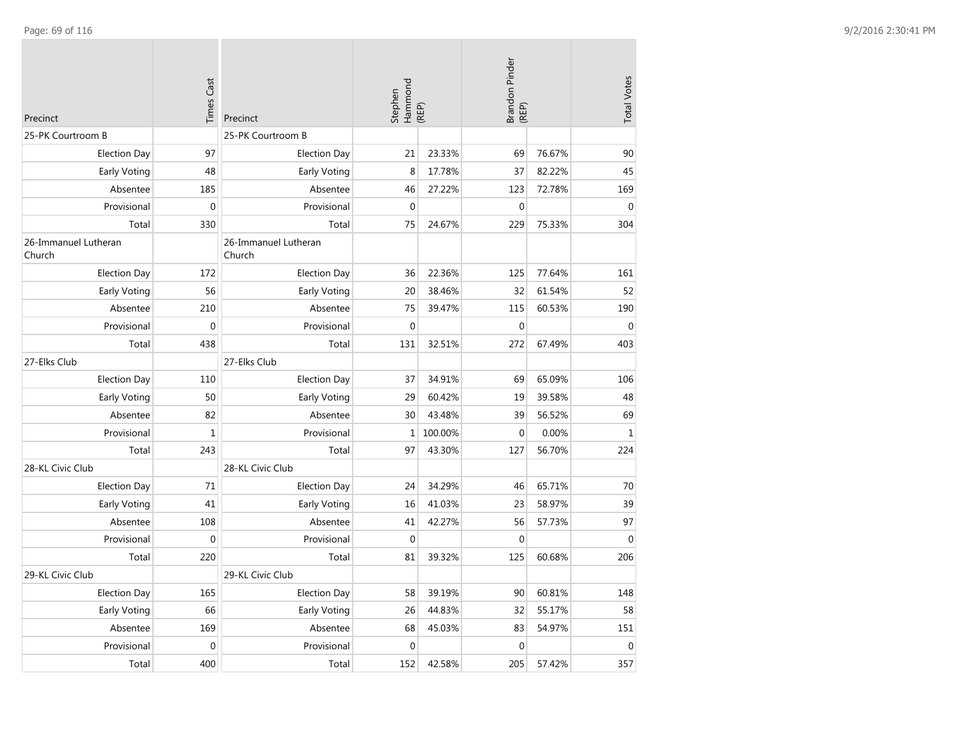| Precinct                       | <b>Times Cast</b> | Precinct                       | Stephen<br>Hammond<br>(REP) |         | Brandon Pinder<br>(REP) |        | <b>Total Votes</b> |
|--------------------------------|-------------------|--------------------------------|-----------------------------|---------|-------------------------|--------|--------------------|
| 25-PK Courtroom B              |                   | 25-PK Courtroom B              |                             |         |                         |        |                    |
| <b>Election Day</b>            | 97                | <b>Election Day</b>            | 21                          | 23.33%  | 69                      | 76.67% | 90                 |
| Early Voting                   | 48                | Early Voting                   | 8                           | 17.78%  | 37                      | 82.22% | 45                 |
| Absentee                       | 185               | Absentee                       | 46                          | 27.22%  | 123                     | 72.78% | 169                |
| Provisional                    | 0                 | Provisional                    | $\mathbf{0}$                |         | $\mathbf 0$             |        | $\mathbf{0}$       |
| Total                          | 330               | Total                          | 75                          | 24.67%  | 229                     | 75.33% | 304                |
| 26-Immanuel Lutheran<br>Church |                   | 26-Immanuel Lutheran<br>Church |                             |         |                         |        |                    |
| <b>Election Day</b>            | 172               | <b>Election Day</b>            | 36                          | 22.36%  | 125                     | 77.64% | 161                |
| Early Voting                   | 56                | Early Voting                   | 20                          | 38.46%  | 32                      | 61.54% | 52                 |
| Absentee                       | 210               | Absentee                       | 75                          | 39.47%  | 115                     | 60.53% | 190                |
| Provisional                    | $\mathbf 0$       | Provisional                    | $\mathbf{0}$                |         | $\mathbf 0$             |        | $\mathbf{0}$       |
| Total                          | 438               | Total                          | 131                         | 32.51%  | 272                     | 67.49% | 403                |
| 27-Elks Club                   |                   | 27-Elks Club                   |                             |         |                         |        |                    |
| <b>Election Day</b>            | 110               | <b>Election Day</b>            | 37                          | 34.91%  | 69                      | 65.09% | 106                |
| Early Voting                   | 50                | Early Voting                   | 29                          | 60.42%  | 19                      | 39.58% | 48                 |
| Absentee                       | 82                | Absentee                       | 30                          | 43.48%  | 39                      | 56.52% | 69                 |
| Provisional                    | $\mathbf 1$       | Provisional                    | $\mathbf{1}$                | 100.00% | $\mathbf 0$             | 0.00%  | $\mathbf 1$        |
| Total                          | 243               | Total                          | 97                          | 43.30%  | 127                     | 56.70% | 224                |
| 28-KL Civic Club               |                   | 28-KL Civic Club               |                             |         |                         |        |                    |
| <b>Election Day</b>            | 71                | <b>Election Day</b>            | 24                          | 34.29%  | 46                      | 65.71% | 70                 |
| <b>Early Voting</b>            | 41                | Early Voting                   | 16                          | 41.03%  | 23                      | 58.97% | 39                 |
| Absentee                       | 108               | Absentee                       | 41                          | 42.27%  | 56                      | 57.73% | 97                 |
| Provisional                    | $\mathbf 0$       | Provisional                    | $\mathbf{0}$                |         | $\mathbf 0$             |        | $\mathbf{0}$       |
| Total                          | 220               | Total                          | 81                          | 39.32%  | 125                     | 60.68% | 206                |
| 29-KL Civic Club               |                   | 29-KL Civic Club               |                             |         |                         |        |                    |
| <b>Election Day</b>            | 165               | <b>Election Day</b>            | 58                          | 39.19%  | 90                      | 60.81% | 148                |
| Early Voting                   | 66                | Early Voting                   | 26                          | 44.83%  | 32                      | 55.17% | 58                 |
| Absentee                       | 169               | Absentee                       | 68                          | 45.03%  | 83                      | 54.97% | 151                |
| Provisional                    | $\boldsymbol{0}$  | Provisional                    | $\mathbf 0$                 |         | $\mathbf 0$             |        | $\mathbf 0$        |
| Total                          | 400               | Total                          | 152                         | 42.58%  | 205                     | 57.42% | 357                |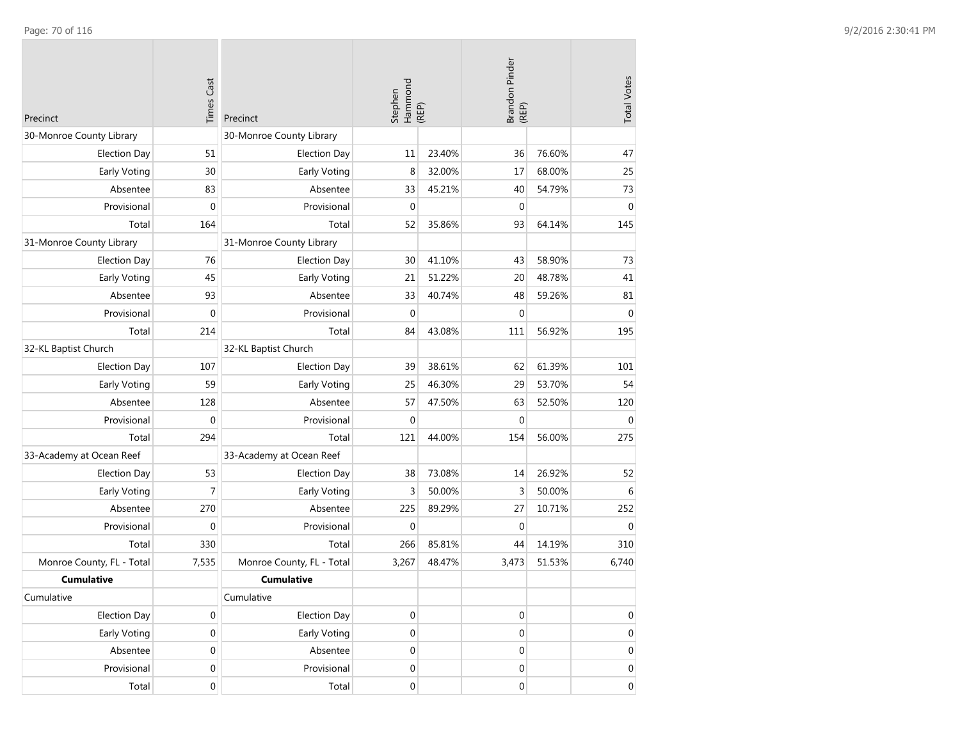| Precinct                  | <b>Times Cast</b> | Precinct                  | Stephen<br>Hammond<br>(REP) |        | Brandon Pinder<br>(REP) |        | <b>Total Votes</b> |
|---------------------------|-------------------|---------------------------|-----------------------------|--------|-------------------------|--------|--------------------|
| 30-Monroe County Library  |                   | 30-Monroe County Library  |                             |        |                         |        |                    |
| <b>Election Day</b>       | 51                | <b>Election Day</b>       | 11                          | 23.40% | 36                      | 76.60% | 47                 |
| Early Voting              | 30                | Early Voting              | 8                           | 32.00% | 17                      | 68.00% | 25                 |
| Absentee                  | 83                | Absentee                  | 33                          | 45.21% | 40                      | 54.79% | 73                 |
| Provisional               | $\mathbf 0$       | Provisional               | $\mathbf 0$                 |        | $\mathbf 0$             |        | $\boldsymbol{0}$   |
| Total                     | 164               | Total                     | 52                          | 35.86% | 93                      | 64.14% | 145                |
| 31-Monroe County Library  |                   | 31-Monroe County Library  |                             |        |                         |        |                    |
| <b>Election Day</b>       | 76                | <b>Election Day</b>       | 30                          | 41.10% | 43                      | 58.90% | 73                 |
| Early Voting              | 45                | Early Voting              | 21                          | 51.22% | 20                      | 48.78% | 41                 |
| Absentee                  | 93                | Absentee                  | 33                          | 40.74% | 48                      | 59.26% | 81                 |
| Provisional               | $\mathbf 0$       | Provisional               | $\mathbf{0}$                |        | $\mathbf 0$             |        | $\mathbf{0}$       |
| Total                     | 214               | Total                     | 84                          | 43.08% | 111                     | 56.92% | 195                |
| 32-KL Baptist Church      |                   | 32-KL Baptist Church      |                             |        |                         |        |                    |
| <b>Election Day</b>       | 107               | <b>Election Day</b>       | 39                          | 38.61% | 62                      | 61.39% | 101                |
| Early Voting              | 59                | Early Voting              | 25                          | 46.30% | 29                      | 53.70% | 54                 |
| Absentee                  | 128               | Absentee                  | 57                          | 47.50% | 63                      | 52.50% | 120                |
| Provisional               | $\boldsymbol{0}$  | Provisional               | $\mathbf{0}$                |        | $\mathbf{0}$            |        | $\mathbf{0}$       |
| Total                     | 294               | Total                     | 121                         | 44.00% | 154                     | 56.00% | 275                |
| 33-Academy at Ocean Reef  |                   | 33-Academy at Ocean Reef  |                             |        |                         |        |                    |
| <b>Election Day</b>       | 53                | <b>Election Day</b>       | 38                          | 73.08% | 14                      | 26.92% | 52                 |
| Early Voting              | $\overline{7}$    | Early Voting              | 3                           | 50.00% | 3                       | 50.00% | 6                  |
| Absentee                  | 270               | Absentee                  | 225                         | 89.29% | 27                      | 10.71% | 252                |
| Provisional               | $\mathbf 0$       | Provisional               | $\mathbf 0$                 |        | $\mathbf 0$             |        | $\mathbf{0}$       |
| Total                     | 330               | Total                     | 266                         | 85.81% | 44                      | 14.19% | 310                |
| Monroe County, FL - Total | 7,535             | Monroe County, FL - Total | 3,267                       | 48.47% | 3,473                   | 51.53% | 6,740              |
| <b>Cumulative</b>         |                   | <b>Cumulative</b>         |                             |        |                         |        |                    |
| Cumulative                |                   | Cumulative                |                             |        |                         |        |                    |
| <b>Election Day</b>       | 0                 | <b>Election Day</b>       | $\boldsymbol{0}$            |        | $\boldsymbol{0}$        |        | $\mathbf 0$        |
| Early Voting              | $\boldsymbol{0}$  | Early Voting              | $\boldsymbol{0}$            |        | $\mathbf 0$             |        | $\mathbf 0$        |
| Absentee                  | $\boldsymbol{0}$  | Absentee                  | $\mathbf 0$                 |        | $\boldsymbol{0}$        |        | $\mathbf 0$        |
| Provisional               | $\boldsymbol{0}$  | Provisional               | $\boldsymbol{0}$            |        | $\boldsymbol{0}$        |        | $\mathbf 0$        |
| Total                     | $\mathbf 0$       | Total                     | $\boldsymbol{0}$            |        | 0                       |        | $\overline{0}$     |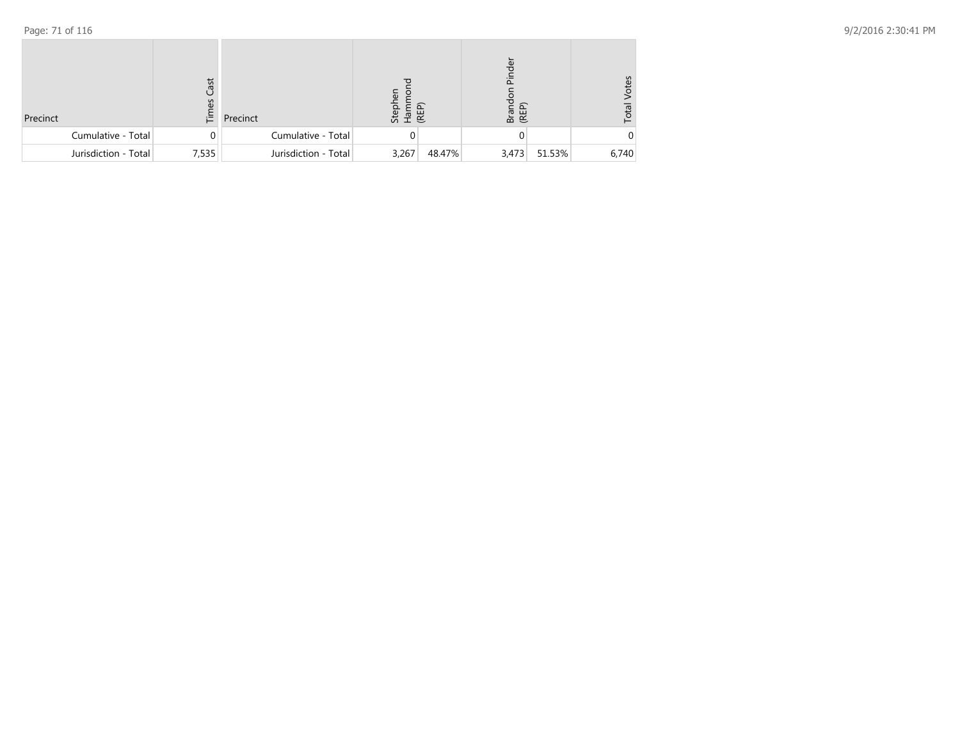| Precinct             | ast<br>3<br>ίĒ. | Precinct             | $\overline{\mathbf{v}}$<br>Steph<br>Ham<br>(REP) |        | Pinder<br>Brand<br>(REP) |        | /otes<br>Total |
|----------------------|-----------------|----------------------|--------------------------------------------------|--------|--------------------------|--------|----------------|
| Cumulative - Total   | $\Omega$        | Cumulative - Total   |                                                  |        |                          |        |                |
| Jurisdiction - Total | 7,535           | Jurisdiction - Total | 3,267                                            | 48.47% | 3,473                    | 51.53% | 6,740          |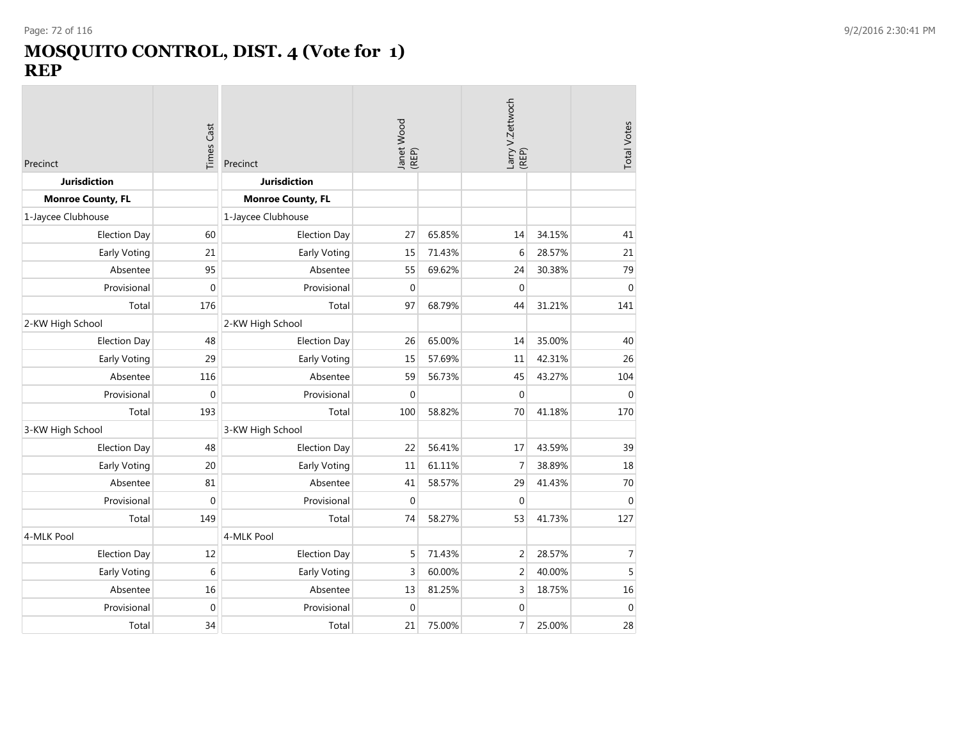### **MOSQUITO CONTROL, DIST. 4 (Vote for 1) REP**

| Precinct                 | Times Cast | Precinct                 | Janet Wood<br>(REP) |        | Larry V.Zettwoch<br>(REP) |        | <b>Total Votes</b> |
|--------------------------|------------|--------------------------|---------------------|--------|---------------------------|--------|--------------------|
| <b>Jurisdiction</b>      |            | <b>Jurisdiction</b>      |                     |        |                           |        |                    |
| <b>Monroe County, FL</b> |            | <b>Monroe County, FL</b> |                     |        |                           |        |                    |
| 1-Jaycee Clubhouse       |            | 1-Jaycee Clubhouse       |                     |        |                           |        |                    |
| <b>Election Day</b>      | 60         | <b>Election Day</b>      | 27                  | 65.85% | 14                        | 34.15% | 41                 |
| Early Voting             | 21         | Early Voting             | 15                  | 71.43% | 6                         | 28.57% | 21                 |
| Absentee                 | 95         | Absentee                 | 55                  | 69.62% | 24                        | 30.38% | 79                 |
| Provisional              | 0          | Provisional              | $\mathbf{0}$        |        | $\mathbf 0$               |        | $\mathbf 0$        |
| Total                    | 176        | Total                    | 97                  | 68.79% | 44                        | 31.21% | 141                |
| 2-KW High School         |            | 2-KW High School         |                     |        |                           |        |                    |
| <b>Election Day</b>      | 48         | <b>Election Day</b>      | 26                  | 65.00% | 14                        | 35.00% | 40                 |
| Early Voting             | 29         | Early Voting             | 15                  | 57.69% | 11                        | 42.31% | 26                 |
| Absentee                 | 116        | Absentee                 | 59                  | 56.73% | 45                        | 43.27% | 104                |
| Provisional              | 0          | Provisional              | $\mathbf{0}$        |        | $\mathbf 0$               |        | $\mathbf 0$        |
| Total                    | 193        | Total                    | 100                 | 58.82% | 70                        | 41.18% | 170                |
| 3-KW High School         |            | 3-KW High School         |                     |        |                           |        |                    |
| <b>Election Day</b>      | 48         | <b>Election Day</b>      | 22                  | 56.41% | 17                        | 43.59% | 39                 |
| Early Voting             | 20         | Early Voting             | 11                  | 61.11% | $\overline{7}$            | 38.89% | 18                 |
| Absentee                 | 81         | Absentee                 | 41                  | 58.57% | 29                        | 41.43% | 70                 |
| Provisional              | 0          | Provisional              | $\mathbf{0}$        |        | $\mathbf{0}$              |        | $\mathbf{0}$       |
| Total                    | 149        | Total                    | 74                  | 58.27% | 53                        | 41.73% | 127                |
| 4-MLK Pool               |            | 4-MLK Pool               |                     |        |                           |        |                    |
| <b>Election Day</b>      | 12         | <b>Election Day</b>      | 5                   | 71.43% | $\overline{2}$            | 28.57% | 7                  |
| Early Voting             | 6          | Early Voting             | 3                   | 60.00% | $\overline{c}$            | 40.00% | 5                  |
| Absentee                 | 16         | Absentee                 | 13                  | 81.25% | 3                         | 18.75% | 16                 |
| Provisional              | 0          | Provisional              | $\Omega$            |        | $\mathbf 0$               |        | $\mathbf 0$        |
| Total                    | 34         | Total                    | 21                  | 75.00% | $\overline{7}$            | 25.00% | 28                 |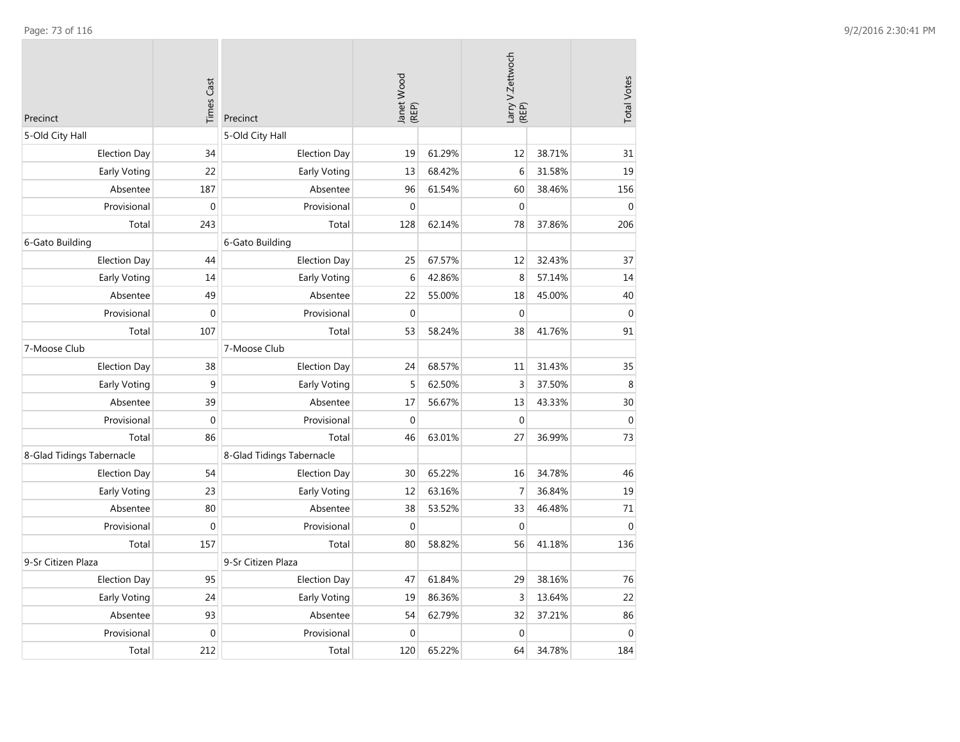| Precinct                  | <b>Times Cast</b> | Precinct                  | Janet Wood<br>(REP) |        | Larry V.Zettwoch<br>(REP) |        | <b>Total Votes</b> |
|---------------------------|-------------------|---------------------------|---------------------|--------|---------------------------|--------|--------------------|
| 5-Old City Hall           |                   | 5-Old City Hall           |                     |        |                           |        |                    |
| <b>Election Day</b>       | 34                | <b>Election Day</b>       | 19                  | 61.29% | 12                        | 38.71% | 31                 |
| Early Voting              | 22                | Early Voting              | 13                  | 68.42% | 6                         | 31.58% | 19                 |
| Absentee                  | 187               | Absentee                  | 96                  | 61.54% | 60                        | 38.46% | 156                |
| Provisional               | $\boldsymbol{0}$  | Provisional               | $\mathbf{0}$        |        | $\mathbf 0$               |        | $\mathbf{0}$       |
| Total                     | 243               | Total                     | 128                 | 62.14% | 78                        | 37.86% | 206                |
| 6-Gato Building           |                   | 6-Gato Building           |                     |        |                           |        |                    |
| <b>Election Day</b>       | 44                | <b>Election Day</b>       | 25                  | 67.57% | 12                        | 32.43% | 37                 |
| <b>Early Voting</b>       | 14                | Early Voting              | 6                   | 42.86% | 8                         | 57.14% | 14                 |
| Absentee                  | 49                | Absentee                  | 22                  | 55.00% | 18                        | 45.00% | 40                 |
| Provisional               | $\boldsymbol{0}$  | Provisional               | $\mathbf{0}$        |        | $\boldsymbol{0}$          |        | $\mathbf 0$        |
| Total                     | 107               | Total                     | 53                  | 58.24% | 38                        | 41.76% | 91                 |
| 7-Moose Club              |                   | 7-Moose Club              |                     |        |                           |        |                    |
| <b>Election Day</b>       | 38                | <b>Election Day</b>       | 24                  | 68.57% | 11                        | 31.43% | 35                 |
| <b>Early Voting</b>       | 9                 | Early Voting              | 5                   | 62.50% | 3                         | 37.50% | $\,8\,$            |
| Absentee                  | 39                | Absentee                  | 17                  | 56.67% | 13                        | 43.33% | 30                 |
| Provisional               | $\mathbf 0$       | Provisional               | $\Omega$            |        | $\mathbf{0}$              |        | $\mathbf{0}$       |
| Total                     | 86                | Total                     | 46                  | 63.01% | 27                        | 36.99% | 73                 |
| 8-Glad Tidings Tabernacle |                   | 8-Glad Tidings Tabernacle |                     |        |                           |        |                    |
| <b>Election Day</b>       | 54                | <b>Election Day</b>       | 30                  | 65.22% | 16                        | 34.78% | 46                 |
| Early Voting              | 23                | Early Voting              | 12                  | 63.16% | $\overline{7}$            | 36.84% | 19                 |
| Absentee                  | 80                | Absentee                  | 38                  | 53.52% | 33                        | 46.48% | 71                 |
| Provisional               | $\mathbf 0$       | Provisional               | $\Omega$            |        | $\mathbf{0}$              |        | $\mathbf{0}$       |
| Total                     | 157               | Total                     | 80                  | 58.82% | 56                        | 41.18% | 136                |
| 9-Sr Citizen Plaza        |                   | 9-Sr Citizen Plaza        |                     |        |                           |        |                    |
| <b>Election Day</b>       | 95                | <b>Election Day</b>       | 47                  | 61.84% | 29                        | 38.16% | 76                 |
| Early Voting              | 24                | Early Voting              | 19                  | 86.36% | 3                         | 13.64% | 22                 |
| Absentee                  | 93                | Absentee                  | 54                  | 62.79% | 32                        | 37.21% | 86                 |
| Provisional               | $\mathbf{0}$      | Provisional               | $\mathbf{0}$        |        | $\mathbf 0$               |        | $\mathbf 0$        |
| Total                     | 212               | Total                     | 120                 | 65.22% | 64                        | 34.78% | 184                |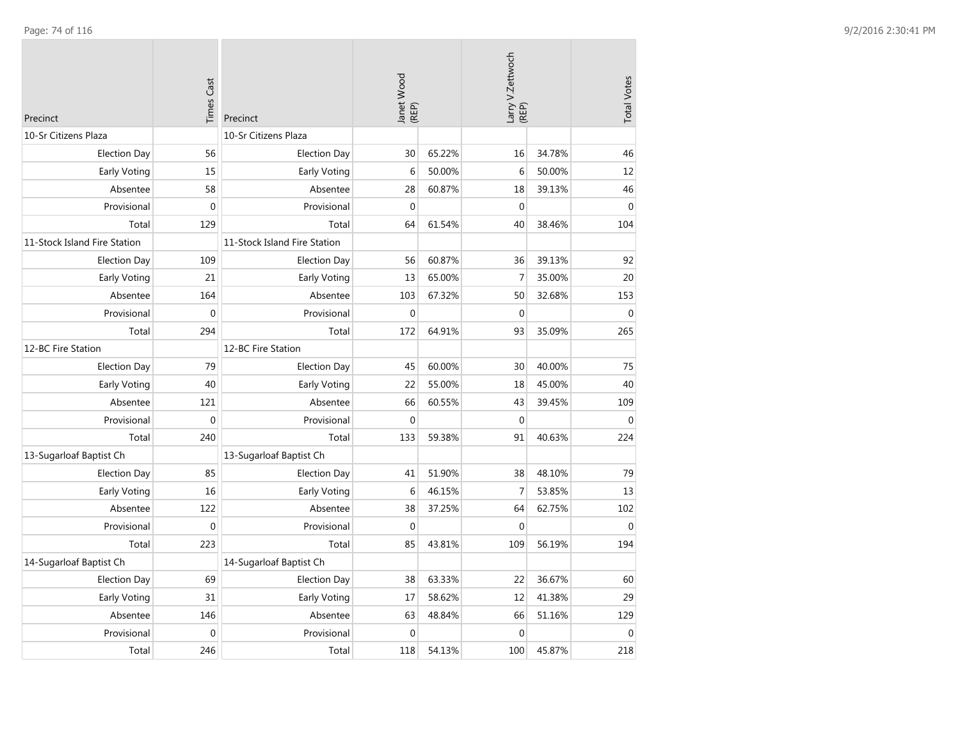| Precinct                     | <b>Times Cast</b> | Precinct                     | Janet Wood<br>(REP) |        | Larry V.Zettwoch<br>(REP) |        | <b>Total Votes</b> |
|------------------------------|-------------------|------------------------------|---------------------|--------|---------------------------|--------|--------------------|
| 10-Sr Citizens Plaza         |                   | 10-Sr Citizens Plaza         |                     |        |                           |        |                    |
| <b>Election Day</b>          | 56                | <b>Election Day</b>          | 30                  | 65.22% | 16                        | 34.78% | 46                 |
| <b>Early Voting</b>          | 15                | Early Voting                 | 6                   | 50.00% | 6                         | 50.00% | 12                 |
| Absentee                     | 58                | Absentee                     | 28                  | 60.87% | 18                        | 39.13% | 46                 |
| Provisional                  | $\boldsymbol{0}$  | Provisional                  | $\mathbf 0$         |        | $\mathbf 0$               |        | $\mathbf 0$        |
| Total                        | 129               | Total                        | 64                  | 61.54% | 40                        | 38.46% | 104                |
| 11-Stock Island Fire Station |                   | 11-Stock Island Fire Station |                     |        |                           |        |                    |
| <b>Election Day</b>          | 109               | <b>Election Day</b>          | 56                  | 60.87% | 36                        | 39.13% | 92                 |
| <b>Early Voting</b>          | 21                | Early Voting                 | 13                  | 65.00% | $\overline{7}$            | 35.00% | 20                 |
| Absentee                     | 164               | Absentee                     | 103                 | 67.32% | 50                        | 32.68% | 153                |
| Provisional                  | $\mathbf 0$       | Provisional                  | $\mathbf 0$         |        | $\mathbf 0$               |        | $\mathbf{0}$       |
| Total                        | 294               | Total                        | 172                 | 64.91% | 93                        | 35.09% | 265                |
| 12-BC Fire Station           |                   | 12-BC Fire Station           |                     |        |                           |        |                    |
| <b>Election Day</b>          | 79                | <b>Election Day</b>          | 45                  | 60.00% | 30                        | 40.00% | 75                 |
| <b>Early Voting</b>          | 40                | Early Voting                 | 22                  | 55.00% | 18                        | 45.00% | 40                 |
| Absentee                     | 121               | Absentee                     | 66                  | 60.55% | 43                        | 39.45% | 109                |
| Provisional                  | $\mathbf 0$       | Provisional                  | $\mathbf{0}$        |        | $\mathbf{0}$              |        | $\mathbf{0}$       |
| Total                        | 240               | Total                        | 133                 | 59.38% | 91                        | 40.63% | 224                |
| 13-Sugarloaf Baptist Ch      |                   | 13-Sugarloaf Baptist Ch      |                     |        |                           |        |                    |
| <b>Election Day</b>          | 85                | <b>Election Day</b>          | 41                  | 51.90% | 38                        | 48.10% | 79                 |
| <b>Early Voting</b>          | 16                | Early Voting                 | 6                   | 46.15% | $\overline{7}$            | 53.85% | 13                 |
| Absentee                     | 122               | Absentee                     | 38                  | 37.25% | 64                        | 62.75% | 102                |
| Provisional                  | $\boldsymbol{0}$  | Provisional                  | $\mathbf 0$         |        | $\mathbf 0$               |        | $\boldsymbol{0}$   |
| Total                        | 223               | Total                        | 85                  | 43.81% | 109                       | 56.19% | 194                |
| 14-Sugarloaf Baptist Ch      |                   | 14-Sugarloaf Baptist Ch      |                     |        |                           |        |                    |
| <b>Election Day</b>          | 69                | <b>Election Day</b>          | 38                  | 63.33% | 22                        | 36.67% | 60                 |
| <b>Early Voting</b>          | 31                | Early Voting                 | 17                  | 58.62% | 12                        | 41.38% | 29                 |
| Absentee                     | 146               | Absentee                     | 63                  | 48.84% | 66                        | 51.16% | 129                |
| Provisional                  | $\boldsymbol{0}$  | Provisional                  | $\mathbf 0$         |        | $\mathbf 0$               |        | $\mathbf 0$        |
| Total                        | 246               | Total                        | 118                 | 54.13% | 100                       | 45.87% | 218                |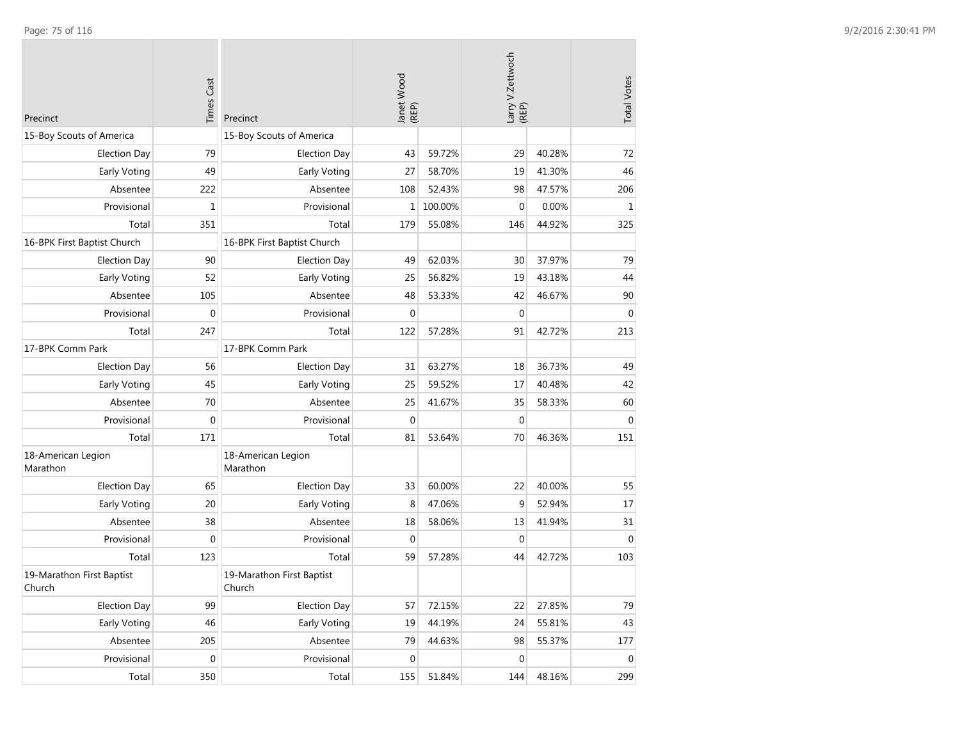| Precinct                            | <b>Times Cast</b> | Precinct                            | Janet Wood<br>(REP) |         | Larry V.Zettwoch<br>(REP) |        | <b>Total Votes</b> |
|-------------------------------------|-------------------|-------------------------------------|---------------------|---------|---------------------------|--------|--------------------|
| 15-Boy Scouts of America            |                   | 15-Boy Scouts of America            |                     |         |                           |        |                    |
| <b>Election Day</b>                 | 79                | <b>Election Day</b>                 | 43                  | 59.72%  | 29                        | 40.28% | 72                 |
| Early Voting                        | 49                | Early Voting                        | 27                  | 58.70%  | 19                        | 41.30% | 46                 |
| Absentee                            | 222               | Absentee                            | 108                 | 52.43%  | 98                        | 47.57% | 206                |
| Provisional                         | $\mathbf 1$       | Provisional                         | 1                   | 100.00% | $\mathbf 0$               | 0.00%  | $\mathbf{1}$       |
| Total                               | 351               | Total                               | 179                 | 55.08%  | 146                       | 44.92% | 325                |
| 16-BPK First Baptist Church         |                   | 16-BPK First Baptist Church         |                     |         |                           |        |                    |
| <b>Election Day</b>                 | 90                | <b>Election Day</b>                 | 49                  | 62.03%  | 30                        | 37.97% | 79                 |
| Early Voting                        | 52                | Early Voting                        | 25                  | 56.82%  | 19                        | 43.18% | 44                 |
| Absentee                            | 105               | Absentee                            | 48                  | 53.33%  | 42                        | 46.67% | 90                 |
| Provisional                         | $\mathbf 0$       | Provisional                         | $\mathbf 0$         |         | $\mathbf 0$               |        | $\mathbf 0$        |
| Total                               | 247               | Total                               | 122                 | 57.28%  | 91                        | 42.72% | 213                |
| 17-BPK Comm Park                    |                   | 17-BPK Comm Park                    |                     |         |                           |        |                    |
| <b>Election Day</b>                 | 56                | <b>Election Day</b>                 | 31                  | 63.27%  | 18                        | 36.73% | 49                 |
| Early Voting                        | 45                | Early Voting                        | 25                  | 59.52%  | 17                        | 40.48% | 42                 |
| Absentee                            | 70                | Absentee                            | 25                  | 41.67%  | 35                        | 58.33% | 60                 |
| Provisional                         | $\mathbf{0}$      | Provisional                         | $\mathbf{0}$        |         | $\mathbf 0$               |        | $\mathbf{0}$       |
| Total                               | 171               | Total                               | 81                  | 53.64%  | 70                        | 46.36% | 151                |
| 18-American Legion<br>Marathon      |                   | 18-American Legion<br>Marathon      |                     |         |                           |        |                    |
| <b>Election Day</b>                 | 65                | <b>Election Day</b>                 | 33                  | 60.00%  | 22                        | 40.00% | 55                 |
| Early Voting                        | 20                | Early Voting                        | 8                   | 47.06%  | 9                         | 52.94% | 17                 |
| Absentee                            | 38                | Absentee                            | 18                  | 58.06%  | 13                        | 41.94% | 31                 |
| Provisional                         | 0                 | Provisional                         | 0                   |         | 0                         |        | $\mathbf 0$        |
| Total                               | 123               | Total                               | 59                  | 57.28%  | 44                        | 42.72% | 103                |
| 19-Marathon First Baptist<br>Church |                   | 19-Marathon First Baptist<br>Church |                     |         |                           |        |                    |
| <b>Election Day</b>                 | 99                | <b>Election Day</b>                 | 57                  | 72.15%  | 22                        | 27.85% | 79                 |
| Early Voting                        | 46                | Early Voting                        | 19                  | 44.19%  | 24                        | 55.81% | 43                 |
| Absentee                            | 205               | Absentee                            | 79                  | 44.63%  | 98                        | 55.37% | 177                |
| Provisional                         | $\boldsymbol{0}$  | Provisional                         | $\mathbf 0$         |         | $\mathbf 0$               |        | $\boldsymbol{0}$   |
| Total                               | 350               | Total                               | 155                 | 51.84%  | 144                       | 48.16% | 299                |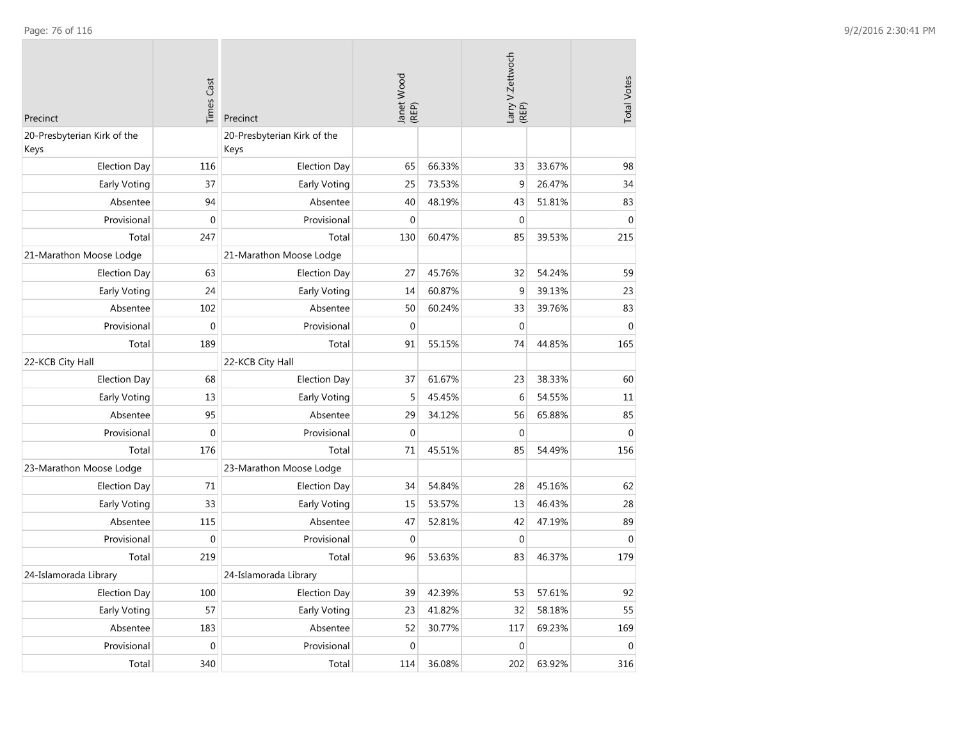| Precinct                            | <b>Times Cast</b> | Precinct                            | Janet Wood<br>(REP) |        | Larry V.Zettwoch<br>(REP) |        | <b>Total Votes</b> |
|-------------------------------------|-------------------|-------------------------------------|---------------------|--------|---------------------------|--------|--------------------|
| 20-Presbyterian Kirk of the<br>Keys |                   | 20-Presbyterian Kirk of the<br>Keys |                     |        |                           |        |                    |
| <b>Election Day</b>                 | 116               | <b>Election Day</b>                 | 65                  | 66.33% | 33                        | 33.67% | 98                 |
| Early Voting                        | 37                | Early Voting                        | 25                  | 73.53% | 9                         | 26.47% | 34                 |
| Absentee                            | 94                | Absentee                            | 40                  | 48.19% | 43                        | 51.81% | 83                 |
| Provisional                         | $\mathbf 0$       | Provisional                         | $\mathbf 0$         |        | $\mathbf{0}$              |        | $\mathbf 0$        |
| Total                               | 247               | Total                               | 130                 | 60.47% | 85                        | 39.53% | 215                |
| 21-Marathon Moose Lodge             |                   | 21-Marathon Moose Lodge             |                     |        |                           |        |                    |
| <b>Election Day</b>                 | 63                | <b>Election Day</b>                 | 27                  | 45.76% | 32                        | 54.24% | 59                 |
| Early Voting                        | 24                | Early Voting                        | 14                  | 60.87% | 9                         | 39.13% | 23                 |
| Absentee                            | 102               | Absentee                            | 50                  | 60.24% | 33                        | 39.76% | 83                 |
| Provisional                         | $\mathbf 0$       | Provisional                         | $\Omega$            |        | $\Omega$                  |        | $\theta$           |
| Total                               | 189               | Total                               | 91                  | 55.15% | 74                        | 44.85% | 165                |
| 22-KCB City Hall                    |                   | 22-KCB City Hall                    |                     |        |                           |        |                    |
| <b>Election Day</b>                 | 68                | <b>Election Day</b>                 | 37                  | 61.67% | 23                        | 38.33% | 60                 |
| Early Voting                        | 13                | Early Voting                        | 5                   | 45.45% | 6                         | 54.55% | 11                 |
| Absentee                            | 95                | Absentee                            | 29                  | 34.12% | 56                        | 65.88% | 85                 |
| Provisional                         | $\mathbf 0$       | Provisional                         | $\mathbf{0}$        |        | $\mathbf{0}$              |        | $\mathbf 0$        |
| Total                               | 176               | Total                               | 71                  | 45.51% | 85                        | 54.49% | 156                |
| 23-Marathon Moose Lodge             |                   | 23-Marathon Moose Lodge             |                     |        |                           |        |                    |
| <b>Election Day</b>                 | 71                | <b>Election Day</b>                 | 34                  | 54.84% | 28                        | 45.16% | 62                 |
| Early Voting                        | 33                | Early Voting                        | 15                  | 53.57% | 13                        | 46.43% | 28                 |
| Absentee                            | 115               | Absentee                            | 47                  | 52.81% | 42                        | 47.19% | 89                 |
| Provisional                         | $\mathbf{0}$      | Provisional                         | $\mathbf 0$         |        | $\mathbf{0}$              |        | $\mathbf 0$        |
| Total                               | 219               | Total                               | 96                  | 53.63% | 83                        | 46.37% | 179                |
| 24-Islamorada Library               |                   | 24-Islamorada Library               |                     |        |                           |        |                    |
| <b>Election Day</b>                 | 100               | <b>Election Day</b>                 | 39                  | 42.39% | 53                        | 57.61% | 92                 |
| Early Voting                        | 57                | Early Voting                        | 23                  | 41.82% | 32                        | 58.18% | 55                 |
| Absentee                            | 183               | Absentee                            | 52                  | 30.77% | 117                       | 69.23% | 169                |
| Provisional                         | $\boldsymbol{0}$  | Provisional                         | $\mathbf 0$         |        | $\mathbf 0$               |        | $\mathbf 0$        |
| Total                               | 340               | Total                               | 114                 | 36.08% | 202                       | 63.92% | 316                |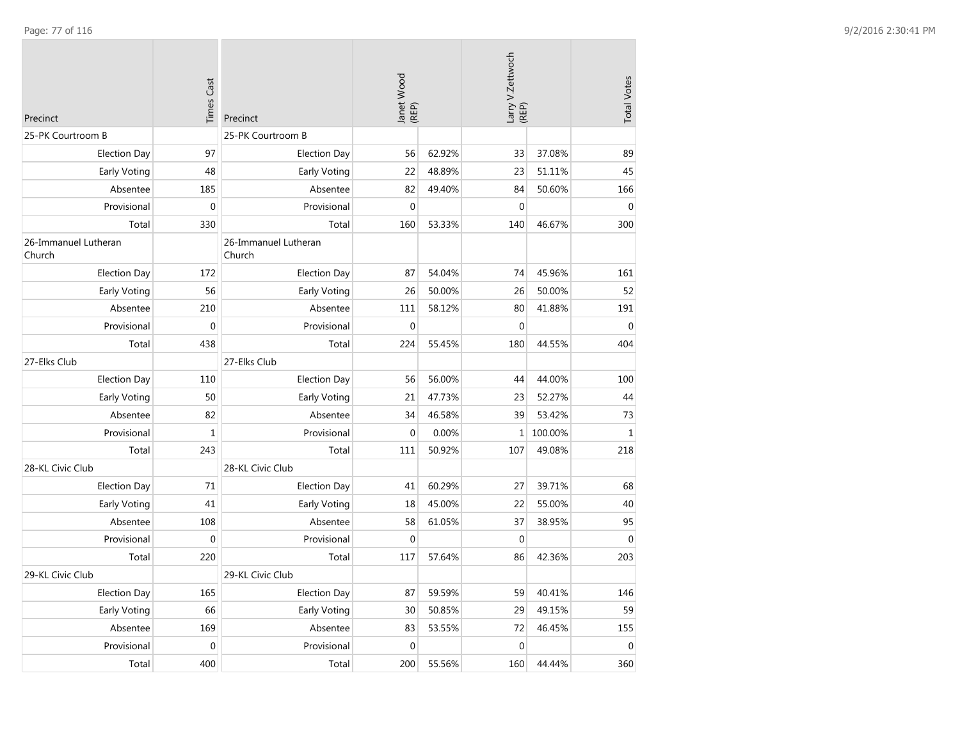| Precinct                       | <b>Times Cast</b> | Precinct                       | Janet Wood<br>(REP) |        | Larry V.Zettwoch<br>(REP) |         | <b>Total Votes</b> |
|--------------------------------|-------------------|--------------------------------|---------------------|--------|---------------------------|---------|--------------------|
| 25-PK Courtroom B              |                   | 25-PK Courtroom B              |                     |        |                           |         |                    |
| <b>Election Day</b>            | 97                | <b>Election Day</b>            | 56                  | 62.92% | 33                        | 37.08%  | 89                 |
| <b>Early Voting</b>            | 48                | Early Voting                   | 22                  | 48.89% | 23                        | 51.11%  | 45                 |
| Absentee                       | 185               | Absentee                       | 82                  | 49.40% | 84                        | 50.60%  | 166                |
| Provisional                    | $\mathbf{0}$      | Provisional                    | $\mathbf 0$         |        | $\mathbf 0$               |         | $\mathbf{0}$       |
| Total                          | 330               | Total                          | 160                 | 53.33% | 140                       | 46.67%  | 300                |
| 26-Immanuel Lutheran<br>Church |                   | 26-Immanuel Lutheran<br>Church |                     |        |                           |         |                    |
| <b>Election Day</b>            | 172               | <b>Election Day</b>            | 87                  | 54.04% | 74                        | 45.96%  | 161                |
| Early Voting                   | 56                | Early Voting                   | 26                  | 50.00% | 26                        | 50.00%  | 52                 |
| Absentee                       | 210               | Absentee                       | 111                 | 58.12% | 80                        | 41.88%  | 191                |
| Provisional                    | $\boldsymbol{0}$  | Provisional                    | $\mathbf 0$         |        | $\Omega$                  |         | $\mathbf 0$        |
| Total                          | 438               | Total                          | 224                 | 55.45% | 180                       | 44.55%  | 404                |
| 27-Elks Club                   |                   | 27-Elks Club                   |                     |        |                           |         |                    |
| <b>Election Day</b>            | 110               | <b>Election Day</b>            | 56                  | 56.00% | 44                        | 44.00%  | 100                |
| <b>Early Voting</b>            | 50                | Early Voting                   | 21                  | 47.73% | 23                        | 52.27%  | 44                 |
| Absentee                       | 82                | Absentee                       | 34                  | 46.58% | 39                        | 53.42%  | 73                 |
| Provisional                    | $\mathbf{1}$      | Provisional                    | $\mathbf{0}$        | 0.00%  | 1 <sup>1</sup>            | 100.00% | $\mathbf{1}$       |
| Total                          | 243               | Total                          | 111                 | 50.92% | 107                       | 49.08%  | 218                |
| 28-KL Civic Club               |                   | 28-KL Civic Club               |                     |        |                           |         |                    |
| <b>Election Day</b>            | 71                | <b>Election Day</b>            | 41                  | 60.29% | 27                        | 39.71%  | 68                 |
| <b>Early Voting</b>            | 41                | Early Voting                   | 18                  | 45.00% | 22                        | 55.00%  | 40                 |
| Absentee                       | 108               | Absentee                       | 58                  | 61.05% | 37                        | 38.95%  | 95                 |
| Provisional                    | $\mathbf 0$       | Provisional                    | $\mathbf 0$         |        | $\overline{0}$            |         | $\mathbf{0}$       |
| Total                          | 220               | Total                          | 117                 | 57.64% | 86                        | 42.36%  | 203                |
| 29-KL Civic Club               |                   | 29-KL Civic Club               |                     |        |                           |         |                    |
| <b>Election Day</b>            | 165               | <b>Election Day</b>            | 87                  | 59.59% | 59                        | 40.41%  | 146                |
| Early Voting                   | 66                | Early Voting                   | 30                  | 50.85% | 29                        | 49.15%  | 59                 |
| Absentee                       | 169               | Absentee                       | 83                  | 53.55% | 72                        | 46.45%  | 155                |
| Provisional                    | $\mathbf 0$       | Provisional                    | $\mathbf 0$         |        | $\mathbf 0$               |         | $\mathbf 0$        |
| Total                          | 400               | Total                          | 200                 | 55.56% | 160                       | 44.44%  | 360                |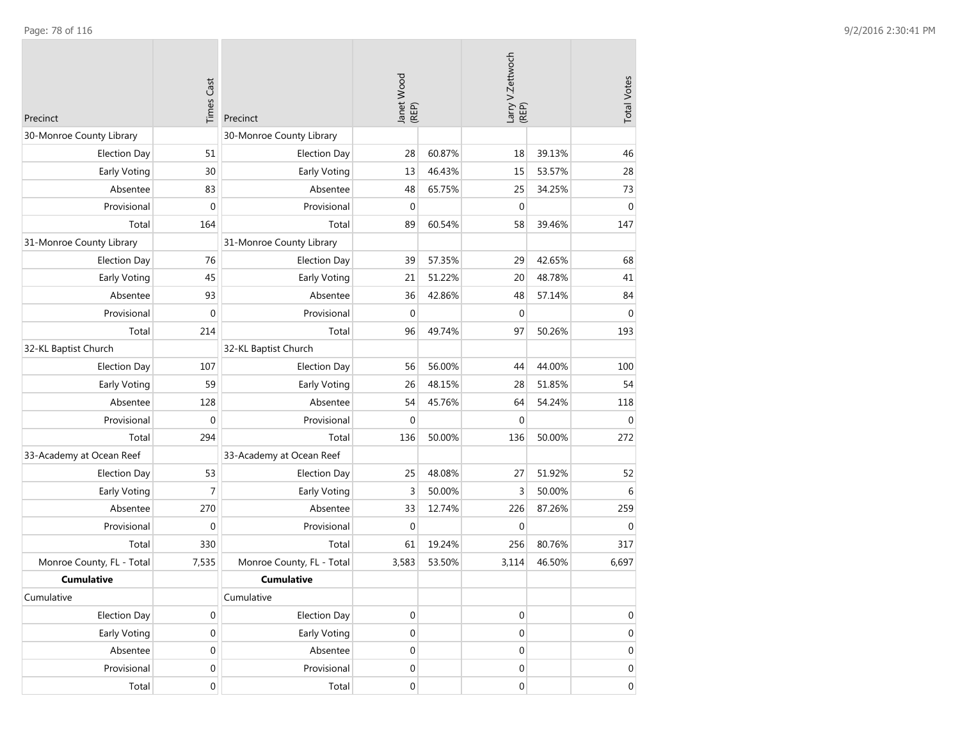| Precinct                  | <b>Times Cast</b> | Precinct                  | Janet Wood<br>(REP) |        | Larry V.Zettwoch<br>(REP) |        | <b>Total Votes</b> |
|---------------------------|-------------------|---------------------------|---------------------|--------|---------------------------|--------|--------------------|
| 30-Monroe County Library  |                   | 30-Monroe County Library  |                     |        |                           |        |                    |
| <b>Election Day</b>       | 51                | <b>Election Day</b>       | 28                  | 60.87% | 18                        | 39.13% | 46                 |
| <b>Early Voting</b>       | 30                | Early Voting              | 13                  | 46.43% | 15                        | 53.57% | 28                 |
| Absentee                  | 83                | Absentee                  | 48                  | 65.75% | 25                        | 34.25% | 73                 |
| Provisional               | $\mathbf 0$       | Provisional               | $\mathbf 0$         |        | $\mathbf 0$               |        | $\mathbf 0$        |
| Total                     | 164               | Total                     | 89                  | 60.54% | 58                        | 39.46% | 147                |
| 31-Monroe County Library  |                   | 31-Monroe County Library  |                     |        |                           |        |                    |
| <b>Election Day</b>       | 76                | <b>Election Day</b>       | 39                  | 57.35% | 29                        | 42.65% | 68                 |
| Early Voting              | 45                | Early Voting              | 21                  | 51.22% | 20                        | 48.78% | 41                 |
| Absentee                  | 93                | Absentee                  | 36                  | 42.86% | 48                        | 57.14% | 84                 |
| Provisional               | $\mathbf 0$       | Provisional               | $\mathbf{0}$        |        | $\mathbf 0$               |        | $\mathbf{0}$       |
| Total                     | 214               | Total                     | 96                  | 49.74% | 97                        | 50.26% | 193                |
| 32-KL Baptist Church      |                   | 32-KL Baptist Church      |                     |        |                           |        |                    |
| <b>Election Day</b>       | 107               | <b>Election Day</b>       | 56                  | 56.00% | 44                        | 44.00% | 100                |
| Early Voting              | 59                | Early Voting              | 26                  | 48.15% | 28                        | 51.85% | 54                 |
| Absentee                  | 128               | Absentee                  | 54                  | 45.76% | 64                        | 54.24% | 118                |
| Provisional               | $\boldsymbol{0}$  | Provisional               | $\mathbf 0$         |        | $\mathbf 0$               |        | $\mathbf 0$        |
| Total                     | 294               | Total                     | 136                 | 50.00% | 136                       | 50.00% | 272                |
| 33-Academy at Ocean Reef  |                   | 33-Academy at Ocean Reef  |                     |        |                           |        |                    |
| <b>Election Day</b>       | 53                | <b>Election Day</b>       | 25                  | 48.08% | 27                        | 51.92% | 52                 |
| <b>Early Voting</b>       | $\overline{7}$    | Early Voting              | 3                   | 50.00% | 3                         | 50.00% | 6                  |
| Absentee                  | 270               | Absentee                  | 33                  | 12.74% | 226                       | 87.26% | 259                |
| Provisional               | $\mathbf 0$       | Provisional               | $\mathbf 0$         |        | $\mathbf 0$               |        | $\mathbf 0$        |
| Total                     | 330               | Total                     | 61                  | 19.24% | 256                       | 80.76% | 317                |
| Monroe County, FL - Total | 7,535             | Monroe County, FL - Total | 3,583               | 53.50% | 3,114                     | 46.50% | 6,697              |
| <b>Cumulative</b>         |                   | <b>Cumulative</b>         |                     |        |                           |        |                    |
| Cumulative                |                   | Cumulative                |                     |        |                           |        |                    |
| <b>Election Day</b>       | 0                 | <b>Election Day</b>       | $\boldsymbol{0}$    |        | $\boldsymbol{0}$          |        | $\mathbf 0$        |
| Early Voting              | $\boldsymbol{0}$  | Early Voting              | $\boldsymbol{0}$    |        | 0                         |        | $\overline{0}$     |
| Absentee                  | $\mathbf 0$       | Absentee                  | $\boldsymbol{0}$    |        | $\boldsymbol{0}$          |        | $\mathbf 0$        |
| Provisional               | $\boldsymbol{0}$  | Provisional               | $\boldsymbol{0}$    |        | 0                         |        | $\overline{0}$     |
| Total                     | $\mathbf 0$       | Total                     | $\boldsymbol{0}$    |        | 0                         |        | $\overline{0}$     |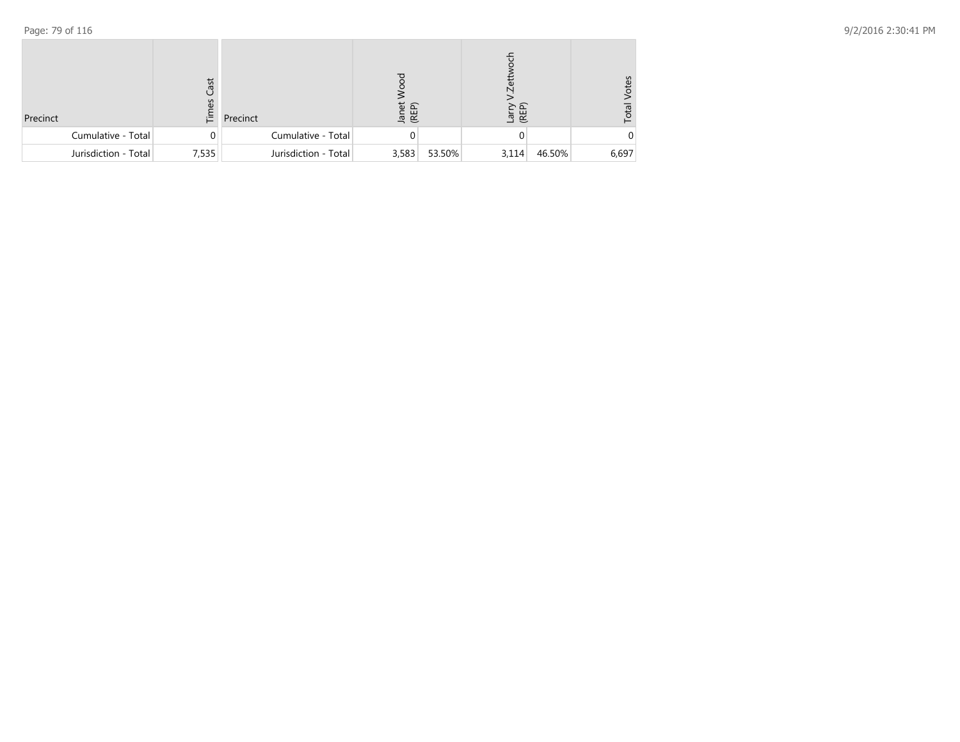| Precinct             | Cast<br>69<br>這 | Precinct             | Janet<br>(REP) |        | Larry<br>(REP) |        | /otes<br>Total |
|----------------------|-----------------|----------------------|----------------|--------|----------------|--------|----------------|
| Cumulative - Total   | 0               | Cumulative - Total   |                |        |                |        |                |
| Jurisdiction - Total | 7,535           | Jurisdiction - Total | 3,583          | 53.50% | 3,114          | 46.50% | 6,697          |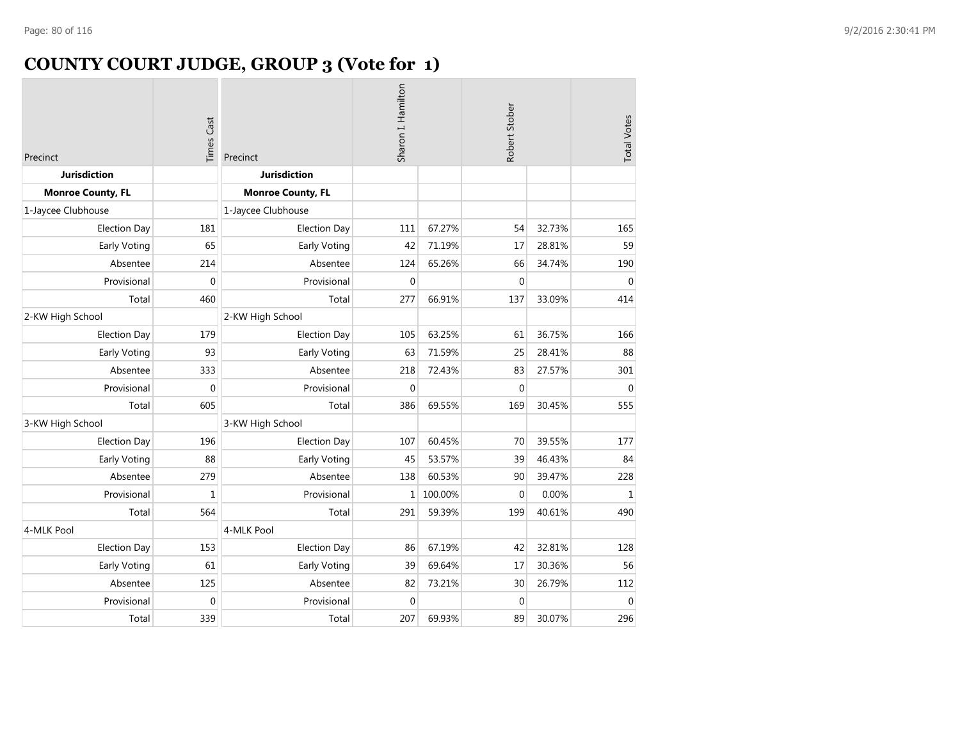# **COUNTY COURT JUDGE, GROUP 3 (Vote for 1)**

| Precinct                 | <b>Times Cast</b> | Precinct                 | Sharon I. Hamilton |         | Robert Stober |        | <b>Total Votes</b> |
|--------------------------|-------------------|--------------------------|--------------------|---------|---------------|--------|--------------------|
| <b>Jurisdiction</b>      |                   | <b>Jurisdiction</b>      |                    |         |               |        |                    |
| <b>Monroe County, FL</b> |                   | <b>Monroe County, FL</b> |                    |         |               |        |                    |
| 1-Jaycee Clubhouse       |                   | 1-Jaycee Clubhouse       |                    |         |               |        |                    |
| <b>Election Day</b>      | 181               | <b>Election Day</b>      | 111                | 67.27%  | 54            | 32.73% | 165                |
| Early Voting             | 65                | Early Voting             | 42                 | 71.19%  | 17            | 28.81% | 59                 |
| Absentee                 | 214               | Absentee                 | 124                | 65.26%  | 66            | 34.74% | 190                |
| Provisional              | $\overline{0}$    | Provisional              | $\mathbf 0$        |         | $\Omega$      |        | $\overline{0}$     |
| Total                    | 460               | Total                    | 277                | 66.91%  | 137           | 33.09% | 414                |
| 2-KW High School         |                   | 2-KW High School         |                    |         |               |        |                    |
| <b>Election Day</b>      | 179               | <b>Election Day</b>      | 105                | 63.25%  | 61            | 36.75% | 166                |
| Early Voting             | 93                | Early Voting             | 63                 | 71.59%  | 25            | 28.41% | 88                 |
| Absentee                 | 333               | Absentee                 | 218                | 72.43%  | 83            | 27.57% | 301                |
| Provisional              | 0                 | Provisional              | $\mathbf{0}$       |         | $\theta$      |        | $\mathbf 0$        |
| Total                    | 605               | Total                    | 386                | 69.55%  | 169           | 30.45% | 555                |
| 3-KW High School         |                   | 3-KW High School         |                    |         |               |        |                    |
| <b>Election Day</b>      | 196               | <b>Election Day</b>      | 107                | 60.45%  | 70            | 39.55% | 177                |
| Early Voting             | 88                | Early Voting             | 45                 | 53.57%  | 39            | 46.43% | 84                 |
| Absentee                 | 279               | Absentee                 | 138                | 60.53%  | 90            | 39.47% | 228                |
| Provisional              | 1                 | Provisional              | $\mathbf{1}$       | 100.00% | $\Omega$      | 0.00%  | $\mathbf{1}$       |
| Total                    | 564               | Total                    | 291                | 59.39%  | 199           | 40.61% | 490                |
| 4-MLK Pool               |                   | 4-MLK Pool               |                    |         |               |        |                    |
| <b>Election Day</b>      | 153               | <b>Election Day</b>      | 86                 | 67.19%  | 42            | 32.81% | 128                |
| Early Voting             | 61                | Early Voting             | 39                 | 69.64%  | 17            | 30.36% | 56                 |
| Absentee                 | 125               | Absentee                 | 82                 | 73.21%  | 30            | 26.79% | 112                |
| Provisional              | $\mathbf 0$       | Provisional              | $\mathbf 0$        |         | $\mathbf{0}$  |        | $\Omega$           |
| Total                    | 339               | Total                    | 207                | 69.93%  | 89            | 30.07% | 296                |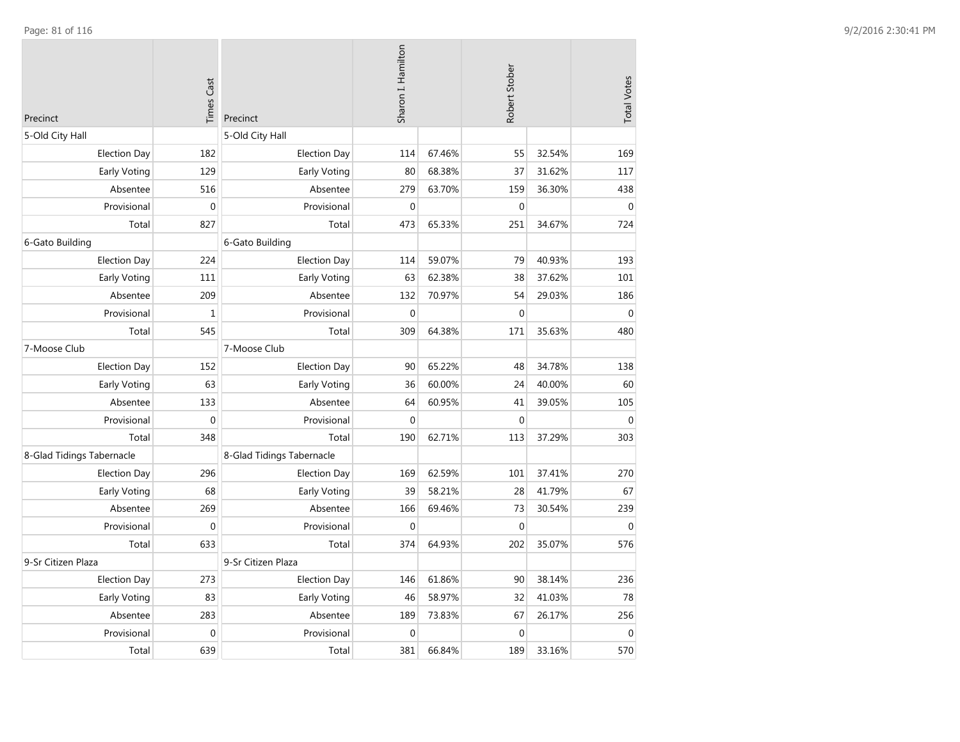| Precinct                  | <b>Times Cast</b> | Precinct                  | Sharon I. Hamilton |        | Robert Stober |        | <b>Total Votes</b> |
|---------------------------|-------------------|---------------------------|--------------------|--------|---------------|--------|--------------------|
| 5-Old City Hall           |                   | 5-Old City Hall           |                    |        |               |        |                    |
| <b>Election Day</b>       | 182               | <b>Election Day</b>       | 114                | 67.46% | 55            | 32.54% | 169                |
| Early Voting              | 129               | Early Voting              | 80                 | 68.38% | 37            | 31.62% | 117                |
| Absentee                  | 516               | Absentee                  | 279                | 63.70% | 159           | 36.30% | 438                |
| Provisional               | $\mathbf 0$       | Provisional               | $\mathbf 0$        |        | $\mathbf 0$   |        | $\mathbf 0$        |
| Total                     | 827               | Total                     | 473                | 65.33% | 251           | 34.67% | 724                |
| 6-Gato Building           |                   | 6-Gato Building           |                    |        |               |        |                    |
| <b>Election Day</b>       | 224               | <b>Election Day</b>       | 114                | 59.07% | 79            | 40.93% | 193                |
| Early Voting              | 111               | Early Voting              | 63                 | 62.38% | 38            | 37.62% | 101                |
| Absentee                  | 209               | Absentee                  | 132                | 70.97% | 54            | 29.03% | 186                |
| Provisional               | $\mathbf 1$       | Provisional               | $\mathbf 0$        |        | $\mathbf 0$   |        | $\mathbf 0$        |
| Total                     | 545               | Total                     | 309                | 64.38% | 171           | 35.63% | 480                |
| 7-Moose Club              |                   | 7-Moose Club              |                    |        |               |        |                    |
| <b>Election Day</b>       | 152               | <b>Election Day</b>       | 90                 | 65.22% | 48            | 34.78% | 138                |
| <b>Early Voting</b>       | 63                | Early Voting              | 36                 | 60.00% | 24            | 40.00% | 60                 |
| Absentee                  | 133               | Absentee                  | 64                 | 60.95% | 41            | 39.05% | 105                |
| Provisional               | $\mathbf 0$       | Provisional               | $\mathbf 0$        |        | $\mathbf 0$   |        | $\mathbf 0$        |
| Total                     | 348               | Total                     | 190                | 62.71% | 113           | 37.29% | 303                |
| 8-Glad Tidings Tabernacle |                   | 8-Glad Tidings Tabernacle |                    |        |               |        |                    |
| <b>Election Day</b>       | 296               | <b>Election Day</b>       | 169                | 62.59% | 101           | 37.41% | 270                |
| Early Voting              | 68                | Early Voting              | 39                 | 58.21% | 28            | 41.79% | 67                 |
| Absentee                  | 269               | Absentee                  | 166                | 69.46% | 73            | 30.54% | 239                |
| Provisional               | $\mathbf 0$       | Provisional               | $\mathbf 0$        |        | $\mathbf{0}$  |        | $\mathbf 0$        |
| Total                     | 633               | Total                     | 374                | 64.93% | 202           | 35.07% | 576                |
| 9-Sr Citizen Plaza        |                   | 9-Sr Citizen Plaza        |                    |        |               |        |                    |
| <b>Election Day</b>       | 273               | <b>Election Day</b>       | 146                | 61.86% | 90            | 38.14% | 236                |
| Early Voting              | 83                | Early Voting              | 46                 | 58.97% | 32            | 41.03% | 78                 |
| Absentee                  | 283               | Absentee                  | 189                | 73.83% | 67            | 26.17% | 256                |
| Provisional               | $\mathbf{0}$      | Provisional               | $\mathbf 0$        |        | $\mathbf 0$   |        | $\mathbf{0}$       |
| Total                     | 639               | Total                     | 381                | 66.84% | 189           | 33.16% | 570                |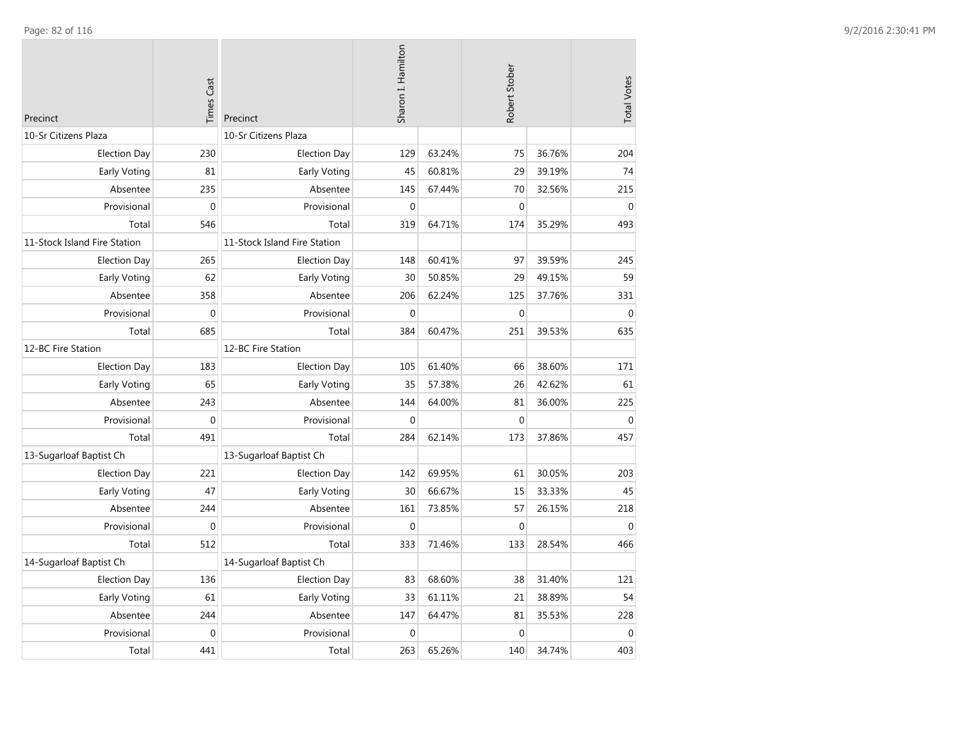| Precinct                     | <b>Times Cast</b> | Precinct                     | Sharon I. Hamilton |        | Robert Stober    |        | <b>Total Votes</b> |
|------------------------------|-------------------|------------------------------|--------------------|--------|------------------|--------|--------------------|
| 10-Sr Citizens Plaza         |                   | 10-Sr Citizens Plaza         |                    |        |                  |        |                    |
| <b>Election Day</b>          | 230               | <b>Election Day</b>          | 129                | 63.24% | 75               | 36.76% | 204                |
| Early Voting                 | 81                | Early Voting                 | 45                 | 60.81% | 29               | 39.19% | 74                 |
| Absentee                     | 235               | Absentee                     | 145                | 67.44% | 70               | 32.56% | 215                |
| Provisional                  | $\mathbf 0$       | Provisional                  | $\boldsymbol{0}$   |        | $\boldsymbol{0}$ |        | $\pmb{0}$          |
| Total                        | 546               | Total                        | 319                | 64.71% | 174              | 35.29% | 493                |
| 11-Stock Island Fire Station |                   | 11-Stock Island Fire Station |                    |        |                  |        |                    |
| <b>Election Day</b>          | 265               | <b>Election Day</b>          | 148                | 60.41% | 97               | 39.59% | 245                |
| Early Voting                 | 62                | Early Voting                 | 30                 | 50.85% | 29               | 49.15% | 59                 |
| Absentee                     | 358               | Absentee                     | 206                | 62.24% | 125              | 37.76% | 331                |
| Provisional                  | $\mathbf 0$       | Provisional                  | $\mathbf 0$        |        | $\mathbf{0}$     |        | $\mathbf{0}$       |
| Total                        | 685               | Total                        | 384                | 60.47% | 251              | 39.53% | 635                |
| 12-BC Fire Station           |                   | 12-BC Fire Station           |                    |        |                  |        |                    |
| <b>Election Day</b>          | 183               | <b>Election Day</b>          | 105                | 61.40% | 66               | 38.60% | 171                |
| Early Voting                 | 65                | Early Voting                 | 35                 | 57.38% | 26               | 42.62% | 61                 |
| Absentee                     | 243               | Absentee                     | 144                | 64.00% | 81               | 36.00% | 225                |
| Provisional                  | $\mathbf 0$       | Provisional                  | $\mathbf 0$        |        | $\mathbf 0$      |        | $\mathbf{0}$       |
| Total                        | 491               | Total                        | 284                | 62.14% | 173              | 37.86% | 457                |
| 13-Sugarloaf Baptist Ch      |                   | 13-Sugarloaf Baptist Ch      |                    |        |                  |        |                    |
| <b>Election Day</b>          | 221               | <b>Election Day</b>          | 142                | 69.95% | 61               | 30.05% | 203                |
| <b>Early Voting</b>          | 47                | Early Voting                 | 30                 | 66.67% | 15               | 33.33% | 45                 |
| Absentee                     | 244               | Absentee                     | 161                | 73.85% | 57               | 26.15% | 218                |
| Provisional                  | $\mathbf{0}$      | Provisional                  | $\mathbf 0$        |        | $\mathbf 0$      |        | $\mathbf{0}$       |
| Total                        | 512               | Total                        | 333                | 71.46% | 133              | 28.54% | 466                |
| 14-Sugarloaf Baptist Ch      |                   | 14-Sugarloaf Baptist Ch      |                    |        |                  |        |                    |
| <b>Election Day</b>          | 136               | <b>Election Day</b>          | 83                 | 68.60% | 38               | 31.40% | 121                |
| <b>Early Voting</b>          | 61                | Early Voting                 | 33                 | 61.11% | 21               | 38.89% | 54                 |
| Absentee                     | 244               | Absentee                     | 147                | 64.47% | 81               | 35.53% | 228                |
| Provisional                  | $\mathbf{0}$      | Provisional                  | $\mathbf{0}$       |        | $\mathbf 0$      |        | $\mathbf{0}$       |
| Total                        | 441               | Total                        | 263                | 65.26% | 140              | 34.74% | 403                |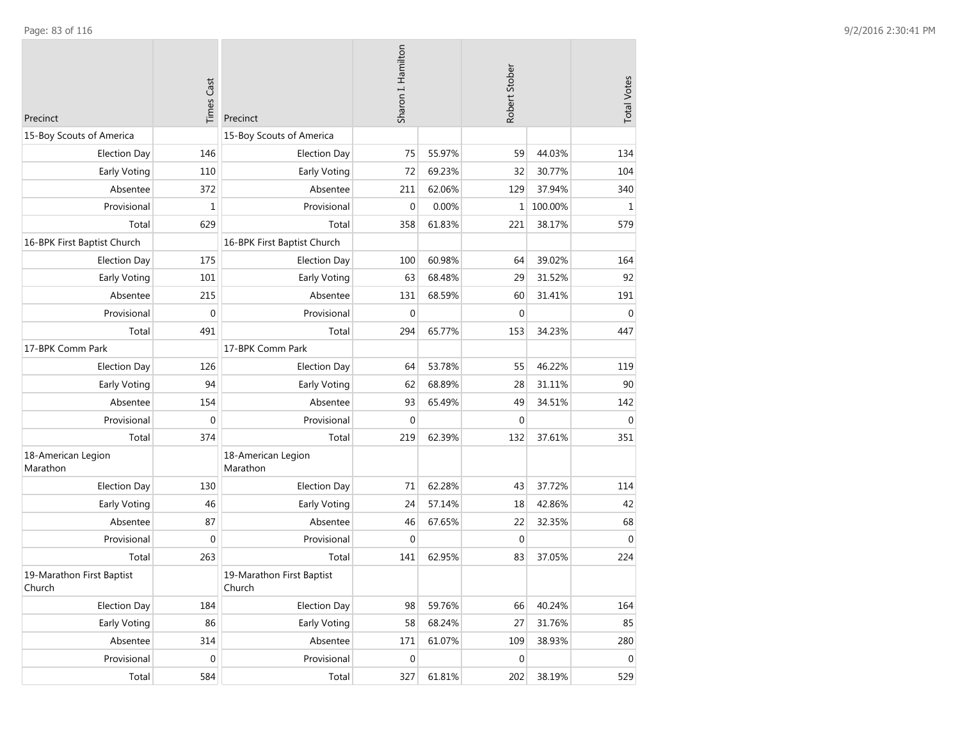| Precinct                            | <b>Times Cast</b> | Precinct                            | Sharon I. Hamilton |        | Robert Stober    |         | <b>Total Votes</b> |
|-------------------------------------|-------------------|-------------------------------------|--------------------|--------|------------------|---------|--------------------|
| 15-Boy Scouts of America            |                   | 15-Boy Scouts of America            |                    |        |                  |         |                    |
| <b>Election Day</b>                 | 146               | <b>Election Day</b>                 | 75                 | 55.97% | 59               | 44.03%  | 134                |
| Early Voting                        | 110               | Early Voting                        | 72                 | 69.23% | 32               | 30.77%  | 104                |
| Absentee                            | 372               | Absentee                            | 211                | 62.06% | 129              | 37.94%  | 340                |
| Provisional                         | $\mathbf 1$       | Provisional                         | $\mathbf{0}$       | 0.00%  | 1                | 100.00% | $\mathbf{1}$       |
| Total                               | 629               | Total                               | 358                | 61.83% | 221              | 38.17%  | 579                |
| 16-BPK First Baptist Church         |                   | 16-BPK First Baptist Church         |                    |        |                  |         |                    |
| <b>Election Day</b>                 | 175               | <b>Election Day</b>                 | 100                | 60.98% | 64               | 39.02%  | 164                |
| Early Voting                        | 101               | Early Voting                        | 63                 | 68.48% | 29               | 31.52%  | 92                 |
| Absentee                            | 215               | Absentee                            | 131                | 68.59% | 60               | 31.41%  | 191                |
| Provisional                         | $\mathbf 0$       | Provisional                         | $\mathbf{0}$       |        | $\mathbf 0$      |         | $\Omega$           |
| Total                               | 491               | Total                               | 294                | 65.77% | 153              | 34.23%  | 447                |
| 17-BPK Comm Park                    |                   | 17-BPK Comm Park                    |                    |        |                  |         |                    |
| <b>Election Day</b>                 | 126               | <b>Election Day</b>                 | 64                 | 53.78% | 55               | 46.22%  | 119                |
| Early Voting                        | 94                | Early Voting                        | 62                 | 68.89% | 28               | 31.11%  | 90                 |
| Absentee                            | 154               | Absentee                            | 93                 | 65.49% | 49               | 34.51%  | 142                |
| Provisional                         | $\mathbf 0$       | Provisional                         | $\mathbf 0$        |        | $\boldsymbol{0}$ |         | $\mathbf 0$        |
| Total                               | 374               | Total                               | 219                | 62.39% | 132              | 37.61%  | 351                |
| 18-American Legion<br>Marathon      |                   | 18-American Legion<br>Marathon      |                    |        |                  |         |                    |
| <b>Election Day</b>                 | 130               | <b>Election Day</b>                 | 71                 | 62.28% | 43               | 37.72%  | 114                |
| Early Voting                        | 46                | Early Voting                        | 24                 | 57.14% | 18               | 42.86%  | 42                 |
| Absentee                            | 87                | Absentee                            | 46                 | 67.65% | 22               | 32.35%  | 68                 |
| Provisional                         | $\mathbf 0$       | Provisional                         | $\mathbf 0$        |        | $\mathbf 0$      |         | $\mathbf 0$        |
| Total                               | 263               | Total                               | 141                | 62.95% | 83               | 37.05%  | 224                |
| 19-Marathon First Baptist<br>Church |                   | 19-Marathon First Baptist<br>Church |                    |        |                  |         |                    |
| <b>Election Day</b>                 | 184               | <b>Election Day</b>                 | 98                 | 59.76% | 66               | 40.24%  | 164                |
| Early Voting                        | 86                | Early Voting                        | 58                 | 68.24% | 27               | 31.76%  | 85                 |
| Absentee                            | 314               | Absentee                            | 171                | 61.07% | 109              | 38.93%  | 280                |
| Provisional                         | $\boldsymbol{0}$  | Provisional                         | $\mathbf 0$        |        | $\mathbf 0$      |         | $\mathbf 0$        |
| Total                               | 584               | Total                               | 327                | 61.81% | 202              | 38.19%  | 529                |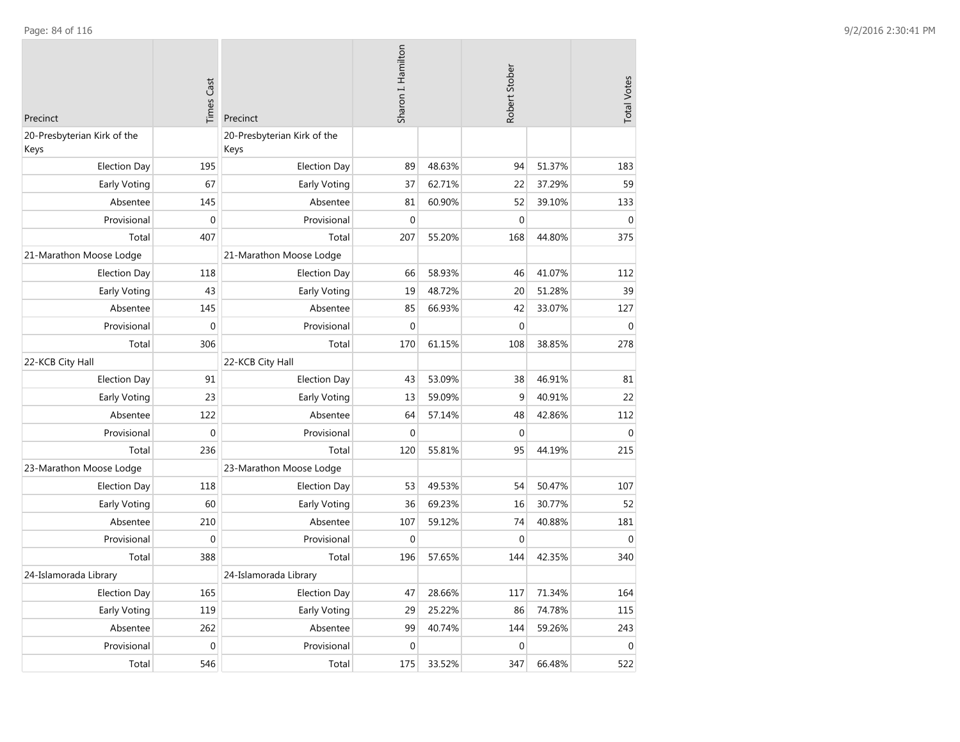| Precinct                            | <b>Times Cast</b> | Precinct                            | Sharon I. Hamilton |        | Robert Stober |        | <b>Total Votes</b> |
|-------------------------------------|-------------------|-------------------------------------|--------------------|--------|---------------|--------|--------------------|
| 20-Presbyterian Kirk of the<br>Keys |                   | 20-Presbyterian Kirk of the<br>Keys |                    |        |               |        |                    |
| <b>Election Day</b>                 | 195               | <b>Election Day</b>                 | 89                 | 48.63% | 94            | 51.37% | 183                |
| Early Voting                        | 67                | Early Voting                        | 37                 | 62.71% | 22            | 37.29% | 59                 |
| Absentee                            | 145               | Absentee                            | 81                 | 60.90% | 52            | 39.10% | 133                |
| Provisional                         | $\mathbf{0}$      | Provisional                         | $\mathbf{0}$       |        | $\mathbf 0$   |        | $\mathbf{0}$       |
| Total                               | 407               | Total                               | 207                | 55.20% | 168           | 44.80% | 375                |
| 21-Marathon Moose Lodge             |                   | 21-Marathon Moose Lodge             |                    |        |               |        |                    |
| <b>Election Day</b>                 | 118               | <b>Election Day</b>                 | 66                 | 58.93% | 46            | 41.07% | 112                |
| Early Voting                        | 43                | Early Voting                        | 19                 | 48.72% | 20            | 51.28% | 39                 |
| Absentee                            | 145               | Absentee                            | 85                 | 66.93% | 42            | 33.07% | 127                |
| Provisional                         | $\boldsymbol{0}$  | Provisional                         | $\mathbf{0}$       |        | $\mathbf 0$   |        | $\pmb{0}$          |
| Total                               | 306               | Total                               | 170                | 61.15% | 108           | 38.85% | 278                |
| 22-KCB City Hall                    |                   | 22-KCB City Hall                    |                    |        |               |        |                    |
| <b>Election Day</b>                 | 91                | <b>Election Day</b>                 | 43                 | 53.09% | 38            | 46.91% | 81                 |
| Early Voting                        | 23                | Early Voting                        | 13                 | 59.09% | 9             | 40.91% | 22                 |
| Absentee                            | 122               | Absentee                            | 64                 | 57.14% | 48            | 42.86% | 112                |
| Provisional                         | $\overline{0}$    | Provisional                         | $\mathbf{0}$       |        | $\mathbf{0}$  |        | $\mathbf{0}$       |
| Total                               | 236               | Total                               | 120                | 55.81% | 95            | 44.19% | 215                |
| 23-Marathon Moose Lodge             |                   | 23-Marathon Moose Lodge             |                    |        |               |        |                    |
| <b>Election Day</b>                 | 118               | <b>Election Day</b>                 | 53                 | 49.53% | 54            | 50.47% | 107                |
| Early Voting                        | 60                | Early Voting                        | 36                 | 69.23% | 16            | 30.77% | 52                 |
| Absentee                            | 210               | Absentee                            | 107                | 59.12% | 74            | 40.88% | 181                |
| Provisional                         | $\mathbf{0}$      | Provisional                         | $\mathbf{0}$       |        | $\mathbf 0$   |        | $\mathbf{0}$       |
| Total                               | 388               | Total                               | 196                | 57.65% | 144           | 42.35% | 340                |
| 24-Islamorada Library               |                   | 24-Islamorada Library               |                    |        |               |        |                    |
| <b>Election Day</b>                 | 165               | <b>Election Day</b>                 | 47                 | 28.66% | 117           | 71.34% | 164                |
| <b>Early Voting</b>                 | 119               | Early Voting                        | 29                 | 25.22% | 86            | 74.78% | 115                |
| Absentee                            | 262               | Absentee                            | 99                 | 40.74% | 144           | 59.26% | 243                |
| Provisional                         | $\mathbf 0$       | Provisional                         | $\mathbf{0}$       |        | $\mathbf 0$   |        | $\Omega$           |
| Total                               | 546               | Total                               | 175                | 33.52% | 347           | 66.48% | 522                |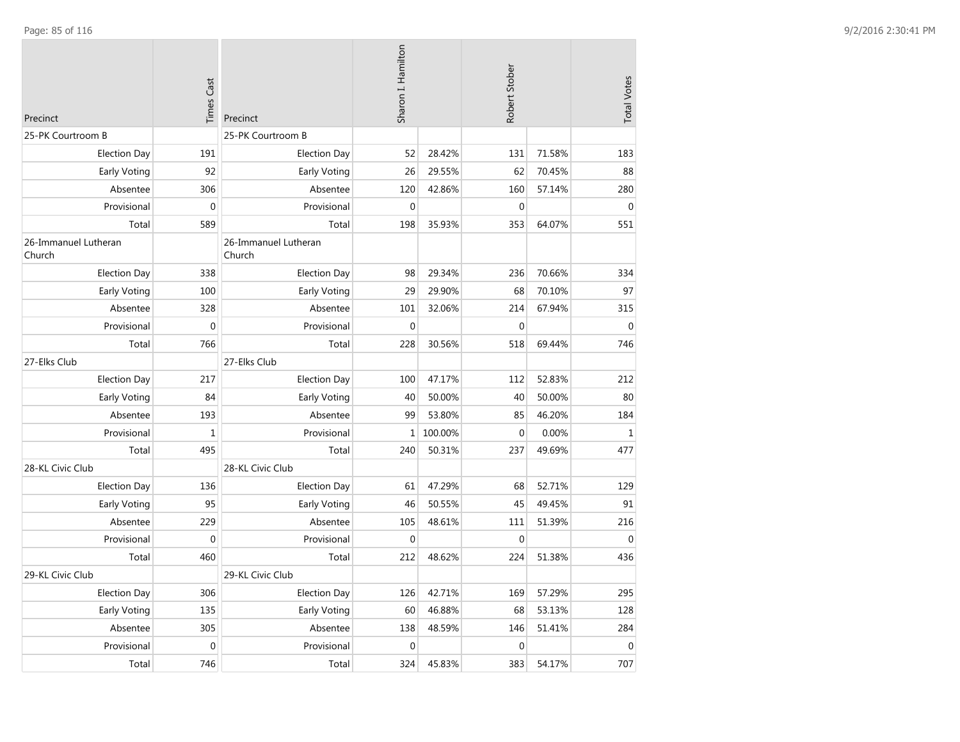| Precinct                       | <b>Times Cast</b> | Precinct                       | Sharon I. Hamilton |         | Robert Stober |        | <b>Total Votes</b> |
|--------------------------------|-------------------|--------------------------------|--------------------|---------|---------------|--------|--------------------|
| 25-PK Courtroom B              |                   | 25-PK Courtroom B              |                    |         |               |        |                    |
| <b>Election Day</b>            | 191               | <b>Election Day</b>            | 52                 | 28.42%  | 131           | 71.58% | 183                |
| Early Voting                   | 92                | Early Voting                   | 26                 | 29.55%  | 62            | 70.45% | 88                 |
| Absentee                       | 306               | Absentee                       | 120                | 42.86%  | 160           | 57.14% | 280                |
| Provisional                    | $\boldsymbol{0}$  | Provisional                    | $\mathbf 0$        |         | $\Omega$      |        | $\Omega$           |
| Total                          | 589               | Total                          | 198                | 35.93%  | 353           | 64.07% | 551                |
| 26-Immanuel Lutheran<br>Church |                   | 26-Immanuel Lutheran<br>Church |                    |         |               |        |                    |
| <b>Election Day</b>            | 338               | <b>Election Day</b>            | 98                 | 29.34%  | 236           | 70.66% | 334                |
| Early Voting                   | 100               | Early Voting                   | 29                 | 29.90%  | 68            | 70.10% | 97                 |
| Absentee                       | 328               | Absentee                       | 101                | 32.06%  | 214           | 67.94% | 315                |
| Provisional                    | $\mathbf 0$       | Provisional                    | $\mathbf{0}$       |         | $\mathbf{0}$  |        | $\mathbf{0}$       |
| Total                          | 766               | Total                          | 228                | 30.56%  | 518           | 69.44% | 746                |
| 27-Elks Club                   |                   | 27-Elks Club                   |                    |         |               |        |                    |
| <b>Election Day</b>            | 217               | <b>Election Day</b>            | 100                | 47.17%  | 112           | 52.83% | 212                |
| Early Voting                   | 84                | Early Voting                   | 40                 | 50.00%  | 40            | 50.00% | 80                 |
| Absentee                       | 193               | Absentee                       | 99                 | 53.80%  | 85            | 46.20% | 184                |
| Provisional                    | $\mathbf 1$       | Provisional                    | 1                  | 100.00% | $\mathbf{0}$  | 0.00%  | $\,1\,$            |
| Total                          | 495               | Total                          | 240                | 50.31%  | 237           | 49.69% | 477                |
| 28-KL Civic Club               |                   | 28-KL Civic Club               |                    |         |               |        |                    |
| <b>Election Day</b>            | 136               | <b>Election Day</b>            | 61                 | 47.29%  | 68            | 52.71% | 129                |
| Early Voting                   | 95                | Early Voting                   | 46                 | 50.55%  | 45            | 49.45% | 91                 |
| Absentee                       | 229               | Absentee                       | 105                | 48.61%  | 111           | 51.39% | 216                |
| Provisional                    | $\mathbf{0}$      | Provisional                    | $\mathbf{0}$       |         | $\mathbf 0$   |        | $\Omega$           |
| Total                          | 460               | Total                          | 212                | 48.62%  | 224           | 51.38% | 436                |
| 29-KL Civic Club               |                   | 29-KL Civic Club               |                    |         |               |        |                    |
| <b>Election Day</b>            | 306               | <b>Election Day</b>            | 126                | 42.71%  | 169           | 57.29% | 295                |
| Early Voting                   | 135               | Early Voting                   | 60                 | 46.88%  | 68            | 53.13% | 128                |
| Absentee                       | 305               | Absentee                       | 138                | 48.59%  | 146           | 51.41% | 284                |
| Provisional                    | $\mathbf 0$       | Provisional                    | $\mathbf{0}$       |         | $\mathbf 0$   |        | $\mathbf{0}$       |
| Total                          | 746               | Total                          | 324                | 45.83%  | 383           | 54.17% | 707                |

Page: 85 of 116 9/2/2016 2:30:41 PM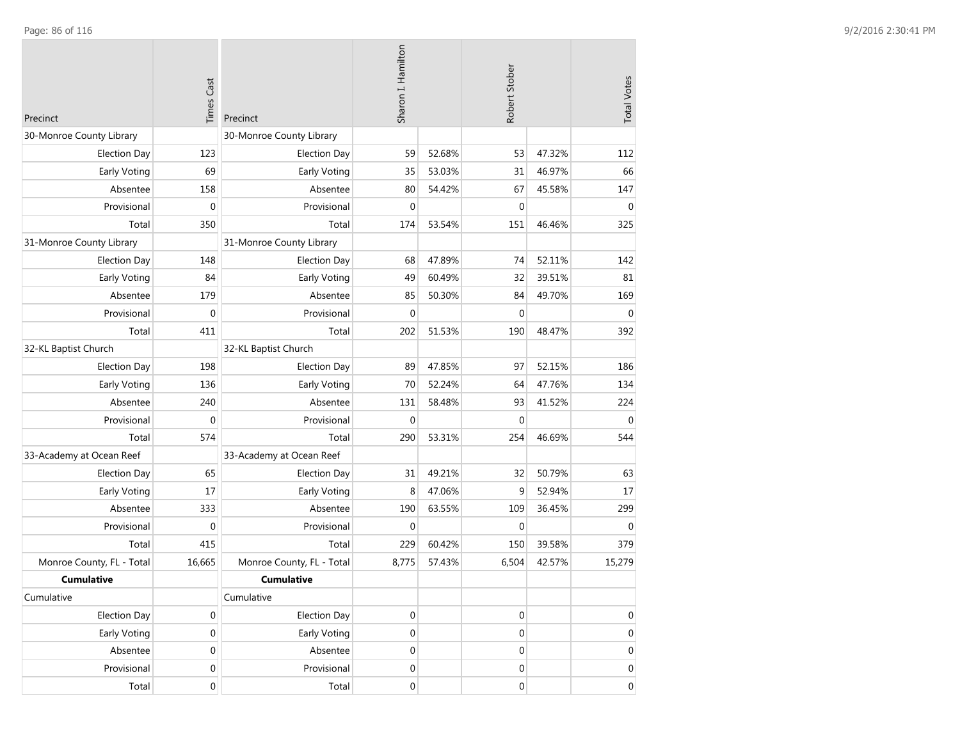| Precinct                  | <b>Times Cast</b> | Precinct                  | Sharon I. Hamilton |        | Robert Stober    | <b>Total Votes</b> |                  |
|---------------------------|-------------------|---------------------------|--------------------|--------|------------------|--------------------|------------------|
| 30-Monroe County Library  |                   | 30-Monroe County Library  |                    |        |                  |                    |                  |
| <b>Election Day</b>       | 123               | <b>Election Day</b>       | 59                 | 52.68% | 53               | 47.32%             | 112              |
| Early Voting              | 69                | Early Voting              | 35                 | 53.03% | 31               | 46.97%             | 66               |
| Absentee                  | 158               | Absentee                  | 80                 | 54.42% | 67               | 45.58%             | 147              |
| Provisional               | 0                 | Provisional               | $\mathbf 0$        |        | $\mathbf 0$      |                    | $\mathbf{0}$     |
| Total                     | 350               | Total                     | 174                | 53.54% | 151              | 46.46%             | 325              |
| 31-Monroe County Library  |                   | 31-Monroe County Library  |                    |        |                  |                    |                  |
| <b>Election Day</b>       | 148               | <b>Election Day</b>       | 68                 | 47.89% | 74               | 52.11%             | 142              |
| Early Voting              | 84                | Early Voting              | 49                 | 60.49% | 32               | 39.51%             | 81               |
| Absentee                  | 179               | Absentee                  | 85                 | 50.30% | 84               | 49.70%             | 169              |
| Provisional               | 0                 | Provisional               | $\mathbf 0$        |        | $\mathbf 0$      |                    | $\Omega$         |
| Total                     | 411               | Total                     | 202                | 51.53% | 190              | 48.47%             | 392              |
| 32-KL Baptist Church      |                   | 32-KL Baptist Church      |                    |        |                  |                    |                  |
| <b>Election Day</b>       | 198               | <b>Election Day</b>       | 89                 | 47.85% | 97               | 52.15%             | 186              |
| Early Voting              | 136               | Early Voting              | 70                 | 52.24% | 64               | 47.76%             | 134              |
| Absentee                  | 240               | Absentee                  | 131                | 58.48% | 93               | 41.52%             | 224              |
| Provisional               | 0                 | Provisional               | $\mathbf{0}$       |        | $\mathbf 0$      |                    | $\mathbf 0$      |
| Total                     | 574               | Total                     | 290                | 53.31% | 254              | 46.69%             | 544              |
| 33-Academy at Ocean Reef  |                   | 33-Academy at Ocean Reef  |                    |        |                  |                    |                  |
| <b>Election Day</b>       | 65                | <b>Election Day</b>       | 31                 | 49.21% | 32               | 50.79%             | 63               |
| <b>Early Voting</b>       | 17                | Early Voting              | 8                  | 47.06% | 9                | 52.94%             | 17               |
| Absentee                  | 333               | Absentee                  | 190                | 63.55% | 109              | 36.45%             | 299              |
| Provisional               | $\mathbf 0$       | Provisional               | $\mathbf{0}$       |        | $\mathbf 0$      |                    | $\overline{0}$   |
| Total                     | 415               | Total                     | 229                | 60.42% | 150              | 39.58%             | 379              |
| Monroe County, FL - Total | 16,665            | Monroe County, FL - Total | 8,775              | 57.43% | 6,504            | 42.57%             | 15,279           |
| <b>Cumulative</b>         |                   | <b>Cumulative</b>         |                    |        |                  |                    |                  |
| Cumulative                |                   | Cumulative                |                    |        |                  |                    |                  |
| <b>Election Day</b>       | 0                 | <b>Election Day</b>       | $\boldsymbol{0}$   |        | $\mathbf 0$      |                    | 0                |
| Early Voting              | $\boldsymbol{0}$  | Early Voting              | $\boldsymbol{0}$   |        | $\mathbf 0$      |                    | $\mathbf 0$      |
| Absentee                  | $\mathbf 0$       | Absentee                  | $\boldsymbol{0}$   |        | $\mathbf 0$      |                    | $\mathbf 0$      |
| Provisional               | $\boldsymbol{0}$  | Provisional               | $\mathbf 0$        |        | $\boldsymbol{0}$ |                    | 0                |
| Total                     | $\boldsymbol{0}$  | Total                     | $\boldsymbol{0}$   |        | $\boldsymbol{0}$ |                    | $\boldsymbol{0}$ |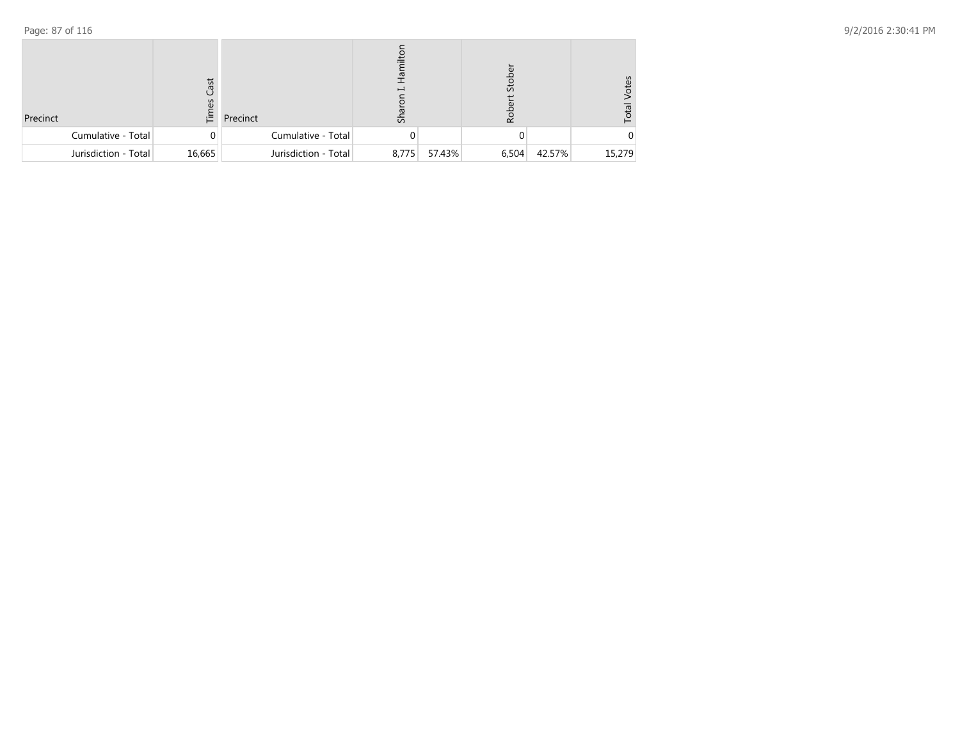| Precinct             | ast<br>辷 | Precinct             | ᇬ     |        | Stol<br>Rob |        | 39<br>ē<br>Īο |
|----------------------|----------|----------------------|-------|--------|-------------|--------|---------------|
| Cumulative - Total   |          | Cumulative - Total   |       |        |             |        |               |
| Jurisdiction - Total | 16,665   | Jurisdiction - Total | 8,775 | 57.43% | 6,504       | 42.57% | 15,279        |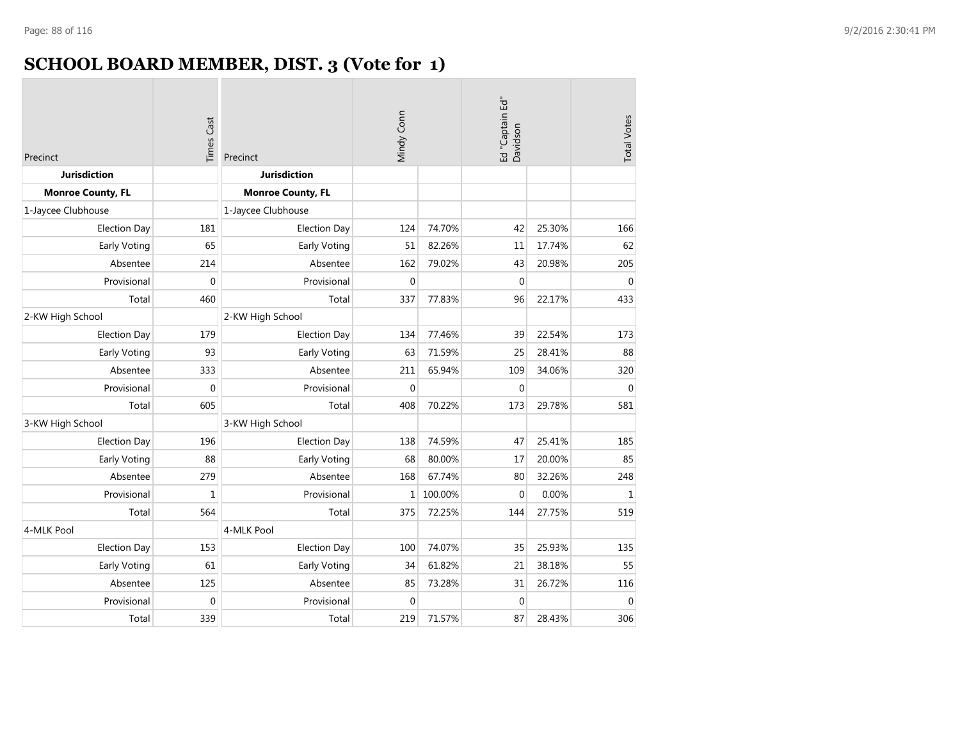# **SCHOOL BOARD MEMBER, DIST. 3 (Vote for 1)**

| <b>Times Cast</b><br>Precinct |                  | Precinct                 | Mindy Conn   |         | Ed "Captain Ed"<br>Davidson | <b>Total Votes</b> |              |
|-------------------------------|------------------|--------------------------|--------------|---------|-----------------------------|--------------------|--------------|
| <b>Jurisdiction</b>           |                  | <b>Jurisdiction</b>      |              |         |                             |                    |              |
| <b>Monroe County, FL</b>      |                  | <b>Monroe County, FL</b> |              |         |                             |                    |              |
| 1-Jaycee Clubhouse            |                  | 1-Jaycee Clubhouse       |              |         |                             |                    |              |
| <b>Election Day</b>           | 181              | <b>Election Day</b>      | 124          | 74.70%  | 42                          | 25.30%             | 166          |
| Early Voting                  | 65               | Early Voting             | 51           | 82.26%  | 11                          | 17.74%             | 62           |
| Absentee                      | 214              | Absentee                 | 162          | 79.02%  | 43                          | 20.98%             | 205          |
| Provisional                   | $\mathbf{0}$     | Provisional              | $\Omega$     |         | $\mathbf 0$                 |                    | $\mathbf 0$  |
| Total                         | 460              | Total                    | 337          | 77.83%  | 96                          | 22.17%             | 433          |
| 2-KW High School              |                  | 2-KW High School         |              |         |                             |                    |              |
| <b>Election Day</b>           | 179              | <b>Election Day</b>      | 134          | 77.46%  | 39                          | 22.54%             | 173          |
| Early Voting                  | 93               | Early Voting             | 63           | 71.59%  | 25                          | 28.41%             | 88           |
| Absentee                      | 333              | Absentee                 | 211          | 65.94%  | 109                         | 34.06%             | 320          |
| Provisional                   | $\boldsymbol{0}$ | Provisional              | $\mathbf 0$  |         | $\mathbf 0$                 |                    | $\mathbf 0$  |
| Total                         | 605              | Total                    | 408          | 70.22%  | 173                         | 29.78%             | 581          |
| 3-KW High School              |                  | 3-KW High School         |              |         |                             |                    |              |
| <b>Election Day</b>           | 196              | <b>Election Day</b>      | 138          | 74.59%  | 47                          | 25.41%             | 185          |
| Early Voting                  | 88               | Early Voting             | 68           | 80.00%  | 17                          | 20.00%             | 85           |
| Absentee                      | 279              | Absentee                 | 168          | 67.74%  | 80                          | 32.26%             | 248          |
| Provisional                   | $\mathbf{1}$     | Provisional              | $\mathbf{1}$ | 100.00% | 0                           | 0.00%              | $1\,$        |
| Total                         | 564              | Total                    | 375          | 72.25%  | 144                         | 27.75%             | 519          |
| 4-MLK Pool                    |                  | 4-MLK Pool               |              |         |                             |                    |              |
| <b>Election Day</b>           | 153              | <b>Election Day</b>      | 100          | 74.07%  | 35                          | 25.93%             | 135          |
| Early Voting                  | 61               | Early Voting             | 34           | 61.82%  | 21                          | 38.18%             | 55           |
| Absentee                      | 125              | Absentee                 | 85           | 73.28%  | 31                          | 26.72%             | 116          |
| Provisional                   | $\mathbf 0$      | Provisional              | $\mathbf 0$  |         | $\mathbf{0}$                |                    | $\mathbf{0}$ |
| Total                         | 339              | Total                    | 219          | 71.57%  | 87                          | 28.43%             | 306          |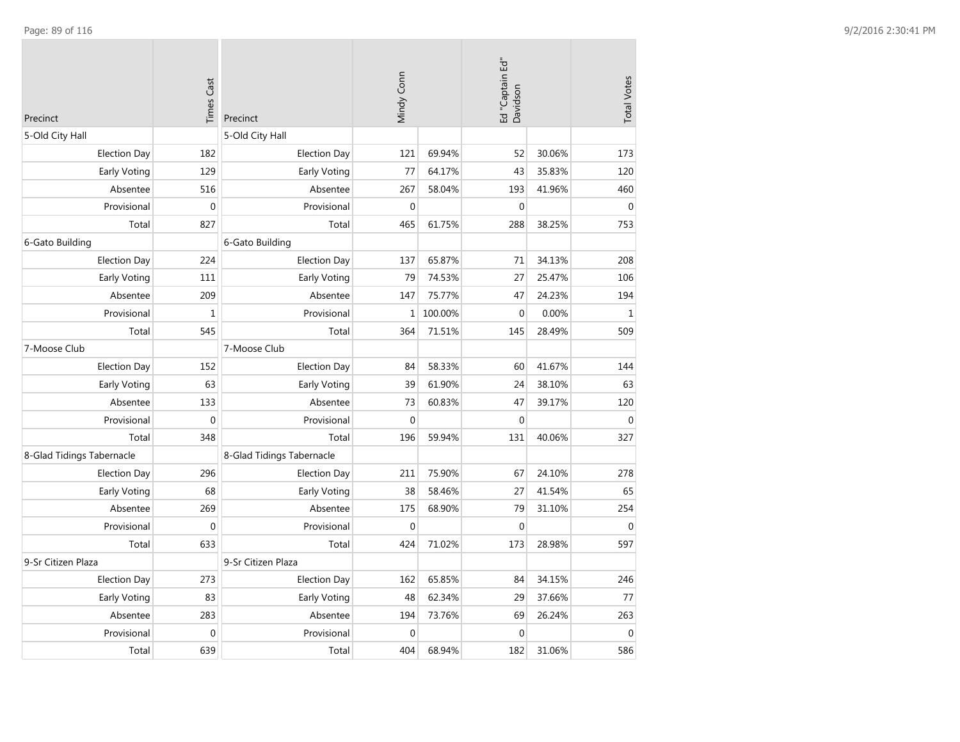| Precinct                  | <b>Times Cast</b> | Precinct                  | Mindy Conn   |         | Ed "Captain Ed"<br>Davidson |        | <b>Total Votes</b> |
|---------------------------|-------------------|---------------------------|--------------|---------|-----------------------------|--------|--------------------|
| 5-Old City Hall           |                   | 5-Old City Hall           |              |         |                             |        |                    |
| <b>Election Day</b>       | 182               | <b>Election Day</b>       | 121          | 69.94%  | 52                          | 30.06% | 173                |
| Early Voting              | 129               | Early Voting              | 77           | 64.17%  | 43                          | 35.83% | 120                |
| Absentee                  | 516               | Absentee                  | 267          | 58.04%  | 193                         | 41.96% | 460                |
| Provisional               | $\mathbf 0$       | Provisional               | $\mathbf{0}$ |         | $\boldsymbol{0}$            |        | $\mathbf{0}$       |
| Total                     | 827               | Total                     | 465          | 61.75%  | 288                         | 38.25% | 753                |
| 6-Gato Building           |                   | 6-Gato Building           |              |         |                             |        |                    |
| <b>Election Day</b>       | 224               | <b>Election Day</b>       | 137          | 65.87%  | 71                          | 34.13% | 208                |
| Early Voting              | 111               | Early Voting              | 79           | 74.53%  | 27                          | 25.47% | 106                |
| Absentee                  | 209               | Absentee                  | 147          | 75.77%  | 47                          | 24.23% | 194                |
| Provisional               | $\mathbf{1}$      | Provisional               | $\mathbf{1}$ | 100.00% | $\boldsymbol{0}$            | 0.00%  | $\mathbf{1}$       |
| Total                     | 545               | Total                     | 364          | 71.51%  | 145                         | 28.49% | 509                |
| 7-Moose Club              |                   | 7-Moose Club              |              |         |                             |        |                    |
| <b>Election Day</b>       | 152               | <b>Election Day</b>       | 84           | 58.33%  | 60                          | 41.67% | 144                |
| Early Voting              | 63                | Early Voting              | 39           | 61.90%  | 24                          | 38.10% | 63                 |
| Absentee                  | 133               | Absentee                  | 73           | 60.83%  | 47                          | 39.17% | 120                |
| Provisional               | $\mathbf{0}$      | Provisional               | $\Omega$     |         | $\mathbf 0$                 |        | $\Omega$           |
| Total                     | 348               | Total                     | 196          | 59.94%  | 131                         | 40.06% | 327                |
| 8-Glad Tidings Tabernacle |                   | 8-Glad Tidings Tabernacle |              |         |                             |        |                    |
| <b>Election Day</b>       | 296               | <b>Election Day</b>       | 211          | 75.90%  | 67                          | 24.10% | 278                |
| Early Voting              | 68                | Early Voting              | 38           | 58.46%  | 27                          | 41.54% | 65                 |
| Absentee                  | 269               | Absentee                  | 175          | 68.90%  | 79                          | 31.10% | 254                |
| Provisional               | $\mathbf{0}$      | Provisional               | $\mathbf{0}$ |         | $\mathbf 0$                 |        | $\Omega$           |
| Total                     | 633               | Total                     | 424          | 71.02%  | 173                         | 28.98% | 597                |
| 9-Sr Citizen Plaza        |                   | 9-Sr Citizen Plaza        |              |         |                             |        |                    |
| <b>Election Day</b>       | 273               | <b>Election Day</b>       | 162          | 65.85%  | 84                          | 34.15% | 246                |
| Early Voting              | 83                | Early Voting              | 48           | 62.34%  | 29                          | 37.66% | 77                 |
| Absentee                  | 283               | Absentee                  | 194          | 73.76%  | 69                          | 26.24% | 263                |
| Provisional               | $\mathbf 0$       | Provisional               | $\mathbf{0}$ |         | $\boldsymbol{0}$            |        | $\mathbf 0$        |
| Total                     | 639               | Total                     | 404          | 68.94%  | 182                         | 31.06% | 586                |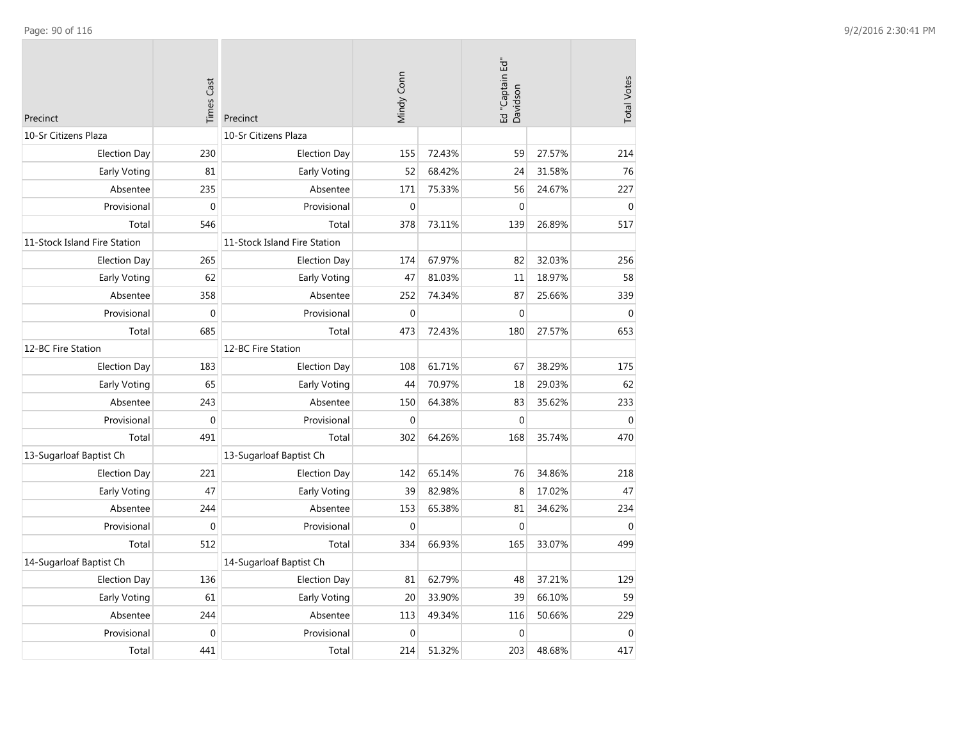| Precinct                     | <b>Times Cast</b> | Precinct                     | Mindy Conn  |        | Ed "Captain Ed"<br>Davidson |        | <b>Total Votes</b> |
|------------------------------|-------------------|------------------------------|-------------|--------|-----------------------------|--------|--------------------|
| 10-Sr Citizens Plaza         |                   | 10-Sr Citizens Plaza         |             |        |                             |        |                    |
| <b>Election Day</b>          | 230               | <b>Election Day</b>          | 155         | 72.43% | 59                          | 27.57% | 214                |
| Early Voting                 | 81                | Early Voting                 | 52          | 68.42% | 24                          | 31.58% | 76                 |
| Absentee                     | 235               | Absentee                     | 171         | 75.33% | 56                          | 24.67% | 227                |
| Provisional                  | $\mathbf{0}$      | Provisional                  | $\mathbf 0$ |        | $\mathbf 0$                 |        | $\mathbf{0}$       |
| Total                        | 546               | Total                        | 378         | 73.11% | 139                         | 26.89% | 517                |
| 11-Stock Island Fire Station |                   | 11-Stock Island Fire Station |             |        |                             |        |                    |
| <b>Election Day</b>          | 265               | <b>Election Day</b>          | 174         | 67.97% | 82                          | 32.03% | 256                |
| Early Voting                 | 62                | Early Voting                 | 47          | 81.03% | 11                          | 18.97% | 58                 |
| Absentee                     | 358               | Absentee                     | 252         | 74.34% | 87                          | 25.66% | 339                |
| Provisional                  | $\mathbf 0$       | Provisional                  | $\mathbf 0$ |        | $\boldsymbol{0}$            |        | $\mathbf{0}$       |
| Total                        | 685               | Total                        | 473         | 72.43% | 180                         | 27.57% | 653                |
| 12-BC Fire Station           |                   | 12-BC Fire Station           |             |        |                             |        |                    |
| <b>Election Day</b>          | 183               | <b>Election Day</b>          | 108         | 61.71% | 67                          | 38.29% | 175                |
| Early Voting                 | 65                | Early Voting                 | 44          | 70.97% | 18                          | 29.03% | 62                 |
| Absentee                     | 243               | Absentee                     | 150         | 64.38% | 83                          | 35.62% | 233                |
| Provisional                  | $\mathbf 0$       | Provisional                  | $\Omega$    |        | $\mathbf{0}$                |        | $\mathbf{0}$       |
| Total                        | 491               | Total                        | 302         | 64.26% | 168                         | 35.74% | 470                |
| 13-Sugarloaf Baptist Ch      |                   | 13-Sugarloaf Baptist Ch      |             |        |                             |        |                    |
| <b>Election Day</b>          | 221               | <b>Election Day</b>          | 142         | 65.14% | 76                          | 34.86% | 218                |
| Early Voting                 | 47                | Early Voting                 | 39          | 82.98% | 8                           | 17.02% | 47                 |
| Absentee                     | 244               | Absentee                     | 153         | 65.38% | 81                          | 34.62% | 234                |
| Provisional                  | $\mathbf 0$       | Provisional                  | $\Omega$    |        | $\mathbf 0$                 |        | $\Omega$           |
| Total                        | 512               | Total                        | 334         | 66.93% | 165                         | 33.07% | 499                |
| 14-Sugarloaf Baptist Ch      |                   | 14-Sugarloaf Baptist Ch      |             |        |                             |        |                    |
| <b>Election Day</b>          | 136               | <b>Election Day</b>          | 81          | 62.79% | 48                          | 37.21% | 129                |
| Early Voting                 | 61                | Early Voting                 | 20          | 33.90% | 39                          | 66.10% | 59                 |
| Absentee                     | 244               | Absentee                     | 113         | 49.34% | 116                         | 50.66% | 229                |
| Provisional                  | $\mathbf{0}$      | Provisional                  | $\mathbf 0$ |        | $\mathbf 0$                 |        | $\mathbf{0}$       |
| Total                        | 441               | Total                        | 214         | 51.32% | 203                         | 48.68% | 417                |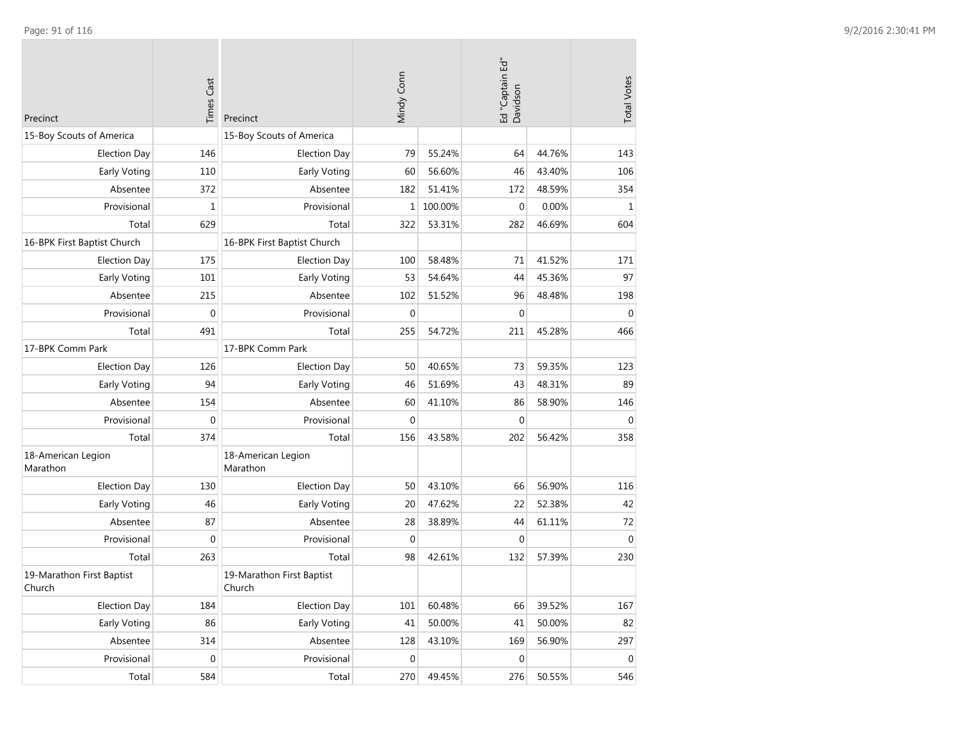| Precinct                            | <b>Times Cast</b> | Precinct                            | Mindy Conn       |         | Ed "Captain Ed"<br>Davidson |        | <b>Total Votes</b> |
|-------------------------------------|-------------------|-------------------------------------|------------------|---------|-----------------------------|--------|--------------------|
| 15-Boy Scouts of America            |                   | 15-Boy Scouts of America            |                  |         |                             |        |                    |
| <b>Election Day</b>                 | 146               | <b>Election Day</b>                 | 79               | 55.24%  | 64                          | 44.76% | 143                |
| Early Voting                        | 110               | Early Voting                        | 60               | 56.60%  | 46                          | 43.40% | 106                |
| Absentee                            | 372               | Absentee                            | 182              | 51.41%  | 172                         | 48.59% | 354                |
| Provisional                         | $\mathbf 1$       | Provisional                         | 1                | 100.00% | $\mathbf{0}$                | 0.00%  | $\mathbf{1}$       |
| Total                               | 629               | Total                               | 322              | 53.31%  | 282                         | 46.69% | 604                |
| 16-BPK First Baptist Church         |                   | 16-BPK First Baptist Church         |                  |         |                             |        |                    |
| <b>Election Day</b>                 | 175               | <b>Election Day</b>                 | 100              | 58.48%  | 71                          | 41.52% | 171                |
| Early Voting                        | 101               | Early Voting                        | 53               | 54.64%  | 44                          | 45.36% | 97                 |
| Absentee                            | 215               | Absentee                            | 102              | 51.52%  | 96                          | 48.48% | 198                |
| Provisional                         | 0                 | Provisional                         | $\mathbf 0$      |         | $\mathbf 0$                 |        | $\mathbf 0$        |
| Total                               | 491               | Total                               | 255              | 54.72%  | 211                         | 45.28% | 466                |
| 17-BPK Comm Park                    |                   | 17-BPK Comm Park                    |                  |         |                             |        |                    |
| <b>Election Day</b>                 | 126               | <b>Election Day</b>                 | 50               | 40.65%  | 73                          | 59.35% | 123                |
| Early Voting                        | 94                | Early Voting                        | 46               | 51.69%  | 43                          | 48.31% | 89                 |
| Absentee                            | 154               | Absentee                            | 60               | 41.10%  | 86                          | 58.90% | 146                |
| Provisional                         | 0                 | Provisional                         | $\mathbf{0}$     |         | 0                           |        | $\mathbf 0$        |
| Total                               | 374               | Total                               | 156              | 43.58%  | 202                         | 56.42% | 358                |
| 18-American Legion<br>Marathon      |                   | 18-American Legion<br>Marathon      |                  |         |                             |        |                    |
| <b>Election Day</b>                 | 130               | <b>Election Day</b>                 | 50               | 43.10%  | 66                          | 56.90% | 116                |
| Early Voting                        | 46                | Early Voting                        | 20               | 47.62%  | 22                          | 52.38% | 42                 |
| Absentee                            | 87                | Absentee                            | 28               | 38.89%  | 44                          | 61.11% | 72                 |
| Provisional                         | 0                 | Provisional                         | $\mathbf 0$      |         | 0                           |        | $\mathbf{0}$       |
| Total                               | 263               | Total                               | 98               | 42.61%  | 132                         | 57.39% | 230                |
| 19-Marathon First Baptist<br>Church |                   | 19-Marathon First Baptist<br>Church |                  |         |                             |        |                    |
| <b>Election Day</b>                 | 184               | <b>Election Day</b>                 | 101              | 60.48%  | 66                          | 39.52% | 167                |
| Early Voting                        | 86                | Early Voting                        | 41               | 50.00%  | 41                          | 50.00% | 82                 |
| Absentee                            | 314               | Absentee                            | 128              | 43.10%  | 169                         | 56.90% | 297                |
| Provisional                         | $\boldsymbol{0}$  | Provisional                         | $\boldsymbol{0}$ |         | $\pmb{0}$                   |        | $\,0\,$            |
| Total                               | 584               | Total                               | 270              | 49.45%  | 276                         | 50.55% | 546                |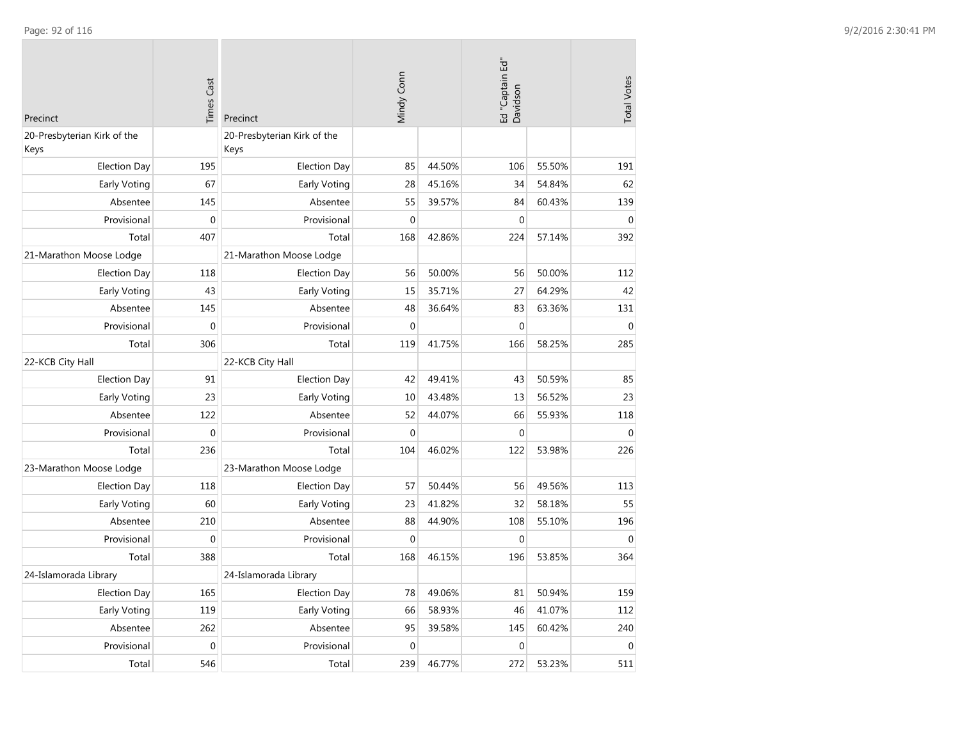| <b>Times Cast</b><br>Precinct       |                  | Precinct                            | Mindy Conn  |        | Ed "Captain Ed"<br>Davidson | <b>Total Votes</b> |              |
|-------------------------------------|------------------|-------------------------------------|-------------|--------|-----------------------------|--------------------|--------------|
| 20-Presbyterian Kirk of the<br>Keys |                  | 20-Presbyterian Kirk of the<br>Keys |             |        |                             |                    |              |
| <b>Election Day</b>                 | 195              | <b>Election Day</b>                 | 85          | 44.50% | 106                         | 55.50%             | 191          |
| Early Voting                        | 67               | Early Voting                        | 28          | 45.16% | 34                          | 54.84%             | 62           |
| Absentee                            | 145              | Absentee                            | 55          | 39.57% | 84                          | 60.43%             | 139          |
| Provisional                         | $\mathbf{0}$     | Provisional                         | $\mathbf 0$ |        | $\mathbf 0$                 |                    | $\mathbf{0}$ |
| Total                               | 407              | Total                               | 168         | 42.86% | 224                         | 57.14%             | 392          |
| 21-Marathon Moose Lodge             |                  | 21-Marathon Moose Lodge             |             |        |                             |                    |              |
| <b>Election Day</b>                 | 118              | <b>Election Day</b>                 | 56          | 50.00% | 56                          | 50.00%             | 112          |
| <b>Early Voting</b>                 | 43               | Early Voting                        | 15          | 35.71% | 27                          | 64.29%             | 42           |
| Absentee                            | 145              | Absentee                            | 48          | 36.64% | 83                          | 63.36%             | 131          |
| Provisional                         | $\mathbf{0}$     | Provisional                         | $\mathbf 0$ |        | $\mathbf 0$                 |                    | $\mathbf{0}$ |
| Total                               | 306              | Total                               | 119         | 41.75% | 166                         | 58.25%             | 285          |
| 22-KCB City Hall                    |                  | 22-KCB City Hall                    |             |        |                             |                    |              |
| <b>Election Day</b>                 | 91               | <b>Election Day</b>                 | 42          | 49.41% | 43                          | 50.59%             | 85           |
| Early Voting                        | 23               | Early Voting                        | 10          | 43.48% | 13                          | 56.52%             | 23           |
| Absentee                            | 122              | Absentee                            | 52          | 44.07% | 66                          | 55.93%             | 118          |
| Provisional                         | $\boldsymbol{0}$ | Provisional                         | $\mathbf 0$ |        | $\boldsymbol{0}$            |                    | $\mathbf{0}$ |
| Total                               | 236              | Total                               | 104         | 46.02% | 122                         | 53.98%             | 226          |
| 23-Marathon Moose Lodge             |                  | 23-Marathon Moose Lodge             |             |        |                             |                    |              |
| <b>Election Day</b>                 | 118              | <b>Election Day</b>                 | 57          | 50.44% | 56                          | 49.56%             | 113          |
| Early Voting                        | 60               | Early Voting                        | 23          | 41.82% | 32                          | 58.18%             | 55           |
| Absentee                            | 210              | Absentee                            | 88          | 44.90% | 108                         | 55.10%             | 196          |
| Provisional                         | $\boldsymbol{0}$ | Provisional                         | $\mathbf 0$ |        | $\mathbf 0$                 |                    | $\mathbf{0}$ |
| Total                               | 388              | Total                               | 168         | 46.15% | 196                         | 53.85%             | 364          |
| 24-Islamorada Library               |                  | 24-Islamorada Library               |             |        |                             |                    |              |
| <b>Election Day</b>                 | 165              | <b>Election Day</b>                 | 78          | 49.06% | 81                          | 50.94%             | 159          |
| Early Voting                        | 119              | Early Voting                        | 66          | 58.93% | 46                          | 41.07%             | 112          |
| Absentee                            | 262              | Absentee                            | 95          | 39.58% | 145                         | 60.42%             | 240          |
| Provisional                         | $\mathbf 0$      | Provisional                         | $\mathbf 0$ |        | $\mathbf 0$                 |                    | $\mathbf 0$  |
| Total                               | 546              | Total                               | 239         | 46.77% | 272                         | 53.23%             | 511          |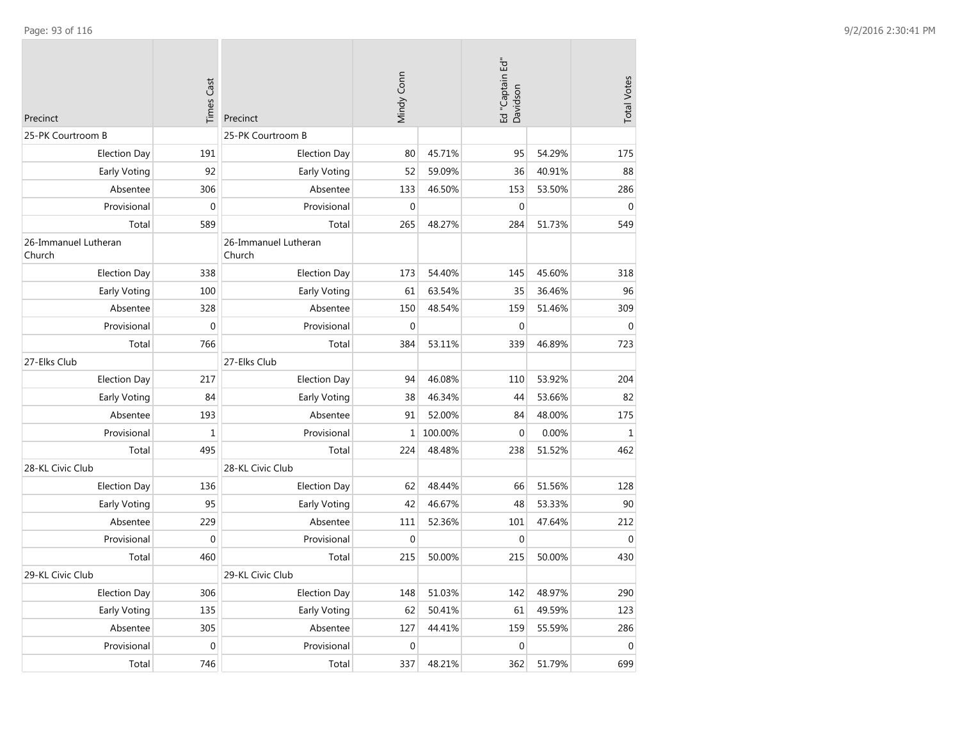| Precinct                       | <b>Times Cast</b> | Precinct                       | Mindy Conn  |         | Ed "Captain Ed"<br>Davidson |        | <b>Total Votes</b> |
|--------------------------------|-------------------|--------------------------------|-------------|---------|-----------------------------|--------|--------------------|
| 25-PK Courtroom B              |                   | 25-PK Courtroom B              |             |         |                             |        |                    |
| <b>Election Day</b>            | 191               | <b>Election Day</b>            | 80          | 45.71%  | 95                          | 54.29% | 175                |
| Early Voting                   | 92                | Early Voting                   | 52          | 59.09%  | 36                          | 40.91% | 88                 |
| Absentee                       | 306               | Absentee                       | 133         | 46.50%  | 153                         | 53.50% | 286                |
| Provisional                    | $\mathbf 0$       | Provisional                    | $\mathbf 0$ |         | $\mathbf 0$                 |        | $\mathbf{0}$       |
| Total                          | 589               | Total                          | 265         | 48.27%  | 284                         | 51.73% | 549                |
| 26-Immanuel Lutheran<br>Church |                   | 26-Immanuel Lutheran<br>Church |             |         |                             |        |                    |
| <b>Election Day</b>            | 338               | <b>Election Day</b>            | 173         | 54.40%  | 145                         | 45.60% | 318                |
| Early Voting                   | 100               | Early Voting                   | 61          | 63.54%  | 35                          | 36.46% | 96                 |
| Absentee                       | 328               | Absentee                       | 150         | 48.54%  | 159                         | 51.46% | 309                |
| Provisional                    | $\boldsymbol{0}$  | Provisional                    | $\mathbf 0$ |         | $\boldsymbol{0}$            |        | $\Omega$           |
| Total                          | 766               | Total                          | 384         | 53.11%  | 339                         | 46.89% | 723                |
| 27-Elks Club                   |                   | 27-Elks Club                   |             |         |                             |        |                    |
| <b>Election Day</b>            | 217               | <b>Election Day</b>            | 94          | 46.08%  | 110                         | 53.92% | 204                |
| Early Voting                   | 84                | Early Voting                   | 38          | 46.34%  | 44                          | 53.66% | 82                 |
| Absentee                       | 193               | Absentee                       | 91          | 52.00%  | 84                          | 48.00% | 175                |
| Provisional                    | $\mathbf{1}$      | Provisional                    | $\mathbf 1$ | 100.00% | $\mathbf 0$                 | 0.00%  | $\mathbf{1}$       |
| Total                          | 495               | Total                          | 224         | 48.48%  | 238                         | 51.52% | 462                |
| 28-KL Civic Club               |                   | 28-KL Civic Club               |             |         |                             |        |                    |
| <b>Election Day</b>            | 136               | <b>Election Day</b>            | 62          | 48.44%  | 66                          | 51.56% | 128                |
| Early Voting                   | 95                | <b>Early Voting</b>            | 42          | 46.67%  | 48                          | 53.33% | 90                 |
| Absentee                       | 229               | Absentee                       | 111         | 52.36%  | 101                         | 47.64% | 212                |
| Provisional                    | $\mathbf 0$       | Provisional                    | $\mathbf 0$ |         | $\mathbf{0}$                |        | $\mathbf{0}$       |
| Total                          | 460               | Total                          | 215         | 50.00%  | 215                         | 50.00% | 430                |
| 29-KL Civic Club               |                   | 29-KL Civic Club               |             |         |                             |        |                    |
| <b>Election Day</b>            | 306               | <b>Election Day</b>            | 148         | 51.03%  | 142                         | 48.97% | 290                |
| Early Voting                   | 135               | Early Voting                   | 62          | 50.41%  | 61                          | 49.59% | 123                |
| Absentee                       | 305               | Absentee                       | 127         | 44.41%  | 159                         | 55.59% | 286                |
| Provisional                    | $\mathbf 0$       | Provisional                    | $\mathbf 0$ |         | $\mathbf 0$                 |        | $\mathbf 0$        |
| Total                          | 746               | Total                          | 337         | 48.21%  | 362                         | 51.79% | 699                |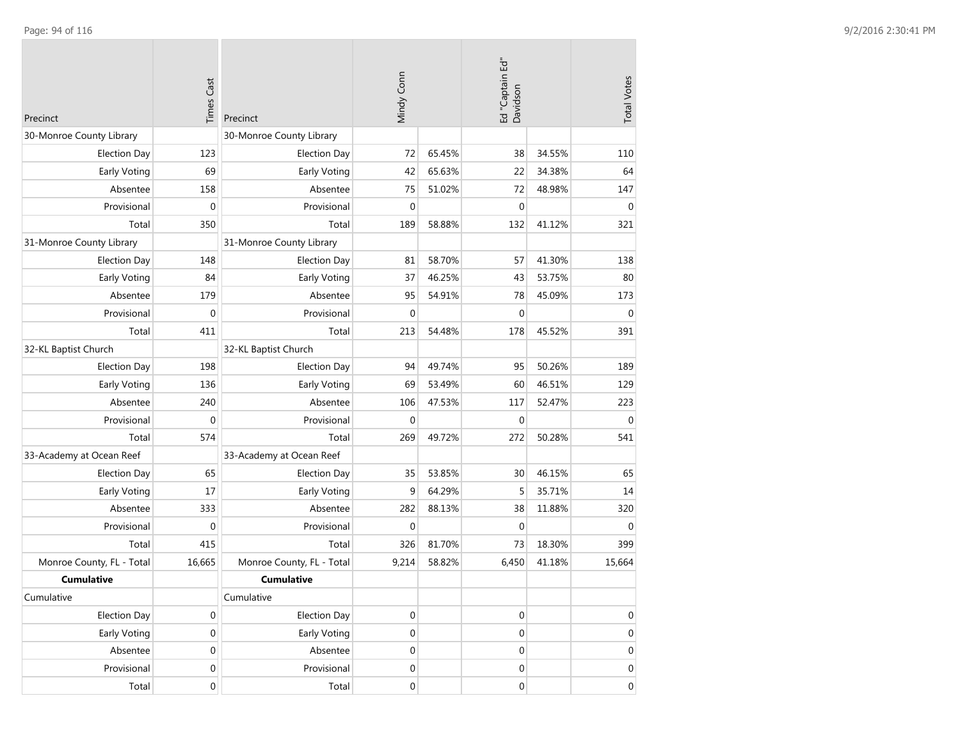| Precinct                  | <b>Times Cast</b> | Precinct                  | Mindy Conn       |        | Ed "Captain Ed"<br>Davidson |        | <b>Total Votes</b> |
|---------------------------|-------------------|---------------------------|------------------|--------|-----------------------------|--------|--------------------|
| 30-Monroe County Library  |                   | 30-Monroe County Library  |                  |        |                             |        |                    |
| <b>Election Day</b>       | 123               | <b>Election Day</b>       | 72               | 65.45% | 38                          | 34.55% | 110                |
| Early Voting              | 69                | Early Voting              | 42               | 65.63% | 22                          | 34.38% | 64                 |
| Absentee                  | 158               | Absentee                  | 75               | 51.02% | 72                          | 48.98% | 147                |
| Provisional               | $\mathbf 0$       | Provisional               | $\mathbf 0$      |        | $\mathbf 0$                 |        | $\mathbf 0$        |
| Total                     | 350               | Total                     | 189              | 58.88% | 132                         | 41.12% | 321                |
| 31-Monroe County Library  |                   | 31-Monroe County Library  |                  |        |                             |        |                    |
| <b>Election Day</b>       | 148               | <b>Election Day</b>       | 81               | 58.70% | 57                          | 41.30% | 138                |
| Early Voting              | 84                | Early Voting              | 37               | 46.25% | 43                          | 53.75% | 80                 |
| Absentee                  | 179               | Absentee                  | 95               | 54.91% | 78                          | 45.09% | 173                |
| Provisional               | $\mathbf{0}$      | Provisional               | $\mathbf{0}$     |        | $\mathbf 0$                 |        | $\mathbf 0$        |
| Total                     | 411               | Total                     | 213              | 54.48% | 178                         | 45.52% | 391                |
| 32-KL Baptist Church      |                   | 32-KL Baptist Church      |                  |        |                             |        |                    |
| <b>Election Day</b>       | 198               | <b>Election Day</b>       | 94               | 49.74% | 95                          | 50.26% | 189                |
| Early Voting              | 136               | Early Voting              | 69               | 53.49% | 60                          | 46.51% | 129                |
| Absentee                  | 240               | Absentee                  | 106              | 47.53% | 117                         | 52.47% | 223                |
| Provisional               | $\mathbf 0$       | Provisional               | $\mathbf{0}$     |        | $\mathbf 0$                 |        | $\overline{0}$     |
| Total                     | 574               | Total                     | 269              | 49.72% | 272                         | 50.28% | 541                |
| 33-Academy at Ocean Reef  |                   | 33-Academy at Ocean Reef  |                  |        |                             |        |                    |
| <b>Election Day</b>       | 65                | <b>Election Day</b>       | 35               | 53.85% | 30                          | 46.15% | 65                 |
| <b>Early Voting</b>       | 17                | Early Voting              | 9                | 64.29% | 5                           | 35.71% | 14                 |
| Absentee                  | 333               | Absentee                  | 282              | 88.13% | 38                          | 11.88% | 320                |
| Provisional               | $\mathbf 0$       | Provisional               | $\mathbf 0$      |        | $\mathbf 0$                 |        | $\mathbf 0$        |
| Total                     | 415               | Total                     | 326              | 81.70% | 73                          | 18.30% | 399                |
| Monroe County, FL - Total | 16,665            | Monroe County, FL - Total | 9,214            | 58.82% | 6,450                       | 41.18% | 15,664             |
| <b>Cumulative</b>         |                   | <b>Cumulative</b>         |                  |        |                             |        |                    |
| Cumulative                |                   | Cumulative                |                  |        |                             |        |                    |
| <b>Election Day</b>       | $\boldsymbol{0}$  | <b>Election Day</b>       | $\boldsymbol{0}$ |        | $\mathbf 0$                 |        | 0                  |
| Early Voting              | $\boldsymbol{0}$  | Early Voting              | $\boldsymbol{0}$ |        | $\boldsymbol{0}$            |        | $\boldsymbol{0}$   |
| Absentee                  | $\boldsymbol{0}$  | Absentee                  | $\boldsymbol{0}$ |        | $\boldsymbol{0}$            |        | $\boldsymbol{0}$   |
| Provisional               | $\boldsymbol{0}$  | Provisional               | $\boldsymbol{0}$ |        | $\boldsymbol{0}$            |        | 0                  |
| Total                     | $\boldsymbol{0}$  | Total                     | 0                |        | $\boldsymbol{0}$            |        | $\overline{0}$     |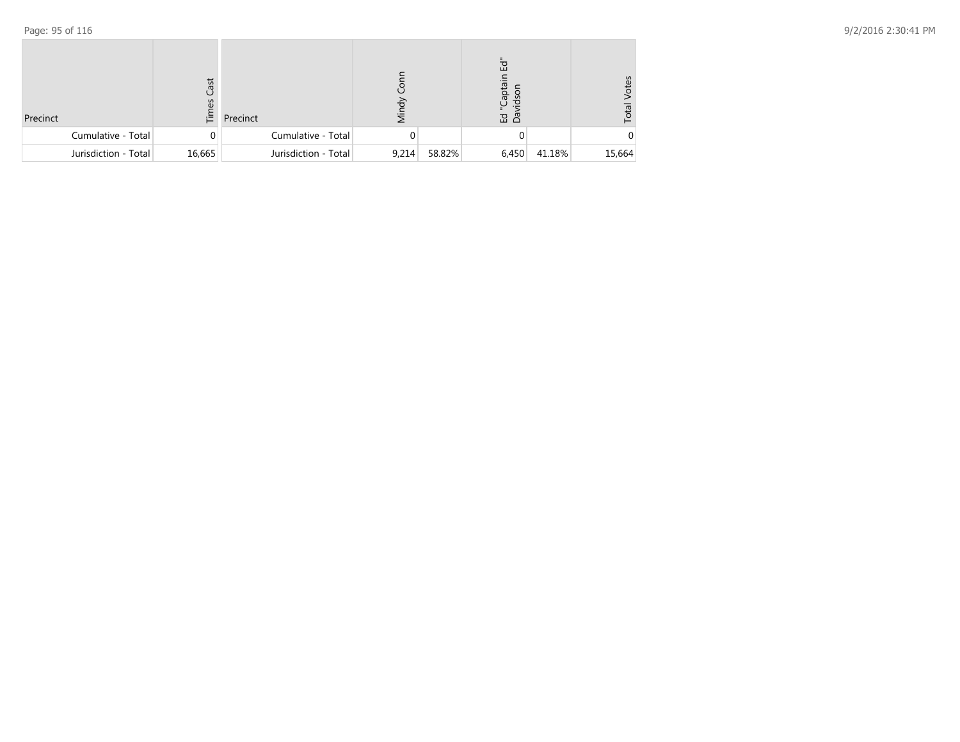| Precinct             | Cast<br>ဂ္ပ<br>這 | Precinct             | ನ     |        | 헙<br>aptail<br>$\overline{5}$<br>으<br>ڀ<br>品 品 |        | ğ<br>ĭō |
|----------------------|------------------|----------------------|-------|--------|------------------------------------------------|--------|---------|
| Cumulative - Total   | 0                | Cumulative - Total   |       |        |                                                |        |         |
| Jurisdiction - Total | 16,665           | Jurisdiction - Total | 9,214 | 58.82% | 6,450                                          | 41.18% | 15,664  |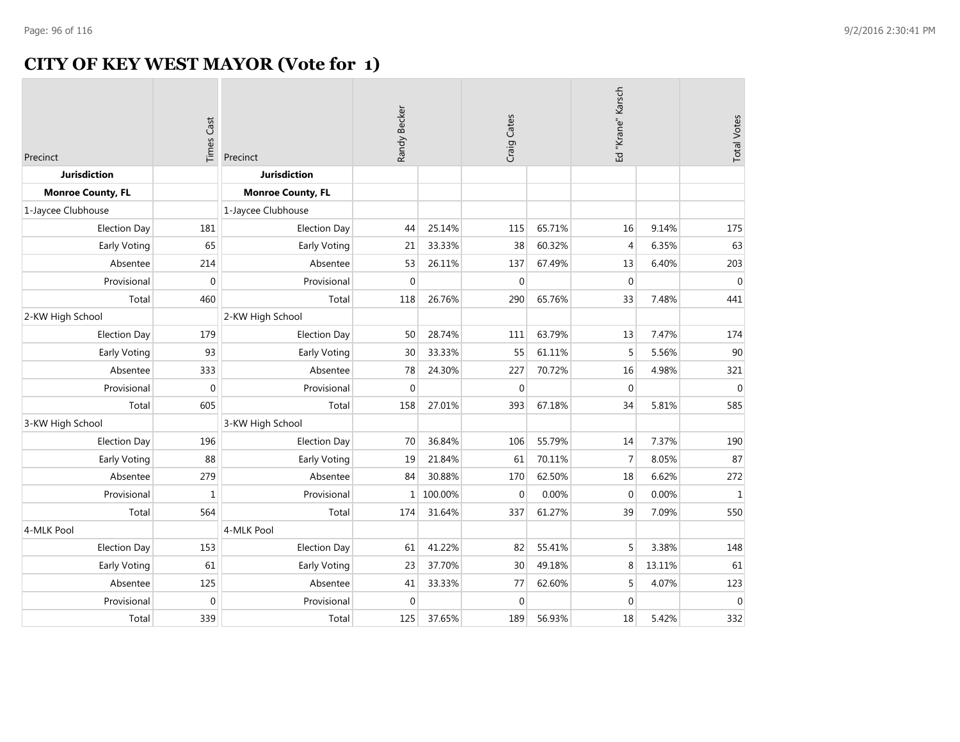# **CITY OF KEY WEST MAYOR (Vote for 1)**

| Precinct                 | <b>Times Cast</b> | Precinct                 | Randy Becker     |         | Craig Cates  |        | Ed "Krane" Karsch |        | <b>Total Votes</b> |
|--------------------------|-------------------|--------------------------|------------------|---------|--------------|--------|-------------------|--------|--------------------|
| <b>Jurisdiction</b>      |                   | <b>Jurisdiction</b>      |                  |         |              |        |                   |        |                    |
| <b>Monroe County, FL</b> |                   | <b>Monroe County, FL</b> |                  |         |              |        |                   |        |                    |
| 1-Jaycee Clubhouse       |                   | 1-Jaycee Clubhouse       |                  |         |              |        |                   |        |                    |
| <b>Election Day</b>      | 181               | <b>Election Day</b>      | 44               | 25.14%  | 115          | 65.71% | 16                | 9.14%  | 175                |
| Early Voting             | 65                | Early Voting             | 21               | 33.33%  | 38           | 60.32% | $\overline{4}$    | 6.35%  | 63                 |
| Absentee                 | 214               | Absentee                 | 53               | 26.11%  | 137          | 67.49% | 13                | 6.40%  | 203                |
| Provisional              | $\Omega$          | Provisional              | $\mathbf{0}$     |         | $\mathbf{0}$ |        | $\mathbf{0}$      |        | $\mathbf 0$        |
| Total                    | 460               | Total                    | 118              | 26.76%  | 290          | 65.76% | 33                | 7.48%  | 441                |
| 2-KW High School         |                   | 2-KW High School         |                  |         |              |        |                   |        |                    |
| Election Day             | 179               | <b>Election Day</b>      | 50               | 28.74%  | 111          | 63.79% | 13                | 7.47%  | 174                |
| Early Voting             | 93                | Early Voting             | 30               | 33.33%  | 55           | 61.11% | 5                 | 5.56%  | 90                 |
| Absentee                 | 333               | Absentee                 | 78               | 24.30%  | 227          | 70.72% | 16                | 4.98%  | 321                |
| Provisional              | $\overline{0}$    | Provisional              | $\boldsymbol{0}$ |         | $\mathbf 0$  |        | $\Omega$          |        | $\mathbf{0}$       |
| Total                    | 605               | Total                    | 158              | 27.01%  | 393          | 67.18% | 34                | 5.81%  | 585                |
| 3-KW High School         |                   | 3-KW High School         |                  |         |              |        |                   |        |                    |
| <b>Election Day</b>      | 196               | <b>Election Day</b>      | 70               | 36.84%  | 106          | 55.79% | 14                | 7.37%  | 190                |
| Early Voting             | 88                | Early Voting             | 19               | 21.84%  | 61           | 70.11% | 7                 | 8.05%  | 87                 |
| Absentee                 | 279               | Absentee                 | 84               | 30.88%  | 170          | 62.50% | 18                | 6.62%  | 272                |
| Provisional              | $\mathbf{1}$      | Provisional              | $\mathbf{1}$     | 100.00% | $\mathbf{0}$ | 0.00%  | $\mathbf 0$       | 0.00%  | $\mathbf 1$        |
| Total                    | 564               | Total                    | 174              | 31.64%  | 337          | 61.27% | 39                | 7.09%  | 550                |
| 4-MLK Pool               |                   | 4-MLK Pool               |                  |         |              |        |                   |        |                    |
| <b>Election Day</b>      | 153               | <b>Election Day</b>      | 61               | 41.22%  | 82           | 55.41% | 5                 | 3.38%  | 148                |
| Early Voting             | 61                | Early Voting             | 23               | 37.70%  | 30           | 49.18% | 8                 | 13.11% | 61                 |
| Absentee                 | 125               | Absentee                 | 41               | 33.33%  | 77           | 62.60% | 5                 | 4.07%  | 123                |
| Provisional              | $\overline{0}$    | Provisional              | $\mathbf 0$      |         | $\mathbf 0$  |        | $\Omega$          |        | $\mathbf{0}$       |
| Total                    | 339               | Total                    | 125              | 37.65%  | 189          | 56.93% | 18                | 5.42%  | 332                |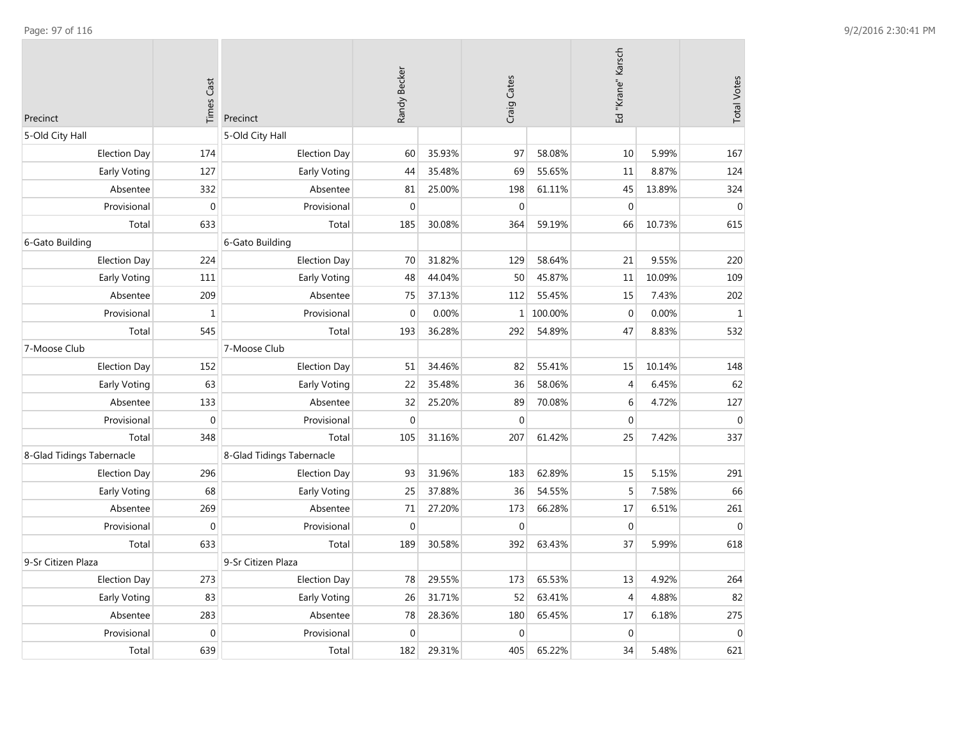| Precinct                  | <b>Times Cast</b> | Precinct                  | Randy Becker |        | Craig Cates    |           | Ed "Krane" Karsch |        | <b>Total Votes</b> |
|---------------------------|-------------------|---------------------------|--------------|--------|----------------|-----------|-------------------|--------|--------------------|
| 5-Old City Hall           |                   | 5-Old City Hall           |              |        |                |           |                   |        |                    |
| <b>Election Day</b>       | 174               | <b>Election Day</b>       | 60           | 35.93% | 97             | 58.08%    | 10                | 5.99%  | 167                |
| Early Voting              | 127               | Early Voting              | 44           | 35.48% | 69             | 55.65%    | 11                | 8.87%  | 124                |
| Absentee                  | 332               | Absentee                  | 81           | 25.00% | 198            | 61.11%    | 45                | 13.89% | 324                |
| Provisional               | $\mathbf 0$       | Provisional               | $\mathbf 0$  |        | $\mathbf{0}$   |           | $\boldsymbol{0}$  |        | $\mathbf 0$        |
| Total                     | 633               | Total                     | 185          | 30.08% | 364            | 59.19%    | 66                | 10.73% | 615                |
| 6-Gato Building           |                   | 6-Gato Building           |              |        |                |           |                   |        |                    |
| <b>Election Day</b>       | 224               | <b>Election Day</b>       | 70           | 31.82% | 129            | 58.64%    | 21                | 9.55%  | 220                |
| Early Voting              | 111               | Early Voting              | 48           | 44.04% | 50             | 45.87%    | 11                | 10.09% | 109                |
| Absentee                  | 209               | Absentee                  | 75           | 37.13% | 112            | 55.45%    | 15                | 7.43%  | 202                |
| Provisional               | $\mathbf 1$       | Provisional               | $\mathbf 0$  | 0.00%  |                | 1 100.00% | $\boldsymbol{0}$  | 0.00%  | $\mathbf 1$        |
| Total                     | 545               | Total                     | 193          | 36.28% | 292            | 54.89%    | 47                | 8.83%  | 532                |
| 7-Moose Club              |                   | 7-Moose Club              |              |        |                |           |                   |        |                    |
| <b>Election Day</b>       | 152               | <b>Election Day</b>       | 51           | 34.46% | 82             | 55.41%    | 15                | 10.14% | 148                |
| Early Voting              | 63                | Early Voting              | 22           | 35.48% | 36             | 58.06%    | $\overline{4}$    | 6.45%  | 62                 |
| Absentee                  | 133               | Absentee                  | 32           | 25.20% | 89             | 70.08%    | 6                 | 4.72%  | 127                |
| Provisional               | $\mathbf{0}$      | Provisional               | $\mathbf 0$  |        | $\Omega$       |           | $\mathbf 0$       |        | $\Omega$           |
| Total                     | 348               | Total                     | 105          | 31.16% | 207            | 61.42%    | 25                | 7.42%  | 337                |
| 8-Glad Tidings Tabernacle |                   | 8-Glad Tidings Tabernacle |              |        |                |           |                   |        |                    |
| <b>Election Day</b>       | 296               | <b>Election Day</b>       | 93           | 31.96% | 183            | 62.89%    | 15                | 5.15%  | 291                |
| Early Voting              | 68                | Early Voting              | 25           | 37.88% | 36             | 54.55%    | 5                 | 7.58%  | 66                 |
| Absentee                  | 269               | Absentee                  | 71           | 27.20% | 173            | 66.28%    | 17                | 6.51%  | 261                |
| Provisional               | $\mathbf{0}$      | Provisional               | $\mathbf{0}$ |        | $\overline{0}$ |           | $\boldsymbol{0}$  |        | $\mathbf 0$        |
| Total                     | 633               | Total                     | 189          | 30.58% | 392            | 63.43%    | 37                | 5.99%  | 618                |
| 9-Sr Citizen Plaza        |                   | 9-Sr Citizen Plaza        |              |        |                |           |                   |        |                    |
| <b>Election Day</b>       | 273               | <b>Election Day</b>       | 78           | 29.55% | 173            | 65.53%    | 13                | 4.92%  | 264                |
| Early Voting              | 83                | Early Voting              | 26           | 31.71% | 52             | 63.41%    | 4                 | 4.88%  | 82                 |
| Absentee                  | 283               | Absentee                  | 78           | 28.36% | 180            | 65.45%    | 17                | 6.18%  | 275                |
| Provisional               | $\mathbf 0$       | Provisional               | $\mathbf 0$  |        | $\overline{0}$ |           | $\mathbf 0$       |        | $\boldsymbol{0}$   |
| Total                     | 639               | Total                     | 182          | 29.31% | 405            | 65.22%    | 34                | 5.48%  | 621                |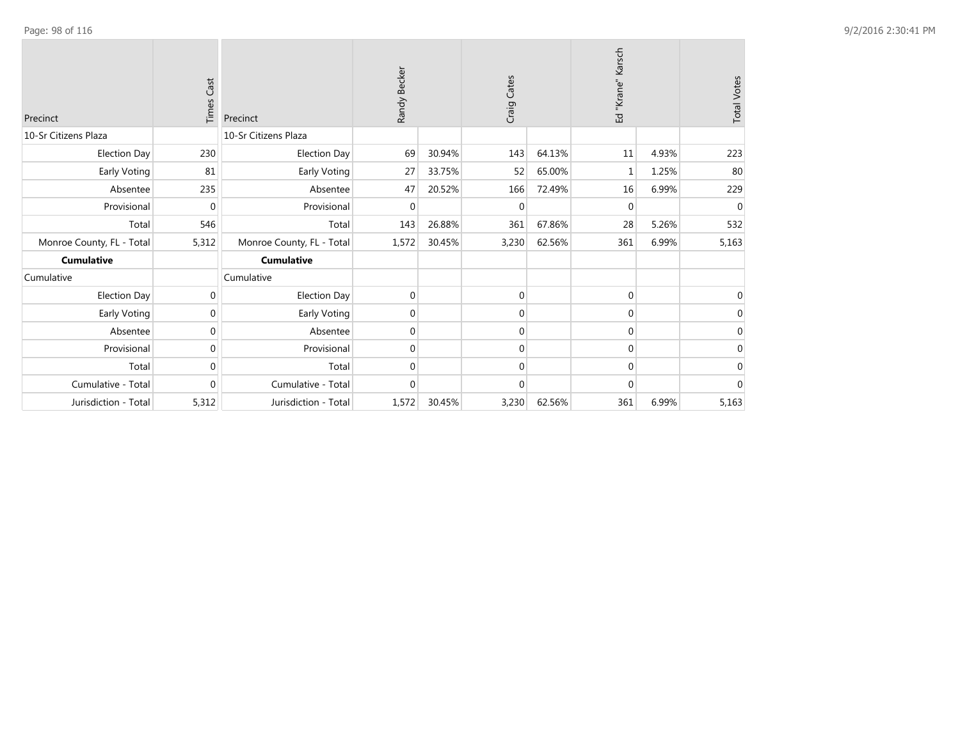| Precinct                  | Cast<br>Times | Precinct                  | Randy Becker |        | Craig Cates |        | Karsch<br>Ed "Krane" |       | <b>Total Votes</b> |
|---------------------------|---------------|---------------------------|--------------|--------|-------------|--------|----------------------|-------|--------------------|
| 10-Sr Citizens Plaza      |               | 10-Sr Citizens Plaza      |              |        |             |        |                      |       |                    |
| <b>Election Day</b>       | 230           | <b>Election Day</b>       | 69           | 30.94% | 143         | 64.13% | 11                   | 4.93% | 223                |
| Early Voting              | 81            | Early Voting              | 27           | 33.75% | 52          | 65.00% | 1                    | 1.25% | 80                 |
| Absentee                  | 235           | Absentee                  | 47           | 20.52% | 166         | 72.49% | 16                   | 6.99% | 229                |
| Provisional               | $\Omega$      | Provisional               | 0            |        | $\Omega$    |        | $\Omega$             |       | $\mathbf{0}$       |
| Total                     | 546           | Total                     | 143          | 26.88% | 361         | 67.86% | 28                   | 5.26% | 532                |
| Monroe County, FL - Total | 5,312         | Monroe County, FL - Total | 1,572        | 30.45% | 3,230       | 62.56% | 361                  | 6.99% | 5,163              |
| <b>Cumulative</b>         |               | <b>Cumulative</b>         |              |        |             |        |                      |       |                    |
| Cumulative                |               | Cumulative                |              |        |             |        |                      |       |                    |
| Election Day              | 0             | <b>Election Day</b>       | 0            |        | $\mathbf 0$ |        | 0                    |       | 0                  |
| Early Voting              | $\Omega$      | Early Voting              | 0            |        | $\Omega$    |        | 0                    |       | $\Omega$           |
| Absentee                  | $\Omega$      | Absentee                  | 0            |        | $\Omega$    |        | 0                    |       | $\Omega$           |
| Provisional               | $\Omega$      | Provisional               | 0            |        | $\Omega$    |        | $\Omega$             |       | $\mathbf{0}$       |
| Total                     | $\Omega$      | Total                     | 0            |        | $\Omega$    |        | $\Omega$             |       | $\mathbf 0$        |
| Cumulative - Total        | $\mathbf{0}$  | Cumulative - Total        | 0            |        | $\Omega$    |        | 0                    |       | $\mathbf 0$        |
| Jurisdiction - Total      | 5,312         | Jurisdiction - Total      | 1,572        | 30.45% | 3,230       | 62.56% | 361                  | 6.99% | 5,163              |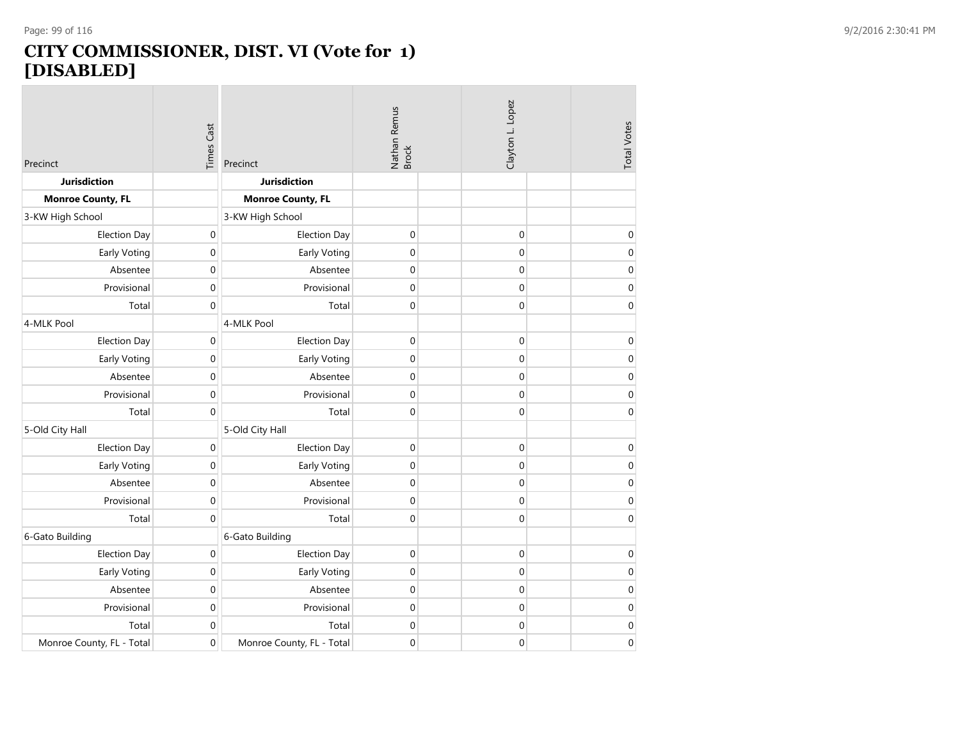### **CITY COMMISSIONER, DIST. VI (Vote for 1) [DISABLED]**

| Precinct                  | Times Cast | Precinct                  | Nathan Remus<br>Brock |  | Clayton L. Lopez |  | <b>Total Votes</b> |
|---------------------------|------------|---------------------------|-----------------------|--|------------------|--|--------------------|
| Jurisdiction              |            | <b>Jurisdiction</b>       |                       |  |                  |  |                    |
| <b>Monroe County, FL</b>  |            | <b>Monroe County, FL</b>  |                       |  |                  |  |                    |
| 3-KW High School          |            | 3-KW High School          |                       |  |                  |  |                    |
| <b>Election Day</b>       | $\bf{0}$   | <b>Election Day</b>       | $\boldsymbol{0}$      |  | $\boldsymbol{0}$ |  | $\mathbf 0$        |
| Early Voting              | 0          | Early Voting              | 0                     |  | $\mathbf 0$      |  | $\pmb{0}$          |
| Absentee                  | 0          | Absentee                  | $\boldsymbol{0}$      |  | $\mathbf 0$      |  | $\boldsymbol{0}$   |
| Provisional               | 0          | Provisional               | $\boldsymbol{0}$      |  | $\boldsymbol{0}$ |  | $\boldsymbol{0}$   |
| Total                     | 0          | Total                     | $\mathbf 0$           |  | $\mathbf{0}$     |  | 0                  |
| 4-MLK Pool                |            | 4-MLK Pool                |                       |  |                  |  |                    |
| <b>Election Day</b>       | 0          | <b>Election Day</b>       | $\boldsymbol{0}$      |  | $\boldsymbol{0}$ |  | $\pmb{0}$          |
| Early Voting              | 0          | Early Voting              | $\boldsymbol{0}$      |  | $\mathbf 0$      |  | $\boldsymbol{0}$   |
| Absentee                  | 0          | Absentee                  | $\boldsymbol{0}$      |  | $\boldsymbol{0}$ |  | $\boldsymbol{0}$   |
| Provisional               | 0          | Provisional               | 0                     |  | $\mathbf 0$      |  | $\mathbf 0$        |
| Total                     | 0          | Total                     | $\mathbf 0$           |  | $\mathbf{0}$     |  | $\mathbf 0$        |
| 5-Old City Hall           |            | 5-Old City Hall           |                       |  |                  |  |                    |
| <b>Election Day</b>       | 0          | <b>Election Day</b>       | $\boldsymbol{0}$      |  | $\boldsymbol{0}$ |  | $\boldsymbol{0}$   |
| Early Voting              | 0          | <b>Early Voting</b>       | $\boldsymbol{0}$      |  | $\mathbf 0$      |  | $\mathbf 0$        |
| Absentee                  | 0          | Absentee                  | $\boldsymbol{0}$      |  | $\mathbf 0$      |  | $\boldsymbol{0}$   |
| Provisional               | 0          | Provisional               | $\boldsymbol{0}$      |  | $\mathbf 0$      |  | $\mathbf 0$        |
| Total                     | 0          | Total                     | $\boldsymbol{0}$      |  | $\mathbf 0$      |  | $\boldsymbol{0}$   |
| 6-Gato Building           |            | 6-Gato Building           |                       |  |                  |  |                    |
| <b>Election Day</b>       | 0          | <b>Election Day</b>       | 0                     |  | $\mathbf 0$      |  | $\boldsymbol{0}$   |
| Early Voting              | 0          | Early Voting              | $\boldsymbol{0}$      |  | $\mathbf 0$      |  | $\boldsymbol{0}$   |
| Absentee                  | 0          | Absentee                  | $\boldsymbol{0}$      |  | $\mathbf 0$      |  | $\boldsymbol{0}$   |
| Provisional               | 0          | Provisional               | $\boldsymbol{0}$      |  | $\mathbf 0$      |  | $\boldsymbol{0}$   |
| Total                     | 0          | Total                     | $\boldsymbol{0}$      |  | $\boldsymbol{0}$ |  | $\boldsymbol{0}$   |
| Monroe County, FL - Total | 0          | Monroe County, FL - Total | $\boldsymbol{0}$      |  | $\boldsymbol{0}$ |  | $\mathbf 0$        |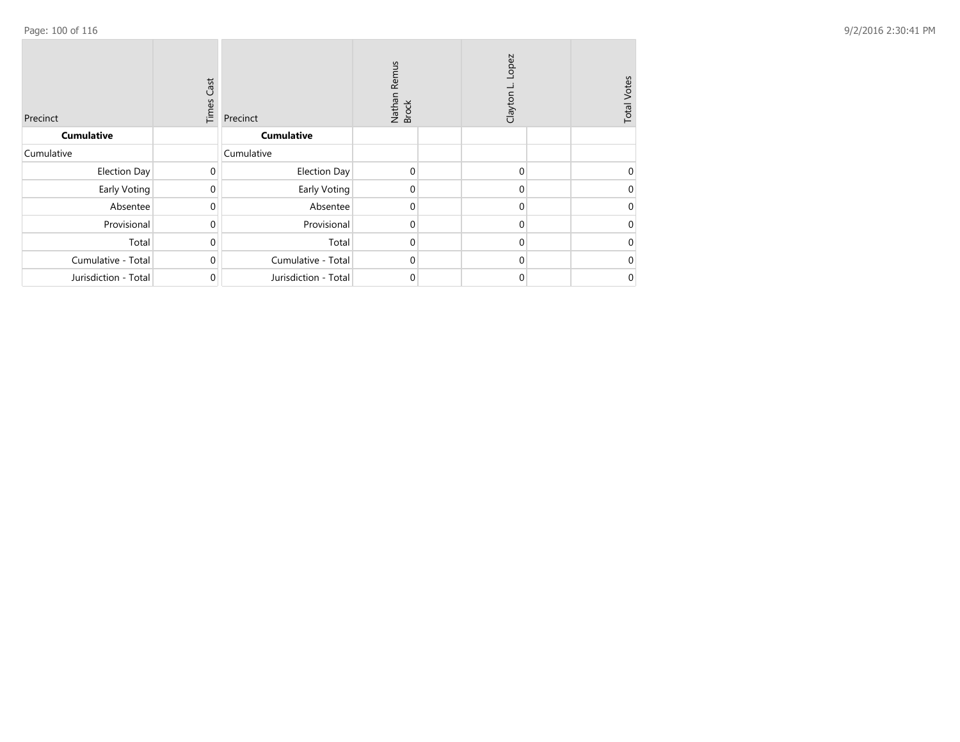| Precinct             | Cast<br>Times | Precinct             | Remus<br>Nathan<br>Brock | Lopez<br>Clayton | <b>Total Votes</b> |
|----------------------|---------------|----------------------|--------------------------|------------------|--------------------|
| <b>Cumulative</b>    |               | <b>Cumulative</b>    |                          |                  |                    |
| Cumulative           |               | Cumulative           |                          |                  |                    |
| Election Day         | $\mathbf 0$   | <b>Election Day</b>  | $\mathbf 0$              | $\mathbf{0}$     | 0                  |
| Early Voting         | $\Omega$      | Early Voting         | 0                        | 0                | 0                  |
| Absentee             | $\Omega$      | Absentee             | 0                        | $\Omega$         | 0                  |
| Provisional          | $\Omega$      | Provisional          | 0                        | $\Omega$         | 0                  |
| Total                | $\Omega$      | Total                | 0                        | $\Omega$         | 0                  |
| Cumulative - Total   | $\Omega$      | Cumulative - Total   | 0                        | $\Omega$         | 0                  |
| Jurisdiction - Total | $\mathbf{0}$  | Jurisdiction - Total | 0                        | 0                | 0                  |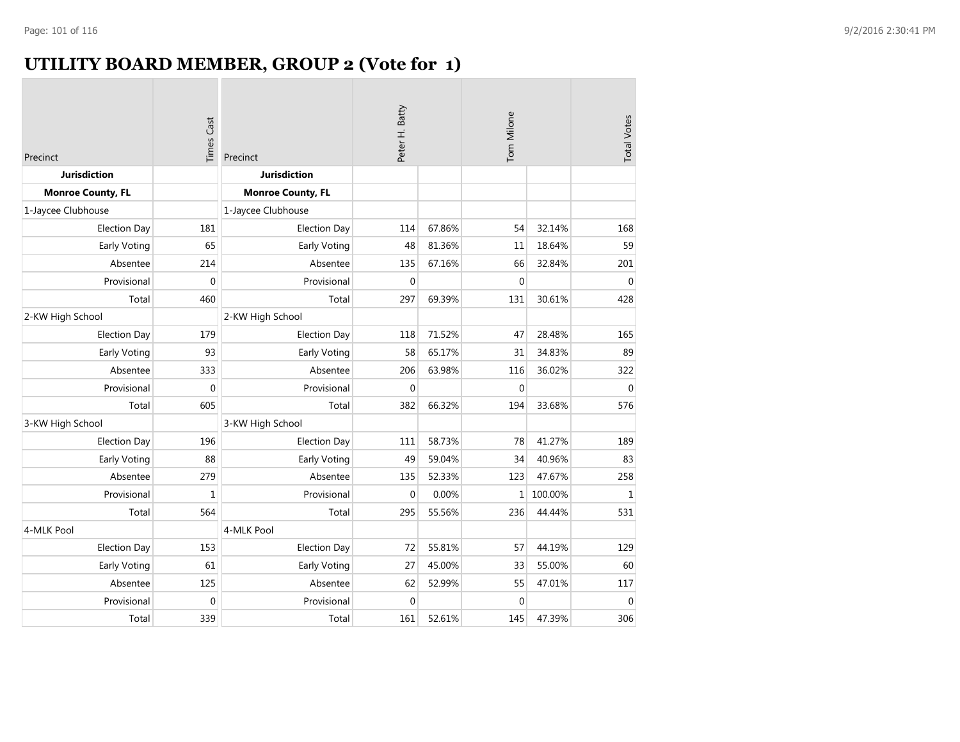# **UTILITY BOARD MEMBER, GROUP 2 (Vote for 1)**

| Precinct                 | <b>Times Cast</b> | Precinct                 | Peter H. Batty |        | Tom Milone   |         | <b>Total Votes</b> |
|--------------------------|-------------------|--------------------------|----------------|--------|--------------|---------|--------------------|
| <b>Jurisdiction</b>      |                   | <b>Jurisdiction</b>      |                |        |              |         |                    |
| <b>Monroe County, FL</b> |                   | <b>Monroe County, FL</b> |                |        |              |         |                    |
| 1-Jaycee Clubhouse       |                   | 1-Jaycee Clubhouse       |                |        |              |         |                    |
| <b>Election Day</b>      | 181               | <b>Election Day</b>      | 114            | 67.86% | 54           | 32.14%  | 168                |
| Early Voting             | 65                | Early Voting             | 48             | 81.36% | 11           | 18.64%  | 59                 |
| Absentee                 | 214               | Absentee                 | 135            | 67.16% | 66           | 32.84%  | 201                |
| Provisional              | $\mathbf 0$       | Provisional              | $\mathbf 0$    |        | $\mathbf{0}$ |         | $\mathbf{0}$       |
| Total                    | 460               | Total                    | 297            | 69.39% | 131          | 30.61%  | 428                |
| 2-KW High School         |                   | 2-KW High School         |                |        |              |         |                    |
| <b>Election Day</b>      | 179               | <b>Election Day</b>      | 118            | 71.52% | 47           | 28.48%  | 165                |
| Early Voting             | 93                | <b>Early Voting</b>      | 58             | 65.17% | 31           | 34.83%  | 89                 |
| Absentee                 | 333               | Absentee                 | 206            | 63.98% | 116          | 36.02%  | 322                |
| Provisional              | $\boldsymbol{0}$  | Provisional              | $\mathbf 0$    |        | $\mathbf 0$  |         | $\mathbf 0$        |
| Total                    | 605               | Total                    | 382            | 66.32% | 194          | 33.68%  | 576                |
| 3-KW High School         |                   | 3-KW High School         |                |        |              |         |                    |
| <b>Election Day</b>      | 196               | <b>Election Day</b>      | 111            | 58.73% | 78           | 41.27%  | 189                |
| <b>Early Voting</b>      | 88                | Early Voting             | 49             | 59.04% | 34           | 40.96%  | 83                 |
| Absentee                 | 279               | Absentee                 | 135            | 52.33% | 123          | 47.67%  | 258                |
| Provisional              | $\mathbf{1}$      | Provisional              | $\mathbf 0$    | 0.00%  | 1            | 100.00% | $\mathbf 1$        |
| Total                    | 564               | Total                    | 295            | 55.56% | 236          | 44.44%  | 531                |
| 4-MLK Pool               |                   | 4-MLK Pool               |                |        |              |         |                    |
| <b>Election Day</b>      | 153               | <b>Election Day</b>      | 72             | 55.81% | 57           | 44.19%  | 129                |
| Early Voting             | 61                | Early Voting             | 27             | 45.00% | 33           | 55.00%  | 60                 |
| Absentee                 | 125               | Absentee                 | 62             | 52.99% | 55           | 47.01%  | 117                |
| Provisional              | $\mathbf 0$       | Provisional              | $\mathbf 0$    |        | $\mathbf 0$  |         | $\mathbf 0$        |
| Total                    | 339               | Total                    | 161            | 52.61% | 145          | 47.39%  | 306                |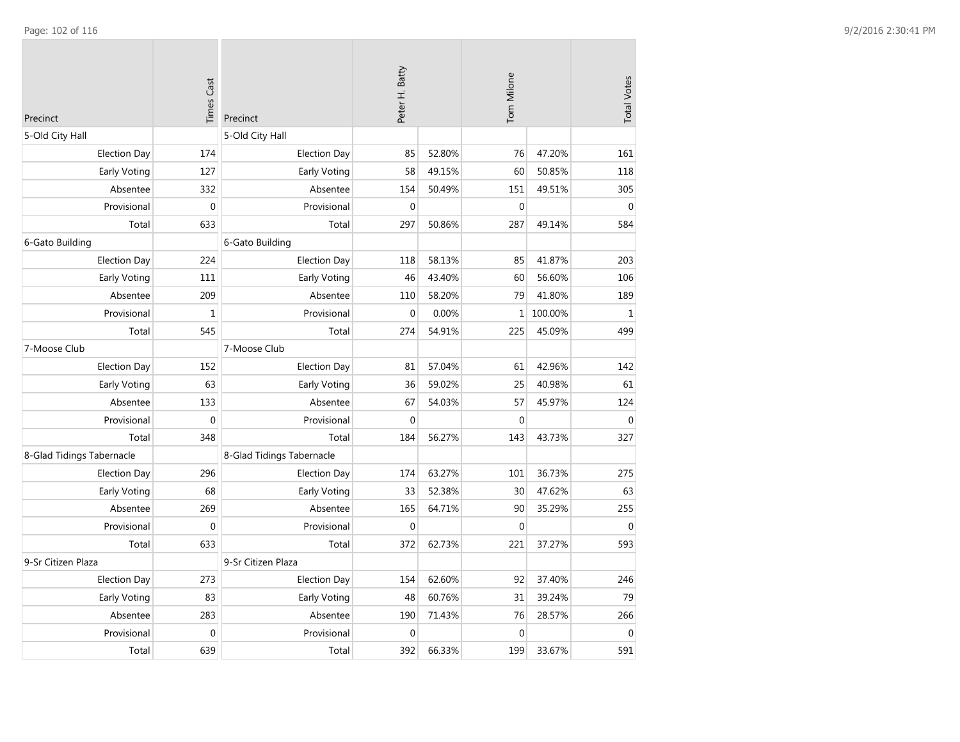| Precinct                  | <b>Times Cast</b> | Precinct                  | Peter H. Batty |        | Tom Milone       |         | <b>Total Votes</b> |
|---------------------------|-------------------|---------------------------|----------------|--------|------------------|---------|--------------------|
| 5-Old City Hall           |                   | 5-Old City Hall           |                |        |                  |         |                    |
| <b>Election Day</b>       | 174               | <b>Election Day</b>       | 85             | 52.80% | 76               | 47.20%  | 161                |
| Early Voting              | 127               | Early Voting              | 58             | 49.15% | 60               | 50.85%  | 118                |
| Absentee                  | 332               | Absentee                  | 154            | 50.49% | 151              | 49.51%  | 305                |
| Provisional               | $\boldsymbol{0}$  | Provisional               | $\mathbf 0$    |        | $\mathbf 0$      |         | $\boldsymbol{0}$   |
| Total                     | 633               | Total                     | 297            | 50.86% | 287              | 49.14%  | 584                |
| 6-Gato Building           |                   | 6-Gato Building           |                |        |                  |         |                    |
| <b>Election Day</b>       | 224               | <b>Election Day</b>       | 118            | 58.13% | 85               | 41.87%  | 203                |
| Early Voting              | 111               | Early Voting              | 46             | 43.40% | 60               | 56.60%  | 106                |
| Absentee                  | 209               | Absentee                  | 110            | 58.20% | 79               | 41.80%  | 189                |
| Provisional               | $\mathbf 1$       | Provisional               | $\mathbf 0$    | 0.00%  | $1\vert$         | 100.00% | $\mathbf 1$        |
| Total                     | 545               | Total                     | 274            | 54.91% | 225              | 45.09%  | 499                |
| 7-Moose Club              |                   | 7-Moose Club              |                |        |                  |         |                    |
| <b>Election Day</b>       | 152               | <b>Election Day</b>       | 81             | 57.04% | 61               | 42.96%  | 142                |
| <b>Early Voting</b>       | 63                | Early Voting              | 36             | 59.02% | 25               | 40.98%  | 61                 |
| Absentee                  | 133               | Absentee                  | 67             | 54.03% | 57               | 45.97%  | 124                |
| Provisional               | $\mathbf 0$       | Provisional               | $\mathbf 0$    |        | $\Omega$         |         | $\Omega$           |
| Total                     | 348               | Total                     | 184            | 56.27% | 143              | 43.73%  | 327                |
| 8-Glad Tidings Tabernacle |                   | 8-Glad Tidings Tabernacle |                |        |                  |         |                    |
| <b>Election Day</b>       | 296               | <b>Election Day</b>       | 174            | 63.27% | 101              | 36.73%  | 275                |
| Early Voting              | 68                | Early Voting              | 33             | 52.38% | 30               | 47.62%  | 63                 |
| Absentee                  | 269               | Absentee                  | 165            | 64.71% | 90               | 35.29%  | 255                |
| Provisional               | $\mathbf{0}$      | Provisional               | $\mathbf 0$    |        | $\mathbf 0$      |         | $\mathbf 0$        |
| Total                     | 633               | Total                     | 372            | 62.73% | 221              | 37.27%  | 593                |
| 9-Sr Citizen Plaza        |                   | 9-Sr Citizen Plaza        |                |        |                  |         |                    |
| <b>Election Day</b>       | 273               | <b>Election Day</b>       | 154            | 62.60% | 92               | 37.40%  | 246                |
| Early Voting              | 83                | Early Voting              | 48             | 60.76% | 31               | 39.24%  | 79                 |
| Absentee                  | 283               | Absentee                  | 190            | 71.43% | 76               | 28.57%  | 266                |
| Provisional               | $\mathbf 0$       | Provisional               | $\mathbf 0$    |        | $\boldsymbol{0}$ |         | $\boldsymbol{0}$   |
| Total                     | 639               | Total                     | 392            | 66.33% | 199              | 33.67%  | 591                |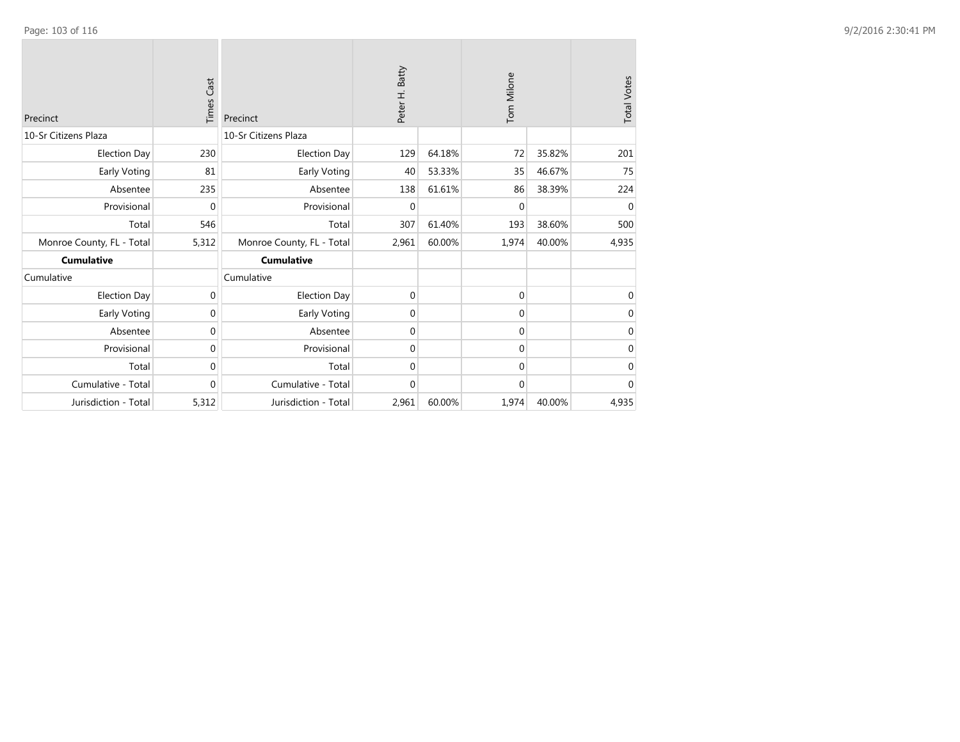| Precinct                  | Cast<br>Times | Precinct                  | Peter H. Batty |        | Tom Milone  |        | <b>Total Votes</b> |
|---------------------------|---------------|---------------------------|----------------|--------|-------------|--------|--------------------|
| 10-Sr Citizens Plaza      |               | 10-Sr Citizens Plaza      |                |        |             |        |                    |
| <b>Election Day</b>       | 230           | <b>Election Day</b>       | 129            | 64.18% | 72          | 35.82% | 201                |
| Early Voting              | 81            | Early Voting              | 40             | 53.33% | 35          | 46.67% | 75                 |
| Absentee                  | 235           | Absentee                  | 138            | 61.61% | 86          | 38.39% | 224                |
| Provisional               | $\mathbf{0}$  | Provisional               | $\mathbf 0$    |        | $\mathbf 0$ |        | $\mathbf 0$        |
| Total                     | 546           | Total                     | 307            | 61.40% | 193         | 38.60% | 500                |
| Monroe County, FL - Total | 5,312         | Monroe County, FL - Total | 2,961          | 60.00% | 1,974       | 40.00% | 4,935              |
| <b>Cumulative</b>         |               | <b>Cumulative</b>         |                |        |             |        |                    |
| Cumulative                |               | Cumulative                |                |        |             |        |                    |
| <b>Election Day</b>       | 0             | <b>Election Day</b>       | 0              |        | $\mathbf 0$ |        | 0                  |
| Early Voting              | 0             | Early Voting              | 0              |        | 0           |        | 0                  |
| Absentee                  | $\mathbf{0}$  | Absentee                  | 0              |        | 0           |        | $\mathbf 0$        |
| Provisional               | $\mathbf 0$   | Provisional               | $\mathbf{0}$   |        | 0           |        | $\mathbf 0$        |
| Total                     | $\mathbf 0$   | Total                     | $\mathbf{0}$   |        | $\mathbf 0$ |        | $\mathbf 0$        |
| Cumulative - Total        | $\mathbf{0}$  | Cumulative - Total        | $\mathbf{0}$   |        | $\mathbf 0$ |        | $\mathbf{0}$       |
| Jurisdiction - Total      | 5,312         | Jurisdiction - Total      | 2,961          | 60.00% | 1,974       | 40.00% | 4,935              |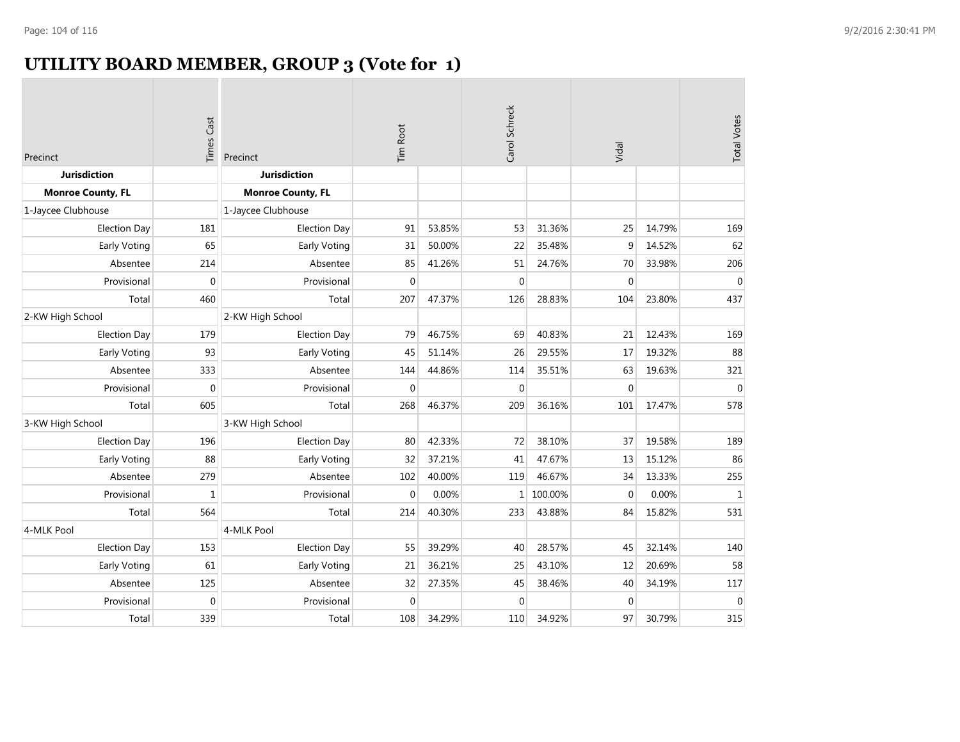# **UTILITY BOARD MEMBER, GROUP 3 (Vote for 1)**

| Precinct                 | <b>Times Cast</b> | Precinct                 | Tim Root     |        | Carol Schreck |         | Vidal          |        | <b>Total Votes</b> |
|--------------------------|-------------------|--------------------------|--------------|--------|---------------|---------|----------------|--------|--------------------|
| <b>Jurisdiction</b>      |                   | <b>Jurisdiction</b>      |              |        |               |         |                |        |                    |
| <b>Monroe County, FL</b> |                   | <b>Monroe County, FL</b> |              |        |               |         |                |        |                    |
| 1-Jaycee Clubhouse       |                   | 1-Jaycee Clubhouse       |              |        |               |         |                |        |                    |
| <b>Election Day</b>      | 181               | <b>Election Day</b>      | 91           | 53.85% | 53            | 31.36%  | 25             | 14.79% | 169                |
| Early Voting             | 65                | Early Voting             | 31           | 50.00% | 22            | 35.48%  | 9              | 14.52% | 62                 |
| Absentee                 | 214               | Absentee                 | 85           | 41.26% | 51            | 24.76%  | 70             | 33.98% | 206                |
| Provisional              | $\Omega$          | Provisional              | $\mathbf{0}$ |        | $\Omega$      |         | $\Omega$       |        | $\overline{0}$     |
| Total                    | 460               | Total                    | 207          | 47.37% | 126           | 28.83%  | 104            | 23.80% | 437                |
| 2-KW High School         |                   | 2-KW High School         |              |        |               |         |                |        |                    |
| <b>Election Day</b>      | 179               | <b>Election Day</b>      | 79           | 46.75% | 69            | 40.83%  | 21             | 12.43% | 169                |
| Early Voting             | 93                | Early Voting             | 45           | 51.14% | 26            | 29.55%  | 17             | 19.32% | 88                 |
| Absentee                 | 333               | Absentee                 | 144          | 44.86% | 114           | 35.51%  | 63             | 19.63% | 321                |
| Provisional              | $\mathbf{0}$      | Provisional              | 0            |        | $\mathbf 0$   |         | $\overline{0}$ |        | $\mathbf 0$        |
| Total                    | 605               | Total                    | 268          | 46.37% | 209           | 36.16%  | 101            | 17.47% | 578                |
| 3-KW High School         |                   | 3-KW High School         |              |        |               |         |                |        |                    |
| Election Day             | 196               | <b>Election Day</b>      | 80           | 42.33% | 72            | 38.10%  | 37             | 19.58% | 189                |
| Early Voting             | 88                | Early Voting             | 32           | 37.21% | 41            | 47.67%  | 13             | 15.12% | 86                 |
| Absentee                 | 279               | Absentee                 | 102          | 40.00% | 119           | 46.67%  | 34             | 13.33% | 255                |
| Provisional              | $\mathbf{1}$      | Provisional              | $\mathbf 0$  | 0.00%  | $\mathbf 1$   | 100.00% | $\mathbf{0}$   | 0.00%  | $1\,$              |
| Total                    | 564               | Total                    | 214          | 40.30% | 233           | 43.88%  | 84             | 15.82% | 531                |
| 4-MLK Pool               |                   | 4-MLK Pool               |              |        |               |         |                |        |                    |
| <b>Election Day</b>      | 153               | <b>Election Day</b>      | 55           | 39.29% | 40            | 28.57%  | 45             | 32.14% | 140                |
| Early Voting             | 61                | Early Voting             | 21           | 36.21% | 25            | 43.10%  | 12             | 20.69% | 58                 |
| Absentee                 | 125               | Absentee                 | 32           | 27.35% | 45            | 38.46%  | 40             | 34.19% | 117                |
| Provisional              | $\overline{0}$    | Provisional              | $\mathbf 0$  |        | $\mathbf 0$   |         | $\Omega$       |        | $\mathbf{0}$       |
| Total                    | 339               | Total                    | 108          | 34.29% | 110           | 34.92%  | 97             | 30.79% | 315                |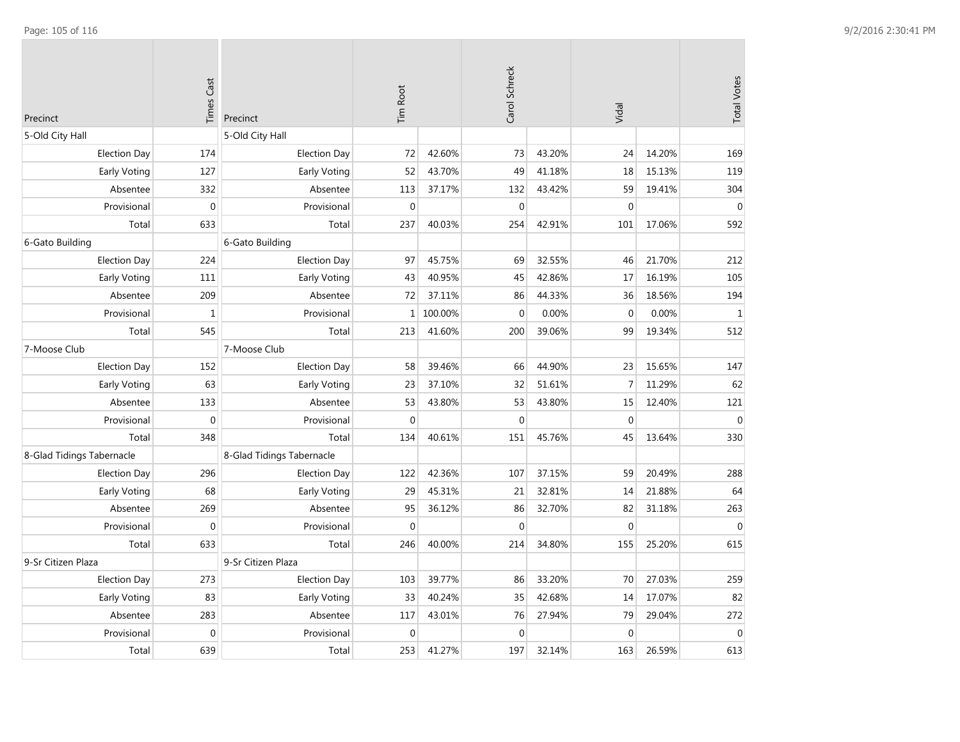| Precinct                  | <b>Times Cast</b> | Precinct                  | <b>Tim Root</b>  | Carol Schreck |              |        | Vidal            |        | <b>Total Votes</b> |
|---------------------------|-------------------|---------------------------|------------------|---------------|--------------|--------|------------------|--------|--------------------|
| 5-Old City Hall           |                   | 5-Old City Hall           |                  |               |              |        |                  |        |                    |
| <b>Election Day</b>       | 174               | <b>Election Day</b>       | 72               | 42.60%        | 73           | 43.20% | 24               | 14.20% | 169                |
| Early Voting              | 127               | Early Voting              | 52               | 43.70%        | 49           | 41.18% | 18               | 15.13% | 119                |
| Absentee                  | 332               | Absentee                  | 113              | 37.17%        | 132          | 43.42% | 59               | 19.41% | 304                |
| Provisional               | $\mathbf 0$       | Provisional               | $\mathbf 0$      |               | $\mathbf{0}$ |        | $\mathbf{0}$     |        | $\mathbf 0$        |
| Total                     | 633               | Total                     | 237              | 40.03%        | 254          | 42.91% | 101              | 17.06% | 592                |
| 6-Gato Building           |                   | 6-Gato Building           |                  |               |              |        |                  |        |                    |
| <b>Election Day</b>       | 224               | <b>Election Day</b>       | 97               | 45.75%        | 69           | 32.55% | 46               | 21.70% | 212                |
| Early Voting              | 111               | Early Voting              | 43               | 40.95%        | 45           | 42.86% | 17               | 16.19% | 105                |
| Absentee                  | 209               | Absentee                  | 72               | 37.11%        | 86           | 44.33% | 36               | 18.56% | 194                |
| Provisional               | $\mathbf 1$       | Provisional               | $\mathbf{1}$     | 100.00%       | $\mathbf{0}$ | 0.00%  | $\mathbf{0}$     | 0.00%  | $\mathbf 1$        |
| Total                     | 545               | Total                     | 213              | 41.60%        | 200          | 39.06% | 99               | 19.34% | 512                |
| 7-Moose Club              |                   | 7-Moose Club              |                  |               |              |        |                  |        |                    |
| <b>Election Day</b>       | 152               | <b>Election Day</b>       | 58               | 39.46%        | 66           | 44.90% | 23               | 15.65% | 147                |
| Early Voting              | 63                | Early Voting              | 23               | 37.10%        | 32           | 51.61% | $\overline{7}$   | 11.29% | 62                 |
| Absentee                  | 133               | Absentee                  | 53               | 43.80%        | 53           | 43.80% | 15               | 12.40% | 121                |
| Provisional               | $\mathbf 0$       | Provisional               | $\mathbf 0$      |               | $\mathbf{0}$ |        | $\mathbf 0$      |        | $\mathbf 0$        |
| Total                     | 348               | Total                     | 134              | 40.61%        | 151          | 45.76% | 45               | 13.64% | 330                |
| 8-Glad Tidings Tabernacle |                   | 8-Glad Tidings Tabernacle |                  |               |              |        |                  |        |                    |
| <b>Election Day</b>       | 296               | <b>Election Day</b>       | 122              | 42.36%        | 107          | 37.15% | 59               | 20.49% | 288                |
| Early Voting              | 68                | Early Voting              | 29               | 45.31%        | 21           | 32.81% | 14               | 21.88% | 64                 |
| Absentee                  | 269               | Absentee                  | 95               | 36.12%        | 86           | 32.70% | 82               | 31.18% | 263                |
| Provisional               | $\boldsymbol{0}$  | Provisional               | $\boldsymbol{0}$ |               | $\mathbf 0$  |        | $\boldsymbol{0}$ |        | $\mathbf 0$        |
| Total                     | 633               | Total                     | 246              | 40.00%        | 214          | 34.80% | 155              | 25.20% | 615                |
| 9-Sr Citizen Plaza        |                   | 9-Sr Citizen Plaza        |                  |               |              |        |                  |        |                    |
| <b>Election Day</b>       | 273               | <b>Election Day</b>       | 103              | 39.77%        | 86           | 33.20% | 70               | 27.03% | 259                |
| Early Voting              | 83                | Early Voting              | 33               | 40.24%        | 35           | 42.68% | 14               | 17.07% | 82                 |
| Absentee                  | 283               | Absentee                  | 117              | 43.01%        | 76           | 27.94% | 79               | 29.04% | 272                |
| Provisional               | $\overline{0}$    | Provisional               | $\boldsymbol{0}$ |               | $\mathbf{0}$ |        | $\mathbf{0}$     |        | $\mathbf{0}$       |
| Total                     | 639               | Total                     | 253              | 41.27%        | 197          | 32.14% | 163              | 26.59% | 613                |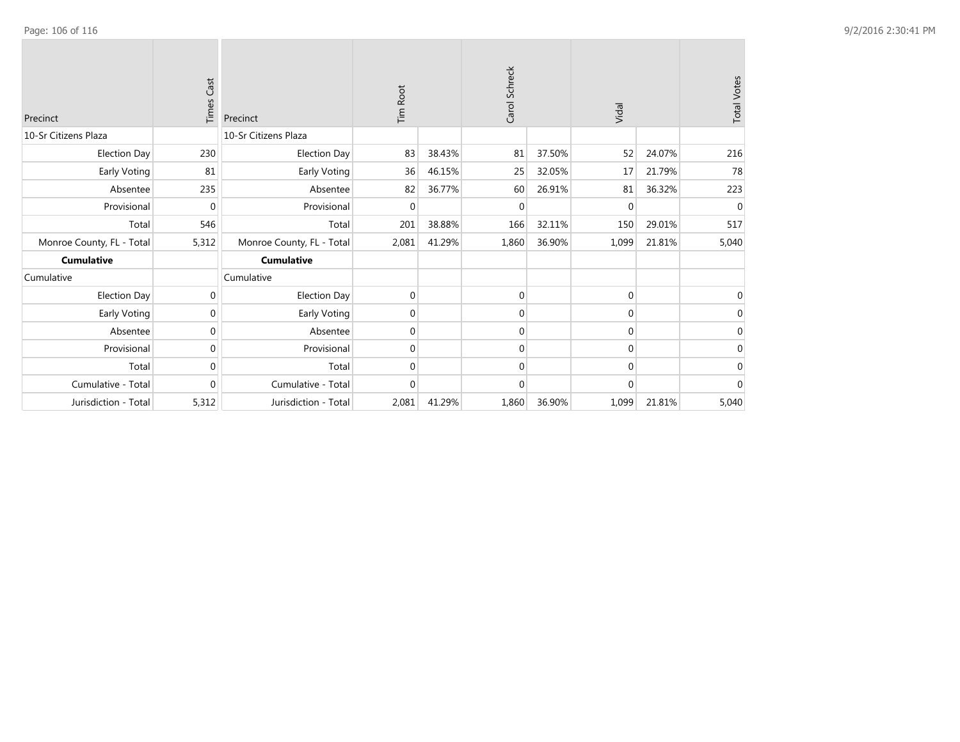| Precinct                  | Cast<br>Times | Precinct                  | Tim Root    |        | Carol Schreck |        | Vidal       |        | <b>Total Votes</b> |
|---------------------------|---------------|---------------------------|-------------|--------|---------------|--------|-------------|--------|--------------------|
| 10-Sr Citizens Plaza      |               | 10-Sr Citizens Plaza      |             |        |               |        |             |        |                    |
| Election Day              | 230           | <b>Election Day</b>       | 83          | 38.43% | 81            | 37.50% | 52          | 24.07% | 216                |
| Early Voting              | 81            | Early Voting              | 36          | 46.15% | 25            | 32.05% | 17          | 21.79% | 78                 |
| Absentee                  | 235           | Absentee                  | 82          | 36.77% | 60            | 26.91% | 81          | 36.32% | 223                |
| Provisional               | $\mathbf 0$   | Provisional               | $\mathbf 0$ |        | $\mathbf 0$   |        | $\mathbf 0$ |        | $\mathbf 0$        |
| Total                     | 546           | Total                     | 201         | 38.88% | 166           | 32.11% | 150         | 29.01% | 517                |
| Monroe County, FL - Total | 5,312         | Monroe County, FL - Total | 2,081       | 41.29% | 1,860         | 36.90% | 1,099       | 21.81% | 5,040              |
| <b>Cumulative</b>         |               | <b>Cumulative</b>         |             |        |               |        |             |        |                    |
| Cumulative                |               | Cumulative                |             |        |               |        |             |        |                    |
| Election Day              | 0             | <b>Election Day</b>       | 0           |        | $\mathbf 0$   |        | 0           |        | 0                  |
| Early Voting              | 0             | Early Voting              | $\mathbf 0$ |        | $\Omega$      |        | 0           |        | 0                  |
| Absentee                  | 0             | Absentee                  | $\mathbf 0$ |        | $\Omega$      |        | 0           |        | $\Omega$           |
| Provisional               | $\Omega$      | Provisional               | $\mathbf 0$ |        | $\Omega$      |        | $\Omega$    |        | $\Omega$           |
| Total                     | $\Omega$      | Total                     | 0           |        | $\Omega$      |        | $\Omega$    |        | 0                  |
| Cumulative - Total        | $\mathbf 0$   | Cumulative - Total        | $\mathbf 0$ |        | $\mathbf 0$   |        | 0           |        | $\mathbf{0}$       |
| Jurisdiction - Total      | 5,312         | Jurisdiction - Total      | 2,081       | 41.29% | 1,860         | 36.90% | 1,099       | 21.81% | 5,040              |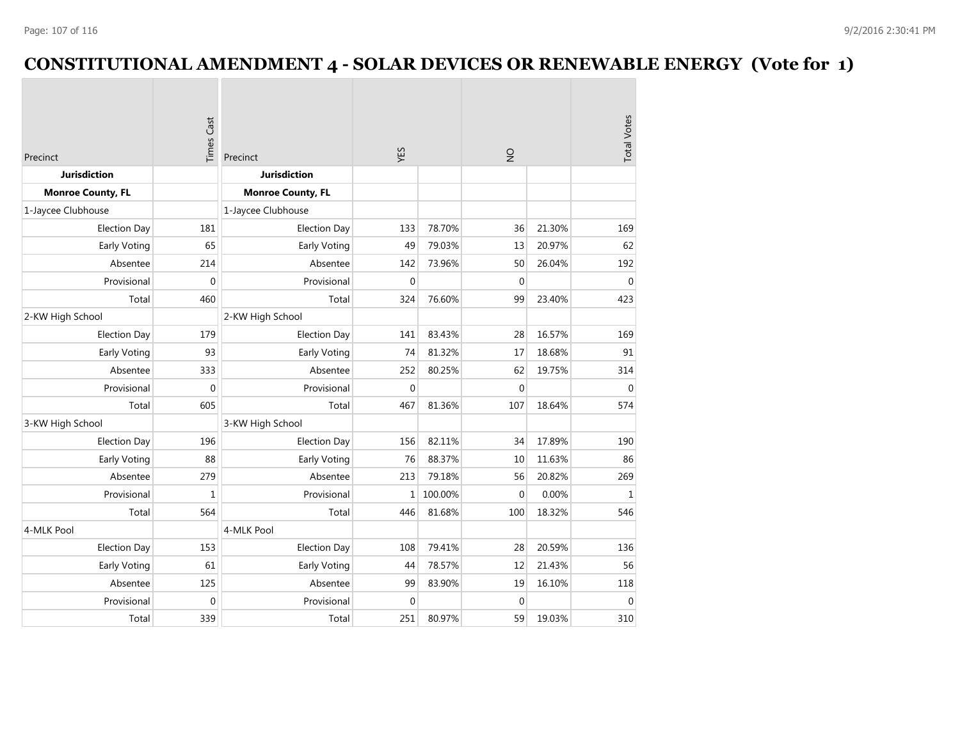## **CONSTITUTIONAL AMENDMENT 4 - SOLAR DEVICES OR RENEWABLE ENERGY (Vote for 1)**

| Precinct                 | <b>Times Cast</b> | YES<br>Precinct<br><b>Jurisdiction</b> |              | $\frac{1}{2}$ | <b>Total Votes</b> |        |              |
|--------------------------|-------------------|----------------------------------------|--------------|---------------|--------------------|--------|--------------|
| <b>Jurisdiction</b>      |                   |                                        |              |               |                    |        |              |
| <b>Monroe County, FL</b> |                   | <b>Monroe County, FL</b>               |              |               |                    |        |              |
| 1-Jaycee Clubhouse       |                   | 1-Jaycee Clubhouse                     |              |               |                    |        |              |
| <b>Election Day</b>      | 181               | <b>Election Day</b>                    | 133          | 78.70%        | 36                 | 21.30% | 169          |
| <b>Early Voting</b>      | 65                | Early Voting                           | 49           | 79.03%        | 13                 | 20.97% | 62           |
| Absentee                 | 214               | Absentee                               | 142          | 73.96%        | 50                 | 26.04% | 192          |
| Provisional              | $\mathbf 0$       | Provisional                            | $\mathbf 0$  |               | $\mathbf 0$        |        | $\mathbf 0$  |
| Total                    | 460               | Total                                  | 324          | 76.60%        | 99                 | 23.40% | 423          |
| 2-KW High School         |                   | 2-KW High School                       |              |               |                    |        |              |
| <b>Election Day</b>      | 179               | <b>Election Day</b>                    | 141          | 83.43%        | 28                 | 16.57% | 169          |
| Early Voting             | 93                | Early Voting                           | 74           | 81.32%        | 17                 | 18.68% | 91           |
| Absentee                 | 333               | Absentee                               | 252          | 80.25%        | 62                 | 19.75% | 314          |
| Provisional              | $\mathbf 0$       | Provisional                            | $\mathbf 0$  |               | $\mathbf{0}$       |        | $\mathbf{0}$ |
| Total                    | 605               | Total                                  | 467          | 81.36%        | 107                | 18.64% | 574          |
| 3-KW High School         |                   | 3-KW High School                       |              |               |                    |        |              |
| <b>Election Day</b>      | 196               | <b>Election Day</b>                    | 156          | 82.11%        | 34                 | 17.89% | 190          |
| Early Voting             | 88                | Early Voting                           | 76           | 88.37%        | 10                 | 11.63% | 86           |
| Absentee                 | 279               | Absentee                               | 213          | 79.18%        | 56                 | 20.82% | 269          |
| Provisional              | $\mathbf{1}$      | Provisional                            | $\mathbf{1}$ | 100.00%       | $\Omega$           | 0.00%  | $1\,$        |
| Total                    | 564               | Total                                  | 446          | 81.68%        | 100                | 18.32% | 546          |
| 4-MLK Pool               |                   | 4-MLK Pool                             |              |               |                    |        |              |
| <b>Election Day</b>      | 153               | <b>Election Day</b>                    | 108          | 79.41%        | 28                 | 20.59% | 136          |
| <b>Early Voting</b>      | 61                | Early Voting                           | 44           | 78.57%        | 12                 | 21.43% | 56           |
| Absentee                 | 125               | Absentee                               | 99           | 83.90%        | 19                 | 16.10% | 118          |
| Provisional              | $\mathbf 0$       | Provisional                            | $\mathbf 0$  |               | $\mathbf 0$        |        | $\mathbf 0$  |
| Total                    | 339               | Total                                  | 251          | 80.97%        | 59                 | 19.03% | 310          |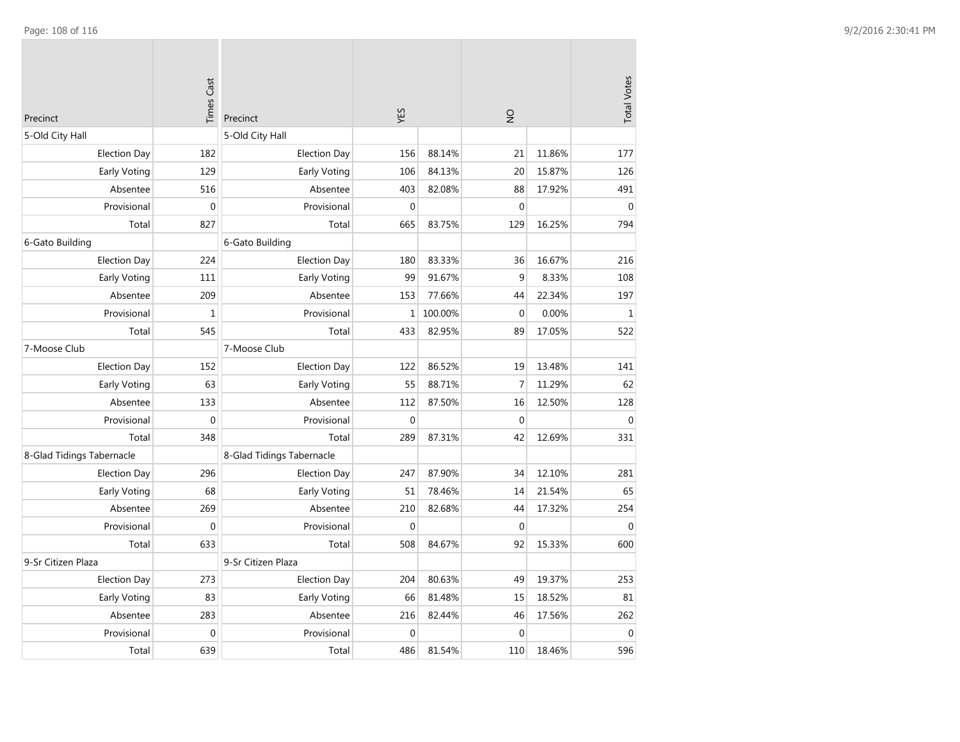| Precinct                  | <b>Times Cast</b> | Precinct                  | <b>S3A</b>   |         | $\frac{1}{2}$    |        | <b>Total Votes</b> |
|---------------------------|-------------------|---------------------------|--------------|---------|------------------|--------|--------------------|
| 5-Old City Hall           |                   | 5-Old City Hall           |              |         |                  |        |                    |
| <b>Election Day</b>       | 182               | <b>Election Day</b>       | 156          | 88.14%  | 21               | 11.86% | 177                |
| Early Voting              | 129               | Early Voting              | 106          | 84.13%  | 20               | 15.87% | 126                |
| Absentee                  | 516               | Absentee                  | 403          | 82.08%  | 88               | 17.92% | 491                |
| Provisional               | $\mathbf 0$       | Provisional               | $\mathbf{0}$ |         | $\mathbf 0$      |        | $\mathbf{0}$       |
| Total                     | 827               | Total                     | 665          | 83.75%  | 129              | 16.25% | 794                |
| 6-Gato Building           |                   | 6-Gato Building           |              |         |                  |        |                    |
| <b>Election Day</b>       | 224               | <b>Election Day</b>       | 180          | 83.33%  | 36               | 16.67% | 216                |
| Early Voting              | 111               | Early Voting              | 99           | 91.67%  | 9                | 8.33%  | 108                |
| Absentee                  | 209               | Absentee                  | 153          | 77.66%  | 44               | 22.34% | 197                |
| Provisional               | $\mathbf 1$       | Provisional               | $\mathbf{1}$ | 100.00% | $\boldsymbol{0}$ | 0.00%  | $\mathbf{1}$       |
| Total                     | 545               | Total                     | 433          | 82.95%  | 89               | 17.05% | 522                |
| 7-Moose Club              |                   | 7-Moose Club              |              |         |                  |        |                    |
| <b>Election Day</b>       | 152               | <b>Election Day</b>       | 122          | 86.52%  | 19               | 13.48% | 141                |
| <b>Early Voting</b>       | 63                | Early Voting              | 55           | 88.71%  | $\overline{7}$   | 11.29% | 62                 |
| Absentee                  | 133               | Absentee                  | 112          | 87.50%  | 16               | 12.50% | 128                |
| Provisional               | $\mathbf 0$       | Provisional               | $\mathbf{0}$ |         | $\boldsymbol{0}$ |        | $\mathbf 0$        |
| Total                     | 348               | Total                     | 289          | 87.31%  | 42               | 12.69% | 331                |
| 8-Glad Tidings Tabernacle |                   | 8-Glad Tidings Tabernacle |              |         |                  |        |                    |
| <b>Election Day</b>       | 296               | <b>Election Day</b>       | 247          | 87.90%  | 34               | 12.10% | 281                |
| Early Voting              | 68                | Early Voting              | 51           | 78.46%  | 14               | 21.54% | 65                 |
| Absentee                  | 269               | Absentee                  | 210          | 82.68%  | 44               | 17.32% | 254                |
| Provisional               | $\boldsymbol{0}$  | Provisional               | $\mathbf{0}$ |         | $\mathbf{0}$     |        | $\mathbf{0}$       |
| Total                     | 633               | Total                     | 508          | 84.67%  | 92               | 15.33% | 600                |
| 9-Sr Citizen Plaza        |                   | 9-Sr Citizen Plaza        |              |         |                  |        |                    |
| <b>Election Day</b>       | 273               | <b>Election Day</b>       | 204          | 80.63%  | 49               | 19.37% | 253                |
| Early Voting              | 83                | Early Voting              | 66           | 81.48%  | 15               | 18.52% | 81                 |
| Absentee                  | 283               | Absentee                  | 216          | 82.44%  | 46               | 17.56% | 262                |
| Provisional               | $\boldsymbol{0}$  | Provisional               | $\mathbf{0}$ |         | $\mathbf 0$      |        | $\mathbf{0}$       |
| Total                     | 639               | Total                     | 486          | 81.54%  | 110              | 18.46% | 596                |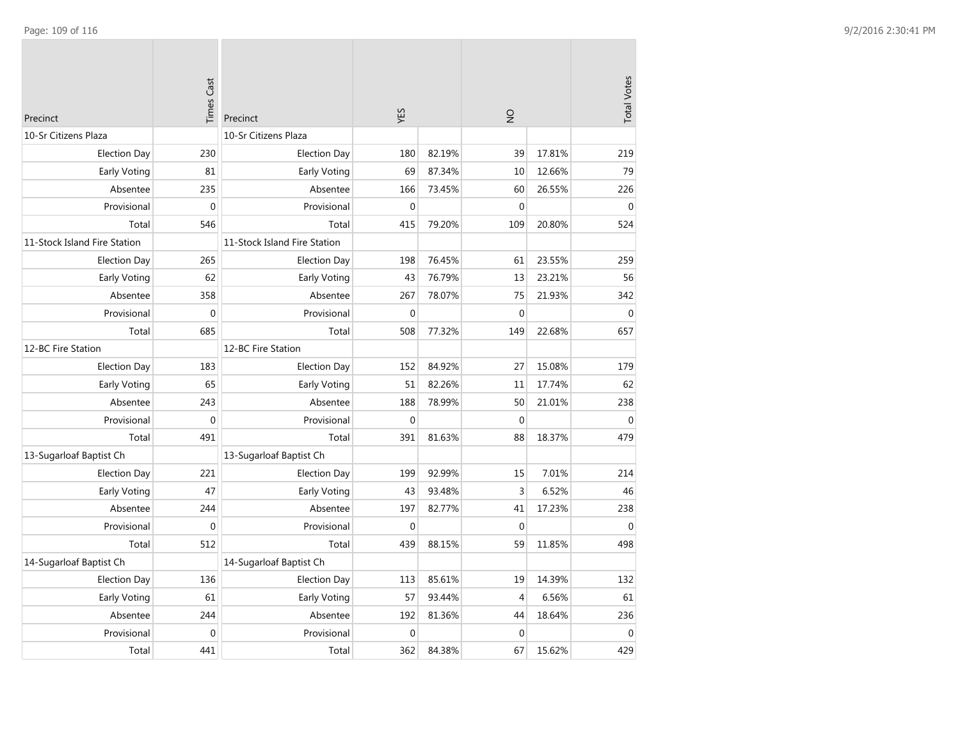| Precinct                     | <b>Times Cast</b> | Precinct                     | YES          |        | $\frac{1}{2}$    |        | <b>Total Votes</b> |
|------------------------------|-------------------|------------------------------|--------------|--------|------------------|--------|--------------------|
| 10-Sr Citizens Plaza         |                   | 10-Sr Citizens Plaza         |              |        |                  |        |                    |
| <b>Election Day</b>          | 230               | <b>Election Day</b>          | 180          | 82.19% | 39               | 17.81% | 219                |
| <b>Early Voting</b>          | 81                | Early Voting                 | 69           | 87.34% | 10               | 12.66% | 79                 |
| Absentee                     | 235               | Absentee                     | 166          | 73.45% | 60               | 26.55% | 226                |
| Provisional                  | $\boldsymbol{0}$  | Provisional                  | $\mathbf 0$  |        | $\mathbf{0}$     |        | $\mathbf{0}$       |
| Total                        | 546               | Total                        | 415          | 79.20% | 109              | 20.80% | 524                |
| 11-Stock Island Fire Station |                   | 11-Stock Island Fire Station |              |        |                  |        |                    |
| <b>Election Day</b>          | 265               | <b>Election Day</b>          | 198          | 76.45% | 61               | 23.55% | 259                |
| <b>Early Voting</b>          | 62                | Early Voting                 | 43           | 76.79% | 13               | 23.21% | 56                 |
| Absentee                     | 358               | Absentee                     | 267          | 78.07% | 75               | 21.93% | 342                |
| Provisional                  | $\boldsymbol{0}$  | Provisional                  | $\mathbf{0}$ |        | $\boldsymbol{0}$ |        | $\mathbf{0}$       |
| Total                        | 685               | Total                        | 508          | 77.32% | 149              | 22.68% | 657                |
| 12-BC Fire Station           |                   | 12-BC Fire Station           |              |        |                  |        |                    |
| <b>Election Day</b>          | 183               | <b>Election Day</b>          | 152          | 84.92% | 27               | 15.08% | 179                |
| <b>Early Voting</b>          | 65                | Early Voting                 | 51           | 82.26% | 11               | 17.74% | 62                 |
| Absentee                     | 243               | Absentee                     | 188          | 78.99% | 50               | 21.01% | 238                |
| Provisional                  | $\mathbf 0$       | Provisional                  | $\mathbf{0}$ |        | $\mathbf 0$      |        | $\mathbf 0$        |
| Total                        | 491               | Total                        | 391          | 81.63% | 88               | 18.37% | 479                |
| 13-Sugarloaf Baptist Ch      |                   | 13-Sugarloaf Baptist Ch      |              |        |                  |        |                    |
| <b>Election Day</b>          | 221               | <b>Election Day</b>          | 199          | 92.99% | 15               | 7.01%  | 214                |
| Early Voting                 | 47                | Early Voting                 | 43           | 93.48% | 3                | 6.52%  | 46                 |
| Absentee                     | 244               | Absentee                     | 197          | 82.77% | 41               | 17.23% | 238                |
| Provisional                  | $\boldsymbol{0}$  | Provisional                  | $\mathbf{0}$ |        | $\mathbf{0}$     |        | $\mathbf{0}$       |
| Total                        | 512               | Total                        | 439          | 88.15% | 59               | 11.85% | 498                |
| 14-Sugarloaf Baptist Ch      |                   | 14-Sugarloaf Baptist Ch      |              |        |                  |        |                    |
| <b>Election Day</b>          | 136               | <b>Election Day</b>          | 113          | 85.61% | 19               | 14.39% | 132                |
| Early Voting                 | 61                | Early Voting                 | 57           | 93.44% | $\overline{4}$   | 6.56%  | 61                 |
| Absentee                     | 244               | Absentee                     | 192          | 81.36% | 44               | 18.64% | 236                |
| Provisional                  | $\mathbf{0}$      | Provisional                  | $\mathbf{0}$ |        | $\mathbf{0}$     |        | $\mathbf{0}$       |
| Total                        | 441               | Total                        | 362          | 84.38% | 67               | 15.62% | 429                |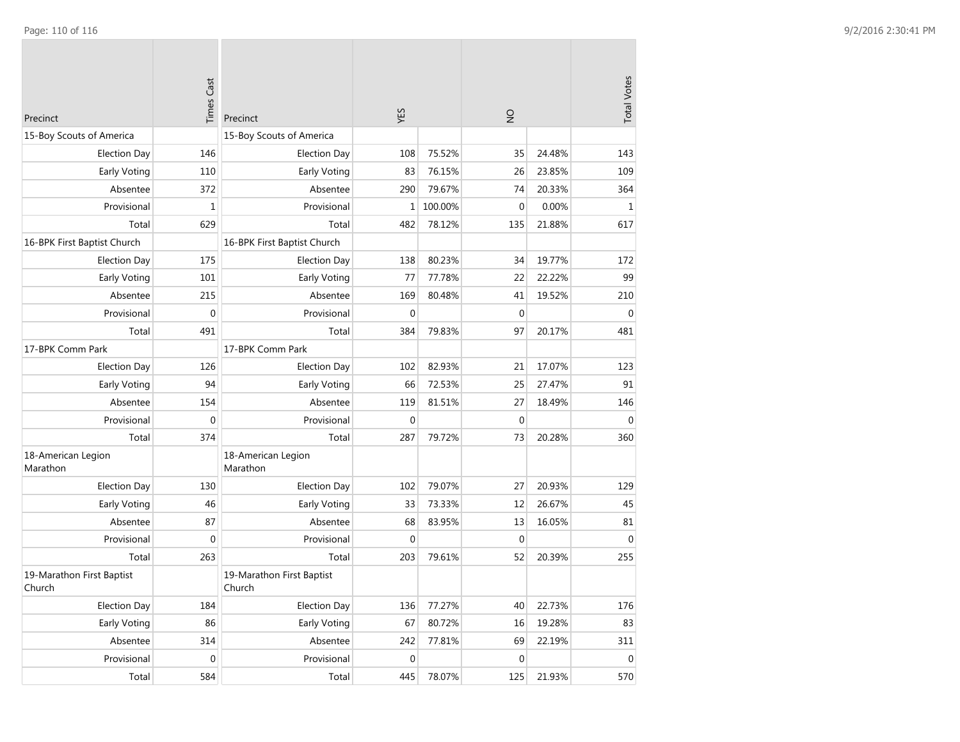| Precinct                            | <b>Times Cast</b> | Precinct                            | YES              |         | $\frac{1}{2}$ |        | <b>Total Votes</b> |
|-------------------------------------|-------------------|-------------------------------------|------------------|---------|---------------|--------|--------------------|
| 15-Boy Scouts of America            |                   | 15-Boy Scouts of America            |                  |         |               |        |                    |
| <b>Election Day</b>                 | 146               | <b>Election Day</b>                 | 108              | 75.52%  | 35            | 24.48% | 143                |
| <b>Early Voting</b>                 | 110               | Early Voting                        | 83               | 76.15%  | 26            | 23.85% | 109                |
| Absentee                            | 372               | Absentee                            | 290              | 79.67%  | 74            | 20.33% | 364                |
| Provisional                         | $\mathbf 1$       | Provisional                         | 1                | 100.00% | $\mathbf{0}$  | 0.00%  | $\mathbf{1}$       |
| Total                               | 629               | Total                               | 482              | 78.12%  | 135           | 21.88% | 617                |
| 16-BPK First Baptist Church         |                   | 16-BPK First Baptist Church         |                  |         |               |        |                    |
| <b>Election Day</b>                 | 175               | <b>Election Day</b>                 | 138              | 80.23%  | 34            | 19.77% | 172                |
| Early Voting                        | 101               | Early Voting                        | 77               | 77.78%  | 22            | 22.22% | 99                 |
| Absentee                            | 215               | Absentee                            | 169              | 80.48%  | 41            | 19.52% | 210                |
| Provisional                         | 0                 | Provisional                         | $\mathbf 0$      |         | $\mathbf 0$   |        | $\mathbf 0$        |
| Total                               | 491               | Total                               | 384              | 79.83%  | 97            | 20.17% | 481                |
| 17-BPK Comm Park                    |                   | 17-BPK Comm Park                    |                  |         |               |        |                    |
| <b>Election Day</b>                 | 126               | <b>Election Day</b>                 | 102              | 82.93%  | 21            | 17.07% | 123                |
| <b>Early Voting</b>                 | 94                | Early Voting                        | 66               | 72.53%  | 25            | 27.47% | 91                 |
| Absentee                            | 154               | Absentee                            | 119              | 81.51%  | 27            | 18.49% | 146                |
| Provisional                         | $\boldsymbol{0}$  | Provisional                         | $\mathbf{0}$     |         | $\mathbf 0$   |        | $\mathbf 0$        |
| Total                               | 374               | Total                               | 287              | 79.72%  | 73            | 20.28% | 360                |
| 18-American Legion<br>Marathon      |                   | 18-American Legion<br>Marathon      |                  |         |               |        |                    |
| <b>Election Day</b>                 | 130               | <b>Election Day</b>                 | 102              | 79.07%  | 27            | 20.93% | 129                |
| <b>Early Voting</b>                 | 46                | Early Voting                        | 33               | 73.33%  | 12            | 26.67% | 45                 |
| Absentee                            | 87                | Absentee                            | 68               | 83.95%  | 13            | 16.05% | 81                 |
| Provisional                         | 0                 | Provisional                         | $\mathbf 0$      |         | $\mathbf 0$   |        | $\mathbf{0}$       |
| Total                               | 263               | Total                               | 203              | 79.61%  | 52            | 20.39% | 255                |
| 19-Marathon First Baptist<br>Church |                   | 19-Marathon First Baptist<br>Church |                  |         |               |        |                    |
| <b>Election Day</b>                 | 184               | <b>Election Day</b>                 | 136              | 77.27%  | 40            | 22.73% | 176                |
| <b>Early Voting</b>                 | 86                | Early Voting                        | 67               | 80.72%  | 16            | 19.28% | 83                 |
| Absentee                            | 314               | Absentee                            | 242              | 77.81%  | 69            | 22.19% | 311                |
| Provisional                         | 0                 | Provisional                         | $\boldsymbol{0}$ |         | $\mathbf 0$   |        | $\mathbf 0$        |
| Total                               | 584               | Total                               | 445              | 78.07%  | 125           | 21.93% | 570                |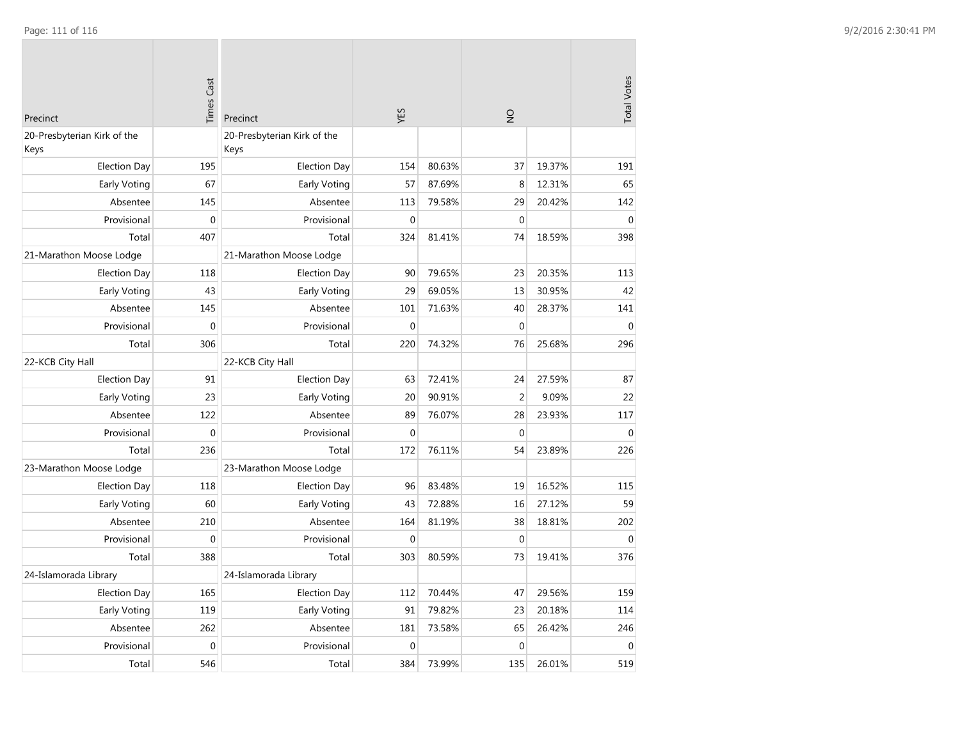| Precinct                            | <b>Times Cast</b> | Precinct                            | YES          |        | $\frac{1}{2}$    |        |                  |
|-------------------------------------|-------------------|-------------------------------------|--------------|--------|------------------|--------|------------------|
| 20-Presbyterian Kirk of the<br>Keys |                   | 20-Presbyterian Kirk of the<br>Keys |              |        |                  |        |                  |
| <b>Election Day</b>                 | 195               | <b>Election Day</b>                 | 154          | 80.63% | 37               | 19.37% | 191              |
| Early Voting                        | 67                | Early Voting                        | 57           | 87.69% | 8                | 12.31% | 65               |
| Absentee                            | 145               | Absentee                            | 113          | 79.58% | 29               | 20.42% | 142              |
| Provisional                         | $\boldsymbol{0}$  | Provisional                         | $\mathbf{0}$ |        | $\mathbf 0$      |        | $\mathbf 0$      |
| Total                               | 407               | Total                               | 324          | 81.41% | 74               | 18.59% | 398              |
| 21-Marathon Moose Lodge             |                   | 21-Marathon Moose Lodge             |              |        |                  |        |                  |
| <b>Election Day</b>                 | 118               | <b>Election Day</b>                 | 90           | 79.65% | 23               | 20.35% | 113              |
| Early Voting                        | 43                | Early Voting                        | 29           | 69.05% | 13               | 30.95% | 42               |
| Absentee                            | 145               | Absentee                            | 101          | 71.63% | 40               | 28.37% | 141              |
| Provisional                         | $\boldsymbol{0}$  | Provisional                         | $\mathbf 0$  |        | $\mathbf 0$      |        | $\boldsymbol{0}$ |
| Total                               | 306               | Total                               | 220          | 74.32% | 76               | 25.68% | 296              |
| 22-KCB City Hall                    |                   | 22-KCB City Hall                    |              |        |                  |        |                  |
| <b>Election Day</b>                 | 91                | <b>Election Day</b>                 | 63           | 72.41% | 24               | 27.59% | 87               |
| Early Voting                        | 23                | Early Voting                        | 20           | 90.91% | $\overline{2}$   | 9.09%  | 22               |
| Absentee                            | 122               | Absentee                            | 89           | 76.07% | 28               | 23.93% | 117              |
| Provisional                         | $\boldsymbol{0}$  | Provisional                         | $\mathbf{0}$ |        | $\boldsymbol{0}$ |        | $\pmb{0}$        |
| Total                               | 236               | Total                               | 172          | 76.11% | 54               | 23.89% | 226              |
| 23-Marathon Moose Lodge             |                   | 23-Marathon Moose Lodge             |              |        |                  |        |                  |
| <b>Election Day</b>                 | 118               | <b>Election Day</b>                 | 96           | 83.48% | 19               | 16.52% | 115              |
| Early Voting                        | 60                | Early Voting                        | 43           | 72.88% | 16               | 27.12% | 59               |
| Absentee                            | 210               | Absentee                            | 164          | 81.19% | 38               | 18.81% | 202              |
| Provisional                         | $\mathbf 0$       | Provisional                         | $\mathbf 0$  |        | $\boldsymbol{0}$ |        | $\mathbf 0$      |
| Total                               | 388               | Total                               | 303          | 80.59% | 73               | 19.41% | 376              |
| 24-Islamorada Library               |                   | 24-Islamorada Library               |              |        |                  |        |                  |
| <b>Election Day</b>                 | 165               | <b>Election Day</b>                 | 112          | 70.44% | 47               | 29.56% | 159              |
| Early Voting                        | 119               | Early Voting                        | 91           | 79.82% | 23               | 20.18% | 114              |
| Absentee                            | 262               | Absentee                            | 181          | 73.58% | 65               | 26.42% | 246              |
| Provisional                         | $\mathbf 0$       | Provisional                         | $\mathbf 0$  |        | $\mathbf 0$      |        | $\mathbf 0$      |
| Total                               | 546               | Total                               | 384          | 73.99% | 135              | 26.01% | 519              |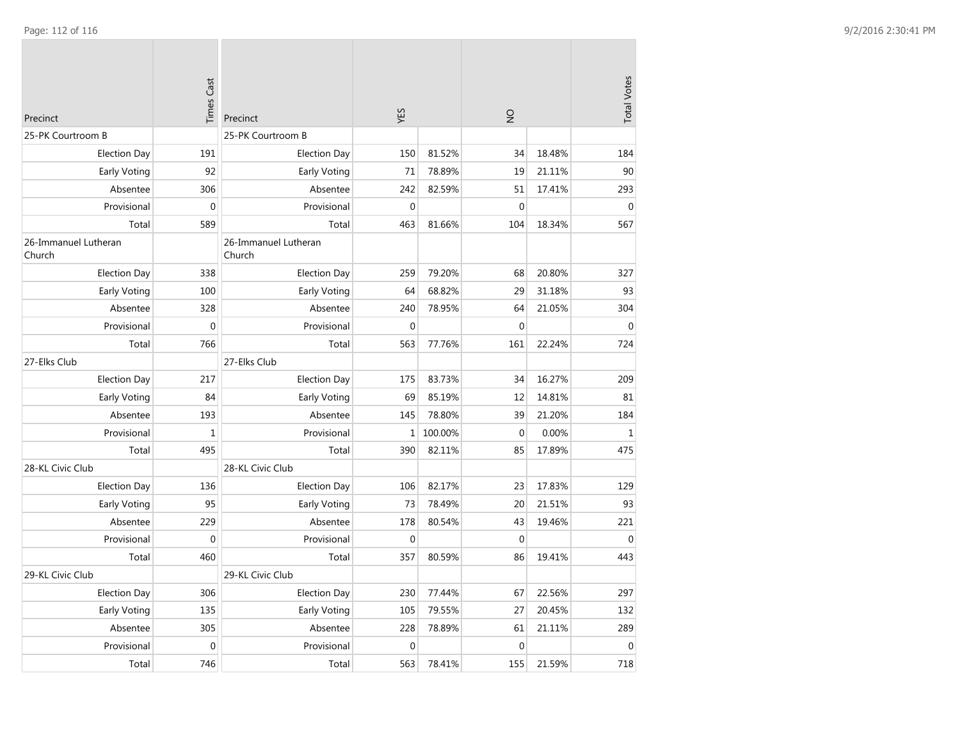| Precinct                       | <b>Times Cast</b> | Precinct                       | YES          |         | $\frac{0}{2}$    |        | <b>Total Votes</b> |
|--------------------------------|-------------------|--------------------------------|--------------|---------|------------------|--------|--------------------|
| 25-PK Courtroom B              |                   | 25-PK Courtroom B              |              |         |                  |        |                    |
| <b>Election Day</b>            | 191               | <b>Election Day</b>            | 150          | 81.52%  | 34               | 18.48% | 184                |
| <b>Early Voting</b>            | 92                | <b>Early Voting</b>            | 71           | 78.89%  | 19               | 21.11% | 90                 |
| Absentee                       | 306               | Absentee                       | 242          | 82.59%  | 51               | 17.41% | 293                |
| Provisional                    | $\boldsymbol{0}$  | Provisional                    | $\mathbf 0$  |         | $\mathbf 0$      |        | $\mathbf{0}$       |
| Total                          | 589               | Total                          | 463          | 81.66%  | 104              | 18.34% | 567                |
| 26-Immanuel Lutheran<br>Church |                   | 26-Immanuel Lutheran<br>Church |              |         |                  |        |                    |
| <b>Election Day</b>            | 338               | <b>Election Day</b>            | 259          | 79.20%  | 68               | 20.80% | 327                |
| Early Voting                   | 100               | Early Voting                   | 64           | 68.82%  | 29               | 31.18% | 93                 |
| Absentee                       | 328               | Absentee                       | 240          | 78.95%  | 64               | 21.05% | 304                |
| Provisional                    | $\mathbf 0$       | Provisional                    | $\mathbf{0}$ |         | $\boldsymbol{0}$ |        | $\overline{0}$     |
| Total                          | 766               | Total                          | 563          | 77.76%  | 161              | 22.24% | 724                |
| 27-Elks Club                   |                   | 27-Elks Club                   |              |         |                  |        |                    |
| <b>Election Day</b>            | 217               | <b>Election Day</b>            | 175          | 83.73%  | 34               | 16.27% | 209                |
| Early Voting                   | 84                | Early Voting                   | 69           | 85.19%  | 12               | 14.81% | 81                 |
| Absentee                       | 193               | Absentee                       | 145          | 78.80%  | 39               | 21.20% | 184                |
| Provisional                    | $\mathbf 1$       | Provisional                    | $\mathbf 1$  | 100.00% | $\mathbf 0$      | 0.00%  | $\mathbf{1}$       |
| Total                          | 495               | Total                          | 390          | 82.11%  | 85               | 17.89% | 475                |
| 28-KL Civic Club               |                   | 28-KL Civic Club               |              |         |                  |        |                    |
| <b>Election Day</b>            | 136               | Election Day                   | 106          | 82.17%  | 23               | 17.83% | 129                |
| Early Voting                   | 95                | Early Voting                   | 73           | 78.49%  | 20               | 21.51% | 93                 |
| Absentee                       | 229               | Absentee                       | 178          | 80.54%  | 43               | 19.46% | 221                |
| Provisional                    | $\mathbf 0$       | Provisional                    | $\mathbf 0$  |         | $\mathbf 0$      |        | $\Omega$           |
| Total                          | 460               | Total                          | 357          | 80.59%  | 86               | 19.41% | 443                |
| 29-KL Civic Club               |                   | 29-KL Civic Club               |              |         |                  |        |                    |
| <b>Election Day</b>            | 306               | <b>Election Day</b>            | 230          | 77.44%  | 67               | 22.56% | 297                |
| Early Voting                   | 135               | Early Voting                   | 105          | 79.55%  | 27               | 20.45% | 132                |
| Absentee                       | 305               | Absentee                       | 228          | 78.89%  | 61               | 21.11% | 289                |
| Provisional                    | $\boldsymbol{0}$  | Provisional                    | $\mathbf 0$  |         | $\boldsymbol{0}$ |        | $\mathbf{0}$       |
| Total                          | 746               | Total                          | 563          | 78.41%  | 155              | 21.59% | 718                |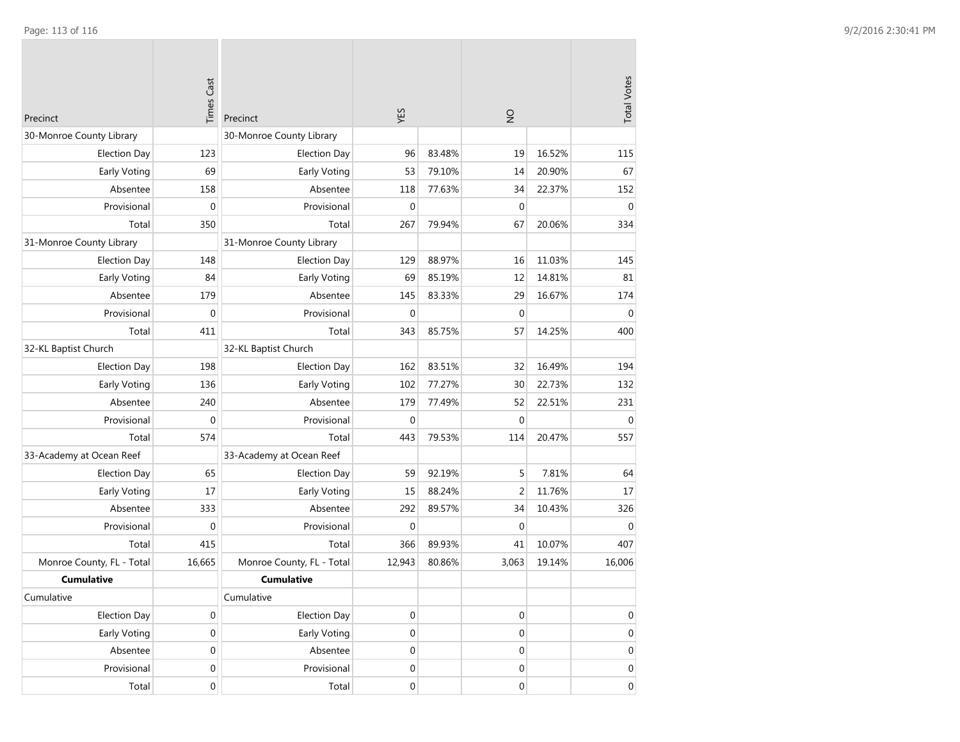| Precinct                  | <b>Times Cast</b> | Precinct                  | YES              |        | $\frac{1}{2}$    |        | <b>Total Votes</b> |
|---------------------------|-------------------|---------------------------|------------------|--------|------------------|--------|--------------------|
| 30-Monroe County Library  |                   | 30-Monroe County Library  |                  |        |                  |        |                    |
| <b>Election Day</b>       | 123               | <b>Election Day</b>       | 96               | 83.48% | 19               | 16.52% | 115                |
| Early Voting              | 69                | Early Voting              | 53               | 79.10% | 14               | 20.90% | 67                 |
| Absentee                  | 158               | Absentee                  | 118              | 77.63% | 34               | 22.37% | 152                |
| Provisional               | $\boldsymbol{0}$  | Provisional               | $\mathbf 0$      |        | $\mathbf 0$      |        | $\mathbf 0$        |
| Total                     | 350               | Total                     | 267              | 79.94% | 67               | 20.06% | 334                |
| 31-Monroe County Library  |                   | 31-Monroe County Library  |                  |        |                  |        |                    |
| <b>Election Day</b>       | 148               | <b>Election Day</b>       | 129              | 88.97% | 16               | 11.03% | 145                |
| Early Voting              | 84                | Early Voting              | 69               | 85.19% | 12               | 14.81% | 81                 |
| Absentee                  | 179               | Absentee                  | 145              | 83.33% | 29               | 16.67% | 174                |
| Provisional               | 0                 | Provisional               | $\mathbf{0}$     |        | $\mathbf 0$      |        | $\mathbf 0$        |
| Total                     | 411               | Total                     | 343              | 85.75% | 57               | 14.25% | 400                |
| 32-KL Baptist Church      |                   | 32-KL Baptist Church      |                  |        |                  |        |                    |
| <b>Election Day</b>       | 198               | <b>Election Day</b>       | 162              | 83.51% | 32               | 16.49% | 194                |
| Early Voting              | 136               | Early Voting              | 102              | 77.27% | 30               | 22.73% | 132                |
| Absentee                  | 240               | Absentee                  | 179              | 77.49% | 52               | 22.51% | 231                |
| Provisional               | $\boldsymbol{0}$  | Provisional               | $\mathbf 0$      |        | $\mathbf 0$      |        | $\mathbf 0$        |
| Total                     | 574               | Total                     | 443              | 79.53% | 114              | 20.47% | 557                |
| 33-Academy at Ocean Reef  |                   | 33-Academy at Ocean Reef  |                  |        |                  |        |                    |
| <b>Election Day</b>       | 65                | <b>Election Day</b>       | 59               | 92.19% | 5                | 7.81%  | 64                 |
| Early Voting              | 17                | Early Voting              | 15               | 88.24% | $\overline{2}$   | 11.76% | 17                 |
| Absentee                  | 333               | Absentee                  | 292              | 89.57% | 34               | 10.43% | 326                |
| Provisional               | $\mathbf 0$       | Provisional               | $\mathbf{0}$     |        | $\mathbf 0$      |        | $\mathbf 0$        |
| Total                     | 415               | Total                     | 366              | 89.93% | 41               | 10.07% | 407                |
| Monroe County, FL - Total | 16,665            | Monroe County, FL - Total | 12,943           | 80.86% | 3,063            | 19.14% | 16,006             |
| <b>Cumulative</b>         |                   | <b>Cumulative</b>         |                  |        |                  |        |                    |
| Cumulative                |                   | Cumulative                |                  |        |                  |        |                    |
| <b>Election Day</b>       | 0                 | <b>Election Day</b>       | $\boldsymbol{0}$ |        | $\boldsymbol{0}$ |        | 0                  |
| Early Voting              | $\boldsymbol{0}$  | Early Voting              | $\boldsymbol{0}$ |        | $\boldsymbol{0}$ |        | $\boldsymbol{0}$   |
| Absentee                  | $\boldsymbol{0}$  | Absentee                  | $\boldsymbol{0}$ |        | $\boldsymbol{0}$ |        | $\boldsymbol{0}$   |
| Provisional               | $\boldsymbol{0}$  | Provisional               | $\boldsymbol{0}$ |        | $\boldsymbol{0}$ |        | 0                  |
| Total                     | $\boldsymbol{0}$  | Total                     | $\boldsymbol{0}$ |        | $\boldsymbol{0}$ |        | $\overline{0}$     |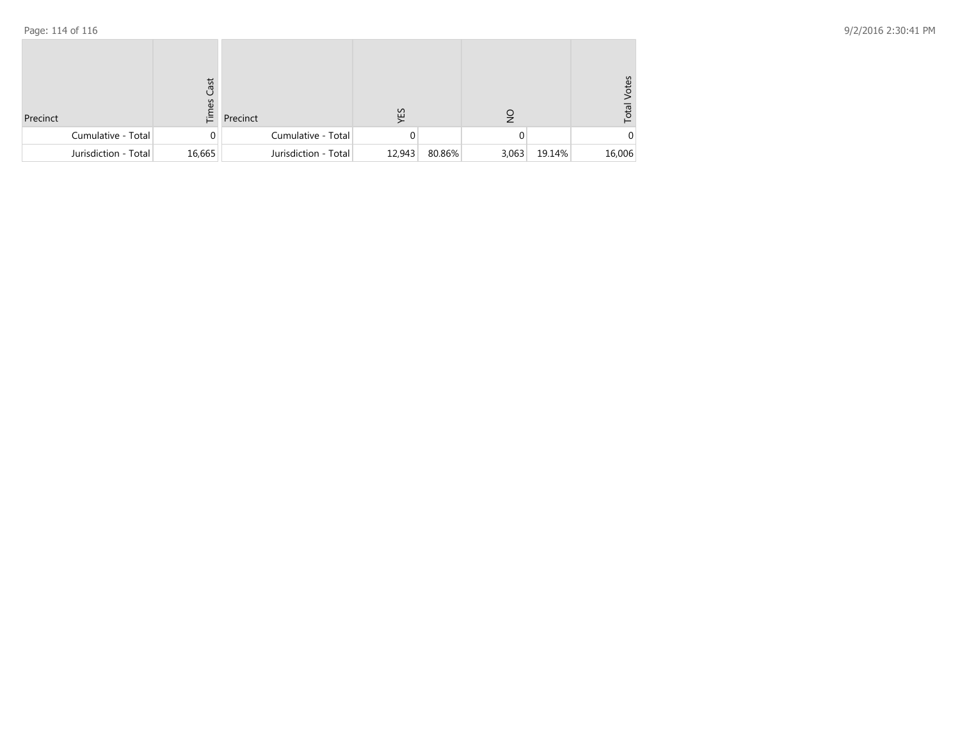| Precinct |                      | Cast<br>$\sum_{i=1}^{n}$ | Precinct             | ΥES    |        | $\frac{1}{2}$ |        | /otes<br>Total |
|----------|----------------------|--------------------------|----------------------|--------|--------|---------------|--------|----------------|
|          | Cumulative - Total   | 0                        | Cumulative - Total   |        |        | 0             |        |                |
|          | Jurisdiction - Total | 16,665                   | Jurisdiction - Total | 12,943 | 80.86% | 3,063         | 19.14% | 16,006         |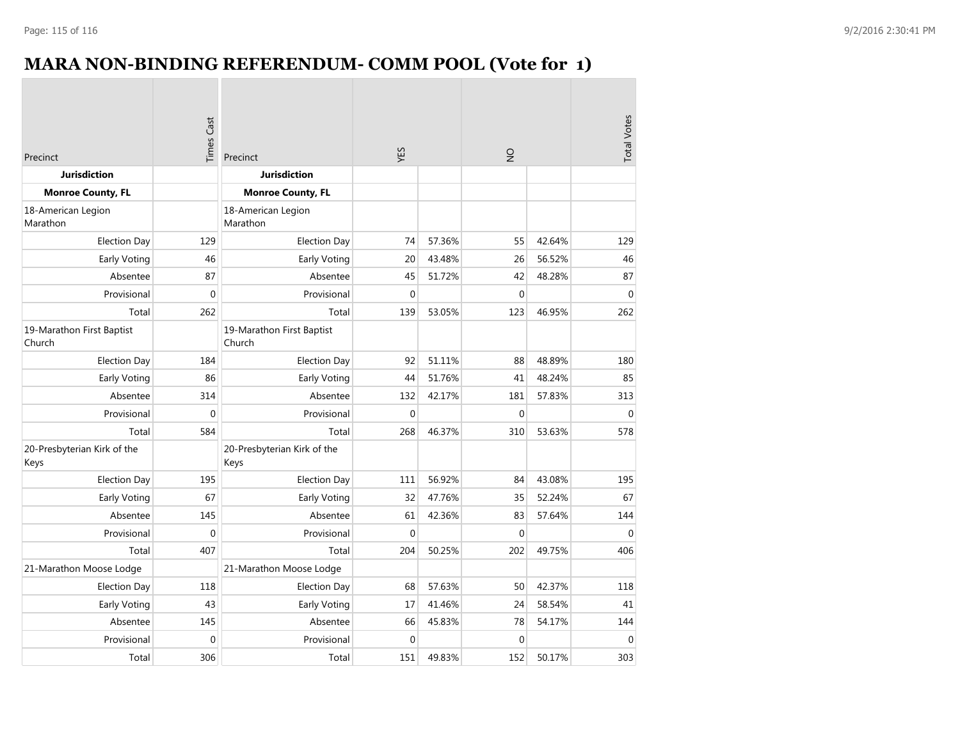## **MARA NON-BINDING REFERENDUM- COMM POOL (Vote for 1)**

| Precinct                            | <b>Times Cast</b> | Precinct                            | YES              |        | $\frac{1}{2}$ |        | <b>Total Votes</b> |
|-------------------------------------|-------------------|-------------------------------------|------------------|--------|---------------|--------|--------------------|
| <b>Jurisdiction</b>                 |                   | <b>Jurisdiction</b>                 |                  |        |               |        |                    |
| <b>Monroe County, FL</b>            |                   | <b>Monroe County, FL</b>            |                  |        |               |        |                    |
| 18-American Legion<br>Marathon      |                   | 18-American Legion<br>Marathon      |                  |        |               |        |                    |
| <b>Election Day</b>                 | 129               | <b>Election Day</b>                 | 74               | 57.36% | 55            | 42.64% | 129                |
| <b>Early Voting</b>                 | 46                | <b>Early Voting</b>                 | 20               | 43.48% | 26            | 56.52% | 46                 |
| Absentee                            | 87                | Absentee                            | 45               | 51.72% | 42            | 48.28% | 87                 |
| Provisional                         | $\overline{0}$    | Provisional                         | $\mathbf 0$      |        | $\mathbf 0$   |        | $\boldsymbol{0}$   |
| Total                               | 262               | Total                               | 139              | 53.05% | 123           | 46.95% | 262                |
| 19-Marathon First Baptist<br>Church |                   | 19-Marathon First Baptist<br>Church |                  |        |               |        |                    |
| <b>Election Day</b>                 | 184               | <b>Election Day</b>                 | 92               | 51.11% | 88            | 48.89% | 180                |
| Early Voting                        | 86                | <b>Early Voting</b>                 | 44               | 51.76% | 41            | 48.24% | 85                 |
| Absentee                            | 314               | Absentee                            | 132              | 42.17% | 181           | 57.83% | 313                |
| Provisional                         | $\mathbf 0$       | Provisional                         | $\boldsymbol{0}$ |        | $\mathbf 0$   |        | $\mathbf{0}$       |
| Total                               | 584               | Total                               | 268              | 46.37% | 310           | 53.63% | 578                |
| 20-Presbyterian Kirk of the<br>Keys |                   | 20-Presbyterian Kirk of the<br>Keys |                  |        |               |        |                    |
| <b>Election Day</b>                 | 195               | <b>Election Day</b>                 | 111              | 56.92% | 84            | 43.08% | 195                |
| <b>Early Voting</b>                 | 67                | Early Voting                        | 32               | 47.76% | 35            | 52.24% | 67                 |
| Absentee                            | 145               | Absentee                            | 61               | 42.36% | 83            | 57.64% | 144                |
| Provisional                         | $\overline{0}$    | Provisional                         | $\mathbf 0$      |        | $\mathbf{0}$  |        | $\mathbf{0}$       |
| Total                               | 407               | Total                               | 204              | 50.25% | 202           | 49.75% | 406                |
| 21-Marathon Moose Lodge             |                   | 21-Marathon Moose Lodge             |                  |        |               |        |                    |
| <b>Election Day</b>                 | 118               | <b>Election Day</b>                 | 68               | 57.63% | 50            | 42.37% | 118                |
| Early Voting                        | 43                | Early Voting                        | 17               | 41.46% | 24            | 58.54% | 41                 |
| Absentee                            | 145               | Absentee                            | 66               | 45.83% | 78            | 54.17% | 144                |
| Provisional                         | $\mathbf{0}$      | Provisional                         | $\mathbf 0$      |        | $\mathbf 0$   |        | $\mathbf 0$        |
| Total                               | 306               | Total                               | 151              | 49.83% | 152           | 50.17% | 303                |